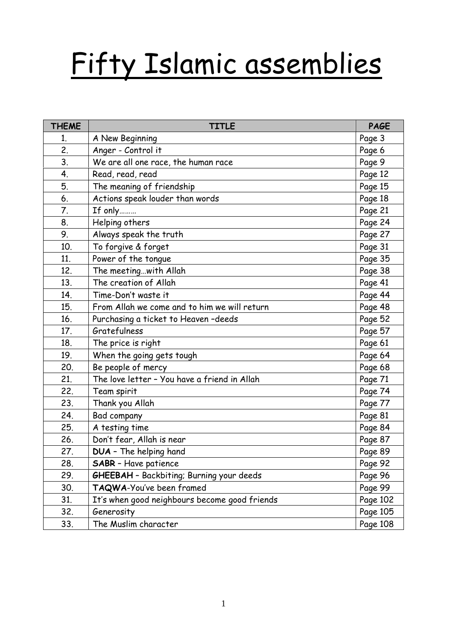# Fifty Islamic assemblies

| <b>THEME</b> | <b>TITLE</b>                                    | <b>PAGE</b> |
|--------------|-------------------------------------------------|-------------|
| 1.           | A New Beginning                                 | Page 3      |
| 2.           | Anger - Control it                              | Page 6      |
| 3.           | We are all one race, the human race             | Page 9      |
| 4.           | Read, read, read                                | Page 12     |
| 5.           | The meaning of friendship                       | Page 15     |
| 6.           | Actions speak louder than words                 | Page 18     |
| 7.           | If only                                         | Page 21     |
| 8.           | Helping others                                  | Page 24     |
| 9.           | Always speak the truth                          | Page 27     |
| 10.          | To forgive & forget                             | Page 31     |
| 11.          | Power of the tongue                             | Page 35     |
| 12.          | The meetingwith Allah                           | Page 38     |
| 13.          | The creation of Allah                           | Page 41     |
| 14.          | Time-Don't waste it                             | Page 44     |
| 15.          | From Allah we come and to him we will return    | Page 48     |
| 16.          | Purchasing a ticket to Heaven-deeds             | Page 52     |
| 17.          | Gratefulness                                    | Page 57     |
| 18.          | The price is right                              | Page 61     |
| 19.          | When the going gets tough                       | Page 64     |
| 20.          | Be people of mercy                              | Page 68     |
| 21.          | The love letter - You have a friend in Allah    | Page 71     |
| 22.          | Team spirit                                     | Page 74     |
| 23.          | Thank you Allah                                 | Page 77     |
| 24.          | Bad company                                     | Page 81     |
| 25.          | A testing time                                  | Page 84     |
| 26.          | Don't fear, Allah is near                       | Page 87     |
| 27.          | DUA - The helping hand                          | Page 89     |
| 28.          | <b>SABR</b> - Have patience                     | Page 92     |
| 29.          | <b>GHEEBAH</b> - Backbiting; Burning your deeds | Page 96     |
| 30.          | TAQWA-You've been framed                        | Page 99     |
| 31.          | It's when good neighbours become good friends   | Page 102    |
| 32.          | Generosity                                      | Page 105    |
| 33.          | The Muslim character                            | Page 108    |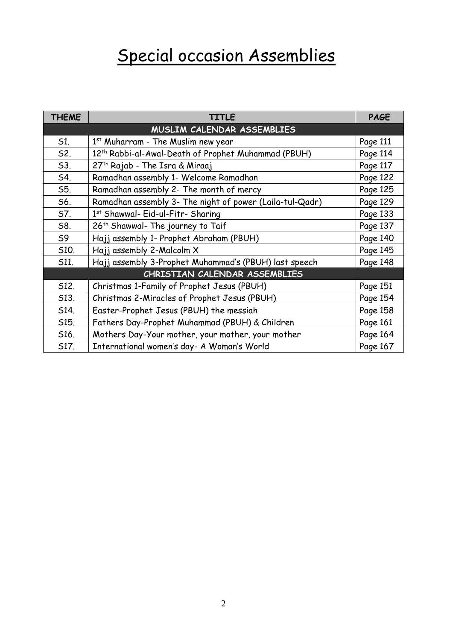### Special occasion Assemblies

| <b>THEME</b>                  | <b>TITLE</b>                                                    | <b>PAGE</b> |  |
|-------------------------------|-----------------------------------------------------------------|-------------|--|
| MUSLIM CALENDAR ASSEMBLIES    |                                                                 |             |  |
| S1.                           | 1 <sup>st</sup> Muharram - The Muslim new year                  | Page 111    |  |
| S2.                           | 12 <sup>th</sup> Rabbi-al-Awal-Death of Prophet Muhammad (PBUH) | Page 114    |  |
| S3.                           | 27 <sup>th</sup> Rajab - The Isra & Miraaj                      | Page 117    |  |
| S4.                           | Ramadhan assembly 1- Welcome Ramadhan                           | Page 122    |  |
| <b>S5.</b>                    | Ramadhan assembly 2- The month of mercy                         | Page 125    |  |
| S6.                           | Ramadhan assembly 3- The night of power (Laila-tul-Qadr)        | Page 129    |  |
| S7.                           | 1st Shawwal- Eid-ul-Fitr- Sharing                               | Page 133    |  |
| S8.                           | 26 <sup>th</sup> Shawwal- The journey to Taif                   | Page 137    |  |
| <b>S9</b>                     | Hajj assembly 1- Prophet Abraham (PBUH)                         | Page 140    |  |
| S10.                          | Hajj assembly 2-Malcolm X                                       | Page 145    |  |
| S11.                          | Hajj assembly 3-Prophet Muhammad's (PBUH) last speech           | Page 148    |  |
| CHRISTIAN CALENDAR ASSEMBLIES |                                                                 |             |  |
| S12.                          | Christmas 1-Family of Prophet Jesus (PBUH)                      | Page 151    |  |
| S13.                          | Christmas 2-Miracles of Prophet Jesus (PBUH)                    | Page 154    |  |
| S14.                          | Easter-Prophet Jesus (PBUH) the messiah                         | Page 158    |  |
| S15.                          | Fathers Day-Prophet Muhammad (PBUH) & Children                  | Page 161    |  |
| S16.                          | Mothers Day-Your mother, your mother, your mother               | Page 164    |  |
| S17.                          | International women's day- A Woman's World                      | Page 167    |  |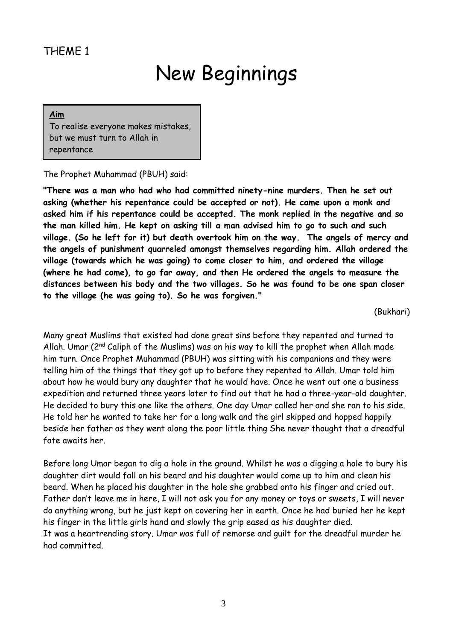## New Beginnings

**Aim**

To realise everyone makes mistakes, but we must turn to Allah in repentance

The Prophet Muhammad (PBUH) said:

**"There was a man who had who had committed ninety-nine murders. Then he set out asking (whether his repentance could be accepted or not). He came upon a monk and asked him if his repentance could be accepted. The monk replied in the negative and so the man killed him. He kept on asking till a man advised him to go to such and such village. (So he left for it) but death overtook him on the way. The angels of mercy and the angels of punishment quarreled amongst themselves regarding him. Allah ordered the village (towards which he was going) to come closer to him, and ordered the village (where he had come), to go far away, and then He ordered the angels to measure the distances between his body and the two villages. So he was found to be one span closer to the village (he was going to). So he was forgiven."** 

(Bukhari)

Many great Muslims that existed had done great sins before they repented and turned to Allah. Umar ( $2^{nd}$  Caliph of the Muslims) was on his way to kill the prophet when Allah made him turn. Once Prophet Muhammad (PBUH) was sitting with his companions and they were telling him of the things that they got up to before they repented to Allah. Umar told him about how he would bury any daughter that he would have. Once he went out one a business expedition and returned three years later to find out that he had a three-year-old daughter. He decided to bury this one like the others. One day Umar called her and she ran to his side. He told her he wanted to take her for a long walk and the girl skipped and hopped happily beside her father as they went along the poor little thing She never thought that a dreadful fate awaits her.

Before long Umar began to dig a hole in the ground. Whilst he was a digging a hole to bury his daughter dirt would fall on his beard and his daughter would come up to him and clean his beard. When he placed his daughter in the hole she grabbed onto his finger and cried out. Father don't leave me in here, I will not ask you for any money or toys or sweets, I will never do anything wrong, but he just kept on covering her in earth. Once he had buried her he kept his finger in the little girls hand and slowly the grip eased as his daughter died. It was a heartrending story. Umar was full of remorse and guilt for the dreadful murder he had committed.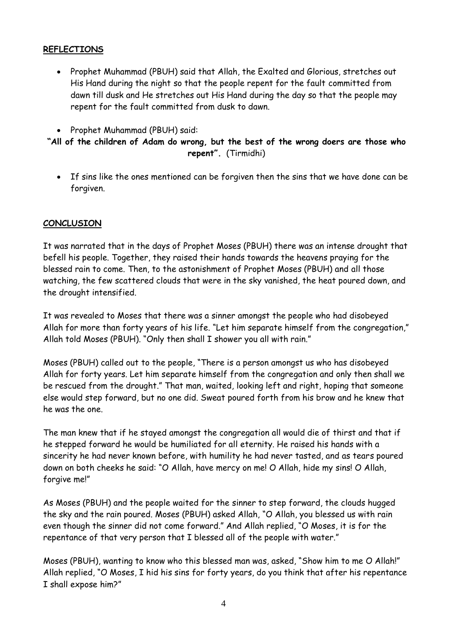#### **REFLECTIONS**

- Prophet Muhammad (PBUH) said that Allah, the Exalted and Glorious, stretches out His Hand during the night so that the people repent for the fault committed from dawn till dusk and He stretches out His Hand during the day so that the people may repent for the fault committed from dusk to dawn.
- Prophet Muhammad (PBUH) said:

#### **"All of the children of Adam do wrong, but the best of the wrong doers are those who repent".** (Tirmidhi)

• If sins like the ones mentioned can be forgiven then the sins that we have done can be forgiven.

#### **CONCLUSION**

It was narrated that in the days of Prophet Moses (PBUH) there was an intense drought that befell his people. Together, they raised their hands towards the heavens praying for the blessed rain to come. Then, to the astonishment of Prophet Moses (PBUH) and all those watching, the few scattered clouds that were in the sky vanished, the heat poured down, and the drought intensified.

It was revealed to Moses that there was a sinner amongst the people who had disobeyed Allah for more than forty years of his life. "Let him separate himself from the congregation," Allah told Moses (PBUH). "Only then shall I shower you all with rain."

Moses (PBUH) called out to the people, "There is a person amongst us who has disobeyed Allah for forty years. Let him separate himself from the congregation and only then shall we be rescued from the drought." That man, waited, looking left and right, hoping that someone else would step forward, but no one did. Sweat poured forth from his brow and he knew that he was the one.

The man knew that if he stayed amongst the congregation all would die of thirst and that if he stepped forward he would be humiliated for all eternity. He raised his hands with a sincerity he had never known before, with humility he had never tasted, and as tears poured down on both cheeks he said: "O Allah, have mercy on me! O Allah, hide my sins! O Allah, forgive me!"

As Moses (PBUH) and the people waited for the sinner to step forward, the clouds hugged the sky and the rain poured. Moses (PBUH) asked Allah, "O Allah, you blessed us with rain even though the sinner did not come forward." And Allah replied, "O Moses, it is for the repentance of that very person that I blessed all of the people with water."

Moses (PBUH), wanting to know who this blessed man was, asked, "Show him to me O Allah!" Allah replied, "O Moses, I hid his sins for forty years, do you think that after his repentance I shall expose him?"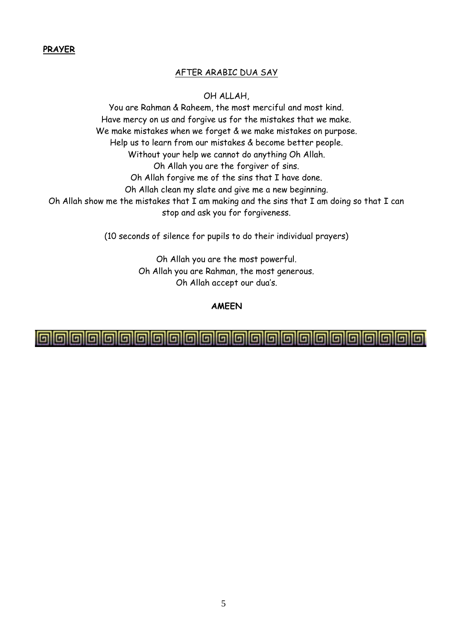**PRAYER**

#### AFTER ARABIC DUA SAY

#### OH ALLAH,

You are Rahman & Raheem, the most merciful and most kind. Have mercy on us and forgive us for the mistakes that we make. We make mistakes when we forget & we make mistakes on purpose. Help us to learn from our mistakes & become better people. Without your help we cannot do anything Oh Allah. Oh Allah you are the forgiver of sins. Oh Allah forgive me of the sins that I have done. Oh Allah clean my slate and give me a new beginning. Oh Allah show me the mistakes that I am making and the sins that I am doing so that I can stop and ask you for forgiveness.

(10 seconds of silence for pupils to do their individual prayers)

Oh Allah you are the most powerful. Oh Allah you are Rahman, the most generous. Oh Allah accept our dua's.

#### **AMEEN**

اهااهااهااها **Gilgilgilgilgilg**ilg lallallal lal lalla n la lla l l۶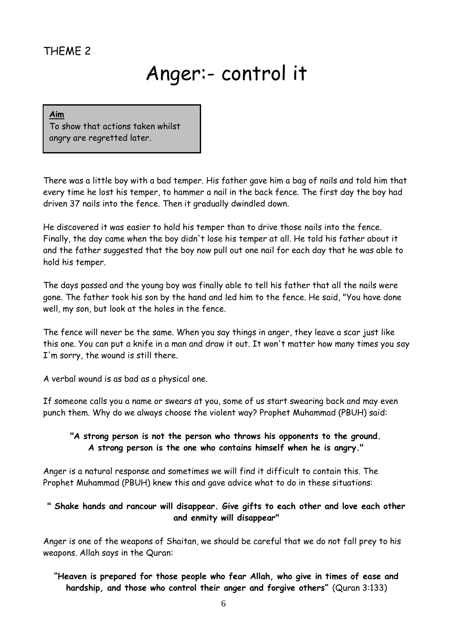## Anger:- control it

**Aim**

To show that actions taken whilst angry are regretted later.

There was a little boy with a bad temper. His father gave him a bag of nails and told him that every time he lost his temper, to hammer a nail in the back fence. The first day the boy had driven 37 nails into the fence. Then it gradually dwindled down.

He discovered it was easier to hold his temper than to drive those nails into the fence. Finally, the day came when the boy didn't lose his temper at all. He told his father about it and the father suggested that the boy now pull out one nail for each day that he was able to hold his temper.

The days passed and the young boy was finally able to tell his father that all the nails were gone. The father took his son by the hand and led him to the fence. He said, "You have done well, my son, but look at the holes in the fence.

The fence will never be the same. When you say things in anger, they leave a scar just like this one. You can put a knife in a man and draw it out. It won't matter how many times you say I'm sorry, the wound is still there.

A verbal wound is as bad as a physical one.

If someone calls you a name or swears at you, some of us start swearing back and may even punch them. Why do we always choose the violent way? Prophet Muhammad (PBUH) said:

#### **"A strong person is not the person who throws his opponents to the ground. A strong person is the one who contains himself when he is angry."**

Anger is a natural response and sometimes we will find it difficult to contain this. The Prophet Muhammad (PBUH) knew this and gave advice what to do in these situations:

#### **" Shake hands and rancour will disappear. Give gifts to each other and love each other and enmity will disappear"**

Anger is one of the weapons of Shaitan, we should be careful that we do not fall prey to his weapons. Allah says in the Quran:

#### **"Heaven is prepared for those people who fear Allah, who give in times of ease and hardship, and those who control their anger and forgive others"** (Quran 3:133)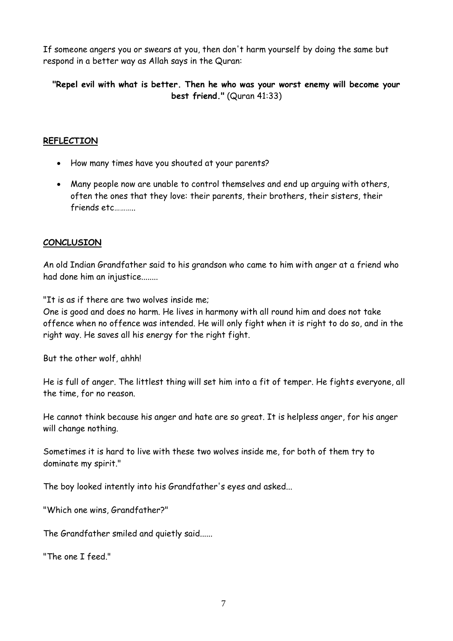If someone angers you or swears at you, then don't harm yourself by doing the same but respond in a better way as Allah says in the Quran:

**"Repel evil with what is better. Then he who was your worst enemy will become your best friend."** (Quran 41:33)

#### **REFLECTION**

- How many times have you shouted at your parents?
- Many people now are unable to control themselves and end up arguing with others, often the ones that they love: their parents, their brothers, their sisters, their friends etc………..

#### **CONCLUSION**

An old Indian Grandfather said to his grandson who came to him with anger at a friend who had done him an injustice........

"It is as if there are two wolves inside me;

One is good and does no harm. He lives in harmony with all round him and does not take offence when no offence was intended. He will only fight when it is right to do so, and in the right way. He saves all his energy for the right fight.

But the other wolf, ahhh!

He is full of anger. The littlest thing will set him into a fit of temper. He fights everyone, all the time, for no reason.

He cannot think because his anger and hate are so great. It is helpless anger, for his anger will change nothing.

Sometimes it is hard to live with these two wolves inside me, for both of them try to dominate my spirit."

The boy looked intently into his Grandfather's eyes and asked...

"Which one wins, Grandfather?"

The Grandfather smiled and quietly said......

"The one I feed."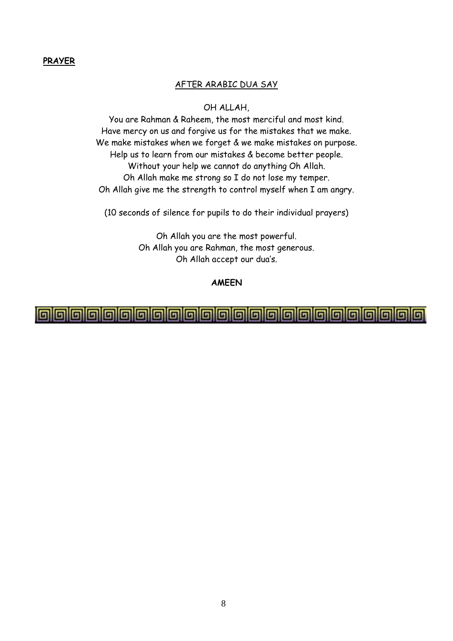#### **PRAYER**

#### AFTER ARABIC DUA SAY

#### OH ALLAH,

You are Rahman & Raheem, the most merciful and most kind. Have mercy on us and forgive us for the mistakes that we make. We make mistakes when we forget & we make mistakes on purpose. Help us to learn from our mistakes & become better people. Without your help we cannot do anything Oh Allah. Oh Allah make me strong so I do not lose my temper. Oh Allah give me the strength to control myself when I am angry.

(10 seconds of silence for pupils to do their individual prayers)

Oh Allah you are the most powerful. Oh Allah you are Rahman, the most generous. Oh Allah accept our dua's.

#### **AMEEN**

**@@@@@@@@@@@@@@@@@@@@@**@@ ١o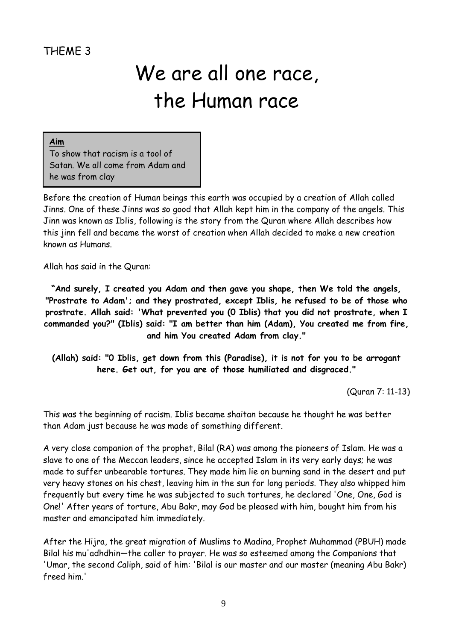## We are all one race, the Human race

#### **Aim**

To show that racism is a tool of Satan. We all come from Adam and he was from clay

Before the creation of Human beings this earth was occupied by a creation of Allah called Jinns. One of these Jinns was so good that Allah kept him in the company of the angels. This Jinn was known as Iblis, following is the story from the Quran where Allah describes how this jinn fell and became the worst of creation when Allah decided to make a new creation known as Humans.

Allah has said in the Quran:

**"And surely, I created you Adam and then gave you shape, then We told the angels, "Prostrate to Adam'; and they prostrated, except Iblis, he refused to be of those who prostrate. Allah said: 'What prevented you (0 Iblis) that you did not prostrate, when I commanded you?" (Iblis) said: "I am better than him (Adam), You created me from fire, and him You created Adam from clay."**

**(Allah) said: "0 Iblis, get down from this (Paradise), it is not for you to be arrogant here. Get out, for you are of those humiliated and disgraced."**

(Quran 7: 11-13)

This was the beginning of racism. Iblis became shaitan because he thought he was better than Adam just because he was made of something different.

A very close companion of the prophet, Bilal (RA) was among the pioneers of Islam. He was a slave to one of the Meccan leaders, since he accepted Islam in its very early days; he was made to suffer unbearable tortures. They made him lie on burning sand in the desert and put very heavy stones on his chest, leaving him in the sun for long periods. They also whipped him frequently but every time he was subjected to such tortures, he declared 'One, One, God is One!' After years of torture, Abu Bakr, may God be pleased with him, bought him from his master and emancipated him immediately.

After the Hijra, the great migration of Muslims to Madina, Prophet Muhammad (PBUH) made Bilal his mu'adhdhin—the caller to prayer. He was so esteemed among the Companions that 'Umar, the second Caliph, said of him: 'Bilal is our master and our master (meaning Abu Bakr) freed him.'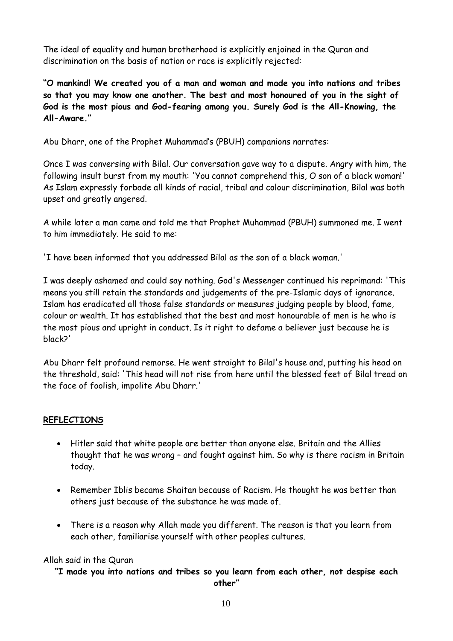The ideal of equality and human brotherhood is explicitly enjoined in the Quran and discrimination on the basis of nation or race is explicitly rejected:

**"O mankind! We created you of a man and woman and made you into nations and tribes so that you may know one another. The best and most honoured of you in the sight of God is the most pious and God-fearing among you. Surely God is the All-Knowing, the All-Aware."**

Abu Dharr, one of the Prophet Muhammad's (PBUH) companions narrates:

Once I was conversing with Bilal. Our conversation gave way to a dispute. Angry with him, the following insult burst from my mouth: 'You cannot comprehend this, O son of a black woman!' As Islam expressly forbade all kinds of racial, tribal and colour discrimination, Bilal was both upset and greatly angered.

A while later a man came and told me that Prophet Muhammad (PBUH) summoned me. I went to him immediately. He said to me:

'I have been informed that you addressed Bilal as the son of a black woman.'

I was deeply ashamed and could say nothing. God's Messenger continued his reprimand: 'This means you still retain the standards and judgements of the pre-Islamic days of ignorance. Islam has eradicated all those false standards or measures judging people by blood, fame, colour or wealth. It has established that the best and most honourable of men is he who is the most pious and upright in conduct. Is it right to defame a believer just because he is black?'

Abu Dharr felt profound remorse. He went straight to Bilal's house and, putting his head on the threshold, said: 'This head will not rise from here until the blessed feet of Bilal tread on the face of foolish, impolite Abu Dharr.'

#### **REFLECTIONS**

- Hitler said that white people are better than anyone else. Britain and the Allies thought that he was wrong – and fought against him. So why is there racism in Britain today.
- Remember Iblis became Shaitan because of Racism. He thought he was better than others just because of the substance he was made of.
- There is a reason why Allah made you different. The reason is that you learn from each other, familiarise yourself with other peoples cultures.

Allah said in the Quran

**"I made you into nations and tribes so you learn from each other, not despise each** 

**other"**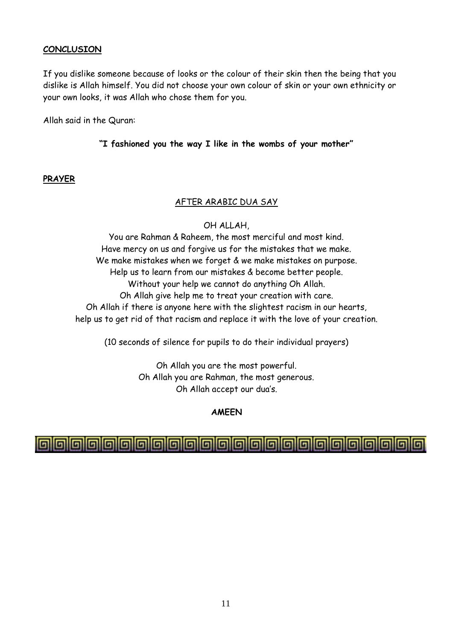#### **CONCLUSION**

If you dislike someone because of looks or the colour of their skin then the being that you dislike is Allah himself. You did not choose your own colour of skin or your own ethnicity or your own looks, it was Allah who chose them for you.

Allah said in the Quran:

**"I fashioned you the way I like in the wombs of your mother"**

#### **PRAYER**

#### AFTER ARABIC DUA SAY

OH ALLAH,

You are Rahman & Raheem, the most merciful and most kind. Have mercy on us and forgive us for the mistakes that we make. We make mistakes when we forget & we make mistakes on purpose. Help us to learn from our mistakes & become better people. Without your help we cannot do anything Oh Allah. Oh Allah give help me to treat your creation with care. Oh Allah if there is anyone here with the slightest racism in our hearts, help us to get rid of that racism and replace it with the love of your creation.

(10 seconds of silence for pupils to do their individual prayers)

Oh Allah you are the most powerful. Oh Allah you are Rahman, the most generous. Oh Allah accept our dua's.

#### **AMEEN**

lo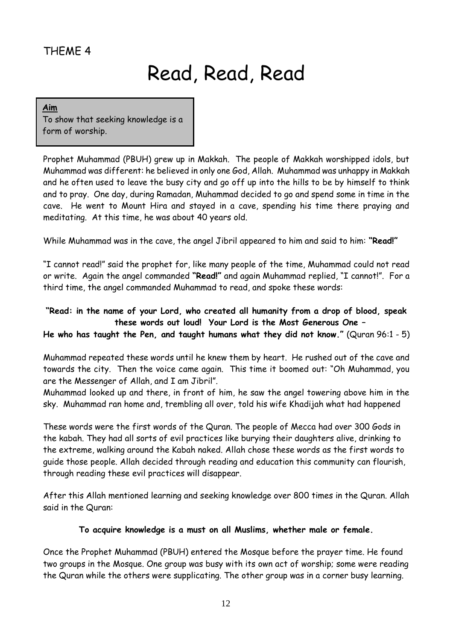## Read, Read, Read

**Aim**

To show that seeking knowledge is a form of worship.

Prophet Muhammad (PBUH) grew up in Makkah. The people of Makkah worshipped idols, but Muhammad was different: he believed in only one God, Allah. Muhammad was unhappy in Makkah and he often used to leave the busy city and go off up into the hills to be by himself to think and to pray. One day, during Ramadan, Muhammad decided to go and spend some in time in the cave. He went to Mount Hira and stayed in a cave, spending his time there praying and meditating. At this time, he was about 40 years old.

While Muhammad was in the cave, the angel Jibril appeared to him and said to him: **"Read!"**

"I cannot read!" said the prophet for, like many people of the time, Muhammad could not read or write. Again the angel commanded **"Read!"** and again Muhammad replied, "I cannot!". For a third time, the angel commanded Muhammad to read, and spoke these words:

#### **"Read: in the name of your Lord, who created all humanity from a drop of blood, speak these words out loud! Your Lord is the Most Generous One –**

**He who has taught the Pen, and taught humans what they did not know."** (Quran 96:1 - 5)

Muhammad repeated these words until he knew them by heart. He rushed out of the cave and towards the city. Then the voice came again. This time it boomed out: "Oh Muhammad, you are the Messenger of Allah, and I am Jibril".

Muhammad looked up and there, in front of him, he saw the angel towering above him in the sky. Muhammad ran home and, trembling all over, told his wife Khadijah what had happened

These words were the first words of the Quran. The people of Mecca had over 300 Gods in the kabah. They had all sorts of evil practices like burying their daughters alive, drinking to the extreme, walking around the Kabah naked. Allah chose these words as the first words to guide those people. Allah decided through reading and education this community can flourish, through reading these evil practices will disappear.

After this Allah mentioned learning and seeking knowledge over 800 times in the Quran. Allah said in the Quran:

#### **To acquire knowledge is a must on all Muslims, whether male or female.**

Once the Prophet Muhammad (PBUH) entered the Mosque before the prayer time. He found two groups in the Mosque. One group was busy with its own act of worship; some were reading the Quran while the others were supplicating. The other group was in a corner busy learning.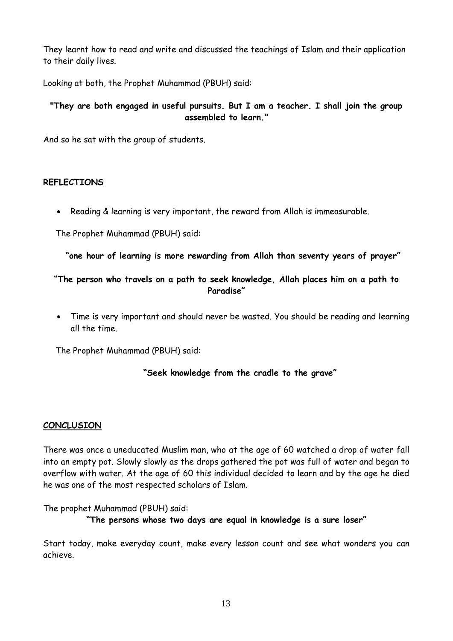They learnt how to read and write and discussed the teachings of Islam and their application to their daily lives.

Looking at both, the Prophet Muhammad (PBUH) said:

**"They are both engaged in useful pursuits. But I am a teacher. I shall join the group assembled to learn."**

And so he sat with the group of students.

#### **REFLECTIONS**

• Reading & learning is very important, the reward from Allah is immeasurable.

The Prophet Muhammad (PBUH) said:

**"one hour of learning is more rewarding from Allah than seventy years of prayer"**

**"The person who travels on a path to seek knowledge, Allah places him on a path to Paradise"**

• Time is very important and should never be wasted. You should be reading and learning all the time.

The Prophet Muhammad (PBUH) said:

#### **"Seek knowledge from the cradle to the grave"**

#### **CONCLUSION**

There was once a uneducated Muslim man, who at the age of 60 watched a drop of water fall into an empty pot. Slowly slowly as the drops gathered the pot was full of water and began to overflow with water. At the age of 60 this individual decided to learn and by the age he died he was one of the most respected scholars of Islam.

The prophet Muhammad (PBUH) said:

#### **"The persons whose two days are equal in knowledge is a sure loser"**

Start today, make everyday count, make every lesson count and see what wonders you can achieve.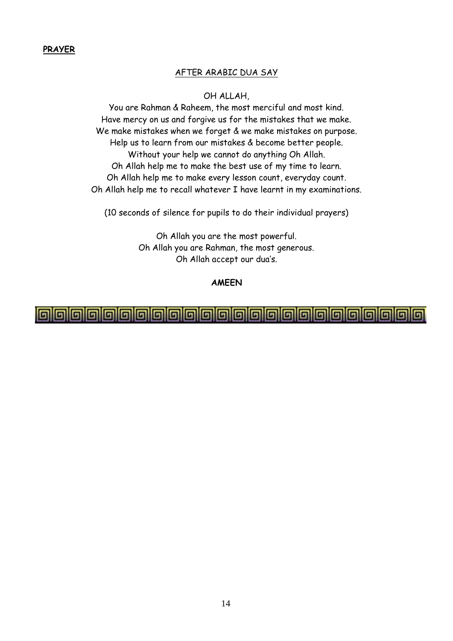#### **PRAYER**

#### AFTER ARABIC DUA SAY

#### OH ALLAH,

You are Rahman & Raheem, the most merciful and most kind. Have mercy on us and forgive us for the mistakes that we make. We make mistakes when we forget & we make mistakes on purpose. Help us to learn from our mistakes & become better people. Without your help we cannot do anything Oh Allah. Oh Allah help me to make the best use of my time to learn. Oh Allah help me to make every lesson count, everyday count. Oh Allah help me to recall whatever I have learnt in my examinations.

(10 seconds of silence for pupils to do their individual prayers)

Oh Allah you are the most powerful. Oh Allah you are Rahman, the most generous. Oh Allah accept our dua's.

#### **AMEEN**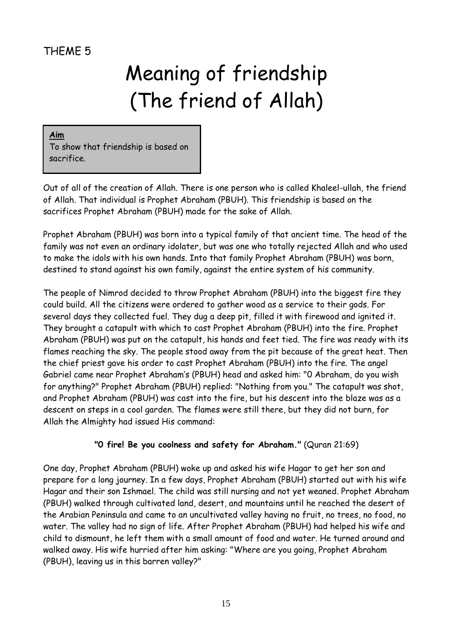## Meaning of friendship (The friend of Allah)

#### **Aim**

To show that friendship is based on sacrifice.

Out of all of the creation of Allah. There is one person who is called Khaleel-ullah, the friend of Allah. That individual is Prophet Abraham (PBUH). This friendship is based on the sacrifices Prophet Abraham (PBUH) made for the sake of Allah.

Prophet Abraham (PBUH) was born into a typical family of that ancient time. The head of the family was not even an ordinary idolater, but was one who totally rejected Allah and who used to make the idols with his own hands. Into that family Prophet Abraham (PBUH) was born, destined to stand against his own family, against the entire system of his community.

The people of Nimrod decided to throw Prophet Abraham (PBUH) into the biggest fire they could build. All the citizens were ordered to gather wood as a service to their gods. For several days they collected fuel. They dug a deep pit, filled it with firewood and ignited it. They brought a catapult with which to cast Prophet Abraham (PBUH) into the fire. Prophet Abraham (PBUH) was put on the catapult, his hands and feet tied. The fire was ready with its flames reaching the sky. The people stood away from the pit because of the great heat. Then the chief priest gave his order to cast Prophet Abraham (PBUH) into the fire. The angel Gabriel came near Prophet Abraham's (PBUH) head and asked him: "0 Abraham, do you wish for anything?" Prophet Abraham (PBUH) replied: "Nothing from you." The catapult was shot, and Prophet Abraham (PBUH) was cast into the fire, but his descent into the blaze was as a descent on steps in a cool garden. The flames were still there, but they did not burn, for Allah the Almighty had issued His command:

#### **"0 fire! Be you coolness and safety for Abraham."** (Quran 21:69)

One day, Prophet Abraham (PBUH) woke up and asked his wife Hagar to get her son and prepare for a long journey. In a few days, Prophet Abraham (PBUH) started out with his wife Hagar and their son Ishmael. The child was still nursing and not yet weaned. Prophet Abraham (PBUH) walked through cultivated land, desert, and mountains until he reached the desert of the Arabian Peninsula and came to an uncultivated valley having no fruit, no trees, no food, no water. The valley had no sign of life. After Prophet Abraham (PBUH) had helped his wife and child to dismount, he left them with a small amount of food and water. He turned around and walked away. His wife hurried after him asking: "Where are you going, Prophet Abraham (PBUH), leaving us in this barren valley?"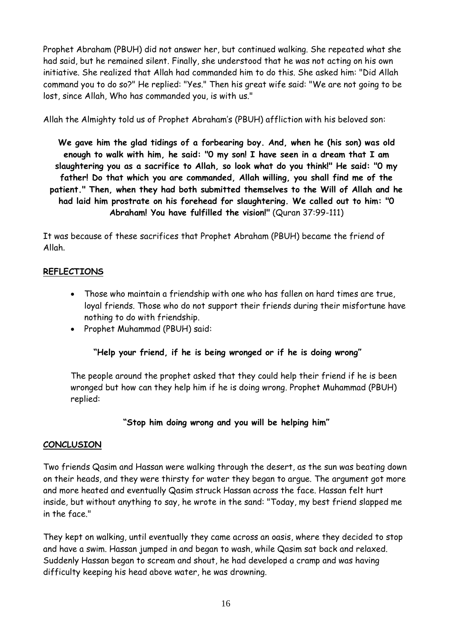Prophet Abraham (PBUH) did not answer her, but continued walking. She repeated what she had said, but he remained silent. Finally, she understood that he was not acting on his own initiative. She realized that Allah had commanded him to do this. She asked him: "Did Allah command you to do so?" He replied: "Yes." Then his great wife said: "We are not going to be lost, since Allah, Who has commanded you, is with us."

Allah the Almighty told us of Prophet Abraham's (PBUH) affliction with his beloved son:

**We gave him the glad tidings of a forbearing boy. And, when he (his son) was old enough to walk with him, he said: "0 my son! I have seen in a dream that I am slaughtering you as a sacrifice to Allah, so look what do you think!" He said: "0 my father! Do that which you are commanded, Allah willing, you shall find me of the patient." Then, when they had both submitted themselves to the Will of Allah and he had laid him prostrate on his forehead for slaughtering. We called out to him: "0 Abraham! You have fulfilled the vision!"** (Quran 37:99-111)

It was because of these sacrifices that Prophet Abraham (PBUH) became the friend of Allah.

#### **REFLECTIONS**

- Those who maintain a friendship with one who has fallen on hard times are true, loyal friends. Those who do not support their friends during their misfortune have nothing to do with friendship.
- Prophet Muhammad (PBUH) said:

#### **"Help your friend, if he is being wronged or if he is doing wrong"**

The people around the prophet asked that they could help their friend if he is been wronged but how can they help him if he is doing wrong. Prophet Muhammad (PBUH) replied:

#### **"Stop him doing wrong and you will be helping him"**

#### **CONCLUSION**

Two friends Qasim and Hassan were walking through the desert, as the sun was beating down on their heads, and they were thirsty for water they began to argue. The argument got more and more heated and eventually Qasim struck Hassan across the face. Hassan felt hurt inside, but without anything to say, he wrote in the sand: "Today, my best friend slapped me in the face."

They kept on walking, until eventually they came across an oasis, where they decided to stop and have a swim. Hassan jumped in and began to wash, while Qasim sat back and relaxed. Suddenly Hassan began to scream and shout, he had developed a cramp and was having difficulty keeping his head above water, he was drowning.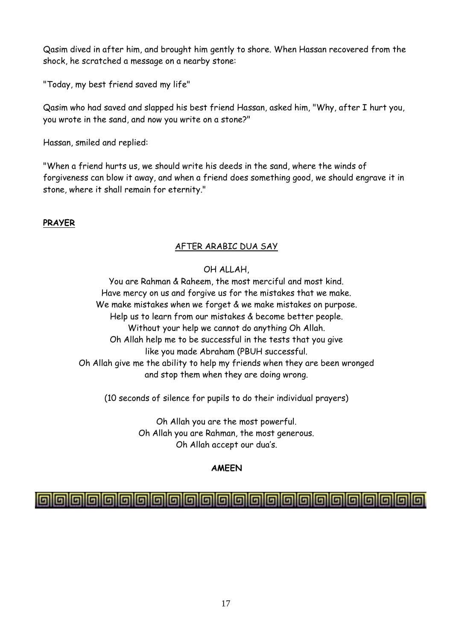Qasim dived in after him, and brought him gently to shore. When Hassan recovered from the shock, he scratched a message on a nearby stone:

"Today, my best friend saved my life"

Qasim who had saved and slapped his best friend Hassan, asked him, "Why, after I hurt you, you wrote in the sand, and now you write on a stone?"

Hassan, smiled and replied:

"When a friend hurts us, we should write his deeds in the sand, where the winds of forgiveness can blow it away, and when a friend does something good, we should engrave it in stone, where it shall remain for eternity."

#### **PRAYER**

#### AFTER ARABIC DUA SAY

#### OH ALLAH,

You are Rahman & Raheem, the most merciful and most kind. Have mercy on us and forgive us for the mistakes that we make. We make mistakes when we forget & we make mistakes on purpose. Help us to learn from our mistakes & become better people. Without your help we cannot do anything Oh Allah. Oh Allah help me to be successful in the tests that you give like you made Abraham (PBUH successful. Oh Allah give me the ability to help my friends when they are been wronged and stop them when they are doing wrong.

(10 seconds of silence for pupils to do their individual prayers)

Oh Allah you are the most powerful. Oh Allah you are Rahman, the most generous. Oh Allah accept our dua's.

#### **AMEEN**

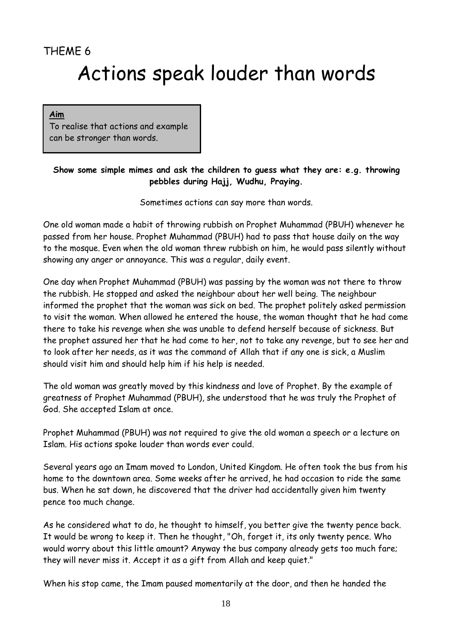### THEME 6 Actions speak louder than words

**Aim**

To realise that actions and example can be stronger than words.

#### **Show some simple mimes and ask the children to guess what they are: e.g. throwing pebbles during Hajj, Wudhu, Praying.**

Sometimes actions can say more than words.

One old woman made a habit of throwing rubbish on Prophet Muhammad (PBUH) whenever he passed from her house. Prophet Muhammad (PBUH) had to pass that house daily on the way to the mosque. Even when the old woman threw rubbish on him, he would pass silently without showing any anger or annoyance. This was a regular, daily event.

One day when Prophet Muhammad (PBUH) was passing by the woman was not there to throw the rubbish. He stopped and asked the neighbour about her well being. The neighbour informed the prophet that the woman was sick on bed. The prophet politely asked permission to visit the woman. When allowed he entered the house, the woman thought that he had come there to take his revenge when she was unable to defend herself because of sickness. But the prophet assured her that he had come to her, not to take any revenge, but to see her and to look after her needs, as it was the command of Allah that if any one is sick, a Muslim should visit him and should help him if his help is needed.

The old woman was greatly moved by this kindness and love of Prophet. By the example of greatness of Prophet Muhammad (PBUH), she understood that he was truly the Prophet of God. She accepted Islam at once.

Prophet Muhammad (PBUH) was not required to give the old woman a speech or a lecture on Islam. His actions spoke louder than words ever could.

Several years ago an Imam moved to London, United Kingdom. He often took the bus from his home to the downtown area. Some weeks after he arrived, he had occasion to ride the same bus. When he sat down, he discovered that the driver had accidentally given him twenty pence too much change.

As he considered what to do, he thought to himself, you better give the twenty pence back. It would be wrong to keep it. Then he thought, "Oh, forget it, its only twenty pence. Who would worry about this little amount? Anyway the bus company already gets too much fare; they will never miss it. Accept it as a gift from Allah and keep quiet."

When his stop came, the Imam paused momentarily at the door, and then he handed the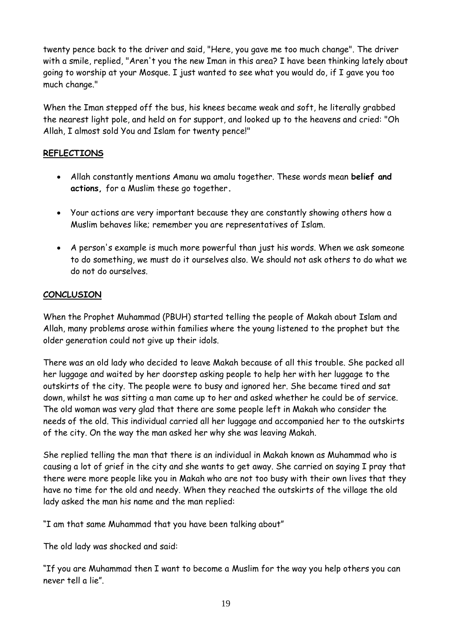twenty pence back to the driver and said, "Here, you gave me too much change". The driver with a smile, replied, "Aren't you the new Iman in this area? I have been thinking lately about going to worship at your Mosque. I just wanted to see what you would do, if I gave you too much change."

When the Iman stepped off the bus, his knees became weak and soft, he literally grabbed the nearest light pole, and held on for support, and looked up to the heavens and cried: "Oh Allah, I almost sold You and Islam for twenty pence!"

#### **REFLECTIONS**

- Allah constantly mentions Amanu wa amalu together. These words mean **belief and actions,** for a Muslim these go together**.**
- Your actions are very important because they are constantly showing others how a Muslim behaves like; remember you are representatives of Islam.
- A person's example is much more powerful than just his words. When we ask someone to do something, we must do it ourselves also. We should not ask others to do what we do not do ourselves.

#### **CONCLUSION**

When the Prophet Muhammad (PBUH) started telling the people of Makah about Islam and Allah, many problems arose within families where the young listened to the prophet but the older generation could not give up their idols.

There was an old lady who decided to leave Makah because of all this trouble. She packed all her luggage and waited by her doorstep asking people to help her with her luggage to the outskirts of the city. The people were to busy and ignored her. She became tired and sat down, whilst he was sitting a man came up to her and asked whether he could be of service. The old woman was very glad that there are some people left in Makah who consider the needs of the old. This individual carried all her luggage and accompanied her to the outskirts of the city. On the way the man asked her why she was leaving Makah.

She replied telling the man that there is an individual in Makah known as Muhammad who is causing a lot of grief in the city and she wants to get away. She carried on saying I pray that there were more people like you in Makah who are not too busy with their own lives that they have no time for the old and needy. When they reached the outskirts of the village the old lady asked the man his name and the man replied:

"I am that same Muhammad that you have been talking about"

The old lady was shocked and said:

"If you are Muhammad then I want to become a Muslim for the way you help others you can never tell a lie".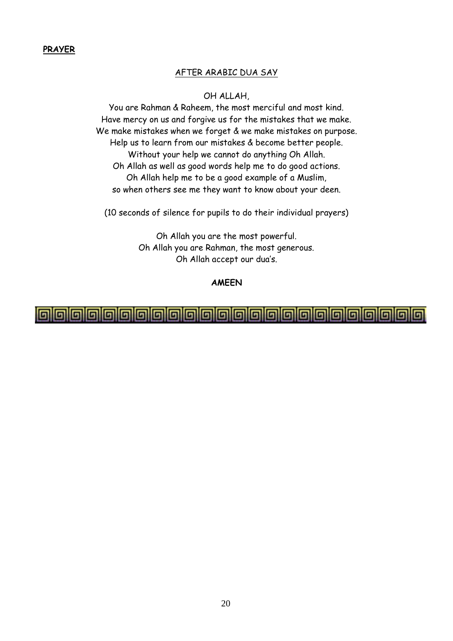#### **PRAYER**

#### AFTER ARABIC DUA SAY

#### OH ALLAH,

You are Rahman & Raheem, the most merciful and most kind. Have mercy on us and forgive us for the mistakes that we make. We make mistakes when we forget & we make mistakes on purpose. Help us to learn from our mistakes & become better people. Without your help we cannot do anything Oh Allah. Oh Allah as well as good words help me to do good actions. Oh Allah help me to be a good example of a Muslim, so when others see me they want to know about your deen.

(10 seconds of silence for pupils to do their individual prayers)

Oh Allah you are the most powerful. Oh Allah you are Rahman, the most generous. Oh Allah accept our dua's.

#### **AMEEN**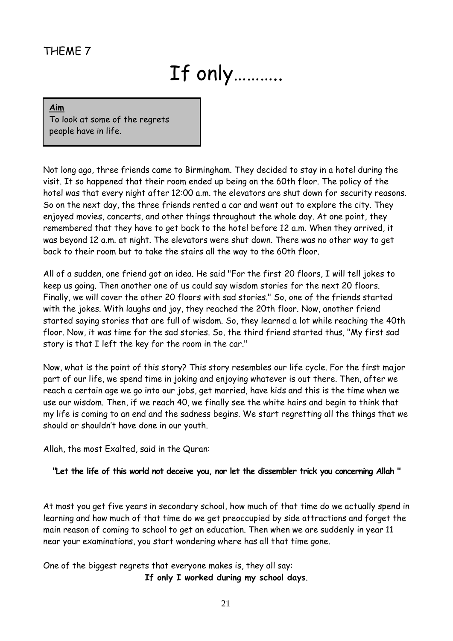## If only………..

**Aim**

To look at some of the regrets people have in life.

Not long ago, three friends came to Birmingham. They decided to stay in a hotel during the visit. It so happened that their room ended up being on the 60th floor. The policy of the hotel was that every night after 12:00 a.m. the elevators are shut down for security reasons. So on the next day, the three friends rented a car and went out to explore the city. They enjoyed movies, concerts, and other things throughout the whole day. At one point, they remembered that they have to get back to the hotel before 12 a.m. When they arrived, it was beyond 12 a.m. at night. The elevators were shut down. There was no other way to get back to their room but to take the stairs all the way to the 60th floor.

All of a sudden, one friend got an idea. He said "For the first 20 floors, I will tell jokes to keep us going. Then another one of us could say wisdom stories for the next 20 floors. Finally, we will cover the other 20 floors with sad stories." So, one of the friends started with the jokes. With laughs and joy, they reached the 20th floor. Now, another friend started saying stories that are full of wisdom. So, they learned a lot while reaching the 40th floor. Now, it was time for the sad stories. So, the third friend started thus, "My first sad story is that I left the key for the room in the car."

Now, what is the point of this story? This story resembles our life cycle. For the first major part of our life, we spend time in joking and enjoying whatever is out there. Then, after we reach a certain age we go into our jobs, get married, have kids and this is the time when we use our wisdom. Then, if we reach 40, we finally see the white hairs and begin to think that my life is coming to an end and the sadness begins. We start regretting all the things that we should or shouldn't have done in our youth.

Allah, the most Exalted, said in the Quran:

#### **"Let the life of this world not deceive you, nor let the dissembler trick you concerning Allah "**

At most you get five years in secondary school, how much of that time do we actually spend in learning and how much of that time do we get preoccupied by side attractions and forget the main reason of coming to school to get an education. Then when we are suddenly in year 11 near your examinations, you start wondering where has all that time gone.

One of the biggest regrets that everyone makes is, they all say: **If only I worked during my school days**.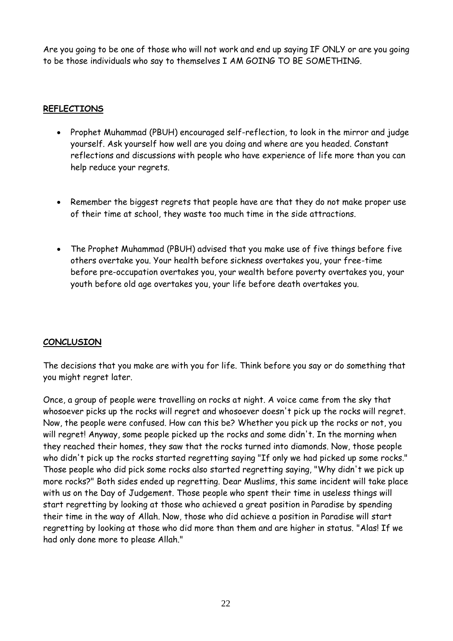Are you going to be one of those who will not work and end up saying IF ONLY or are you going to be those individuals who say to themselves I AM GOING TO BE SOMETHING.

#### **REFLECTIONS**

- Prophet Muhammad (PBUH) encouraged self-reflection, to look in the mirror and judge yourself. Ask yourself how well are you doing and where are you headed. Constant reflections and discussions with people who have experience of life more than you can help reduce your regrets.
- Remember the biggest regrets that people have are that they do not make proper use of their time at school, they waste too much time in the side attractions.
- The Prophet Muhammad (PBUH) advised that you make use of five things before five others overtake you. Your health before sickness overtakes you, your free-time before pre-occupation overtakes you, your wealth before poverty overtakes you, your youth before old age overtakes you, your life before death overtakes you.

#### **CONCLUSION**

The decisions that you make are with you for life. Think before you say or do something that you might regret later.

Once, a group of people were travelling on rocks at night. A voice came from the sky that whosoever picks up the rocks will regret and whosoever doesn't pick up the rocks will regret. Now, the people were confused. How can this be? Whether you pick up the rocks or not, you will regret! Anyway, some people picked up the rocks and some didn't. In the morning when they reached their homes, they saw that the rocks turned into diamonds. Now, those people who didn't pick up the rocks started regretting saying "If only we had picked up some rocks." Those people who did pick some rocks also started regretting saying, "Why didn't we pick up more rocks?" Both sides ended up regretting. Dear Muslims, this same incident will take place with us on the Day of Judgement. Those people who spent their time in useless things will start regretting by looking at those who achieved a great position in Paradise by spending their time in the way of Allah. Now, those who did achieve a position in Paradise will start regretting by looking at those who did more than them and are higher in status. "Alas! If we had only done more to please Allah."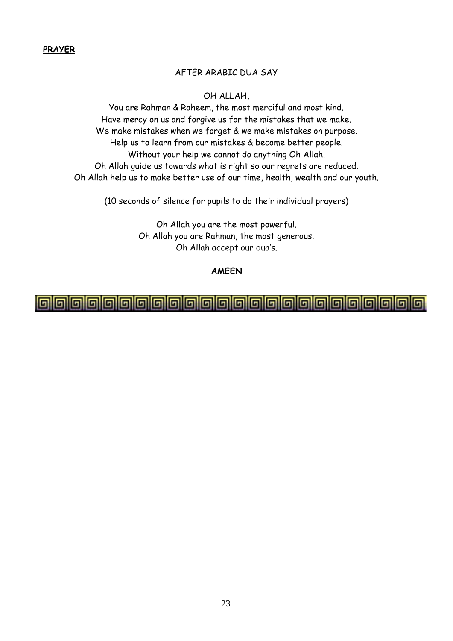#### **PRAYER**

#### AFTER ARABIC DUA SAY

#### OH ALLAH,

You are Rahman & Raheem, the most merciful and most kind. Have mercy on us and forgive us for the mistakes that we make. We make mistakes when we forget & we make mistakes on purpose. Help us to learn from our mistakes & become better people. Without your help we cannot do anything Oh Allah. Oh Allah guide us towards what is right so our regrets are reduced. Oh Allah help us to make better use of our time, health, wealth and our youth.

(10 seconds of silence for pupils to do their individual prayers)

Oh Allah you are the most powerful. Oh Allah you are Rahman, the most generous. Oh Allah accept our dua's.

#### **AMEEN**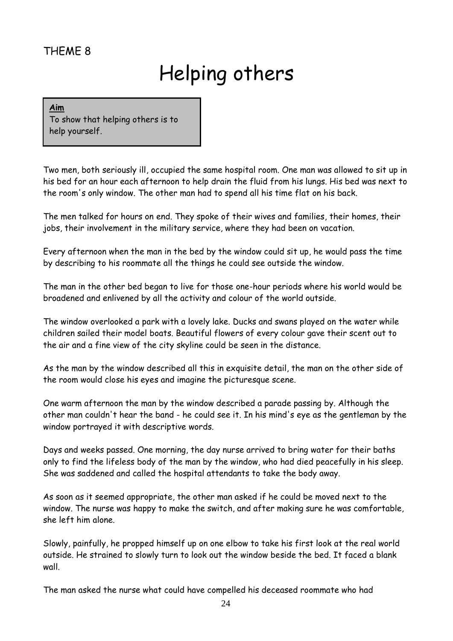## Helping others

**Aim**

To show that helping others is to help yourself.

Two men, both seriously ill, occupied the same hospital room. One man was allowed to sit up in his bed for an hour each afternoon to help drain the fluid from his lungs. His bed was next to the room's only window. The other man had to spend all his time flat on his back.

The men talked for hours on end. They spoke of their wives and families, their homes, their jobs, their involvement in the military service, where they had been on vacation.

Every afternoon when the man in the bed by the window could sit up, he would pass the time by describing to his roommate all the things he could see outside the window.

The man in the other bed began to live for those one-hour periods where his world would be broadened and enlivened by all the activity and colour of the world outside.

The window overlooked a park with a lovely lake. Ducks and swans played on the water while children sailed their model boats. Beautiful flowers of every colour gave their scent out to the air and a fine view of the city skyline could be seen in the distance.

As the man by the window described all this in exquisite detail, the man on the other side of the room would close his eyes and imagine the picturesque scene.

One warm afternoon the man by the window described a parade passing by. Although the other man couldn't hear the band - he could see it. In his mind's eye as the gentleman by the window portrayed it with descriptive words.

Days and weeks passed. One morning, the day nurse arrived to bring water for their baths only to find the lifeless body of the man by the window, who had died peacefully in his sleep. She was saddened and called the hospital attendants to take the body away.

As soon as it seemed appropriate, the other man asked if he could be moved next to the window. The nurse was happy to make the switch, and after making sure he was comfortable, she left him alone.

Slowly, painfully, he propped himself up on one elbow to take his first look at the real world outside. He strained to slowly turn to look out the window beside the bed. It faced a blank wall.

The man asked the nurse what could have compelled his deceased roommate who had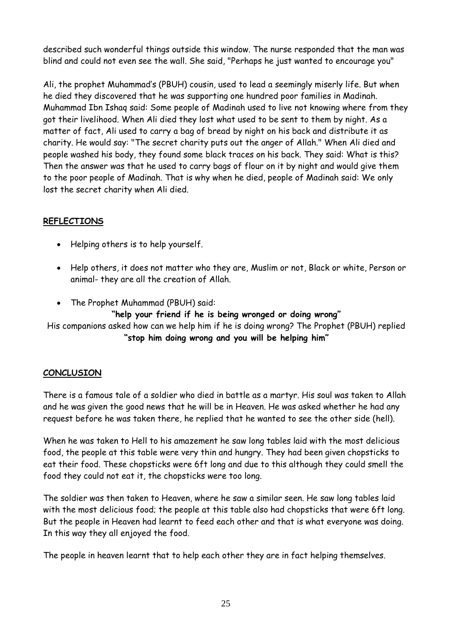described such wonderful things outside this window. The nurse responded that the man was blind and could not even see the wall. She said, "Perhaps he just wanted to encourage you"

Ali, the prophet Muhammad's (PBUH) cousin, used to lead a seemingly miserly life. But when he died they discovered that he was supporting one hundred poor families in Madinah. Muhammad Ibn Ishaq said: Some people of Madinah used to live not knowing where from they got their livelihood. When Ali died they lost what used to be sent to them by night. As a matter of fact, Ali used to carry a bag of bread by night on his back and distribute it as charity. He would say: "The secret charity puts out the anger of Allah." When Ali died and people washed his body, they found some black traces on his back. They said: What is this? Then the answer was that he used to carry bags of flour on it by night and would give them to the poor people of Madinah. That is why when he died, people of Madinah said: We only lost the secret charity when Ali died.

#### **REFLECTIONS**

- Helping others is to help yourself.
- Help others, it does not matter who they are, Muslim or not, Black or white, Person or animal- they are all the creation of Allah.
- The Prophet Muhammad (PBUH) said:

#### **"help your friend if he is being wronged or doing wrong"**

His companions asked how can we help him if he is doing wrong? The Prophet (PBUH) replied **"stop him doing wrong and you will be helping him"**

#### **CONCLUSION**

There is a famous tale of a soldier who died in battle as a martyr. His soul was taken to Allah and he was given the good news that he will be in Heaven. He was asked whether he had any request before he was taken there, he replied that he wanted to see the other side (hell).

When he was taken to Hell to his amazement he saw long tables laid with the most delicious food, the people at this table were very thin and hungry. They had been given chopsticks to eat their food. These chopsticks were 6ft long and due to this although they could smell the food they could not eat it, the chopsticks were too long.

The soldier was then taken to Heaven, where he saw a similar seen. He saw long tables laid with the most delicious food; the people at this table also had chopsticks that were 6ft long. But the people in Heaven had learnt to feed each other and that is what everyone was doing. In this way they all enjoyed the food.

The people in heaven learnt that to help each other they are in fact helping themselves.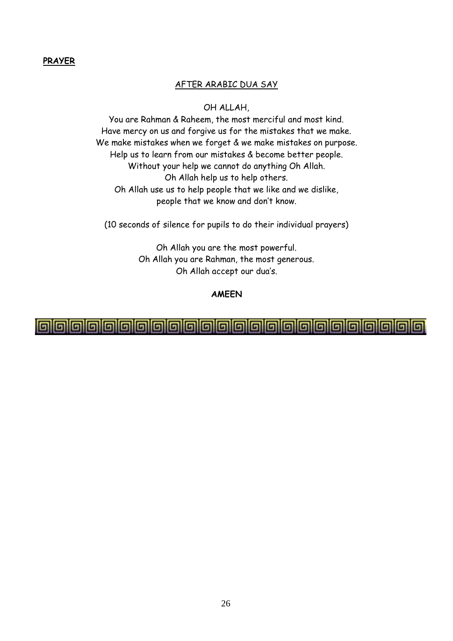#### **PRAYER**

#### AFTER ARABIC DUA SAY

#### OH ALLAH,

You are Rahman & Raheem, the most merciful and most kind. Have mercy on us and forgive us for the mistakes that we make. We make mistakes when we forget & we make mistakes on purpose. Help us to learn from our mistakes & become better people. Without your help we cannot do anything Oh Allah. Oh Allah help us to help others. Oh Allah use us to help people that we like and we dislike, people that we know and don't know.

(10 seconds of silence for pupils to do their individual prayers)

Oh Allah you are the most powerful. Oh Allah you are Rahman, the most generous. Oh Allah accept our dua's.

#### **AMEEN**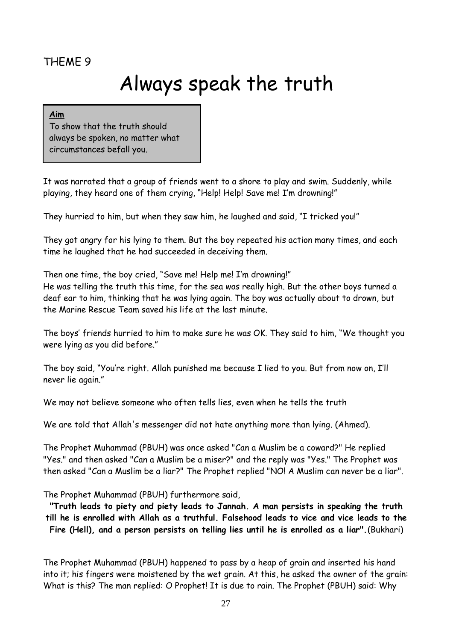## Always speak the truth

#### **Aim**

To show that the truth should always be spoken, no matter what circumstances befall you.

It was narrated that a group of friends went to a shore to play and swim. Suddenly, while playing, they heard one of them crying, "Help! Help! Save me! I'm drowning!"

They hurried to him, but when they saw him, he laughed and said, "I tricked you!"

They got angry for his lying to them. But the boy repeated his action many times, and each time he laughed that he had succeeded in deceiving them.

Then one time, the boy cried, "Save me! Help me! I'm drowning!"

He was telling the truth this time, for the sea was really high. But the other boys turned a deaf ear to him, thinking that he was lying again. The boy was actually about to drown, but the Marine Rescue Team saved his life at the last minute.

The boys' friends hurried to him to make sure he was OK. They said to him, "We thought you were lying as you did before."

The boy said, "You're right. Allah punished me because I lied to you. But from now on, I'll never lie again."

We may not believe someone who often tells lies, even when he tells the truth

We are told that Allah's messenger did not hate anything more than lying. (Ahmed).

The Prophet Muhammad (PBUH) was once asked "Can a Muslim be a coward?" He replied "Yes." and then asked "Can a Muslim be a miser?" and the reply was "Yes." The Prophet was then asked "Can a Muslim be a liar?" The Prophet replied "NO! A Muslim can never be a liar".

The Prophet Muhammad (PBUH) furthermore said,

**"Truth leads to piety and piety leads to Jannah. A man persists in speaking the truth till he is enrolled with Allah as a truthful. Falsehood leads to vice and vice leads to the Fire (Hell), and a person persists on telling lies until he is enrolled as a liar".**(Bukhari)

The Prophet Muhammad (PBUH) happened to pass by a heap of grain and inserted his hand into it; his fingers were moistened by the wet grain. At this, he asked the owner of the grain: What is this? The man replied: O Prophet! It is due to rain. The Prophet (PBUH) said: Why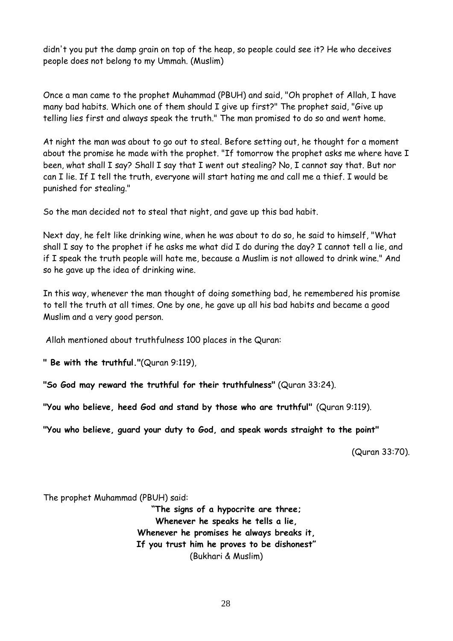didn't you put the damp grain on top of the heap, so people could see it? He who deceives people does not belong to my Ummah. (Muslim)

Once a man came to the prophet Muhammad (PBUH) and said, "Oh prophet of Allah, I have many bad habits. Which one of them should I give up first?" The prophet said, "Give up telling lies first and always speak the truth." The man promised to do so and went home.

At night the man was about to go out to steal. Before setting out, he thought for a moment about the promise he made with the prophet. "If tomorrow the prophet asks me where have I been, what shall I say? Shall I say that I went out stealing? No, I cannot say that. But nor can I lie. If I tell the truth, everyone will start hating me and call me a thief. I would be punished for stealing."

So the man decided not to steal that night, and gave up this bad habit.

Next day, he felt like drinking wine, when he was about to do so, he said to himself, "What shall I say to the prophet if he asks me what did I do during the day? I cannot tell a lie, and if I speak the truth people will hate me, because a Muslim is not allowed to drink wine." And so he gave up the idea of drinking wine.

In this way, whenever the man thought of doing something bad, he remembered his promise to tell the truth at all times. One by one, he gave up all his bad habits and became a good Muslim and a very good person.

Allah mentioned about truthfulness 100 places in the Quran:

**" Be with the truthful."**(Quran 9:119),

**"So God may reward the truthful for their truthfulness"** (Quran 33:24).

**"You who believe, heed God and stand by those who are truthful"** (Quran 9:119).

**"You who believe, guard your duty to God, and speak words straight to the point"**

(Quran 33:70).

The prophet Muhammad (PBUH) said:

**"The signs of a hypocrite are three; Whenever he speaks he tells a lie, Whenever he promises he always breaks it, If you trust him he proves to be dishonest"** (Bukhari & Muslim)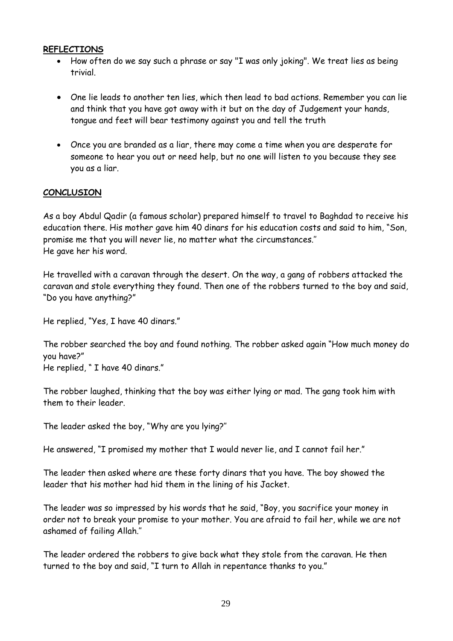#### **REFLECTIONS**

- How often do we say such a phrase or say "I was only joking". We treat lies as being trivial.
- One lie leads to another ten lies, which then lead to bad actions. Remember you can lie and think that you have got away with it but on the day of Judgement your hands, tongue and feet will bear testimony against you and tell the truth
- Once you are branded as a liar, there may come a time when you are desperate for someone to hear you out or need help, but no one will listen to you because they see you as a liar.

#### **CONCLUSION**

As a boy Abdul Qadir (a famous scholar) prepared himself to travel to Baghdad to receive his education there. His mother gave him 40 dinars for his education costs and said to him, "Son, promise me that you will never lie, no matter what the circumstances.'' He gave her his word.

He travelled with a caravan through the desert. On the way, a gang of robbers attacked the caravan and stole everything they found. Then one of the robbers turned to the boy and said, "Do you have anything?"

He replied, "Yes, I have 40 dinars."

The robber searched the boy and found nothing. The robber asked again "How much money do you have?"

He replied, " I have 40 dinars."

The robber laughed, thinking that the boy was either lying or mad. The gang took him with them to their leader.

The leader asked the boy, "Why are you lying?''

He answered, "I promised my mother that I would never lie, and I cannot fail her."

The leader then asked where are these forty dinars that you have. The boy showed the leader that his mother had hid them in the lining of his Jacket.

The leader was so impressed by his words that he said, "Boy, you sacrifice your money in order not to break your promise to your mother. You are afraid to fail her, while we are not ashamed of failing Allah.''

The leader ordered the robbers to give back what they stole from the caravan. He then turned to the boy and said, "I turn to Allah in repentance thanks to you."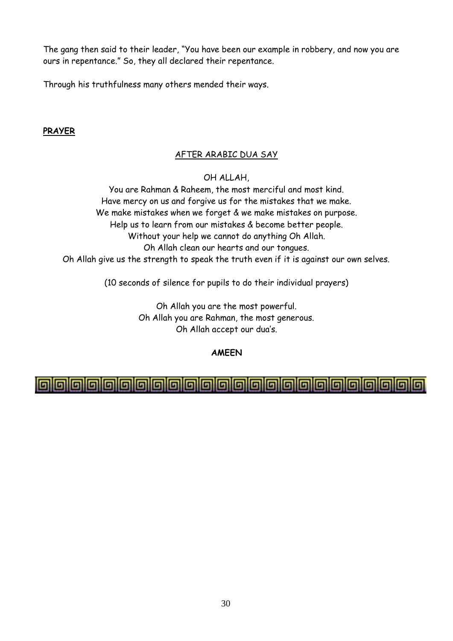The gang then said to their leader, "You have been our example in robbery, and now you are ours in repentance." So, they all declared their repentance.

Through his truthfulness many others mended their ways.

#### **PRAYER**

#### AFTER ARABIC DUA SAY

#### OH ALLAH,

You are Rahman & Raheem, the most merciful and most kind. Have mercy on us and forgive us for the mistakes that we make. We make mistakes when we forget & we make mistakes on purpose. Help us to learn from our mistakes & become better people. Without your help we cannot do anything Oh Allah. Oh Allah clean our hearts and our tongues. Oh Allah give us the strength to speak the truth even if it is against our own selves.

(10 seconds of silence for pupils to do their individual prayers)

Oh Allah you are the most powerful. Oh Allah you are Rahman, the most generous. Oh Allah accept our dua's.

#### **AMEEN**

I۳ m m m I۸ lo l al Iп l al Ia **I** Wil **Fi** ١u **IT I** П m m m m m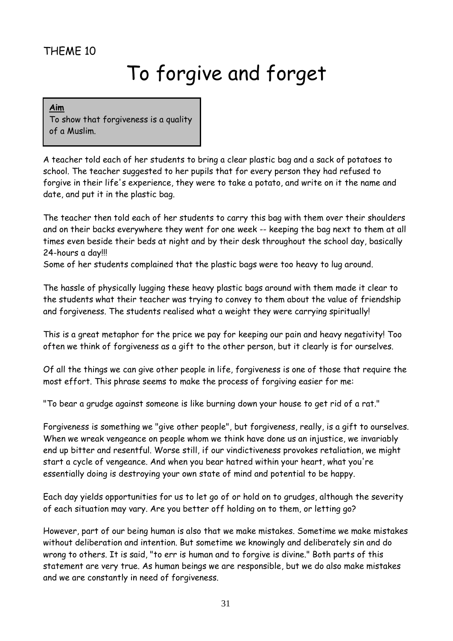## To forgive and forget

**Aim**

To show that forgiveness is a quality of a Muslim.

A teacher told each of her students to bring a clear plastic bag and a sack of potatoes to school. The teacher suggested to her pupils that for every person they had refused to forgive in their life's experience, they were to take a potato, and write on it the name and date, and put it in the plastic bag.

The teacher then told each of her students to carry this bag with them over their shoulders and on their backs everywhere they went for one week -- keeping the bag next to them at all times even beside their beds at night and by their desk throughout the school day, basically 24-hours a day!!!

Some of her students complained that the plastic bags were too heavy to lug around.

The hassle of physically lugging these heavy plastic bags around with them made it clear to the students what their teacher was trying to convey to them about the value of friendship and forgiveness. The students realised what a weight they were carrying spiritually!

This is a great metaphor for the price we pay for keeping our pain and heavy negativity! Too often we think of forgiveness as a gift to the other person, but it clearly is for ourselves.

Of all the things we can give other people in life, forgiveness is one of those that require the most effort. This phrase seems to make the process of forgiving easier for me:

"To bear a grudge against someone is like burning down your house to get rid of a rat."

Forgiveness is something we "give other people", but forgiveness, really, is a gift to ourselves. When we wreak vengeance on people whom we think have done us an injustice, we invariably end up bitter and resentful. Worse still, if our vindictiveness provokes retaliation, we might start a cycle of vengeance. And when you bear hatred within your heart, what you're essentially doing is destroying your own state of mind and potential to be happy.

Each day yields opportunities for us to let go of or hold on to grudges, although the severity of each situation may vary. Are you better off holding on to them, or letting go?

However, part of our being human is also that we make mistakes. Sometime we make mistakes without deliberation and intention. But sometime we knowingly and deliberately sin and do wrong to others. It is said, "to err is human and to forgive is divine." Both parts of this statement are very true. As human beings we are responsible, but we do also make mistakes and we are constantly in need of forgiveness.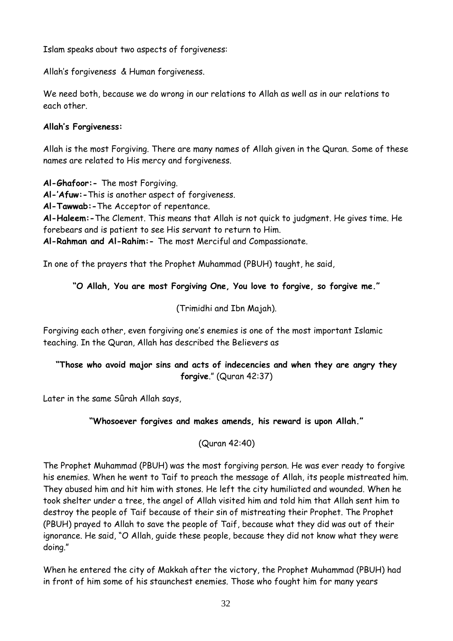Islam speaks about two aspects of forgiveness:

Allah's forgiveness & Human forgiveness.

We need both, because we do wrong in our relations to Allah as well as in our relations to each other.

#### **Allah's Forgiveness:**

Allah is the most Forgiving. There are many names of Allah given in the Quran. Some of these names are related to His mercy and forgiveness.

**Al-Ghafoor:-** The most Forgiving.

**Al-'Afuw:-**This is another aspect of forgiveness.

**Al-Tawwab:-**The Acceptor of repentance.

**Al-Haleem:-**The Clement. This means that Allah is not quick to judgment. He gives time. He forebears and is patient to see His servant to return to Him.

**Al-Rahman and Al-Rahim:-** The most Merciful and Compassionate.

In one of the prayers that the Prophet Muhammad (PBUH) taught, he said,

#### **"O Allah, You are most Forgiving One, You love to forgive, so forgive me."**

(Trimidhi and Ibn Majah).

Forgiving each other, even forgiving one's enemies is one of the most important Islamic teaching. In the Quran, Allah has described the Believers as

#### **"Those who avoid major sins and acts of indecencies and when they are angry they forgive**." (Quran 42:37)

Later in the same Sûrah Allah says,

#### **"Whosoever forgives and makes amends, his reward is upon Allah."**

(Quran 42:40)

The Prophet Muhammad (PBUH) was the most forgiving person. He was ever ready to forgive his enemies. When he went to Taif to preach the message of Allah, its people mistreated him. They abused him and hit him with stones. He left the city humiliated and wounded. When he took shelter under a tree, the angel of Allah visited him and told him that Allah sent him to destroy the people of Taif because of their sin of mistreating their Prophet. The Prophet (PBUH) prayed to Allah to save the people of Taif, because what they did was out of their ignorance. He said, "O Allah, guide these people, because they did not know what they were doing."

When he entered the city of Makkah after the victory, the Prophet Muhammad (PBUH) had in front of him some of his staunchest enemies. Those who fought him for many years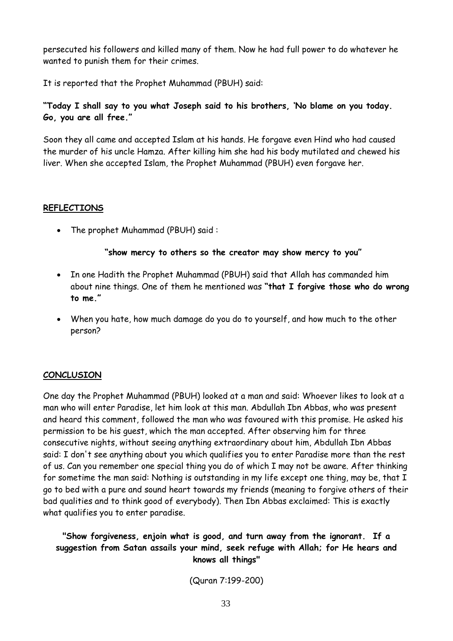persecuted his followers and killed many of them. Now he had full power to do whatever he wanted to punish them for their crimes.

It is reported that the Prophet Muhammad (PBUH) said:

#### **"Today I shall say to you what Joseph said to his brothers, 'No blame on you today. Go, you are all free."**

Soon they all came and accepted Islam at his hands. He forgave even Hind who had caused the murder of his uncle Hamza. After killing him she had his body mutilated and chewed his liver. When she accepted Islam, the Prophet Muhammad (PBUH) even forgave her.

#### **REFLECTIONS**

• The prophet Muhammad (PBUH) said :

#### **"show mercy to others so the creator may show mercy to you"**

- In one Hadith the Prophet Muhammad (PBUH) said that Allah has commanded him about nine things. One of them he mentioned was **"that I forgive those who do wrong to me."**
- When you hate, how much damage do you do to yourself, and how much to the other person?

#### **CONCLUSION**

One day the Prophet Muhammad (PBUH) looked at a man and said: Whoever likes to look at a man who will enter Paradise, let him look at this man. Abdullah Ibn Abbas, who was present and heard this comment, followed the man who was favoured with this promise. He asked his permission to be his guest, which the man accepted. After observing him for three consecutive nights, without seeing anything extraordinary about him, Abdullah Ibn Abbas said: I don't see anything about you which qualifies you to enter Paradise more than the rest of us. Can you remember one special thing you do of which I may not be aware. After thinking for sometime the man said: Nothing is outstanding in my life except one thing, may be, that I go to bed with a pure and sound heart towards my friends (meaning to forgive others of their bad qualities and to think good of everybody). Then Ibn Abbas exclaimed: This is exactly what qualifies you to enter paradise.

#### **"Show forgiveness, enjoin what is good, and turn away from the ignorant. If a suggestion from Satan assails your mind, seek refuge with Allah; for He hears and knows all things"**

(Quran 7:199-200)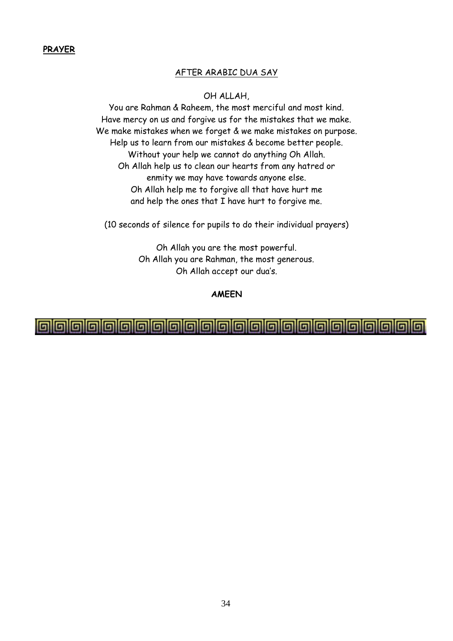**PRAYER**

#### AFTER ARABIC DUA SAY

#### OH ALLAH,

You are Rahman & Raheem, the most merciful and most kind. Have mercy on us and forgive us for the mistakes that we make. We make mistakes when we forget & we make mistakes on purpose. Help us to learn from our mistakes & become better people. Without your help we cannot do anything Oh Allah. Oh Allah help us to clean our hearts from any hatred or enmity we may have towards anyone else. Oh Allah help me to forgive all that have hurt me and help the ones that I have hurt to forgive me.

(10 seconds of silence for pupils to do their individual prayers)

Oh Allah you are the most powerful. Oh Allah you are Rahman, the most generous. Oh Allah accept our dua's.

#### **AMEEN**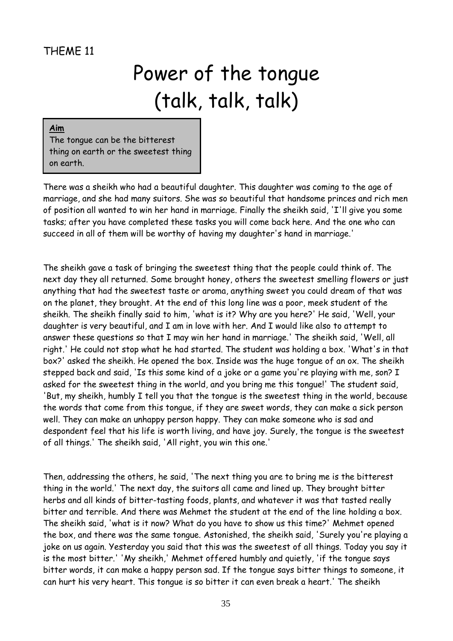## Power of the tongue (talk, talk, talk)

#### **Aim**

The tongue can be the bitterest thing on earth or the sweetest thing on earth.

There was a sheikh who had a beautiful daughter. This daughter was coming to the age of marriage, and she had many suitors. She was so beautiful that handsome princes and rich men of position all wanted to win her hand in marriage. Finally the sheikh said, 'I'll give you some tasks; after you have completed these tasks you will come back here. And the one who can succeed in all of them will be worthy of having my daughter's hand in marriage.'

The sheikh gave a task of bringing the sweetest thing that the people could think of. The next day they all returned. Some brought honey, others the sweetest smelling flowers or just anything that had the sweetest taste or aroma, anything sweet you could dream of that was on the planet, they brought. At the end of this long line was a poor, meek student of the sheikh. The sheikh finally said to him, 'what is it? Why are you here?' He said, 'Well, your daughter is very beautiful, and I am in love with her. And I would like also to attempt to answer these questions so that I may win her hand in marriage.' The sheikh said, 'Well, all right.' He could not stop what he had started. The student was holding a box. 'What's in that box?' asked the sheikh. He opened the box. Inside was the huge tongue of an ox. The sheikh stepped back and said, 'Is this some kind of a joke or a game you're playing with me, son? I asked for the sweetest thing in the world, and you bring me this tongue!' The student said, 'But, my sheikh, humbly I tell you that the tongue is the sweetest thing in the world, because the words that come from this tongue, if they are sweet words, they can make a sick person well. They can make an unhappy person happy. They can make someone who is sad and despondent feel that his life is worth living, and have joy. Surely, the tongue is the sweetest of all things.' The sheikh said, 'All right, you win this one.'

Then, addressing the others, he said, 'The next thing you are to bring me is the bitterest thing in the world.' The next day, the suitors all came and lined up. They brought bitter herbs and all kinds of bitter-tasting foods, plants, and whatever it was that tasted really bitter and terrible. And there was Mehmet the student at the end of the line holding a box. The sheikh said, 'what is it now? What do you have to show us this time?' Mehmet opened the box, and there was the same tongue. Astonished, the sheikh said, 'Surely you're playing a joke on us again. Yesterday you said that this was the sweetest of all things. Today you say it is the most bitter.' 'My sheikh,' Mehmet offered humbly and quietly, 'if the tongue says bitter words, it can make a happy person sad. If the tongue says bitter things to someone, it can hurt his very heart. This tongue is so bitter it can even break a heart.' The sheikh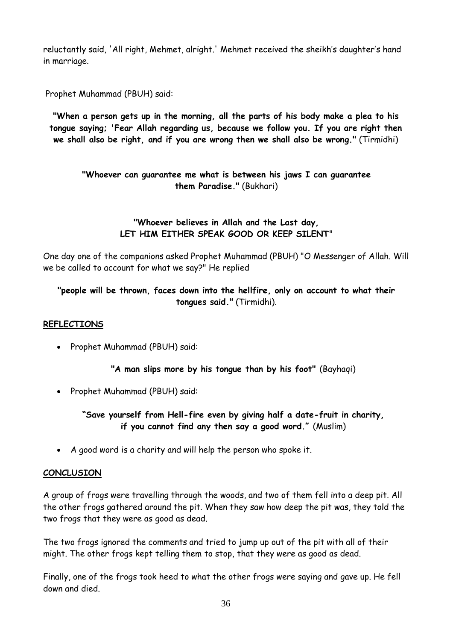reluctantly said, 'All right, Mehmet, alright.' Mehmet received the sheikh's daughter's hand in marriage.

Prophet Muhammad (PBUH) said:

**"When a person gets up in the morning, all the parts of his body make a plea to his tongue saying; 'Fear Allah regarding us, because we follow you. If you are right then we shall also be right, and if you are wrong then we shall also be wrong."** (Tirmidhi)

**"Whoever can guarantee me what is between his jaws I can guarantee them Paradise."** (Bukhari)

#### **"Whoever believes in Allah and the Last day, LET HIM EITHER SPEAK GOOD OR KEEP SILENT**"

One day one of the companions asked Prophet Muhammad (PBUH) "O Messenger of Allah. Will we be called to account for what we say?" He replied

**"people will be thrown, faces down into the hellfire, only on account to what their tongues said."** (Tirmidhi).

#### **REFLECTIONS**

• Prophet Muhammad (PBUH) said:

**"A man slips more by his tongue than by his foot"** (Bayhaqi)

• Prophet Muhammad (PBUH) said:

**"Save yourself from Hell-fire even by giving half a date-fruit in charity, if you cannot find any then say a good word."** (Muslim)

• A good word is a charity and will help the person who spoke it.

#### **CONCLUSION**

A group of frogs were travelling through the woods, and two of them fell into a deep pit. All the other frogs gathered around the pit. When they saw how deep the pit was, they told the two frogs that they were as good as dead.

The two frogs ignored the comments and tried to jump up out of the pit with all of their might. The other frogs kept telling them to stop, that they were as good as dead.

Finally, one of the frogs took heed to what the other frogs were saying and gave up. He fell down and died.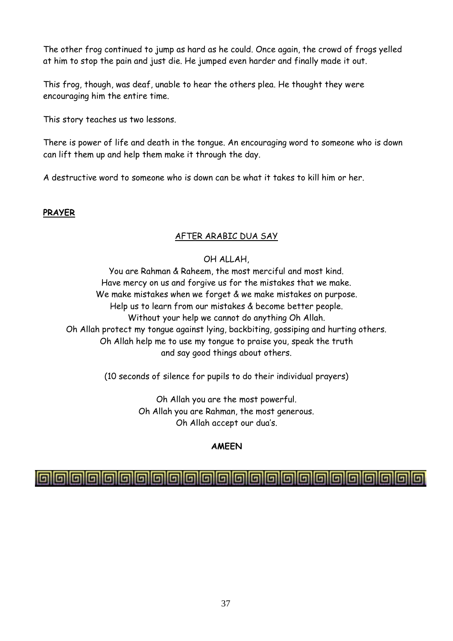The other frog continued to jump as hard as he could. Once again, the crowd of frogs yelled at him to stop the pain and just die. He jumped even harder and finally made it out.

This frog, though, was deaf, unable to hear the others plea. He thought they were encouraging him the entire time.

This story teaches us two lessons.

There is power of life and death in the tongue. An encouraging word to someone who is down can lift them up and help them make it through the day.

A destructive word to someone who is down can be what it takes to kill him or her.

### **PRAYER**

### AFTER ARABIC DUA SAY

### OH ALLAH,

You are Rahman & Raheem, the most merciful and most kind. Have mercy on us and forgive us for the mistakes that we make. We make mistakes when we forget & we make mistakes on purpose. Help us to learn from our mistakes & become better people. Without your help we cannot do anything Oh Allah. Oh Allah protect my tongue against lying, backbiting, gossiping and hurting others. Oh Allah help me to use my tongue to praise you, speak the truth and say good things about others.

(10 seconds of silence for pupils to do their individual prayers)

Oh Allah you are the most powerful. Oh Allah you are Rahman, the most generous. Oh Allah accept our dua's.

### **AMEEN**

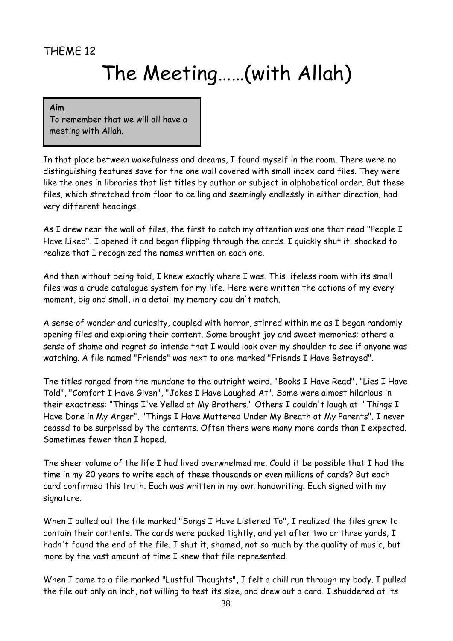### THEME 12

# The Meeting……(with Allah)

### **Aim**

To remember that we will all have a meeting with Allah.

In that place between wakefulness and dreams, I found myself in the room. There were no distinguishing features save for the one wall covered with small index card files. They were like the ones in libraries that list titles by author or subject in alphabetical order. But these files, which stretched from floor to ceiling and seemingly endlessly in either direction, had very different headings.

As I drew near the wall of files, the first to catch my attention was one that read "People I Have Liked". I opened it and began flipping through the cards. I quickly shut it, shocked to realize that I recognized the names written on each one.

And then without being told, I knew exactly where I was. This lifeless room with its small files was a crude catalogue system for my life. Here were written the actions of my every moment, big and small, in a detail my memory couldn't match.

A sense of wonder and curiosity, coupled with horror, stirred within me as I began randomly opening files and exploring their content. Some brought joy and sweet memories; others a sense of shame and regret so intense that I would look over my shoulder to see if anyone was watching. A file named "Friends" was next to one marked "Friends I Have Betrayed".

The titles ranged from the mundane to the outright weird. "Books I Have Read", "Lies I Have Told", "Comfort I Have Given", "Jokes I Have Laughed At". Some were almost hilarious in their exactness: "Things I've Yelled at My Brothers." Others I couldn't laugh at: "Things I Have Done in My Anger", "Things I Have Muttered Under My Breath at My Parents". I never ceased to be surprised by the contents. Often there were many more cards than I expected. Sometimes fewer than I hoped.

The sheer volume of the life I had lived overwhelmed me. Could it be possible that I had the time in my 20 years to write each of these thousands or even millions of cards? But each card confirmed this truth. Each was written in my own handwriting. Each signed with my signature.

When I pulled out the file marked "Songs I Have Listened To", I realized the files grew to contain their contents. The cards were packed tightly, and yet after two or three yards, I hadn't found the end of the file. I shut it, shamed, not so much by the quality of music, but more by the vast amount of time I knew that file represented.

When I came to a file marked "Lustful Thoughts", I felt a chill run through my body. I pulled the file out only an inch, not willing to test its size, and drew out a card. I shuddered at its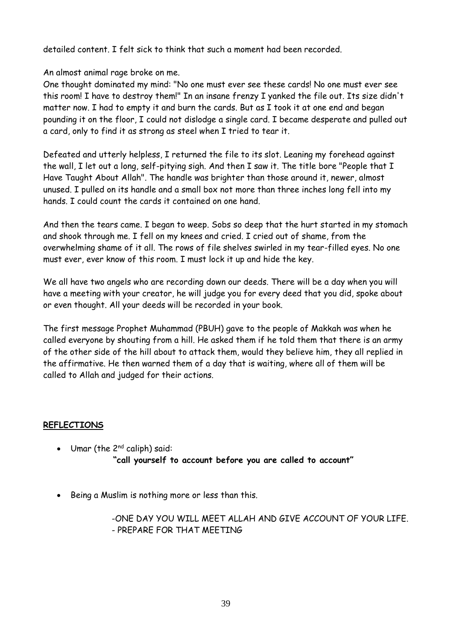detailed content. I felt sick to think that such a moment had been recorded.

An almost animal rage broke on me.

One thought dominated my mind: "No one must ever see these cards! No one must ever see this room! I have to destroy them!" In an insane frenzy I yanked the file out. Its size didn't matter now. I had to empty it and burn the cards. But as I took it at one end and began pounding it on the floor, I could not dislodge a single card. I became desperate and pulled out a card, only to find it as strong as steel when I tried to tear it.

Defeated and utterly helpless, I returned the file to its slot. Leaning my forehead against the wall, I let out a long, self-pitying sigh. And then I saw it. The title bore "People that I Have Taught About Allah". The handle was brighter than those around it, newer, almost unused. I pulled on its handle and a small box not more than three inches long fell into my hands. I could count the cards it contained on one hand.

And then the tears came. I began to weep. Sobs so deep that the hurt started in my stomach and shook through me. I fell on my knees and cried. I cried out of shame, from the overwhelming shame of it all. The rows of file shelves swirled in my tear-filled eyes. No one must ever, ever know of this room. I must lock it up and hide the key.

We all have two angels who are recording down our deeds. There will be a day when you will have a meeting with your creator, he will judge you for every deed that you did, spoke about or even thought. All your deeds will be recorded in your book.

The first message Prophet Muhammad (PBUH) gave to the people of Makkah was when he called everyone by shouting from a hill. He asked them if he told them that there is an army of the other side of the hill about to attack them, would they believe him, they all replied in the affirmative. He then warned them of a day that is waiting, where all of them will be called to Allah and judged for their actions.

### **REFLECTIONS**

- Umar (the  $2^{nd}$  caliph) said: **"call yourself to account before you are called to account"**
- Being a Muslim is nothing more or less than this.

-ONE DAY YOU WILL MEET ALLAH AND GIVE ACCOUNT OF YOUR LIFE. - PREPARE FOR THAT MEETING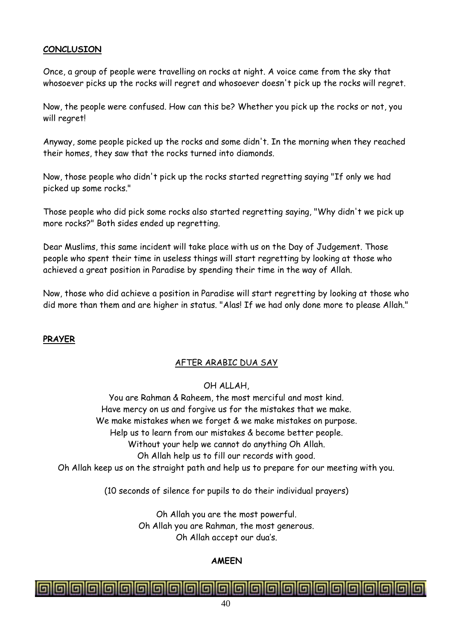### **CONCLUSION**

Once, a group of people were travelling on rocks at night. A voice came from the sky that whosoever picks up the rocks will regret and whosoever doesn't pick up the rocks will regret.

Now, the people were confused. How can this be? Whether you pick up the rocks or not, you will regret!

Anyway, some people picked up the rocks and some didn't. In the morning when they reached their homes, they saw that the rocks turned into diamonds.

Now, those people who didn't pick up the rocks started regretting saying "If only we had picked up some rocks."

Those people who did pick some rocks also started regretting saying, "Why didn't we pick up more rocks?" Both sides ended up regretting.

Dear Muslims, this same incident will take place with us on the Day of Judgement. Those people who spent their time in useless things will start regretting by looking at those who achieved a great position in Paradise by spending their time in the way of Allah.

Now, those who did achieve a position in Paradise will start regretting by looking at those who did more than them and are higher in status. "Alas! If we had only done more to please Allah."

### **PRAYER**

### AFTER ARABIC DUA SAY

### OH ALLAH,

You are Rahman & Raheem, the most merciful and most kind. Have mercy on us and forgive us for the mistakes that we make. We make mistakes when we forget & we make mistakes on purpose. Help us to learn from our mistakes & become better people. Without your help we cannot do anything Oh Allah. Oh Allah help us to fill our records with good. Oh Allah keep us on the straight path and help us to prepare for our meeting with you.

(10 seconds of silence for pupils to do their individual prayers)

Oh Allah you are the most powerful. Oh Allah you are Rahman, the most generous. Oh Allah accept our dua's.

### **AMEEN**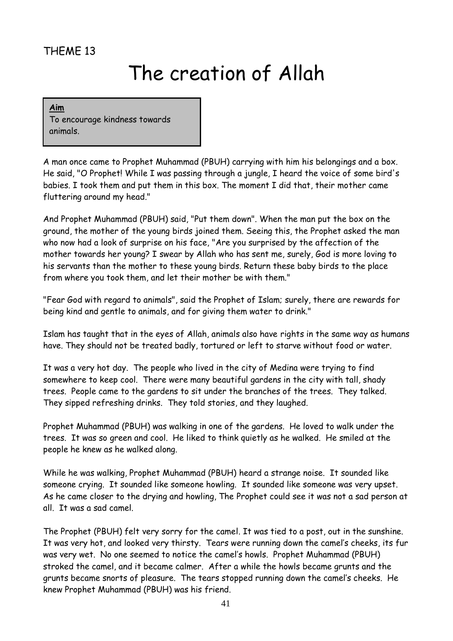## THEME 13

# The creation of Allah

**Aim**

To encourage kindness towards animals.

A man once came to Prophet Muhammad (PBUH) carrying with him his belongings and a box. He said, "O Prophet! While I was passing through a jungle, I heard the voice of some bird's babies. I took them and put them in this box. The moment I did that, their mother came fluttering around my head."

And Prophet Muhammad (PBUH) said, "Put them down". When the man put the box on the ground, the mother of the young birds joined them. Seeing this, the Prophet asked the man who now had a look of surprise on his face, "Are you surprised by the affection of the mother towards her young? I swear by Allah who has sent me, surely, God is more loving to his servants than the mother to these young birds. Return these baby birds to the place from where you took them, and let their mother be with them."

"Fear God with regard to animals", said the Prophet of Islam; surely, there are rewards for being kind and gentle to animals, and for giving them water to drink."

Islam has taught that in the eyes of Allah, animals also have rights in the same way as humans have. They should not be treated badly, tortured or left to starve without food or water.

It was a very hot day. The people who lived in the city of Medina were trying to find somewhere to keep cool. There were many beautiful gardens in the city with tall, shady trees. People came to the gardens to sit under the branches of the trees. They talked. They sipped refreshing drinks. They told stories, and they laughed.

Prophet Muhammad (PBUH) was walking in one of the gardens. He loved to walk under the trees. It was so green and cool. He liked to think quietly as he walked. He smiled at the people he knew as he walked along.

While he was walking, Prophet Muhammad (PBUH) heard a strange noise. It sounded like someone crying. It sounded like someone howling. It sounded like someone was very upset. As he came closer to the drying and howling, The Prophet could see it was not a sad person at all. It was a sad camel.

The Prophet (PBUH) felt very sorry for the camel. It was tied to a post, out in the sunshine. It was very hot, and looked very thirsty. Tears were running down the camel's cheeks, its fur was very wet. No one seemed to notice the camel's howls. Prophet Muhammad (PBUH) stroked the camel, and it became calmer. After a while the howls became grunts and the grunts became snorts of pleasure. The tears stopped running down the camel's cheeks. He knew Prophet Muhammad (PBUH) was his friend.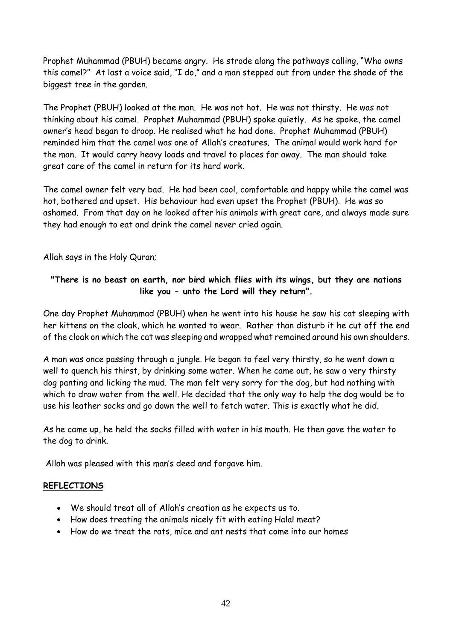Prophet Muhammad (PBUH) became angry. He strode along the pathways calling, "Who owns this camel?" At last a voice said, "I do," and a man stepped out from under the shade of the biggest tree in the garden.

The Prophet (PBUH) looked at the man. He was not hot. He was not thirsty. He was not thinking about his camel. Prophet Muhammad (PBUH) spoke quietly. As he spoke, the camel owner's head began to droop. He realised what he had done. Prophet Muhammad (PBUH) reminded him that the camel was one of Allah's creatures. The animal would work hard for the man. It would carry heavy loads and travel to places far away. The man should take great care of the camel in return for its hard work.

The camel owner felt very bad. He had been cool, comfortable and happy while the camel was hot, bothered and upset. His behaviour had even upset the Prophet (PBUH). He was so ashamed. From that day on he looked after his animals with great care, and always made sure they had enough to eat and drink the camel never cried again.

Allah says in the Holy Quran;

### **"There is no beast on earth, nor bird which flies with its wings, but they are nations like you - unto the Lord will they return".**

One day Prophet Muhammad (PBUH) when he went into his house he saw his cat sleeping with her kittens on the cloak, which he wanted to wear. Rather than disturb it he cut off the end of the cloak on which the cat was sleeping and wrapped what remained around his own shoulders.

A man was once passing through a jungle. He began to feel very thirsty, so he went down a well to quench his thirst, by drinking some water. When he came out, he saw a very thirsty dog panting and licking the mud. The man felt very sorry for the dog, but had nothing with which to draw water from the well. He decided that the only way to help the dog would be to use his leather socks and go down the well to fetch water. This is exactly what he did.

As he came up, he held the socks filled with water in his mouth. He then gave the water to the dog to drink.

Allah was pleased with this man's deed and forgave him.

### **REFLECTIONS**

- We should treat all of Allah's creation as he expects us to.
- How does treating the animals nicely fit with eating Halal meat?
- How do we treat the rats, mice and ant nests that come into our homes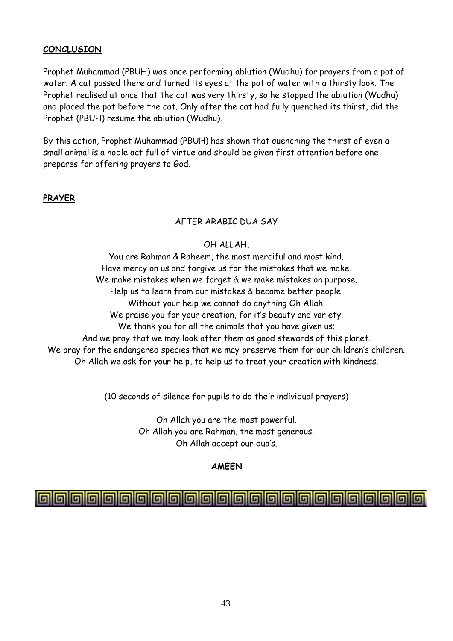### **CONCLUSION**

Prophet Muhammad (PBUH) was once performing ablution (Wudhu) for prayers from a pot of water. A cat passed there and turned its eyes at the pot of water with a thirsty look. The Prophet realised at once that the cat was very thirsty, so he stopped the ablution (Wudhu) and placed the pot before the cat. Only after the cat had fully quenched its thirst, did the Prophet (PBUH) resume the ablution (Wudhu).

By this action, Prophet Muhammad (PBUH) has shown that quenching the thirst of even a small animal is a noble act full of virtue and should be given first attention before one prepares for offering prayers to God.

### **PRAYER**

### AFTER ARABIC DUA SAY

### OH ALLAH,

You are Rahman & Raheem, the most merciful and most kind. Have mercy on us and forgive us for the mistakes that we make. We make mistakes when we forget & we make mistakes on purpose. Help us to learn from our mistakes & become better people. Without your help we cannot do anything Oh Allah. We praise you for your creation, for it's beauty and variety. We thank you for all the animals that you have given us; And we pray that we may look after them as good stewards of this planet. We pray for the endangered species that we may preserve them for our children's children. Oh Allah we ask for your help, to help us to treat your creation with kindness.

(10 seconds of silence for pupils to do their individual prayers)

Oh Allah you are the most powerful. Oh Allah you are Rahman, the most generous. Oh Allah accept our dua's.

### **AMEEN**

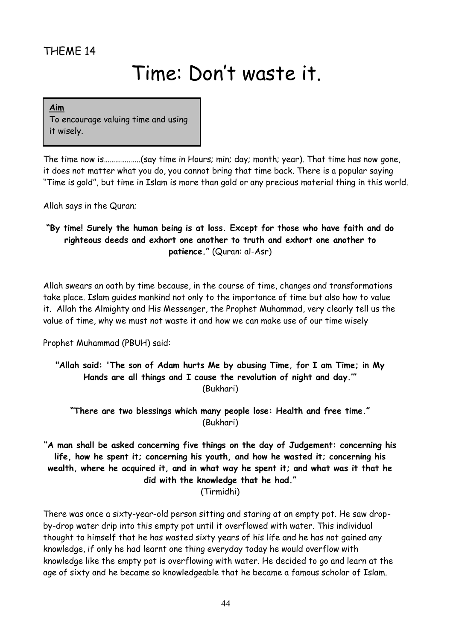## THEME 14

# Time: Don't waste it.

**Aim**

To encourage valuing time and using it wisely.

The time now is…………..…..(say time in Hours; min; day; month; year). That time has now gone, it does not matter what you do, you cannot bring that time back. There is a popular saying "Time is gold", but time in Islam is more than gold or any precious material thing in this world.

Allah says in the Quran;

### **"By time! Surely the human being is at loss. Except for those who have faith and do righteous deeds and exhort one another to truth and exhort one another to patience."** (Quran: al-Asr)

Allah swears an oath by time because, in the course of time, changes and transformations take place. Islam guides mankind not only to the importance of time but also how to value it. Allah the Almighty and His Messenger, the Prophet Muhammad, very clearly tell us the value of time, why we must not waste it and how we can make use of our time wisely

Prophet Muhammad (PBUH) said:

### **"Allah said: 'The son of Adam hurts Me by abusing Time, for I am Time; in My Hands are all things and I cause the revolution of night and day.'"**  (Bukhari)

**"There are two blessings which many people lose: Health and free time."**  (Bukhari)

**"A man shall be asked concerning five things on the day of Judgement: concerning his life, how he spent it; concerning his youth, and how he wasted it; concerning his wealth, where he acquired it, and in what way he spent it; and what was it that he did with the knowledge that he had."**  (Tirmidhi)

There was once a sixty-year-old person sitting and staring at an empty pot. He saw dropby-drop water drip into this empty pot until it overflowed with water. This individual thought to himself that he has wasted sixty years of his life and he has not gained any knowledge, if only he had learnt one thing everyday today he would overflow with knowledge like the empty pot is overflowing with water. He decided to go and learn at the age of sixty and he became so knowledgeable that he became a famous scholar of Islam.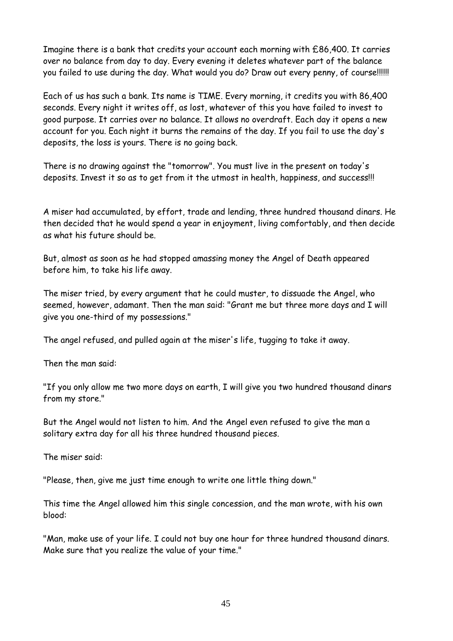Imagine there is a bank that credits your account each morning with £86,400. It carries over no balance from day to day. Every evening it deletes whatever part of the balance you failed to use during the day. What would you do? Draw out every penny, of course!!!!!!

Each of us has such a bank. Its name is TIME. Every morning, it credits you with 86,400 seconds. Every night it writes off, as lost, whatever of this you have failed to invest to good purpose. It carries over no balance. It allows no overdraft. Each day it opens a new account for you. Each night it burns the remains of the day. If you fail to use the day's deposits, the loss is yours. There is no going back.

There is no drawing against the "tomorrow". You must live in the present on today's deposits. Invest it so as to get from it the utmost in health, happiness, and success!!!

A miser had accumulated, by effort, trade and lending, three hundred thousand dinars. He then decided that he would spend a year in enjoyment, living comfortably, and then decide as what his future should be.

But, almost as soon as he had stopped amassing money the Angel of Death appeared before him, to take his life away.

The miser tried, by every argument that he could muster, to dissuade the Angel, who seemed, however, adamant. Then the man said: "Grant me but three more days and I will give you one-third of my possessions."

The angel refused, and pulled again at the miser's life, tugging to take it away.

Then the man said:

"If you only allow me two more days on earth, I will give you two hundred thousand dinars from my store."

But the Angel would not listen to him. And the Angel even refused to give the man a solitary extra day for all his three hundred thousand pieces.

The miser said:

"Please, then, give me just time enough to write one little thing down."

This time the Angel allowed him this single concession, and the man wrote, with his own blood:

"Man, make use of your life. I could not buy one hour for three hundred thousand dinars. Make sure that you realize the value of your time."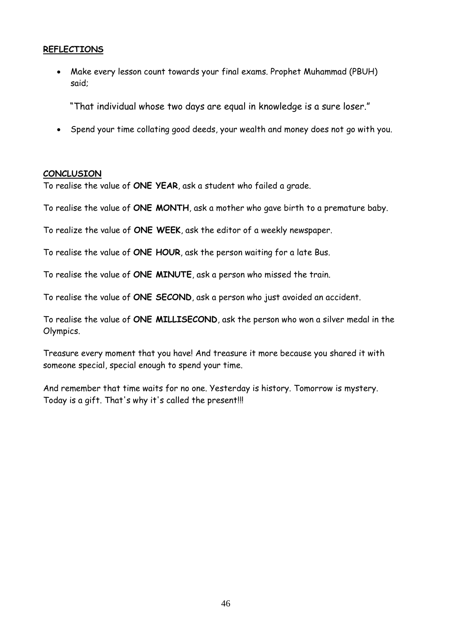### **REFLECTIONS**

• Make every lesson count towards your final exams. Prophet Muhammad (PBUH) said;

"That individual whose two days are equal in knowledge is a sure loser."

• Spend your time collating good deeds, your wealth and money does not go with you.

### **CONCLUSION**

To realise the value of **ONE YEAR**, ask a student who failed a grade.

To realise the value of **ONE MONTH**, ask a mother who gave birth to a premature baby.

To realize the value of **ONE WEEK**, ask the editor of a weekly newspaper.

To realise the value of **ONE HOUR**, ask the person waiting for a late Bus.

To realise the value of **ONE MINUTE**, ask a person who missed the train.

To realise the value of **ONE SECOND**, ask a person who just avoided an accident.

To realise the value of **ONE MILLISECOND**, ask the person who won a silver medal in the Olympics.

Treasure every moment that you have! And treasure it more because you shared it with someone special, special enough to spend your time.

And remember that time waits for no one. Yesterday is history. Tomorrow is mystery. Today is a gift. That's why it's called the present!!!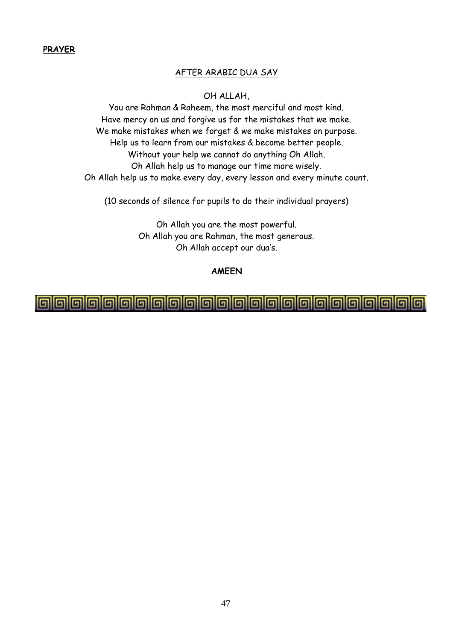**PRAYER**

### AFTER ARABIC DUA SAY

### OH ALLAH,

You are Rahman & Raheem, the most merciful and most kind. Have mercy on us and forgive us for the mistakes that we make. We make mistakes when we forget & we make mistakes on purpose. Help us to learn from our mistakes & become better people. Without your help we cannot do anything Oh Allah. Oh Allah help us to manage our time more wisely. Oh Allah help us to make every day, every lesson and every minute count.

(10 seconds of silence for pupils to do their individual prayers)

Oh Allah you are the most powerful. Oh Allah you are Rahman, the most generous. Oh Allah accept our dua's.

### **AMEEN**

m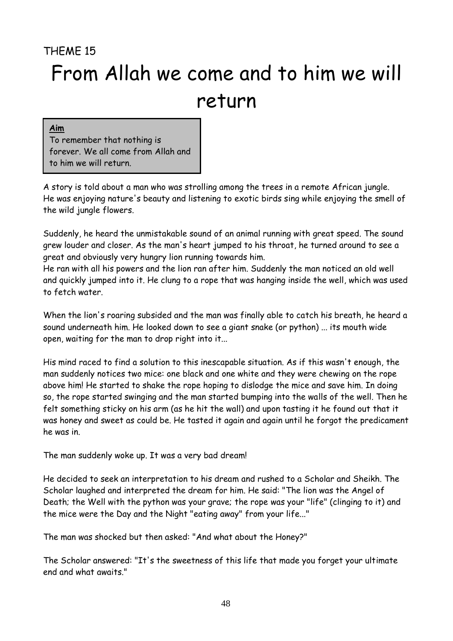## THEME 15 From Allah we come and to him we will return

### **Aim**

To remember that nothing is forever. We all come from Allah and to him we will return.

A story is told about a man who was strolling among the trees in a remote African jungle. He was enjoying nature's beauty and listening to exotic birds sing while enjoying the smell of the wild jungle flowers.

Suddenly, he heard the unmistakable sound of an animal running with great speed. The sound grew louder and closer. As the man's heart jumped to his throat, he turned around to see a great and obviously very hungry lion running towards him.

He ran with all his powers and the lion ran after him. Suddenly the man noticed an old well and quickly jumped into it. He clung to a rope that was hanging inside the well, which was used to fetch water.

When the lion's roaring subsided and the man was finally able to catch his breath, he heard a sound underneath him. He looked down to see a giant snake (or python) ... its mouth wide open, waiting for the man to drop right into it...

His mind raced to find a solution to this inescapable situation. As if this wasn't enough, the man suddenly notices two mice: one black and one white and they were chewing on the rope above him! He started to shake the rope hoping to dislodge the mice and save him. In doing so, the rope started swinging and the man started bumping into the walls of the well. Then he felt something sticky on his arm (as he hit the wall) and upon tasting it he found out that it was honey and sweet as could be. He tasted it again and again until he forgot the predicament he was in.

The man suddenly woke up. It was a very bad dream!

He decided to seek an interpretation to his dream and rushed to a Scholar and Sheikh. The Scholar laughed and interpreted the dream for him. He said: "The lion was the Angel of Death; the Well with the python was your grave; the rope was your "life" (clinging to it) and the mice were the Day and the Night "eating away" from your life..."

The man was shocked but then asked: "And what about the Honey?"

The Scholar answered: "It's the sweetness of this life that made you forget your ultimate end and what awaits."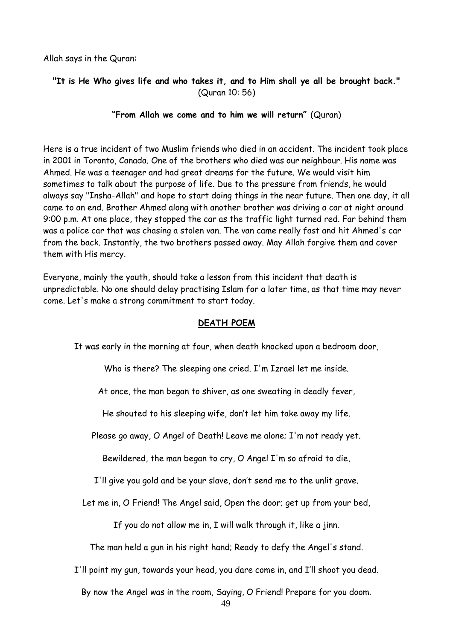Allah says in the Quran:

### **"It is He Who gives life and who takes it, and to Him shall ye all be brought back."** (Quran 10: 56)

### **"From Allah we come and to him we will return"** (Quran)

Here is a true incident of two Muslim friends who died in an accident. The incident took place in 2001 in Toronto, Canada. One of the brothers who died was our neighbour. His name was Ahmed. He was a teenager and had great dreams for the future. We would visit him sometimes to talk about the purpose of life. Due to the pressure from friends, he would always say "Insha-Allah" and hope to start doing things in the near future. Then one day, it all came to an end. Brother Ahmed along with another brother was driving a car at night around 9:00 p.m. At one place, they stopped the car as the traffic light turned red. Far behind them was a police car that was chasing a stolen van. The van came really fast and hit Ahmed's car from the back. Instantly, the two brothers passed away. May Allah forgive them and cover them with His mercy.

Everyone, mainly the youth, should take a lesson from this incident that death is unpredictable. No one should delay practising Islam for a later time, as that time may never come. Let's make a strong commitment to start today.

### **DEATH POEM**

It was early in the morning at four, when death knocked upon a bedroom door,

Who is there? The sleeping one cried. I'm Izrael let me inside.

At once, the man began to shiver, as one sweating in deadly fever,

He shouted to his sleeping wife, don't let him take away my life.

Please go away, O Angel of Death! Leave me alone; I'm not ready yet.

Bewildered, the man began to cry, O Angel I'm so afraid to die,

I'll give you gold and be your slave, don't send me to the unlit grave.

Let me in, O Friend! The Angel said, Open the door; get up from your bed,

If you do not allow me in, I will walk through it, like a jinn.

The man held a gun in his right hand; Ready to defy the Angel's stand.

I'll point my gun, towards your head, you dare come in, and I'll shoot you dead.

By now the Angel was in the room, Saying, O Friend! Prepare for you doom.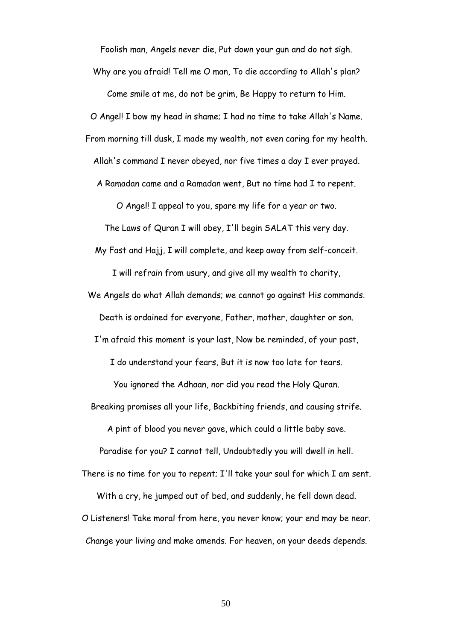Foolish man, Angels never die, Put down your gun and do not sigh.

Why are you afraid! Tell me O man, To die according to Allah's plan?

Come smile at me, do not be grim, Be Happy to return to Him.

O Angel! I bow my head in shame; I had no time to take Allah's Name. From morning till dusk, I made my wealth, not even caring for my health.

Allah's command I never obeyed, nor five times a day I ever prayed.

A Ramadan came and a Ramadan went, But no time had I to repent.

O Angel! I appeal to you, spare my life for a year or two.

The Laws of Quran I will obey, I'll begin SALAT this very day.

My Fast and Hajj, I will complete, and keep away from self-conceit.

I will refrain from usury, and give all my wealth to charity,

We Angels do what Allah demands; we cannot go against His commands.

Death is ordained for everyone, Father, mother, daughter or son.

I'm afraid this moment is your last, Now be reminded, of your past,

I do understand your fears, But it is now too late for tears.

You ignored the Adhaan, nor did you read the Holy Quran.

Breaking promises all your life, Backbiting friends, and causing strife.

A pint of blood you never gave, which could a little baby save.

Paradise for you? I cannot tell, Undoubtedly you will dwell in hell.

There is no time for you to repent; I'll take your soul for which I am sent.

With a cry, he jumped out of bed, and suddenly, he fell down dead.

O Listeners! Take moral from here, you never know; your end may be near. Change your living and make amends. For heaven, on your deeds depends.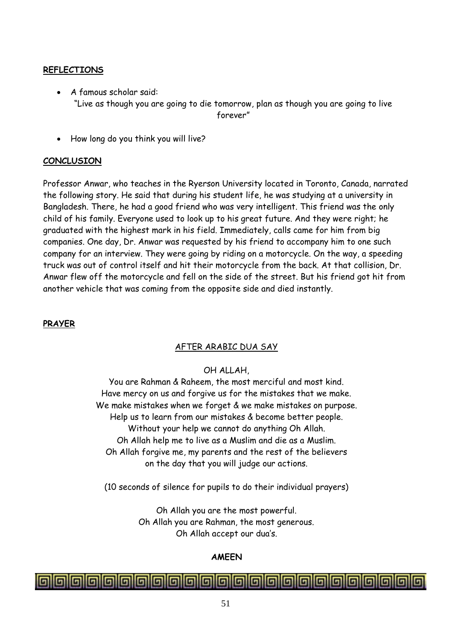### **REFLECTIONS**

- A famous scholar said:
	- "Live as though you are going to die tomorrow, plan as though you are going to live forever"
- How long do you think you will live?

### **CONCLUSION**

Professor Anwar, who teaches in the Ryerson University located in Toronto, Canada, narrated the following story. He said that during his student life, he was studying at a university in Bangladesh. There, he had a good friend who was very intelligent. This friend was the only child of his family. Everyone used to look up to his great future. And they were right; he graduated with the highest mark in his field. Immediately, calls came for him from big companies. One day, Dr. Anwar was requested by his friend to accompany him to one such company for an interview. They were going by riding on a motorcycle. On the way, a speeding truck was out of control itself and hit their motorcycle from the back. At that collision, Dr. Anwar flew off the motorcycle and fell on the side of the street. But his friend got hit from another vehicle that was coming from the opposite side and died instantly.

### **PRAYER**

### AFTER ARABIC DUA SAY

### OH ALLAH,

You are Rahman & Raheem, the most merciful and most kind. Have mercy on us and forgive us for the mistakes that we make. We make mistakes when we forget & we make mistakes on purpose. Help us to learn from our mistakes & become better people. Without your help we cannot do anything Oh Allah. Oh Allah help me to live as a Muslim and die as a Muslim. Oh Allah forgive me, my parents and the rest of the believers on the day that you will judge our actions.

(10 seconds of silence for pupils to do their individual prayers)

Oh Allah you are the most powerful. Oh Allah you are Rahman, the most generous. Oh Allah accept our dua's.

### **AMEEN**

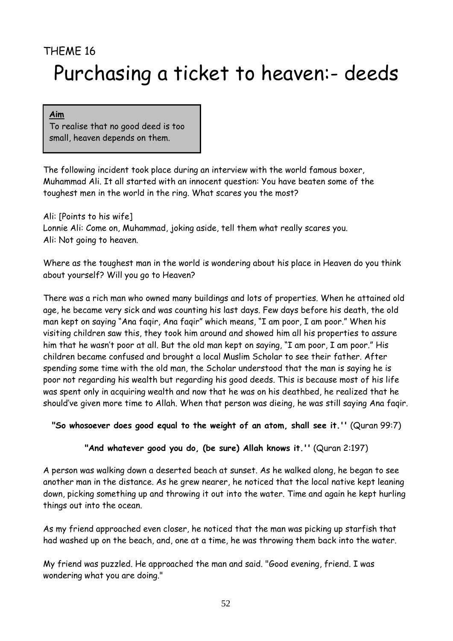## THEME 16 Purchasing a ticket to heaven:- deeds

**Aim**

To realise that no good deed is too small, heaven depends on them.

The following incident took place during an interview with the world famous boxer, Muhammad Ali. It all started with an innocent question: You have beaten some of the toughest men in the world in the ring. What scares you the most?

Ali: [Points to his wife] Lonnie Ali: Come on, Muhammad, joking aside, tell them what really scares you. Ali: Not going to heaven.

Where as the toughest man in the world is wondering about his place in Heaven do you think about yourself? Will you go to Heaven?

There was a rich man who owned many buildings and lots of properties. When he attained old age, he became very sick and was counting his last days. Few days before his death, the old man kept on saying "Ana faqir, Ana faqir" which means, "I am poor, I am poor." When his visiting children saw this, they took him around and showed him all his properties to assure him that he wasn't poor at all. But the old man kept on saying, "I am poor, I am poor." His children became confused and brought a local Muslim Scholar to see their father. After spending some time with the old man, the Scholar understood that the man is saying he is poor not regarding his wealth but regarding his good deeds. This is because most of his life was spent only in acquiring wealth and now that he was on his deathbed, he realized that he should've given more time to Allah. When that person was dieing, he was still saying Ana faqir.

**"So whosoever does good equal to the weight of an atom, shall see it.''** (Quran 99:7)

**"And whatever good you do, (be sure) Allah knows it.''** (Quran 2:197)

A person was walking down a deserted beach at sunset. As he walked along, he began to see another man in the distance. As he grew nearer, he noticed that the local native kept leaning down, picking something up and throwing it out into the water. Time and again he kept hurling things out into the ocean.

As my friend approached even closer, he noticed that the man was picking up starfish that had washed up on the beach, and, one at a time, he was throwing them back into the water.

My friend was puzzled. He approached the man and said. "Good evening, friend. I was wondering what you are doing."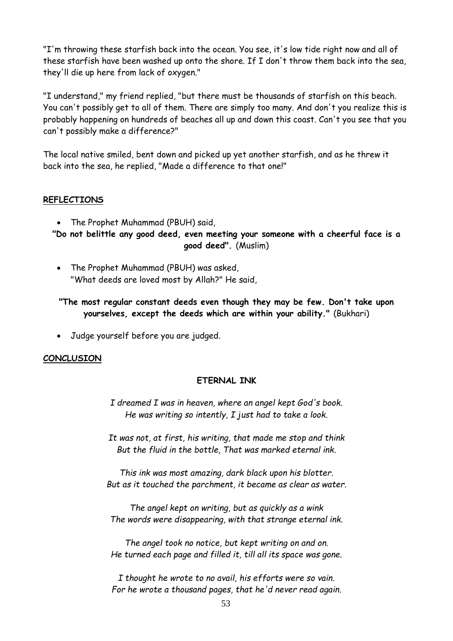"I'm throwing these starfish back into the ocean. You see, it's low tide right now and all of these starfish have been washed up onto the shore. If I don't throw them back into the sea, they'll die up here from lack of oxygen."

"I understand," my friend replied, "but there must be thousands of starfish on this beach. You can't possibly get to all of them. There are simply too many. And don't you realize this is probably happening on hundreds of beaches all up and down this coast. Can't you see that you can't possibly make a difference?"

The local native smiled, bent down and picked up yet another starfish, and as he threw it back into the sea, he replied, "Made a difference to that one!"

### **REFLECTIONS**

- The Prophet Muhammad (PBUH) said,
- **"Do not belittle any good deed, even meeting your someone with a cheerful face is a good deed".** (Muslim)
- The Prophet Muhammad (PBUH) was asked, "What deeds are loved most by Allah?" He said,

### **"The most regular constant deeds even though they may be few. Don't take upon yourselves, except the deeds which are within your ability."** (Bukhari)

• Judge yourself before you are judged.

### **CONCLUSION**

### **ETERNAL INK**

*I dreamed I was in heaven, where an angel kept God's book. He was writing so intently, I just had to take a look.* 

*It was not, at first, his writing, that made me stop and think But the fluid in the bottle, That was marked eternal ink.* 

*This ink was most amazing, dark black upon his blotter. But as it touched the parchment, it became as clear as water.* 

*The angel kept on writing, but as quickly as a wink The words were disappearing, with that strange eternal ink.* 

*The angel took no notice, but kept writing on and on. He turned each page and filled it, till all its space was gone.*

*I thought he wrote to no avail, his efforts were so vain. For he wrote a thousand pages, that he'd never read again.*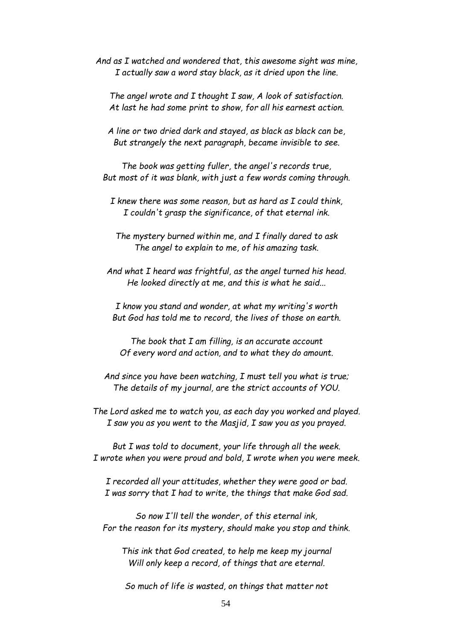*And as I watched and wondered that, this awesome sight was mine, I actually saw a word stay black, as it dried upon the line.* 

*The angel wrote and I thought I saw, A look of satisfaction. At last he had some print to show, for all his earnest action.* 

*A line or two dried dark and stayed, as black as black can be, But strangely the next paragraph, became invisible to see.* 

*The book was getting fuller, the angel's records true, But most of it was blank, with just a few words coming through.* 

*I knew there was some reason, but as hard as I could think, I couldn't grasp the significance, of that eternal ink.* 

*The mystery burned within me, and I finally dared to ask The angel to explain to me, of his amazing task.* 

*And what I heard was frightful, as the angel turned his head. He looked directly at me, and this is what he said...* 

*I know you stand and wonder, at what my writing's worth But God has told me to record, the lives of those on earth.* 

*The book that I am filling, is an accurate account Of every word and action, and to what they do amount.* 

*And since you have been watching, I must tell you what is true; The details of my journal, are the strict accounts of YOU.* 

*The Lord asked me to watch you, as each day you worked and played. I saw you as you went to the Masjid, I saw you as you prayed.* 

*But I was told to document, your life through all the week. I wrote when you were proud and bold, I wrote when you were meek.* 

*I recorded all your attitudes, whether they were good or bad. I was sorry that I had to write, the things that make God sad.* 

*So now I'll tell the wonder, of this eternal ink, For the reason for its mystery, should make you stop and think.* 

*This ink that God created, to help me keep my journal Will only keep a record, of things that are eternal.* 

*So much of life is wasted, on things that matter not*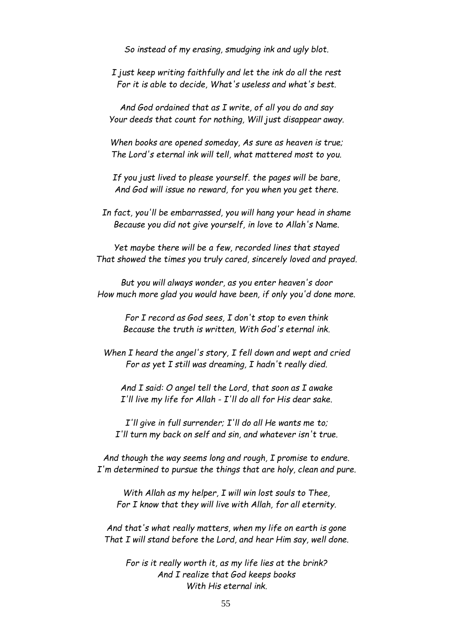*So instead of my erasing, smudging ink and ugly blot.* 

*I just keep writing faithfully and let the ink do all the rest For it is able to decide, What's useless and what's best.* 

*And God ordained that as I write, of all you do and say Your deeds that count for nothing, Will just disappear away.* 

*When books are opened someday, As sure as heaven is true; The Lord's eternal ink will tell, what mattered most to you.* 

*If you just lived to please yourself. the pages will be bare, And God will issue no reward, for you when you get there.* 

*In fact, you'll be embarrassed, you will hang your head in shame Because you did not give yourself, in love to Allah's Name.* 

*Yet maybe there will be a few, recorded lines that stayed That showed the times you truly cared, sincerely loved and prayed.* 

*But you will always wonder, as you enter heaven's door How much more glad you would have been, if only you'd done more.* 

> *For I record as God sees, I don't stop to even think Because the truth is written, With God's eternal ink.*

*When I heard the angel's story, I fell down and wept and cried For as yet I still was dreaming, I hadn't really died.* 

*And I said: O angel tell the Lord, that soon as I awake I'll live my life for Allah - I'll do all for His dear sake.* 

*I'll give in full surrender; I'll do all He wants me to; I'll turn my back on self and sin, and whatever isn't true.* 

*And though the way seems long and rough, I promise to endure. I'm determined to pursue the things that are holy, clean and pure.* 

*With Allah as my helper, I will win lost souls to Thee, For I know that they will live with Allah, for all eternity.* 

*And that's what really matters, when my life on earth is gone That I will stand before the Lord, and hear Him say, well done.* 

*For is it really worth it, as my life lies at the brink? And I realize that God keeps books With His eternal ink.*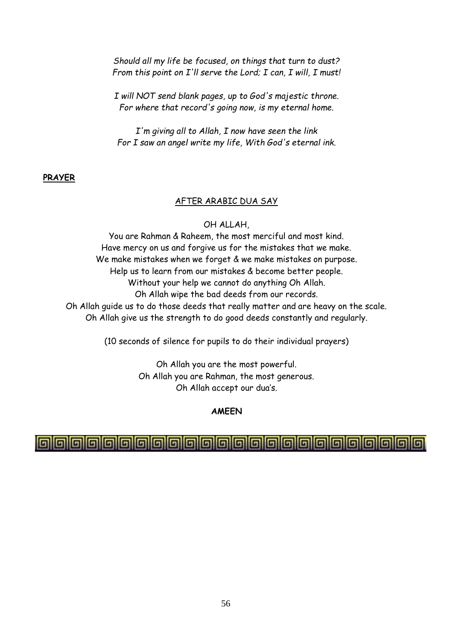*Should all my life be focused, on things that turn to dust? From this point on I'll serve the Lord; I can, I will, I must!* 

*I will NOT send blank pages, up to God's majestic throne. For where that record's going now, is my eternal home.* 

*I'm giving all to Allah, I now have seen the link For I saw an angel write my life, With God's eternal ink.*

### **PRAYER**

### AFTER ARABIC DUA SAY

OH ALLAH,

You are Rahman & Raheem, the most merciful and most kind. Have mercy on us and forgive us for the mistakes that we make. We make mistakes when we forget & we make mistakes on purpose. Help us to learn from our mistakes & become better people. Without your help we cannot do anything Oh Allah. Oh Allah wipe the bad deeds from our records. Oh Allah guide us to do those deeds that really matter and are heavy on the scale. Oh Allah give us the strength to do good deeds constantly and regularly.

(10 seconds of silence for pupils to do their individual prayers)

Oh Allah you are the most powerful. Oh Allah you are Rahman, the most generous. Oh Allah accept our dua's.

### **AMEEN**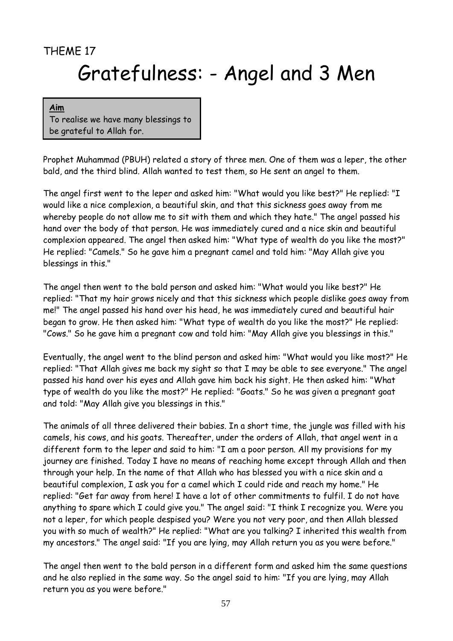## THEME 17 Gratefulness: - Angel and 3 Men

**Aim**

To realise we have many blessings to be grateful to Allah for.

Prophet Muhammad (PBUH) related a story of three men. One of them was a leper, the other bald, and the third blind. Allah wanted to test them, so He sent an angel to them.

The angel first went to the leper and asked him: "What would you like best?" He replied: "I would like a nice complexion, a beautiful skin, and that this sickness goes away from me whereby people do not allow me to sit with them and which they hate." The angel passed his hand over the body of that person. He was immediately cured and a nice skin and beautiful complexion appeared. The angel then asked him: "What type of wealth do you like the most?" He replied: "Camels." So he gave him a pregnant camel and told him: "May Allah give you blessings in this."

The angel then went to the bald person and asked him: "What would you like best?" He replied: "That my hair grows nicely and that this sickness which people dislike goes away from me!" The angel passed his hand over his head, he was immediately cured and beautiful hair began to grow. He then asked him: "What type of wealth do you like the most?" He replied: "Cows." So he gave him a pregnant cow and told him: "May Allah give you blessings in this."

Eventually, the angel went to the blind person and asked him: "What would you like most?" He replied: "That Allah gives me back my sight so that I may be able to see everyone." The angel passed his hand over his eyes and Allah gave him back his sight. He then asked him: "What type of wealth do you like the most?" He replied: "Goats." So he was given a pregnant goat and told: "May Allah give you blessings in this."

The animals of all three delivered their babies. In a short time, the jungle was filled with his camels, his cows, and his goats. Thereafter, under the orders of Allah, that angel went in a different form to the leper and said to him: "I am a poor person. All my provisions for my journey are finished. Today I have no means of reaching home except through Allah and then through your help. In the name of that Allah who has blessed you with a nice skin and a beautiful complexion, I ask you for a camel which I could ride and reach my home." He replied: "Get far away from here! I have a lot of other commitments to fulfil. I do not have anything to spare which I could give you." The angel said: "I think I recognize you. Were you not a leper, for which people despised you? Were you not very poor, and then Allah blessed you with so much of wealth?" He replied: "What are you talking? I inherited this wealth from my ancestors." The angel said: "If you are lying, may Allah return you as you were before."

The angel then went to the bald person in a different form and asked him the same questions and he also replied in the same way. So the angel said to him: "If you are lying, may Allah return you as you were before."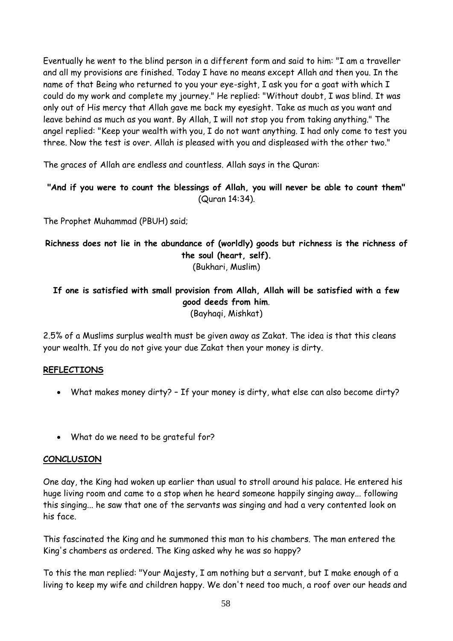Eventually he went to the blind person in a different form and said to him: "I am a traveller and all my provisions are finished. Today I have no means except Allah and then you. In the name of that Being who returned to you your eye-sight, I ask you for a goat with which I could do my work and complete my journey." He replied: "Without doubt, I was blind. It was only out of His mercy that Allah gave me back my eyesight. Take as much as you want and leave behind as much as you want. By Allah, I will not stop you from taking anything." The angel replied: "Keep your wealth with you, I do not want anything. I had only come to test you three. Now the test is over. Allah is pleased with you and displeased with the other two."

The graces of Allah are endless and countless. Allah says in the Quran:

### **"And if you were to count the blessings of Allah, you will never be able to count them"**  (Quran 14:34).

The Prophet Muhammad (PBUH) said;

## **Richness does not lie in the abundance of (worldly) goods but richness is the richness of the soul (heart, self).**

(Bukhari, Muslim)

### **If one is satisfied with small provision from Allah, Allah will be satisfied with a few good deeds from him**. (Bayhaqi, Mishkat)

2.5% of a Muslims surplus wealth must be given away as Zakat. The idea is that this cleans your wealth. If you do not give your due Zakat then your money is dirty.

### **REFLECTIONS**

- What makes money dirty? If your money is dirty, what else can also become dirty?
- What do we need to be grateful for?

### **CONCLUSION**

One day, the King had woken up earlier than usual to stroll around his palace. He entered his huge living room and came to a stop when he heard someone happily singing away... following this singing... he saw that one of the servants was singing and had a very contented look on his face.

This fascinated the King and he summoned this man to his chambers. The man entered the King's chambers as ordered. The King asked why he was so happy?

To this the man replied: "Your Majesty, I am nothing but a servant, but I make enough of a living to keep my wife and children happy. We don't need too much, a roof over our heads and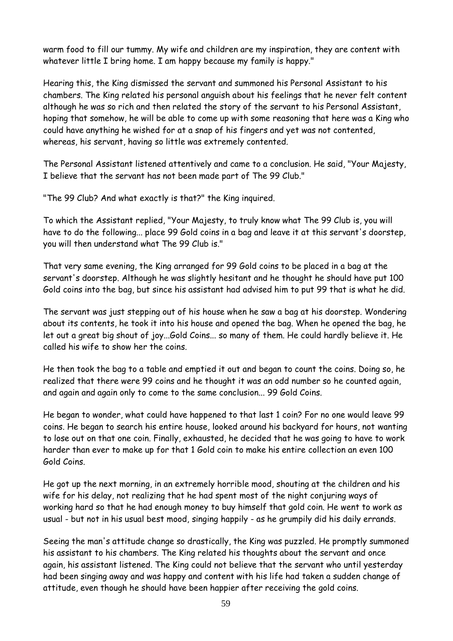warm food to fill our tummy. My wife and children are my inspiration, they are content with whatever little I bring home. I am happy because my family is happy."

Hearing this, the King dismissed the servant and summoned his Personal Assistant to his chambers. The King related his personal anguish about his feelings that he never felt content although he was so rich and then related the story of the servant to his Personal Assistant, hoping that somehow, he will be able to come up with some reasoning that here was a King who could have anything he wished for at a snap of his fingers and yet was not contented, whereas, his servant, having so little was extremely contented.

The Personal Assistant listened attentively and came to a conclusion. He said, "Your Majesty, I believe that the servant has not been made part of The 99 Club."

"The 99 Club? And what exactly is that?" the King inquired.

To which the Assistant replied, "Your Majesty, to truly know what The 99 Club is, you will have to do the following... place 99 Gold coins in a bag and leave it at this servant's doorstep, you will then understand what The 99 Club is."

That very same evening, the King arranged for 99 Gold coins to be placed in a bag at the servant's doorstep. Although he was slightly hesitant and he thought he should have put 100 Gold coins into the bag, but since his assistant had advised him to put 99 that is what he did.

The servant was just stepping out of his house when he saw a bag at his doorstep. Wondering about its contents, he took it into his house and opened the bag. When he opened the bag, he let out a great big shout of joy...Gold Coins... so many of them. He could hardly believe it. He called his wife to show her the coins.

He then took the bag to a table and emptied it out and began to count the coins. Doing so, he realized that there were 99 coins and he thought it was an odd number so he counted again, and again and again only to come to the same conclusion... 99 Gold Coins.

He began to wonder, what could have happened to that last 1 coin? For no one would leave 99 coins. He began to search his entire house, looked around his backyard for hours, not wanting to lose out on that one coin. Finally, exhausted, he decided that he was going to have to work harder than ever to make up for that 1 Gold coin to make his entire collection an even 100 Gold Coins.

He got up the next morning, in an extremely horrible mood, shouting at the children and his wife for his delay, not realizing that he had spent most of the night conjuring ways of working hard so that he had enough money to buy himself that gold coin. He went to work as usual - but not in his usual best mood, singing happily - as he grumpily did his daily errands.

Seeing the man's attitude change so drastically, the King was puzzled. He promptly summoned his assistant to his chambers. The King related his thoughts about the servant and once again, his assistant listened. The King could not believe that the servant who until yesterday had been singing away and was happy and content with his life had taken a sudden change of attitude, even though he should have been happier after receiving the gold coins.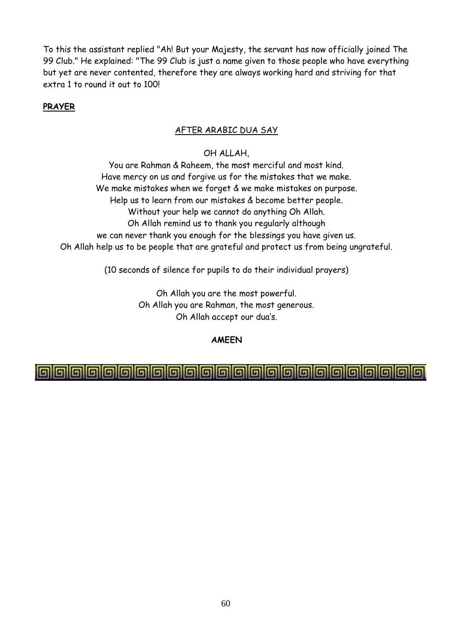To this the assistant replied "Ah! But your Majesty, the servant has now officially joined The 99 Club." He explained: "The 99 Club is just a name given to those people who have everything but yet are never contented, therefore they are always working hard and striving for that extra 1 to round it out to 100!

### **PRAYER**

### AFTER ARABIC DUA SAY

### OH ALLAH,

You are Rahman & Raheem, the most merciful and most kind. Have mercy on us and forgive us for the mistakes that we make. We make mistakes when we forget & we make mistakes on purpose. Help us to learn from our mistakes & become better people. Without your help we cannot do anything Oh Allah. Oh Allah remind us to thank you regularly although we can never thank you enough for the blessings you have given us. Oh Allah help us to be people that are grateful and protect us from being ungrateful.

(10 seconds of silence for pupils to do their individual prayers)

Oh Allah you are the most powerful. Oh Allah you are Rahman, the most generous. Oh Allah accept our dua's.

### **AMEEN**

lal l m Iп m lei n. m F. la l l a **m** m. ١m l m m m m m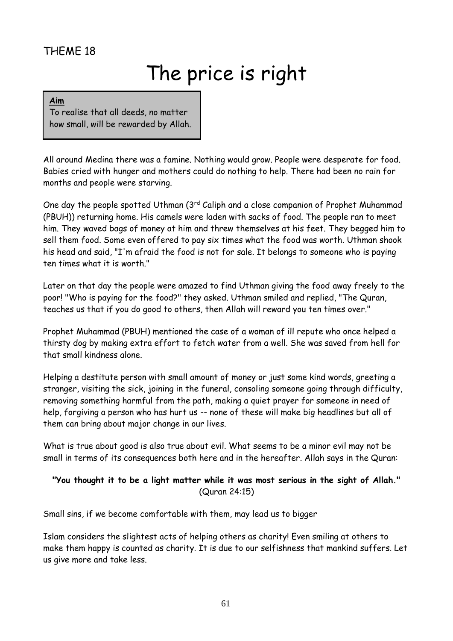## THEME 18

# The price is right

### **Aim**

To realise that all deeds, no matter how small, will be rewarded by Allah.

All around Medina there was a famine. Nothing would grow. People were desperate for food. Babies cried with hunger and mothers could do nothing to help. There had been no rain for months and people were starving.

One day the people spotted Uthman (3rd Caliph and a close companion of Prophet Muhammad (PBUH)) returning home. His camels were laden with sacks of food. The people ran to meet him. They waved bags of money at him and threw themselves at his feet. They begged him to sell them food. Some even offered to pay six times what the food was worth. Uthman shook his head and said, "I'm afraid the food is not for sale. It belongs to someone who is paying ten times what it is worth."

Later on that day the people were amazed to find Uthman giving the food away freely to the poor! "Who is paying for the food?" they asked. Uthman smiled and replied, "The Quran, teaches us that if you do good to others, then Allah will reward you ten times over."

Prophet Muhammad (PBUH) mentioned the case of a woman of ill repute who once helped a thirsty dog by making extra effort to fetch water from a well. She was saved from hell for that small kindness alone.

Helping a destitute person with small amount of money or just some kind words, greeting a stranger, visiting the sick, joining in the funeral, consoling someone going through difficulty, removing something harmful from the path, making a quiet prayer for someone in need of help, forgiving a person who has hurt us -- none of these will make big headlines but all of them can bring about major change in our lives.

What is true about good is also true about evil. What seems to be a minor evil may not be small in terms of its consequences both here and in the hereafter. Allah says in the Quran:

### **"You thought it to be a light matter while it was most serious in the sight of Allah."** (Quran 24:15)

Small sins, if we become comfortable with them, may lead us to bigger

Islam considers the slightest acts of helping others as charity! Even smiling at others to make them happy is counted as charity. It is due to our selfishness that mankind suffers. Let us give more and take less.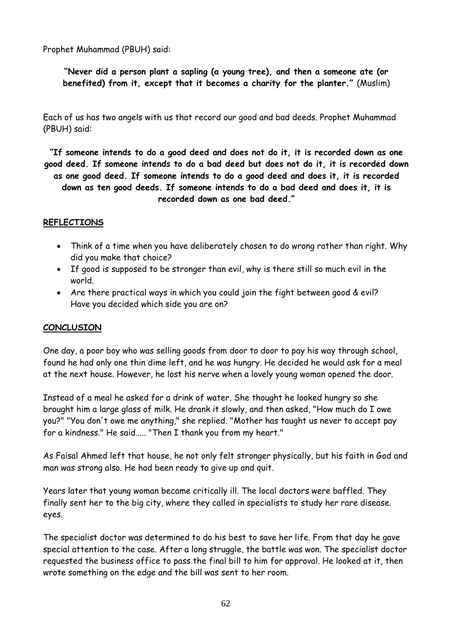Prophet Muhammad (PBUH) said:

**"Never did a person plant a sapling (a young tree), and then a someone ate (or benefited) from it, except that it becomes a charity for the planter."** (Muslim)

Each of us has two angels with us that record our good and bad deeds. Prophet Muhammad (PBUH) said:

**"If someone intends to do a good deed and does not do it, it is recorded down as one good deed. If someone intends to do a bad deed but does not do it, it is recorded down as one good deed. If someone intends to do a good deed and does it, it is recorded down as ten good deeds. If someone intends to do a bad deed and does it, it is recorded down as one bad deed."**

### **REFLECTIONS**

- Think of a time when you have deliberately chosen to do wrong rather than right. Why did you make that choice?
- If good is supposed to be stronger than evil, why is there still so much evil in the world.
- Are there practical ways in which you could join the fight between good & evil? Have you decided which side you are on?

### **CONCLUSION**

One day, a poor boy who was selling goods from door to door to pay his way through school, found he had only one thin dime left, and he was hungry. He decided he would ask for a meal at the next house. However, he lost his nerve when a lovely young woman opened the door.

Instead of a meal he asked for a drink of water. She thought he looked hungry so she brought him a large glass of milk. He drank it slowly, and then asked, "How much do I owe you?" "You don't owe me anything," she replied. "Mother has taught us never to accept pay for a kindness." He said..... "Then I thank you from my heart."

As Faisal Ahmed left that house, he not only felt stronger physically, but his faith in God and man was strong also. He had been ready to give up and quit.

Years later that young woman became critically ill. The local doctors were baffled. They finally sent her to the big city, where they called in specialists to study her rare disease. eyes.

The specialist doctor was determined to do his best to save her life. From that day he gave special attention to the case. After a long struggle, the battle was won. The specialist doctor requested the business office to pass the final bill to him for approval. He looked at it, then wrote something on the edge and the bill was sent to her room.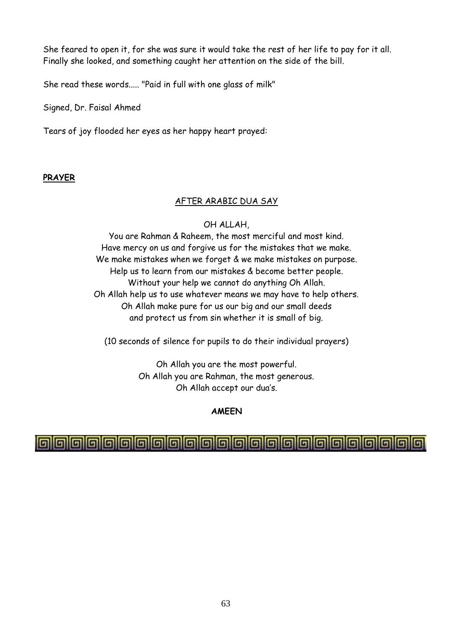She feared to open it, for she was sure it would take the rest of her life to pay for it all. Finally she looked, and something caught her attention on the side of the bill.

She read these words..... "Paid in full with one glass of milk"

Signed, Dr. Faisal Ahmed

Tears of joy flooded her eyes as her happy heart prayed:

### **PRAYER**

### AFTER ARABIC DUA SAY

OH ALLAH,

You are Rahman & Raheem, the most merciful and most kind. Have mercy on us and forgive us for the mistakes that we make. We make mistakes when we forget & we make mistakes on purpose. Help us to learn from our mistakes & become better people. Without your help we cannot do anything Oh Allah. Oh Allah help us to use whatever means we may have to help others. Oh Allah make pure for us our big and our small deeds and protect us from sin whether it is small of big.

(10 seconds of silence for pupils to do their individual prayers)

Oh Allah you are the most powerful. Oh Allah you are Rahman, the most generous. Oh Allah accept our dua's.

### **AMEEN**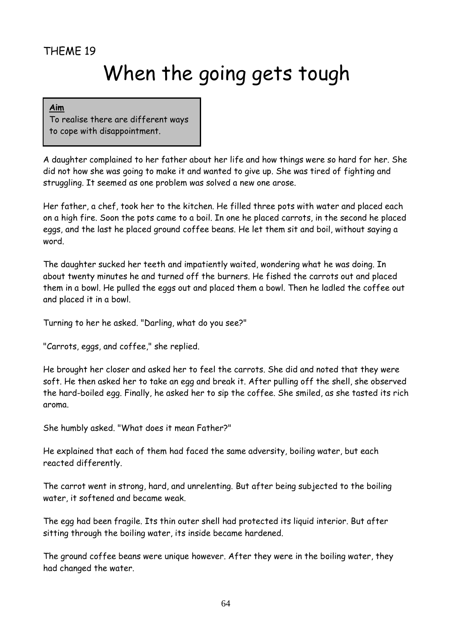### THEME 19

# When the going gets tough

### **Aim**

To realise there are different ways to cope with disappointment.

A daughter complained to her father about her life and how things were so hard for her. She did not how she was going to make it and wanted to give up. She was tired of fighting and struggling. It seemed as one problem was solved a new one arose.

Her father, a chef, took her to the kitchen. He filled three pots with water and placed each on a high fire. Soon the pots came to a boil. In one he placed carrots, in the second he placed eggs, and the last he placed ground coffee beans. He let them sit and boil, without saying a word.

The daughter sucked her teeth and impatiently waited, wondering what he was doing. In about twenty minutes he and turned off the burners. He fished the carrots out and placed them in a bowl. He pulled the eggs out and placed them a bowl. Then he ladled the coffee out and placed it in a bowl.

Turning to her he asked. "Darling, what do you see?"

"Carrots, eggs, and coffee," she replied.

He brought her closer and asked her to feel the carrots. She did and noted that they were soft. He then asked her to take an egg and break it. After pulling off the shell, she observed the hard-boiled egg. Finally, he asked her to sip the coffee. She smiled, as she tasted its rich aroma.

She humbly asked. "What does it mean Father?"

He explained that each of them had faced the same adversity, boiling water, but each reacted differently.

The carrot went in strong, hard, and unrelenting. But after being subjected to the boiling water, it softened and became weak.

The egg had been fragile. Its thin outer shell had protected its liquid interior. But after sitting through the boiling water, its inside became hardened.

The ground coffee beans were unique however. After they were in the boiling water, they had changed the water.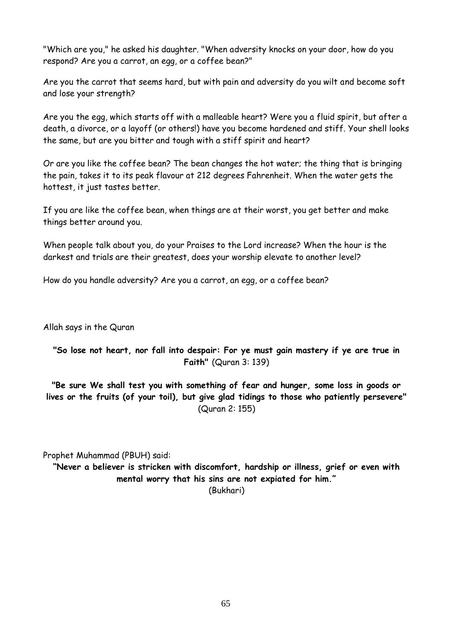"Which are you," he asked his daughter. "When adversity knocks on your door, how do you respond? Are you a carrot, an egg, or a coffee bean?"

Are you the carrot that seems hard, but with pain and adversity do you wilt and become soft and lose your strength?

Are you the egg, which starts off with a malleable heart? Were you a fluid spirit, but after a death, a divorce, or a layoff (or others!) have you become hardened and stiff. Your shell looks the same, but are you bitter and tough with a stiff spirit and heart?

Or are you like the coffee bean? The bean changes the hot water; the thing that is bringing the pain, takes it to its peak flavour at 212 degrees Fahrenheit. When the water gets the hottest, it just tastes better.

If you are like the coffee bean, when things are at their worst, you get better and make things better around you.

When people talk about you, do your Praises to the Lord increase? When the hour is the darkest and trials are their greatest, does your worship elevate to another level?

How do you handle adversity? Are you a carrot, an egg, or a coffee bean?

Allah says in the Quran

**"So lose not heart, nor fall into despair: For ye must gain mastery if ye are true in Faith"** (Quran 3: 139)

**"Be sure We shall test you with something of fear and hunger, some loss in goods or lives or the fruits (of your toil), but give glad tidings to those who patiently persevere"** (Quran 2: 155)

Prophet Muhammad (PBUH) said:

**"Never a believer is stricken with discomfort, hardship or illness, grief or even with mental worry that his sins are not expiated for him."** (Bukhari)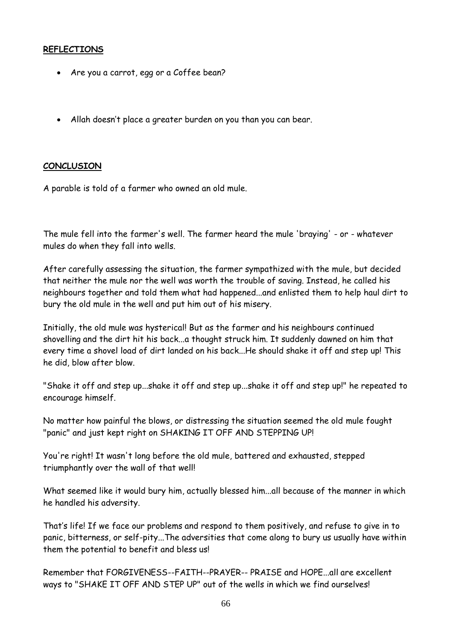### **REFLECTIONS**

- Are you a carrot, egg or a Coffee bean?
- Allah doesn't place a greater burden on you than you can bear.

### **CONCLUSION**

A parable is told of a farmer who owned an old mule.

The mule fell into the farmer's well. The farmer heard the mule 'braying' - or - whatever mules do when they fall into wells.

After carefully assessing the situation, the farmer sympathized with the mule, but decided that neither the mule nor the well was worth the trouble of saving. Instead, he called his neighbours together and told them what had happened...and enlisted them to help haul dirt to bury the old mule in the well and put him out of his misery.

Initially, the old mule was hysterical! But as the farmer and his neighbours continued shovelling and the dirt hit his back...a thought struck him. It suddenly dawned on him that every time a shovel load of dirt landed on his back...He should shake it off and step up! This he did, blow after blow.

"Shake it off and step up...shake it off and step up...shake it off and step up!" he repeated to encourage himself.

No matter how painful the blows, or distressing the situation seemed the old mule fought "panic" and just kept right on SHAKING IT OFF AND STEPPING UP!

You're right! It wasn't long before the old mule, battered and exhausted, stepped triumphantly over the wall of that well!

What seemed like it would bury him, actually blessed him...all because of the manner in which he handled his adversity.

That's life! If we face our problems and respond to them positively, and refuse to give in to panic, bitterness, or self-pity...The adversities that come along to bury us usually have within them the potential to benefit and bless us!

Remember that FORGIVENESS--FAITH--PRAYER-- PRAISE and HOPE. all are excellent ways to "SHAKE IT OFF AND STEP UP" out of the wells in which we find ourselves!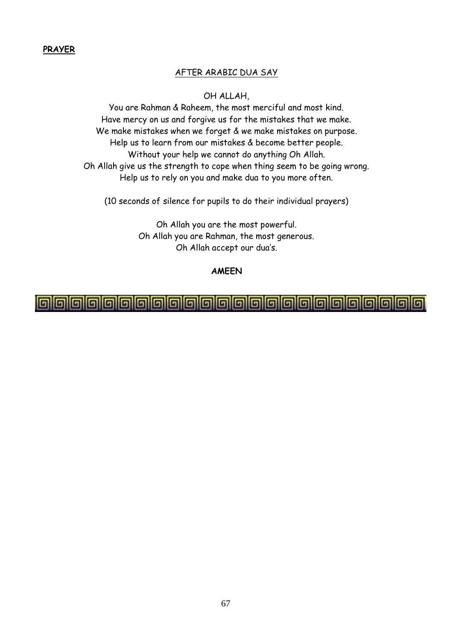### **PRAYER**

### AFTER ARABIC DUA SAY

### OH ALLAH,

You are Rahman & Raheem, the most merciful and most kind. Have mercy on us and forgive us for the mistakes that we make. We make mistakes when we forget & we make mistakes on purpose. Help us to learn from our mistakes & become better people. Without your help we cannot do anything Oh Allah. Oh Allah give us the strength to cope when thing seem to be going wrong. Help us to rely on you and make dua to you more often.

(10 seconds of silence for pupils to do their individual prayers)

Oh Allah you are the most powerful. Oh Allah you are Rahman, the most generous. Oh Allah accept our dua's.

### **AMEEN**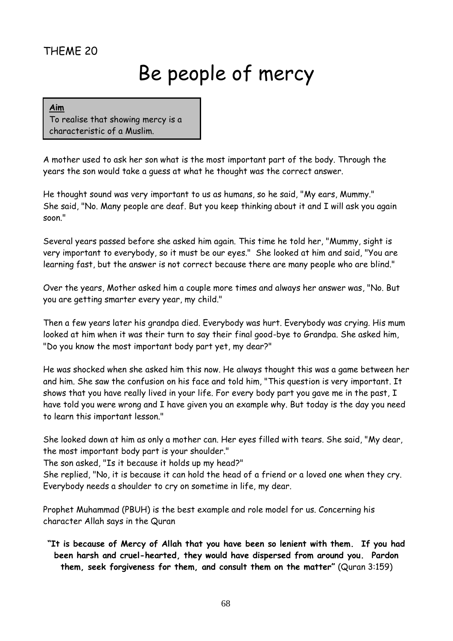### THEME 20

# Be people of mercy

**Aim**

To realise that showing mercy is a characteristic of a Muslim.

A mother used to ask her son what is the most important part of the body. Through the years the son would take a guess at what he thought was the correct answer.

He thought sound was very important to us as humans, so he said, "My ears, Mummy." She said, "No. Many people are deaf. But you keep thinking about it and I will ask you again soon."

Several years passed before she asked him again. This time he told her, "Mummy, sight is very important to everybody, so it must be our eyes." She looked at him and said, "You are learning fast, but the answer is not correct because there are many people who are blind."

Over the years, Mother asked him a couple more times and always her answer was, "No. But you are getting smarter every year, my child."

Then a few years later his grandpa died. Everybody was hurt. Everybody was crying. His mum looked at him when it was their turn to say their final good-bye to Grandpa. She asked him, "Do you know the most important body part yet, my dear?"

He was shocked when she asked him this now. He always thought this was a game between her and him. She saw the confusion on his face and told him, "This question is very important. It shows that you have really lived in your life. For every body part you gave me in the past, I have told you were wrong and I have given you an example why. But today is the day you need to learn this important lesson."

She looked down at him as only a mother can. Her eyes filled with tears. She said, "My dear, the most important body part is your shoulder."

The son asked, "Is it because it holds up my head?"

She replied, "No, it is because it can hold the head of a friend or a loved one when they cry. Everybody needs a shoulder to cry on sometime in life, my dear.

Prophet Muhammad (PBUH) is the best example and role model for us. Concerning his character Allah says in the Quran

**"It is because of Mercy of Allah that you have been so lenient with them. If you had been harsh and cruel-hearted, they would have dispersed from around you. Pardon them, seek forgiveness for them, and consult them on the matter"** (Quran 3:159)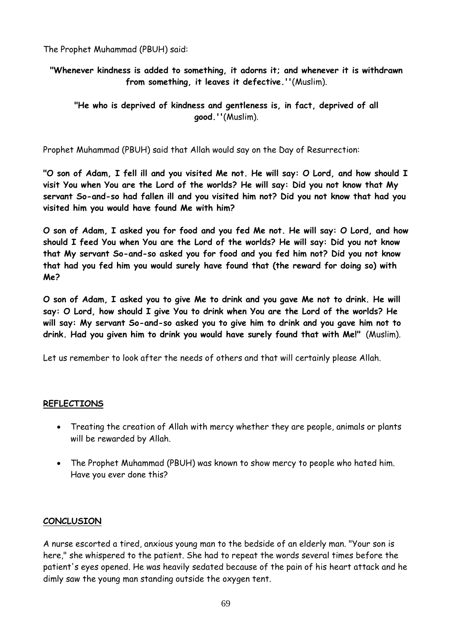The Prophet Muhammad (PBUH) said:

**"Whenever kindness is added to something, it adorns it; and whenever it is withdrawn from something, it leaves it defective.''**(Muslim).

**"He who is deprived of kindness and gentleness is, in fact, deprived of all good.''**(Muslim).

Prophet Muhammad (PBUH) said that Allah would say on the Day of Resurrection:

**"O son of Adam, I fell ill and you visited Me not. He will say: O Lord, and how should I visit You when You are the Lord of the worlds? He will say: Did you not know that My servant So-and-so had fallen ill and you visited him not? Did you not know that had you visited him you would have found Me with him?** 

**O son of Adam, I asked you for food and you fed Me not. He will say: O Lord, and how should I feed You when You are the Lord of the worlds? He will say: Did you not know that My servant So-and-so asked you for food and you fed him not? Did you not know that had you fed him you would surely have found that (the reward for doing so) with Me?** 

**O son of Adam, I asked you to give Me to drink and you gave Me not to drink. He will say: O Lord, how should I give You to drink when You are the Lord of the worlds? He will say: My servant So-and-so asked you to give him to drink and you gave him not to drink. Had you given him to drink you would have surely found that with Me!"** (Muslim).

Let us remember to look after the needs of others and that will certainly please Allah.

### **REFLECTIONS**

- Treating the creation of Allah with mercy whether they are people, animals or plants will be rewarded by Allah.
- The Prophet Muhammad (PBUH) was known to show mercy to people who hated him. Have you ever done this?

### **CONCLUSION**

A nurse escorted a tired, anxious young man to the bedside of an elderly man. "Your son is here," she whispered to the patient. She had to repeat the words several times before the patient's eyes opened. He was heavily sedated because of the pain of his heart attack and he dimly saw the young man standing outside the oxygen tent.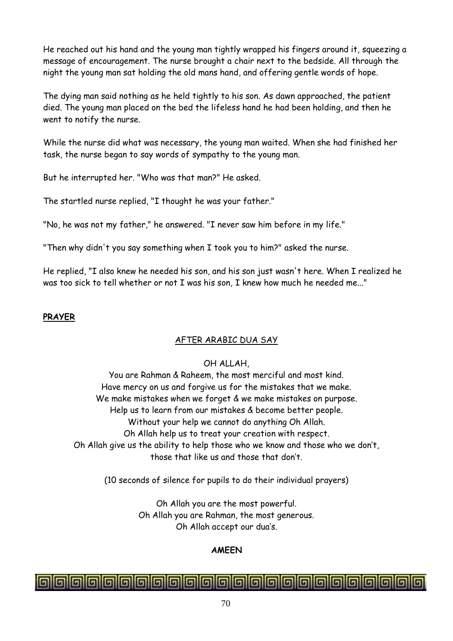He reached out his hand and the young man tightly wrapped his fingers around it, squeezing a message of encouragement. The nurse brought a chair next to the bedside. All through the night the young man sat holding the old mans hand, and offering gentle words of hope.

The dying man said nothing as he held tightly to his son. As dawn approached, the patient died. The young man placed on the bed the lifeless hand he had been holding, and then he went to notify the nurse.

While the nurse did what was necessary, the young man waited. When she had finished her task, the nurse began to say words of sympathy to the young man.

But he interrupted her. "Who was that man?" He asked.

The startled nurse replied, "I thought he was your father."

"No, he was not my father," he answered. "I never saw him before in my life."

"Then why didn't you say something when I took you to him?" asked the nurse.

He replied, "I also knew he needed his son, and his son just wasn't here. When I realized he was too sick to tell whether or not I was his son, I knew how much he needed me..."

### **PRAYER**

### AFTER ARABIC DUA SAY

### OH ALLAH,

You are Rahman & Raheem, the most merciful and most kind. Have mercy on us and forgive us for the mistakes that we make. We make mistakes when we forget & we make mistakes on purpose. Help us to learn from our mistakes & become better people. Without your help we cannot do anything Oh Allah. Oh Allah help us to treat your creation with respect. Oh Allah give us the ability to help those who we know and those who we don't, those that like us and those that don't.

(10 seconds of silence for pupils to do their individual prayers)

Oh Allah you are the most powerful. Oh Allah you are Rahman, the most generous. Oh Allah accept our dua's.

### **AMEEN**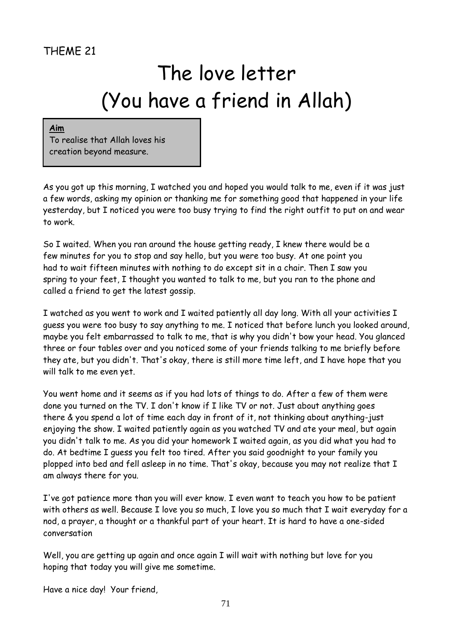## THEME 21

# The love letter (You have a friend in Allah)

### **Aim**

To realise that Allah loves his creation beyond measure.

As you got up this morning, I watched you and hoped you would talk to me, even if it was just a few words, asking my opinion or thanking me for something good that happened in your life yesterday, but I noticed you were too busy trying to find the right outfit to put on and wear to work.

So I waited. When you ran around the house getting ready, I knew there would be a few minutes for you to stop and say hello, but you were too busy. At one point you had to wait fifteen minutes with nothing to do except sit in a chair. Then I saw you spring to your feet, I thought you wanted to talk to me, but you ran to the phone and called a friend to get the latest gossip.

I watched as you went to work and I waited patiently all day long. With all your activities I guess you were too busy to say anything to me. I noticed that before lunch you looked around, maybe you felt embarrassed to talk to me, that is why you didn't bow your head. You glanced three or four tables over and you noticed some of your friends talking to me briefly before they ate, but you didn't. That's okay, there is still more time left, and I have hope that you will talk to me even yet.

You went home and it seems as if you had lots of things to do. After a few of them were done you turned on the TV. I don't know if I like TV or not. Just about anything goes there & you spend a lot of time each day in front of it, not thinking about anything-just enjoying the show. I waited patiently again as you watched TV and ate your meal, but again you didn't talk to me. As you did your homework I waited again, as you did what you had to do. At bedtime I guess you felt too tired. After you said goodnight to your family you plopped into bed and fell asleep in no time. That's okay, because you may not realize that I am always there for you.

I've got patience more than you will ever know. I even want to teach you how to be patient with others as well. Because I love you so much, I love you so much that I wait everyday for a nod, a prayer, a thought or a thankful part of your heart. It is hard to have a one-sided conversation

Well, you are getting up again and once again I will wait with nothing but love for you hoping that today you will give me sometime.

Have a nice day! Your friend,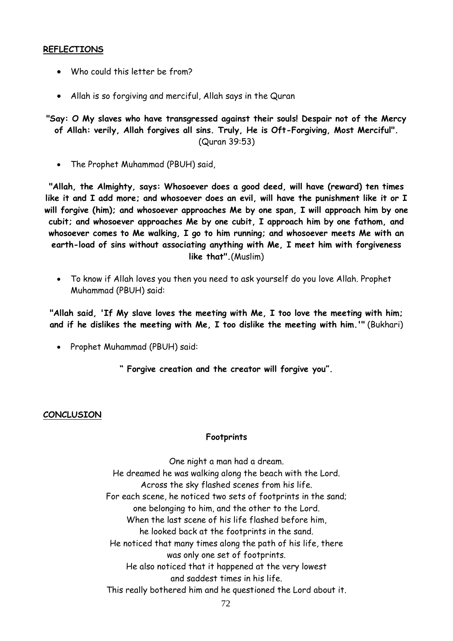### **REFLECTIONS**

- Who could this letter be from?
- Allah is so forgiving and merciful, Allah says in the Quran

**"Say: O My slaves who have transgressed against their souls! Despair not of the Mercy of Allah: verily, Allah forgives all sins. Truly, He is Oft-Forgiving, Most Merciful".** (Quran 39:53)

• The Prophet Muhammad (PBUH) said,

**"Allah, the Almighty, says: Whosoever does a good deed, will have (reward) ten times like it and I add more; and whosoever does an evil, will have the punishment like it or I will forgive (him); and whosoever approaches Me by one span, I will approach him by one cubit; and whosoever approaches Me by one cubit, I approach him by one fathom, and whosoever comes to Me walking, I go to him running; and whosoever meets Me with an earth-load of sins without associating anything with Me, I meet him with forgiveness like that".**(Muslim)

• To know if Allah loves you then you need to ask yourself do you love Allah. Prophet Muhammad (PBUH) said:

**"Allah said, 'If My slave loves the meeting with Me, I too love the meeting with him; and if he dislikes the meeting with Me, I too dislike the meeting with him.'"** (Bukhari)

• Prophet Muhammad (PBUH) said:

**" Forgive creation and the creator will forgive you".**

### **CONCLUSION**

### **Footprints**

One night a man had a dream. He dreamed he was walking along the beach with the Lord. Across the sky flashed scenes from his life. For each scene, he noticed two sets of footprints in the sand; one belonging to him, and the other to the Lord. When the last scene of his life flashed before him, he looked back at the footprints in the sand. He noticed that many times along the path of his life, there was only one set of footprints. He also noticed that it happened at the very lowest and saddest times in his life. This really bothered him and he questioned the Lord about it.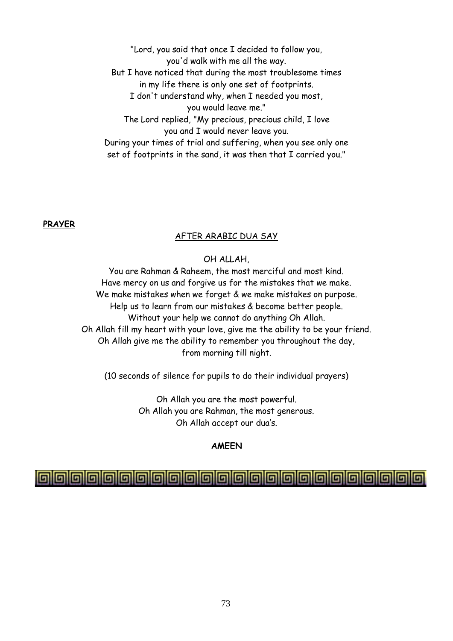"Lord, you said that once I decided to follow you, you'd walk with me all the way. But I have noticed that during the most troublesome times in my life there is only one set of footprints. I don't understand why, when I needed you most, you would leave me." The Lord replied, "My precious, precious child, I love you and I would never leave you. During your times of trial and suffering, when you see only one set of footprints in the sand, it was then that I carried you."

#### **PRAYER**

#### AFTER ARABIC DUA SAY

#### OH ALLAH,

You are Rahman & Raheem, the most merciful and most kind. Have mercy on us and forgive us for the mistakes that we make. We make mistakes when we forget & we make mistakes on purpose. Help us to learn from our mistakes & become better people. Without your help we cannot do anything Oh Allah. Oh Allah fill my heart with your love, give me the ability to be your friend. Oh Allah give me the ability to remember you throughout the day, from morning till night.

(10 seconds of silence for pupils to do their individual prayers)

Oh Allah you are the most powerful. Oh Allah you are Rahman, the most generous. Oh Allah accept our dua's.

#### **AMEEN**

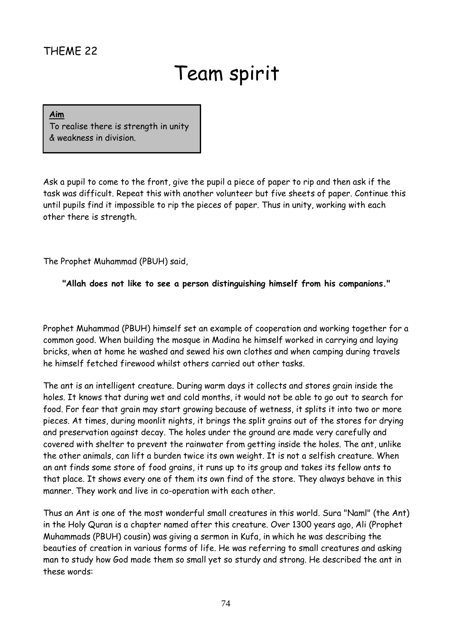### THEME 22

## Team spirit

**Aim**

To realise there is strength in unity

& weakness in division.

Ask a pupil to come to the front, give the pupil a piece of paper to rip and then ask if the task was difficult. Repeat this with another volunteer but five sheets of paper. Continue this until pupils find it impossible to rip the pieces of paper. Thus in unity, working with each other there is strength.

The Prophet Muhammad (PBUH) said,

**"Allah does not like to see a person distinguishing himself from his companions."**

Prophet Muhammad (PBUH) himself set an example of cooperation and working together for a common good. When building the mosque in Madina he himself worked in carrying and laying bricks, when at home he washed and sewed his own clothes and when camping during travels he himself fetched firewood whilst others carried out other tasks.

The ant is an intelligent creature. During warm days it collects and stores grain inside the holes. It knows that during wet and cold months, it would not be able to go out to search for food. For fear that grain may start growing because of wetness, it splits it into two or more pieces. At times, during moonlit nights, it brings the split grains out of the stores for drying and preservation against decay. The holes under the ground are made very carefully and covered with shelter to prevent the rainwater from getting inside the holes. The ant, unlike the other animals, can lift a burden twice its own weight. It is not a selfish creature. When an ant finds some store of food grains, it runs up to its group and takes its fellow ants to that place. It shows every one of them its own find of the store. They always behave in this manner. They work and live in co-operation with each other.

Thus an Ant is one of the most wonderful small creatures in this world. Sura "Naml" (the Ant) in the Holy Quran is a chapter named after this creature. Over 1300 years ago, Ali (Prophet Muhammads (PBUH) cousin) was giving a sermon in Kufa, in which he was describing the beauties of creation in various forms of life. He was referring to small creatures and asking man to study how God made them so small yet so sturdy and strong. He described the ant in these words: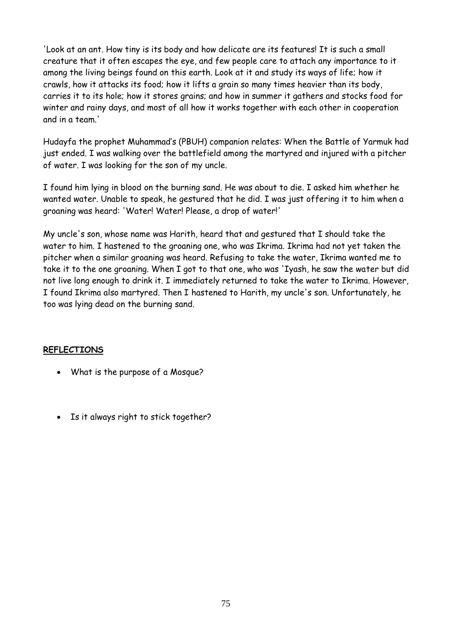'Look at an ant. How tiny is its body and how delicate are its features! It is such a small creature that it often escapes the eye, and few people care to attach any importance to it among the living beings found on this earth. Look at it and study its ways of life; how it crawls, how it attacks its food; how it lifts a grain so many times heavier than its body, carries it to its hole; how it stores grains; and how in summer it gathers and stocks food for winter and rainy days, and most of all how it works together with each other in cooperation and in a team.'

Hudayfa the prophet Muhammad's (PBUH) companion relates: When the Battle of Yarmuk had just ended. I was walking over the battlefield among the martyred and injured with a pitcher of water. I was looking for the son of my uncle.

I found him lying in blood on the burning sand. He was about to die. I asked him whether he wanted water. Unable to speak, he gestured that he did. I was just offering it to him when a groaning was heard: 'Water! Water! Please, a drop of water!'

My uncle's son, whose name was Harith, heard that and gestured that I should take the water to him. I hastened to the groaning one, who was Ikrima. Ikrima had not yet taken the pitcher when a similar groaning was heard. Refusing to take the water, Ikrima wanted me to take it to the one groaning. When I got to that one, who was 'Iyash, he saw the water but did not live long enough to drink it. I immediately returned to take the water to Ikrima. However, I found Ikrima also martyred. Then I hastened to Harith, my uncle's son. Unfortunately, he too was lying dead on the burning sand.

#### **REFLECTIONS**

- What is the purpose of a Mosque?
- Is it always right to stick together?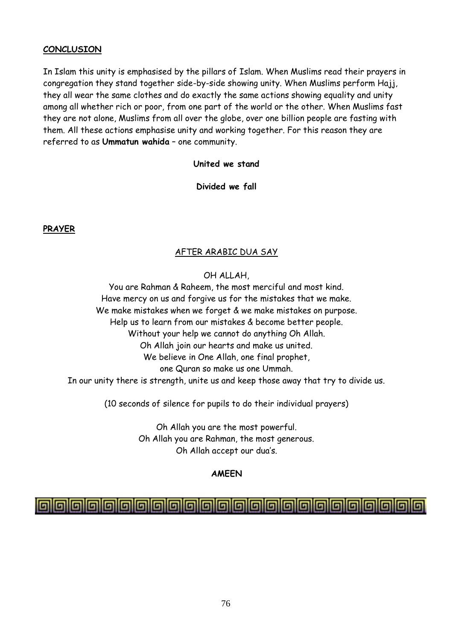#### **CONCLUSION**

In Islam this unity is emphasised by the pillars of Islam. When Muslims read their prayers in congregation they stand together side-by-side showing unity. When Muslims perform Hajj, they all wear the same clothes and do exactly the same actions showing equality and unity among all whether rich or poor, from one part of the world or the other. When Muslims fast they are not alone, Muslims from all over the globe, over one billion people are fasting with them. All these actions emphasise unity and working together. For this reason they are referred to as **Ummatun wahida** – one community.

#### **United we stand**

**Divided we fall**

#### **PRAYER**

#### AFTER ARABIC DUA SAY

OH ALLAH,

You are Rahman & Raheem, the most merciful and most kind. Have mercy on us and forgive us for the mistakes that we make. We make mistakes when we forget & we make mistakes on purpose. Help us to learn from our mistakes & become better people. Without your help we cannot do anything Oh Allah. Oh Allah join our hearts and make us united. We believe in One Allah, one final prophet, one Quran so make us one Ummah. In our unity there is strength, unite us and keep those away that try to divide us.

(10 seconds of silence for pupils to do their individual prayers)

Oh Allah you are the most powerful. Oh Allah you are Rahman, the most generous. Oh Allah accept our dua's.

#### **AMEEN**

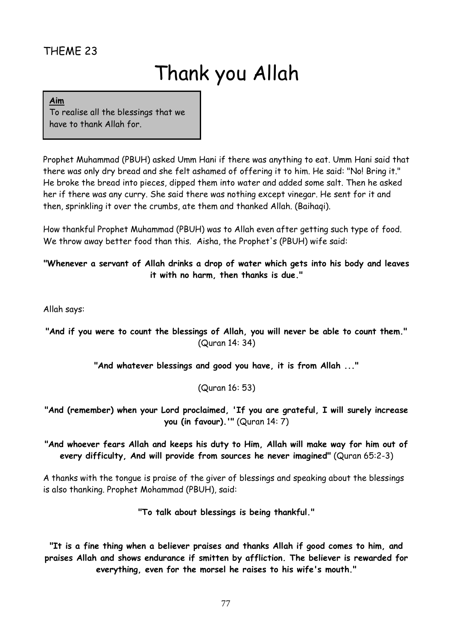### THEME 23

## Thank you Allah

**Aim**

To realise all the blessings that we have to thank Allah for.

Prophet Muhammad (PBUH) asked Umm Hani if there was anything to eat. Umm Hani said that there was only dry bread and she felt ashamed of offering it to him. He said: "No! Bring it." He broke the bread into pieces, dipped them into water and added some salt. Then he asked her if there was any curry. She said there was nothing except vinegar. He sent for it and then, sprinkling it over the crumbs, ate them and thanked Allah. (Baihaqi).

How thankful Prophet Muhammad (PBUH) was to Allah even after getting such type of food. We throw away better food than this. Aisha, the Prophet's (PBUH) wife said:

#### **"Whenever a servant of Allah drinks a drop of water which gets into his body and leaves it with no harm, then thanks is due."**

Allah says:

**"And if you were to count the blessings of Allah, you will never be able to count them."**  (Quran 14: 34)

**"And whatever blessings and good you have, it is from Allah ..."** 

(Quran 16: 53)

**"And (remember) when your Lord proclaimed, 'If you are grateful, I will surely increase you (in favour).'"** (Quran 14: 7)

**"And whoever fears Allah and keeps his duty to Him, Allah will make way for him out of every difficulty, And will provide from sources he never imagined"** (Quran 65:2-3)

A thanks with the tongue is praise of the giver of blessings and speaking about the blessings is also thanking. Prophet Mohammad (PBUH), said:

**"To talk about blessings is being thankful."**

**"It is a fine thing when a believer praises and thanks Allah if good comes to him, and praises Allah and shows endurance if smitten by affliction. The believer is rewarded for everything, even for the morsel he raises to his wife's mouth."**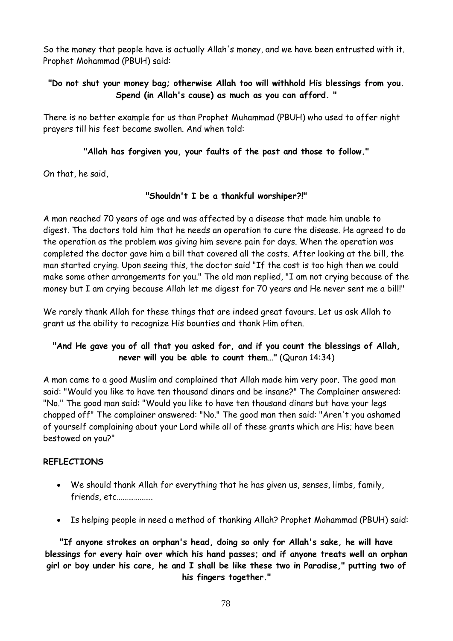So the money that people have is actually Allah's money, and we have been entrusted with it. Prophet Mohammad (PBUH) said:

#### **"Do not shut your money bag; otherwise Allah too will withhold His blessings from you. Spend (in Allah's cause) as much as you can afford. "**

There is no better example for us than Prophet Muhammad (PBUH) who used to offer night prayers till his feet became swollen. And when told:

#### **"Allah has forgiven you, your faults of the past and those to follow."**

On that, he said,

#### **"Shouldn't I be a thankful worshiper?!"**

A man reached 70 years of age and was affected by a disease that made him unable to digest. The doctors told him that he needs an operation to cure the disease. He agreed to do the operation as the problem was giving him severe pain for days. When the operation was completed the doctor gave him a bill that covered all the costs. After looking at the bill, the man started crying. Upon seeing this, the doctor said "If the cost is too high then we could make some other arrangements for you." The old man replied, "I am not crying because of the money but I am crying because Allah let me digest for 70 years and He never sent me a bill!"

We rarely thank Allah for these things that are indeed great favours. Let us ask Allah to grant us the ability to recognize His bounties and thank Him often.

#### **"And He gave you of all that you asked for, and if you count the blessings of Allah, never will you be able to count them…"** (Quran 14:34)

A man came to a good Muslim and complained that Allah made him very poor. The good man said: "Would you like to have ten thousand dinars and be insane?" The Complainer answered: "No." The good man said: "Would you like to have ten thousand dinars but have your legs chopped off" The complainer answered: "No." The good man then said: "Aren't you ashamed of yourself complaining about your Lord while all of these grants which are His; have been bestowed on you?"

#### **REFLECTIONS**

- We should thank Allah for everything that he has given us, senses, limbs, family, friends, etc……………….
- Is helping people in need a method of thanking Allah? Prophet Mohammad (PBUH) said:

**"If anyone strokes an orphan's head, doing so only for Allah's sake, he will have blessings for every hair over which his hand passes; and if anyone treats well an orphan girl or boy under his care, he and I shall be like these two in Paradise," putting two of his fingers together."**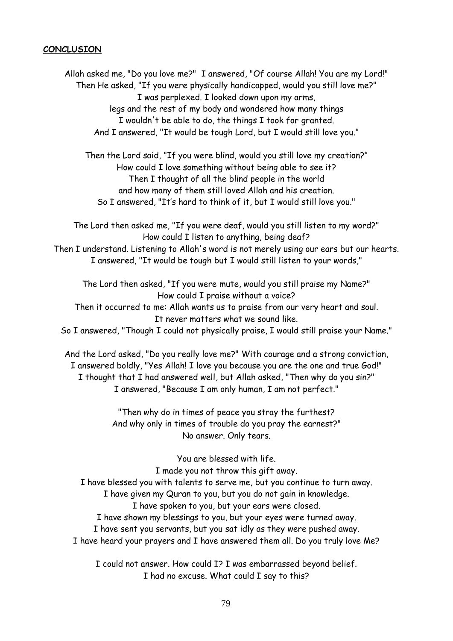#### **CONCLUSION**

Allah asked me, "Do you love me?" I answered, "Of course Allah! You are my Lord!" Then He asked, "If you were physically handicapped, would you still love me?" I was perplexed. I looked down upon my arms, legs and the rest of my body and wondered how many things I wouldn't be able to do, the things I took for granted. And I answered, "It would be tough Lord, but I would still love you."

Then the Lord said, "If you were blind, would you still love my creation?" How could I love something without being able to see it? Then I thought of all the blind people in the world and how many of them still loved Allah and his creation. So I answered, "It's hard to think of it, but I would still love you."

The Lord then asked me, "If you were deaf, would you still listen to my word?" How could I listen to anything, being deaf?

Then I understand. Listening to Allah's word is not merely using our ears but our hearts. I answered, "It would be tough but I would still listen to your words,"

The Lord then asked, "If you were mute, would you still praise my Name?" How could I praise without a voice?

Then it occurred to me: Allah wants us to praise from our very heart and soul. It never matters what we sound like.

So I answered, "Though I could not physically praise, I would still praise your Name."

And the Lord asked, "Do you really love me?" With courage and a strong conviction, I answered boldly, "Yes Allah! I love you because you are the one and true God!" I thought that I had answered well, but Allah asked, "Then why do you sin?" I answered, "Because I am only human, I am not perfect."

> "Then why do in times of peace you stray the furthest? And why only in times of trouble do you pray the earnest?" No answer. Only tears.

> > You are blessed with life.

I made you not throw this gift away.

I have blessed you with talents to serve me, but you continue to turn away.

I have given my Quran to you, but you do not gain in knowledge. I have spoken to you, but your ears were closed.

I have shown my blessings to you, but your eyes were turned away.

I have sent you servants, but you sat idly as they were pushed away.

I have heard your prayers and I have answered them all. Do you truly love Me?

I could not answer. How could I? I was embarrassed beyond belief. I had no excuse. What could I say to this?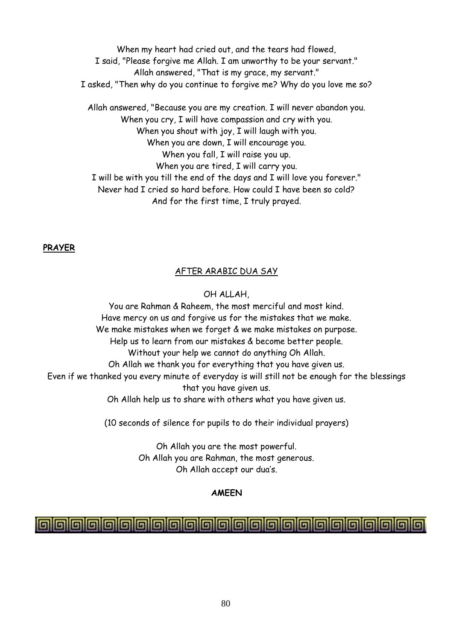When my heart had cried out, and the tears had flowed, I said, "Please forgive me Allah. I am unworthy to be your servant." Allah answered, "That is my grace, my servant." I asked, "Then why do you continue to forgive me? Why do you love me so?

Allah answered, "Because you are my creation. I will never abandon you. When you cry, I will have compassion and cry with you. When you shout with joy, I will laugh with you. When you are down, I will encourage you. When you fall, I will raise you up. When you are tired, I will carry you. I will be with you till the end of the days and I will love you forever." Never had I cried so hard before. How could I have been so cold? And for the first time, I truly prayed.

#### **PRAYER**

#### AFTER ARABIC DUA SAY

OH ALLAH,

You are Rahman & Raheem, the most merciful and most kind. Have mercy on us and forgive us for the mistakes that we make. We make mistakes when we forget & we make mistakes on purpose. Help us to learn from our mistakes & become better people. Without your help we cannot do anything Oh Allah. Oh Allah we thank you for everything that you have given us. Even if we thanked you every minute of everyday is will still not be enough for the blessings that you have given us. Oh Allah help us to share with others what you have given us.

(10 seconds of silence for pupils to do their individual prayers)

Oh Allah you are the most powerful. Oh Allah you are Rahman, the most generous. Oh Allah accept our dua's.

#### **AMEEN**

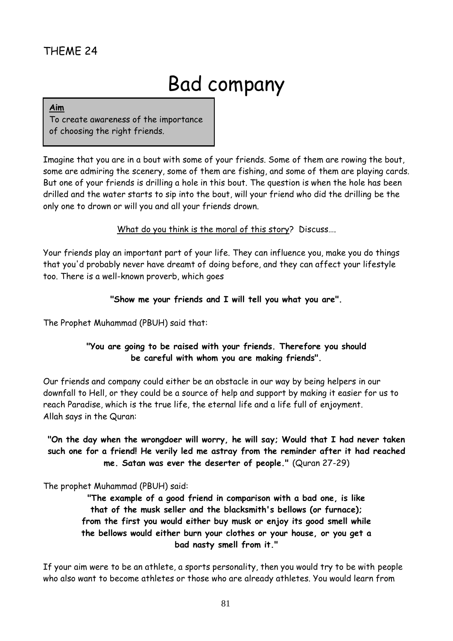# Bad company

#### **Aim**

To create awareness of the importance of choosing the right friends.

Imagine that you are in a bout with some of your friends. Some of them are rowing the bout, some are admiring the scenery, some of them are fishing, and some of them are playing cards. But one of your friends is drilling a hole in this bout. The question is when the hole has been drilled and the water starts to sip into the bout, will your friend who did the drilling be the only one to drown or will you and all your friends drown.

#### What do you think is the moral of this story? Discuss….

Your friends play an important part of your life. They can influence you, make you do things that you'd probably never have dreamt of doing before, and they can affect your lifestyle too. There is a well-known proverb, which goes

#### **"Show me your friends and I will tell you what you are".**

The Prophet Muhammad (PBUH) said that:

#### **"You are going to be raised with your friends. Therefore you should be careful with whom you are making friends".**

Our friends and company could either be an obstacle in our way by being helpers in our downfall to Hell, or they could be a source of help and support by making it easier for us to reach Paradise, which is the true life, the eternal life and a life full of enjoyment. Allah says in the Quran:

**"On the day when the wrongdoer will worry, he will say; Would that I had never taken such one for a friend! He verily led me astray from the reminder after it had reached me. Satan was ever the deserter of people."** (Quran 27-29)

#### The prophet Muhammad (PBUH) said:

**"The example of a good friend in comparison with a bad one, is like that of the musk seller and the blacksmith's bellows (or furnace); from the first you would either buy musk or enjoy its good smell while the bellows would either burn your clothes or your house, or you get a bad nasty smell from it."**

If your aim were to be an athlete, a sports personality, then you would try to be with people who also want to become athletes or those who are already athletes. You would learn from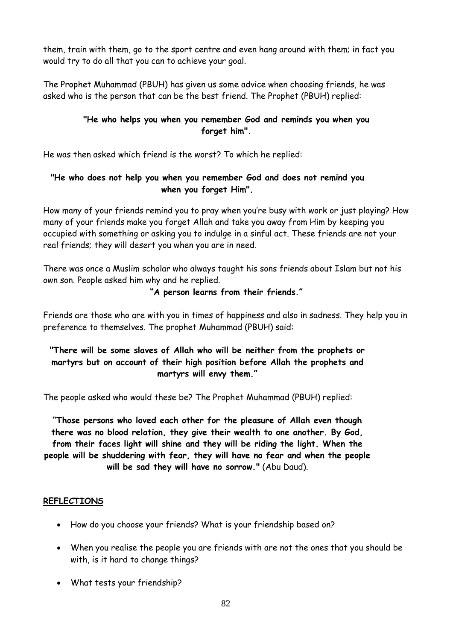them, train with them, go to the sport centre and even hang around with them; in fact you would try to do all that you can to achieve your goal.

The Prophet Muhammad (PBUH) has given us some advice when choosing friends, he was asked who is the person that can be the best friend. The Prophet (PBUH) replied:

#### **"He who helps you when you remember God and reminds you when you forget him".**

He was then asked which friend is the worst? To which he replied:

#### **"He who does not help you when you remember God and does not remind you when you forget Him".**

How many of your friends remind you to pray when you're busy with work or just playing? How many of your friends make you forget Allah and take you away from Him by keeping you occupied with something or asking you to indulge in a sinful act. These friends are not your real friends; they will desert you when you are in need.

There was once a Muslim scholar who always taught his sons friends about Islam but not his own son. People asked him why and he replied.

#### **"A person learns from their friends."**

Friends are those who are with you in times of happiness and also in sadness. They help you in preference to themselves. The prophet Muhammad (PBUH) said:

#### **"There will be some slaves of Allah who will be neither from the prophets or martyrs but on account of their high position before Allah the prophets and martyrs will envy them."**

The people asked who would these be? The Prophet Muhammad (PBUH) replied:

**"Those persons who loved each other for the pleasure of Allah even though there was no blood relation, they give their wealth to one another. By God, from their faces light will shine and they will be riding the light. When the people will be shuddering with fear, they will have no fear and when the people will be sad they will have no sorrow."** (Abu Daud).

#### **REFLECTIONS**

- How do you choose your friends? What is your friendship based on?
- When you realise the people you are friends with are not the ones that you should be with, is it hard to change things?
- What tests your friendship?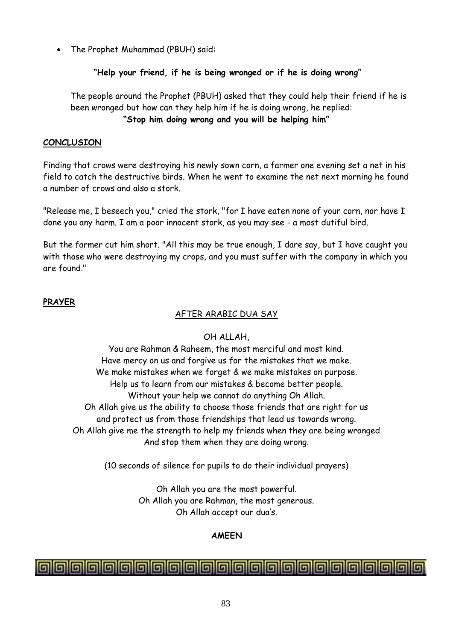• The Prophet Muhammad (PBUH) said:

#### **"Help your friend, if he is being wronged or if he is doing wrong"**

The people around the Prophet (PBUH) asked that they could help their friend if he is been wronged but how can they help him if he is doing wrong, he replied: **"Stop him doing wrong and you will be helping him"**

#### **CONCLUSION**

Finding that crows were destroying his newly sown corn, a farmer one evening set a net in his field to catch the destructive birds. When he went to examine the net next morning he found a number of crows and also a stork.

"Release me, I beseech you," cried the stork, "for I have eaten none of your corn, nor have I done you any harm. I am a poor innocent stork, as you may see - a most dutiful bird.

But the farmer cut him short. "All this may be true enough, I dare say, but I have caught you with those who were destroying my crops, and you must suffer with the company in which you are found."

#### **PRAYER**

#### AFTER ARABIC DUA SAY

#### OH ALLAH,

You are Rahman & Raheem, the most merciful and most kind. Have mercy on us and forgive us for the mistakes that we make. We make mistakes when we forget & we make mistakes on purpose. Help us to learn from our mistakes & become better people. Without your help we cannot do anything Oh Allah. Oh Allah give us the ability to choose those friends that are right for us and protect us from those friendships that lead us towards wrong. Oh Allah give me the strength to help my friends when they are being wronged And stop them when they are doing wrong.

(10 seconds of silence for pupils to do their individual prayers)

Oh Allah you are the most powerful. Oh Allah you are Rahman, the most generous. Oh Allah accept our dua's.

#### **AMEEN**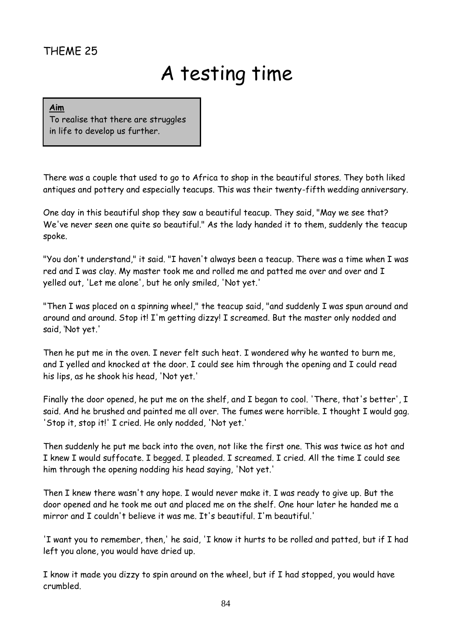### THEME 25

## A testing time

#### **Aim**

To realise that there are struggles in life to develop us further.

There was a couple that used to go to Africa to shop in the beautiful stores. They both liked antiques and pottery and especially teacups. This was their twenty-fifth wedding anniversary.

One day in this beautiful shop they saw a beautiful teacup. They said, "May we see that? We've never seen one quite so beautiful." As the lady handed it to them, suddenly the teacup spoke.

"You don't understand," it said. "I haven't always been a teacup. There was a time when I was red and I was clay. My master took me and rolled me and patted me over and over and I yelled out, 'Let me alone', but he only smiled, 'Not yet.'

"Then I was placed on a spinning wheel," the teacup said, "and suddenly I was spun around and around and around. Stop it! I'm getting dizzy! I screamed. But the master only nodded and said, 'Not yet.'

Then he put me in the oven. I never felt such heat. I wondered why he wanted to burn me, and I yelled and knocked at the door. I could see him through the opening and I could read his lips, as he shook his head, 'Not yet.'

Finally the door opened, he put me on the shelf, and I began to cool. 'There, that's better', I said. And he brushed and painted me all over. The fumes were horrible. I thought I would gag. 'Stop it, stop it!' I cried. He only nodded, 'Not yet.'

Then suddenly he put me back into the oven, not like the first one. This was twice as hot and I knew I would suffocate. I begged. I pleaded. I screamed. I cried. All the time I could see him through the opening nodding his head saying, 'Not yet.'

Then I knew there wasn't any hope. I would never make it. I was ready to give up. But the door opened and he took me out and placed me on the shelf. One hour later he handed me a mirror and I couldn't believe it was me. It's beautiful. I'm beautiful.'

'I want you to remember, then,' he said, 'I know it hurts to be rolled and patted, but if I had left you alone, you would have dried up.

I know it made you dizzy to spin around on the wheel, but if I had stopped, you would have crumbled.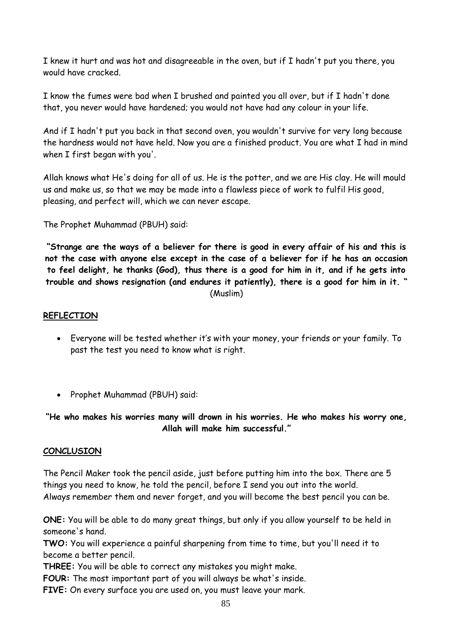I knew it hurt and was hot and disagreeable in the oven, but if I hadn't put you there, you would have cracked.

I know the fumes were bad when I brushed and painted you all over, but if I hadn't done that, you never would have hardened; you would not have had any colour in your life.

And if I hadn't put you back in that second oven, you wouldn't survive for very long because the hardness would not have held. Now you are a finished product. You are what I had in mind when I first began with you'.

Allah knows what He's doing for all of us. He is the potter, and we are His clay. He will mould us and make us, so that we may be made into a flawless piece of work to fulfil His good, pleasing, and perfect will, which we can never escape.

The Prophet Muhammad (PBUH) said:

**"Strange are the ways of a believer for there is good in every affair of his and this is not the case with anyone else except in the case of a believer for if he has an occasion to feel delight, he thanks (God), thus there is a good for him in it, and if he gets into trouble and shows resignation (and endures it patiently), there is a good for him in it. "** (Muslim)

#### **REFLECTION**

- Everyone will be tested whether it's with your money, your friends or your family. To past the test you need to know what is right.
- Prophet Muhammad (PBUH) said:

#### **"He who makes his worries many will drown in his worries. He who makes his worry one, Allah will make him successful."**

#### **CONCLUSION**

The Pencil Maker took the pencil aside, just before putting him into the box. There are 5 things you need to know, he told the pencil, before I send you out into the world. Always remember them and never forget, and you will become the best pencil you can be.

**ONE:** You will be able to do many great things, but only if you allow yourself to be held in someone's hand.

**TWO:** You will experience a painful sharpening from time to time, but you'll need it to become a better pencil.

**THREE:** You will be able to correct any mistakes you might make.

**FOUR:** The most important part of you will always be what's inside.

**FIVE:** On every surface you are used on, you must leave your mark.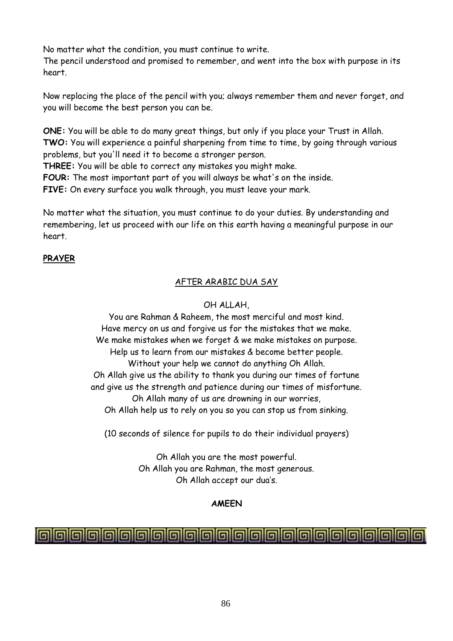No matter what the condition, you must continue to write.

The pencil understood and promised to remember, and went into the box with purpose in its heart.

Now replacing the place of the pencil with you; always remember them and never forget, and you will become the best person you can be.

**ONE:** You will be able to do many great things, but only if you place your Trust in Allah. **TWO:** You will experience a painful sharpening from time to time, by going through various problems, but you'll need it to become a stronger person.

**THREE:** You will be able to correct any mistakes you might make.

**FOUR:** The most important part of you will always be what's on the inside.

**FIVE:** On every surface you walk through, you must leave your mark.

No matter what the situation, you must continue to do your duties. By understanding and remembering, let us proceed with our life on this earth having a meaningful purpose in our heart.

#### **PRAYER**

#### AFTER ARABIC DUA SAY

#### OH ALLAH,

You are Rahman & Raheem, the most merciful and most kind. Have mercy on us and forgive us for the mistakes that we make. We make mistakes when we forget & we make mistakes on purpose. Help us to learn from our mistakes & become better people. Without your help we cannot do anything Oh Allah. Oh Allah give us the ability to thank you during our times of fortune and give us the strength and patience during our times of misfortune. Oh Allah many of us are drowning in our worries, Oh Allah help us to rely on you so you can stop us from sinking.

(10 seconds of silence for pupils to do their individual prayers)

Oh Allah you are the most powerful. Oh Allah you are Rahman, the most generous. Oh Allah accept our dua's.

#### **AMEEN**

###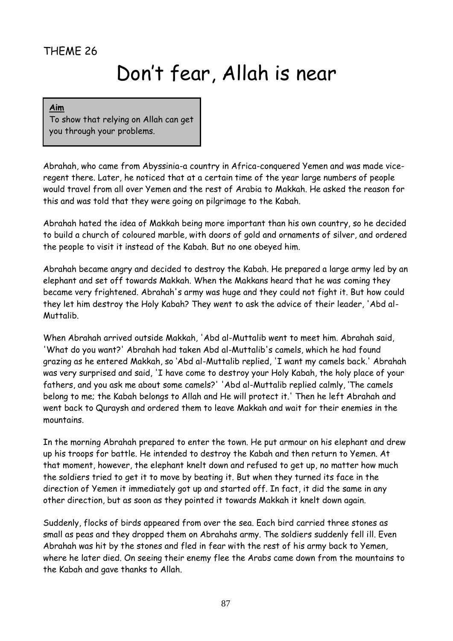# Don't fear, Allah is near

#### **Aim**

To show that relying on Allah can get you through your problems.

Abrahah, who came from Abyssinia-a country in Africa-conquered Yemen and was made viceregent there. Later, he noticed that at a certain time of the year large numbers of people would travel from all over Yemen and the rest of Arabia to Makkah. He asked the reason for this and was told that they were going on pilgrimage to the Kabah.

Abrahah hated the idea of Makkah being more important than his own country, so he decided to build a church of coloured marble, with doors of gold and ornaments of silver, and ordered the people to visit it instead of the Kabah. But no one obeyed him.

Abrahah became angry and decided to destroy the Kabah. He prepared a large army led by an elephant and set off towards Makkah. When the Makkans heard that he was coming they became very frightened. Abrahah's army was huge and they could not fight it. But how could they let him destroy the Holy Kabah? They went to ask the advice of their leader, 'Abd al-Muttalib.

When Abrahah arrived outside Makkah, 'Abd al-Muttalib went to meet him. Abrahah said, 'What do you want?' Abrahah had taken Abd al-Muttalib's camels, which he had found grazing as he entered Makkah, so 'Abd al-Muttalib replied, 'I want my camels back.' Abrahah was very surprised and said, 'I have come to destroy your Holy Kabah, the holy place of your fathers, and you ask me about some camels?' 'Abd al-Muttalib replied calmly, 'The camels belong to me; the Kabah belongs to Allah and He will protect it.' Then he left Abrahah and went back to Quraysh and ordered them to leave Makkah and wait for their enemies in the mountains.

In the morning Abrahah prepared to enter the town. He put armour on his elephant and drew up his troops for battle. He intended to destroy the Kabah and then return to Yemen. At that moment, however, the elephant knelt down and refused to get up, no matter how much the soldiers tried to get it to move by beating it. But when they turned its face in the direction of Yemen it immediately got up and started off. In fact, it did the same in any other direction, but as soon as they pointed it towards Makkah it knelt down again.

Suddenly, flocks of birds appeared from over the sea. Each bird carried three stones as small as peas and they dropped them on Abrahahs army. The soldiers suddenly fell ill. Even Abrahah was hit by the stones and fled in fear with the rest of his army back to Yemen, where he later died. On seeing their enemy flee the Arabs came down from the mountains to the Kabah and gave thanks to Allah.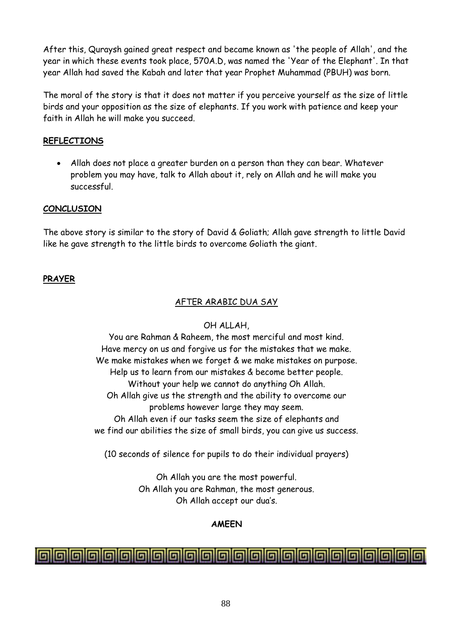After this, Quraysh gained great respect and became known as 'the people of Allah', and the year in which these events took place, 570A.D, was named the 'Year of the Elephant'. In that year Allah had saved the Kabah and later that year Prophet Muhammad (PBUH) was born.

The moral of the story is that it does not matter if you perceive yourself as the size of little birds and your opposition as the size of elephants. If you work with patience and keep your faith in Allah he will make you succeed.

#### **REFLECTIONS**

• Allah does not place a greater burden on a person than they can bear. Whatever problem you may have, talk to Allah about it, rely on Allah and he will make you successful.

#### **CONCLUSION**

The above story is similar to the story of David & Goliath; Allah gave strength to little David like he gave strength to the little birds to overcome Goliath the giant.

#### **PRAYER**

#### AFTER ARABIC DUA SAY

#### OH ALLAH,

You are Rahman & Raheem, the most merciful and most kind. Have mercy on us and forgive us for the mistakes that we make. We make mistakes when we forget & we make mistakes on purpose. Help us to learn from our mistakes & become better people. Without your help we cannot do anything Oh Allah. Oh Allah give us the strength and the ability to overcome our problems however large they may seem. Oh Allah even if our tasks seem the size of elephants and we find our abilities the size of small birds, you can give us success.

(10 seconds of silence for pupils to do their individual prayers)

Oh Allah you are the most powerful. Oh Allah you are Rahman, the most generous. Oh Allah accept our dua's.

#### **AMEEN**

la. la I۵ **I** En **I** É Гī l Gr **In In** la I۵ I۵ **The**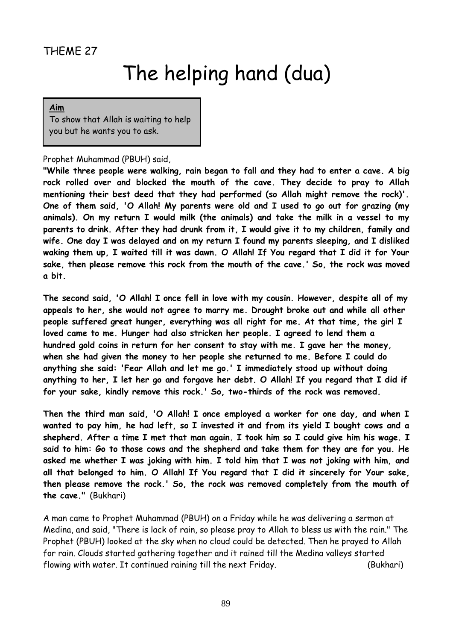### THEME 27

## The helping hand (dua)

**Aim**

To show that Allah is waiting to help you but he wants you to ask.

Prophet Muhammad (PBUH) said,

**"While three people were walking, rain began to fall and they had to enter a cave. A big rock rolled over and blocked the mouth of the cave. They decide to pray to Allah mentioning their best deed that they had performed (so Allah might remove the rock)'. One of them said, 'O Allah! My parents were old and I used to go out for grazing (my animals). On my return I would milk (the animals) and take the milk in a vessel to my parents to drink. After they had drunk from it, I would give it to my children, family and wife. One day I was delayed and on my return I found my parents sleeping, and I disliked waking them up, I waited till it was dawn. O Allah! If You regard that I did it for Your sake, then please remove this rock from the mouth of the cave.' So, the rock was moved a bit.** 

**The second said, 'O Allah! I once fell in love with my cousin. However, despite all of my appeals to her, she would not agree to marry me. Drought broke out and while all other people suffered great hunger, everything was all right for me. At that time, the girl I loved came to me. Hunger had also stricken her people. I agreed to lend them a hundred gold coins in return for her consent to stay with me. I gave her the money, when she had given the money to her people she returned to me. Before I could do anything she said: 'Fear Allah and let me go.' I immediately stood up without doing anything to her, I let her go and forgave her debt. O Allah! If you regard that I did if for your sake, kindly remove this rock.' So, two-thirds of the rock was removed.** 

**Then the third man said, 'O Allah! I once employed a worker for one day, and when I wanted to pay him, he had left, so I invested it and from its yield I bought cows and a shepherd. After a time I met that man again. I took him so I could give him his wage. I said to him: Go to those cows and the shepherd and take them for they are for you. He asked me whether I was joking with him. I told him that I was not joking with him, and all that belonged to him. O Allah! If You regard that I did it sincerely for Your sake, then please remove the rock.' So, the rock was removed completely from the mouth of the cave."** (Bukhari)

A man came to Prophet Muhammad (PBUH) on a Friday while he was delivering a sermon at Medina, and said, "There is lack of rain, so please pray to Allah to bless us with the rain." The Prophet (PBUH) looked at the sky when no cloud could be detected. Then he prayed to Allah for rain. Clouds started gathering together and it rained till the Medina valleys started flowing with water. It continued raining till the next Friday. (Bukhari)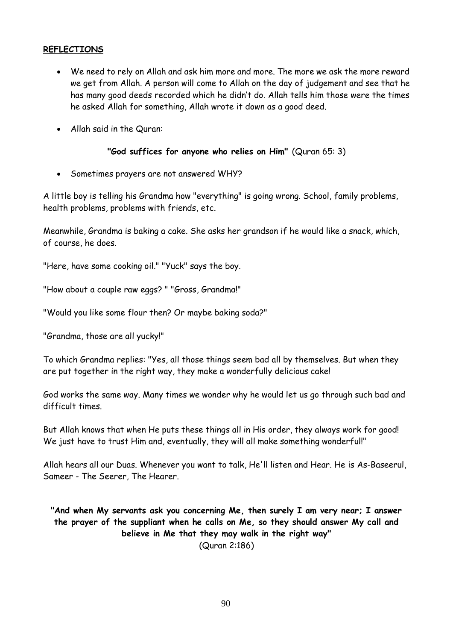#### **REFLECTIONS**

- We need to rely on Allah and ask him more and more. The more we ask the more reward we get from Allah. A person will come to Allah on the day of judgement and see that he has many good deeds recorded which he didn't do. Allah tells him those were the times he asked Allah for something, Allah wrote it down as a good deed.
- Allah said in the Quran:

#### **"God suffices for anyone who relies on Him"** (Quran 65: 3)

• Sometimes prayers are not answered WHY?

A little boy is telling his Grandma how "everything" is going wrong. School, family problems, health problems, problems with friends, etc.

Meanwhile, Grandma is baking a cake. She asks her grandson if he would like a snack, which, of course, he does.

"Here, have some cooking oil." "Yuck" says the boy.

"How about a couple raw eggs? " "Gross, Grandma!"

"Would you like some flour then? Or maybe baking soda?"

"Grandma, those are all yucky!"

To which Grandma replies: "Yes, all those things seem bad all by themselves. But when they are put together in the right way, they make a wonderfully delicious cake!

God works the same way. Many times we wonder why he would let us go through such bad and difficult times.

But Allah knows that when He puts these things all in His order, they always work for good! We just have to trust Him and, eventually, they will all make something wonderful!"

Allah hears all our Duas. Whenever you want to talk, He'll listen and Hear. He is As-Baseerul, Sameer - The Seerer, The Hearer.

#### **"And when My servants ask you concerning Me, then surely I am very near; I answer the prayer of the suppliant when he calls on Me, so they should answer My call and believe in Me that they may walk in the right way"** (Quran 2:186)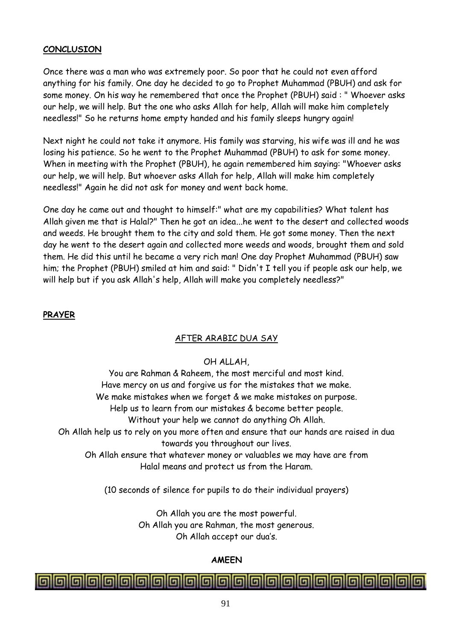#### **CONCLUSION**

Once there was a man who was extremely poor. So poor that he could not even afford anything for his family. One day he decided to go to Prophet Muhammad (PBUH) and ask for some money. On his way he remembered that once the Prophet (PBUH) said : " Whoever asks our help, we will help. But the one who asks Allah for help, Allah will make him completely needless!" So he returns home empty handed and his family sleeps hungry again!

Next night he could not take it anymore. His family was starving, his wife was ill and he was losing his patience. So he went to the Prophet Muhammad (PBUH) to ask for some money. When in meeting with the Prophet (PBUH), he again remembered him saying: "Whoever asks our help, we will help. But whoever asks Allah for help, Allah will make him completely needless!" Again he did not ask for money and went back home.

One day he came out and thought to himself:" what are my capabilities? What talent has Allah given me that is Halal?" Then he got an idea...he went to the desert and collected woods and weeds. He brought them to the city and sold them. He got some money. Then the next day he went to the desert again and collected more weeds and woods, brought them and sold them. He did this until he became a very rich man! One day Prophet Muhammad (PBUH) saw him; the Prophet (PBUH) smiled at him and said: " Didn't I tell you if people ask our help, we will help but if you ask Allah's help, Allah will make you completely needless?"

#### **PRAYER**

#### AFTER ARABIC DUA SAY

#### OH ALLAH,

You are Rahman & Raheem, the most merciful and most kind. Have mercy on us and forgive us for the mistakes that we make. We make mistakes when we forget & we make mistakes on purpose. Help us to learn from our mistakes & become better people. Without your help we cannot do anything Oh Allah. Oh Allah help us to rely on you more often and ensure that our hands are raised in dua towards you throughout our lives. Oh Allah ensure that whatever money or valuables we may have are from Halal means and protect us from the Haram.

(10 seconds of silence for pupils to do their individual prayers)

Oh Allah you are the most powerful. Oh Allah you are Rahman, the most generous. Oh Allah accept our dua's.

#### **AMEEN**

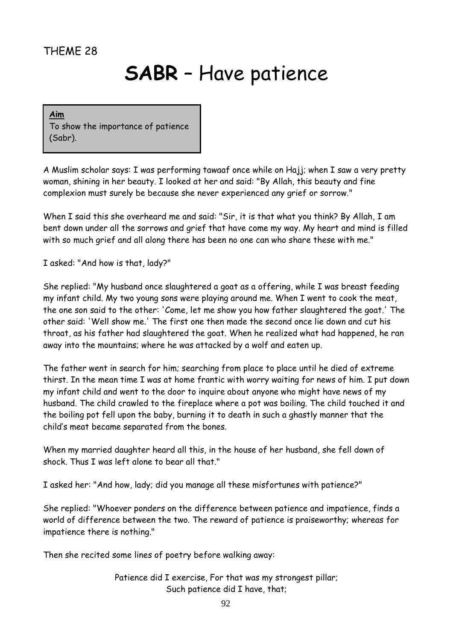## **SABR** – Have patience

**Aim** To show the importance of patience (Sabr).

A Muslim scholar says: I was performing tawaaf once while on Hajj; when I saw a very pretty woman, shining in her beauty. I looked at her and said: "By Allah, this beauty and fine complexion must surely be because she never experienced any grief or sorrow."

When I said this she overheard me and said: "Sir, it is that what you think? By Allah, I am bent down under all the sorrows and grief that have come my way. My heart and mind is filled with so much grief and all along there has been no one can who share these with me."

I asked: "And how is that, lady?"

She replied: "My husband once slaughtered a goat as a offering, while I was breast feeding my infant child. My two young sons were playing around me. When I went to cook the meat, the one son said to the other: 'Come, let me show you how father slaughtered the goat.' The other said: 'Well show me.' The first one then made the second once lie down and cut his throat, as his father had slaughtered the goat. When he realized what had happened, he ran away into the mountains; where he was attacked by a wolf and eaten up.

The father went in search for him; searching from place to place until he died of extreme thirst. In the mean time I was at home frantic with worry waiting for news of him. I put down my infant child and went to the door to inquire about anyone who might have news of my husband. The child crawled to the fireplace where a pot was boiling. The child touched it and the boiling pot fell upon the baby, burning it to death in such a ghastly manner that the child's meat became separated from the bones.

When my married daughter heard all this, in the house of her husband, she fell down of shock. Thus I was left alone to bear all that."

I asked her: "And how, lady; did you manage all these misfortunes with patience?"

She replied: "Whoever ponders on the difference between patience and impatience, finds a world of difference between the two. The reward of patience is praiseworthy; whereas for impatience there is nothing."

Then she recited some lines of poetry before walking away:

Patience did I exercise, For that was my strongest pillar; Such patience did I have, that;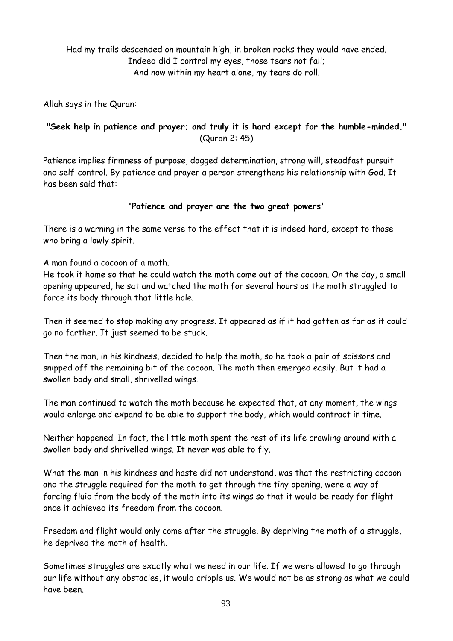Had my trails descended on mountain high, in broken rocks they would have ended. Indeed did I control my eyes, those tears not fall; And now within my heart alone, my tears do roll.

Allah says in the Quran:

#### **"Seek help in patience and prayer; and truly it is hard except for the humble-minded."** (Quran 2: 45)

Patience implies firmness of purpose, dogged determination, strong will, steadfast pursuit and self-control. By patience and prayer a person strengthens his relationship with God. It has been said that:

#### **'Patience and prayer are the two great powers'**

There is a warning in the same verse to the effect that it is indeed hard, except to those who bring a lowly spirit.

A man found a cocoon of a moth.

He took it home so that he could watch the moth come out of the cocoon. On the day, a small opening appeared, he sat and watched the moth for several hours as the moth struggled to force its body through that little hole.

Then it seemed to stop making any progress. It appeared as if it had gotten as far as it could go no farther. It just seemed to be stuck.

Then the man, in his kindness, decided to help the moth, so he took a pair of scissors and snipped off the remaining bit of the cocoon. The moth then emerged easily. But it had a swollen body and small, shrivelled wings.

The man continued to watch the moth because he expected that, at any moment, the wings would enlarge and expand to be able to support the body, which would contract in time.

Neither happened! In fact, the little moth spent the rest of its life crawling around with a swollen body and shrivelled wings. It never was able to fly.

What the man in his kindness and haste did not understand, was that the restricting cocoon and the struggle required for the moth to get through the tiny opening, were a way of forcing fluid from the body of the moth into its wings so that it would be ready for flight once it achieved its freedom from the cocoon.

Freedom and flight would only come after the struggle. By depriving the moth of a struggle, he deprived the moth of health.

Sometimes struggles are exactly what we need in our life. If we were allowed to go through our life without any obstacles, it would cripple us. We would not be as strong as what we could have been.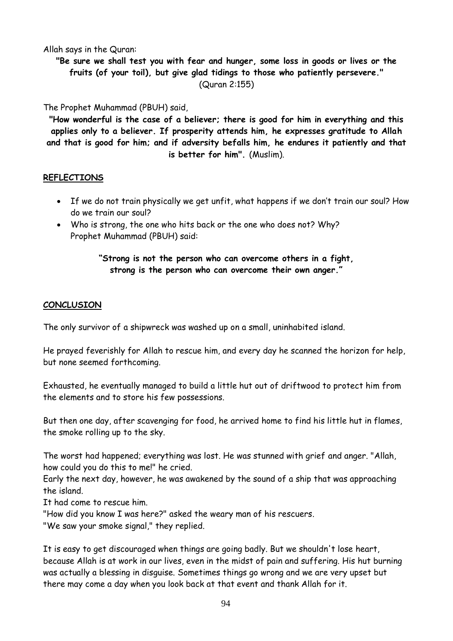Allah says in the Quran:

**"Be sure we shall test you with fear and hunger, some loss in goods or lives or the fruits (of your toil), but give glad tidings to those who patiently persevere."** (Quran 2:155)

The Prophet Muhammad (PBUH) said,

**"How wonderful is the case of a believer; there is good for him in everything and this applies only to a believer. If prosperity attends him, he expresses gratitude to Allah and that is good for him; and if adversity befalls him, he endures it patiently and that is better for him".** (Muslim).

#### **REFLECTIONS**

- If we do not train physically we get unfit, what happens if we don't train our soul? How do we train our soul?
- Who is strong, the one who hits back or the one who does not? Why? Prophet Muhammad (PBUH) said:

#### **"Strong is not the person who can overcome others in a fight, strong is the person who can overcome their own anger."**

#### **CONCLUSION**

The only survivor of a shipwreck was washed up on a small, uninhabited island.

He prayed feverishly for Allah to rescue him, and every day he scanned the horizon for help, but none seemed forthcoming.

Exhausted, he eventually managed to build a little hut out of driftwood to protect him from the elements and to store his few possessions.

But then one day, after scavenging for food, he arrived home to find his little hut in flames, the smoke rolling up to the sky.

The worst had happened; everything was lost. He was stunned with grief and anger. "Allah, how could you do this to me!" he cried.

Early the next day, however, he was awakened by the sound of a ship that was approaching the island.

It had come to rescue him.

"How did you know I was here?" asked the weary man of his rescuers.

"We saw your smoke signal," they replied.

It is easy to get discouraged when things are going badly. But we shouldn't lose heart, because Allah is at work in our lives, even in the midst of pain and suffering. His hut burning was actually a blessing in disguise. Sometimes things go wrong and we are very upset but there may come a day when you look back at that event and thank Allah for it.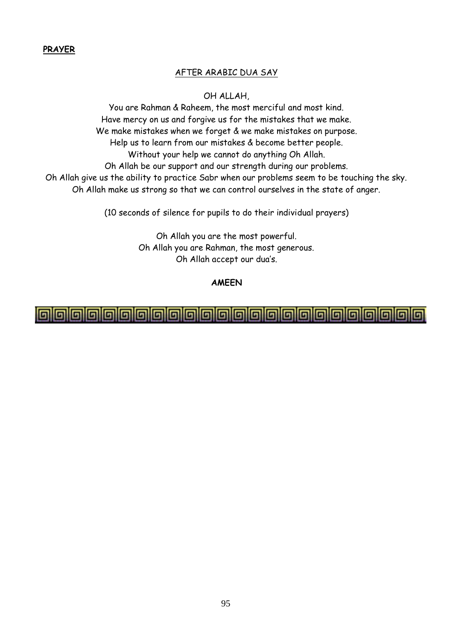#### **PRAYER**

#### AFTER ARABIC DUA SAY

#### OH ALLAH,

You are Rahman & Raheem, the most merciful and most kind. Have mercy on us and forgive us for the mistakes that we make. We make mistakes when we forget & we make mistakes on purpose. Help us to learn from our mistakes & become better people. Without your help we cannot do anything Oh Allah. Oh Allah be our support and our strength during our problems. Oh Allah give us the ability to practice Sabr when our problems seem to be touching the sky. Oh Allah make us strong so that we can control ourselves in the state of anger.

(10 seconds of silence for pupils to do their individual prayers)

Oh Allah you are the most powerful. Oh Allah you are Rahman, the most generous. Oh Allah accept our dua's.

#### **AMEEN**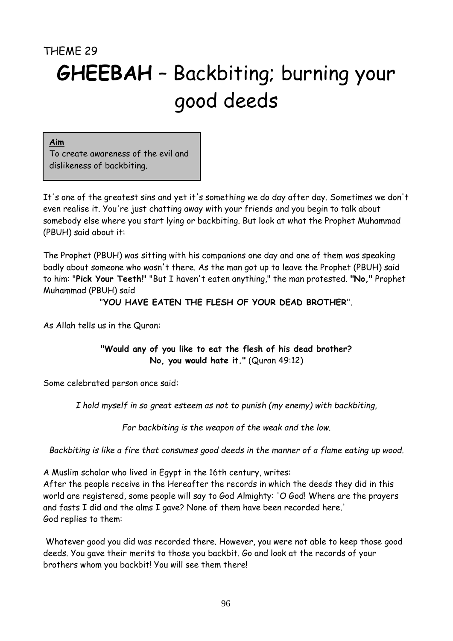### THEME 29 **GHEEBAH** – Backbiting; burning your good deeds

#### **Aim**

To create awareness of the evil and dislikeness of backbiting.

It's one of the greatest sins and yet it's something we do day after day. Sometimes we don't even realise it. You're just chatting away with your friends and you begin to talk about somebody else where you start lying or backbiting. But look at what the Prophet Muhammad (PBUH) said about it:

The Prophet (PBUH) was sitting with his companions one day and one of them was speaking badly about someone who wasn't there. As the man got up to leave the Prophet (PBUH) said to him: "**Pick Your Teeth**!" "But I haven't eaten anything," the man protested. **"No,"** Prophet Muhammad (PBUH) said

#### "**YOU HAVE EATEN THE FLESH OF YOUR DEAD BROTHER**".

As Allah tells us in the Quran:

**"Would any of you like to eat the flesh of his dead brother? No, you would hate it."** (Quran 49:12)

Some celebrated person once said:

*I hold myself in so great esteem as not to punish (my enemy) with backbiting,*

*For backbiting is the weapon of the weak and the low.*

*Backbiting is like a fire that consumes good deeds in the manner of a flame eating up wood.*

A Muslim scholar who lived in Egypt in the 16th century, writes:

After the people receive in the Hereafter the records in which the deeds they did in this world are registered, some people will say to God Almighty: 'O God! Where are the prayers and fasts I did and the alms I gave? None of them have been recorded here.' God replies to them:

Whatever good you did was recorded there. However, you were not able to keep those good deeds. You gave their merits to those you backbit. Go and look at the records of your brothers whom you backbit! You will see them there!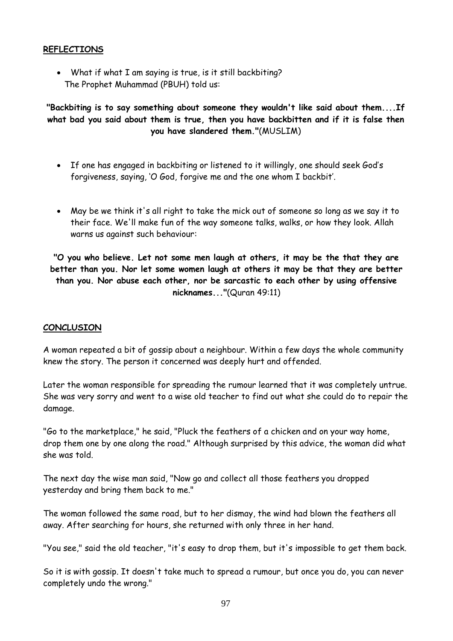#### **REFLECTIONS**

• What if what I am saying is true, is it still backbiting? The Prophet Muhammad (PBUH) told us:

**"Backbiting is to say something about someone they wouldn't like said about them....If what bad you said about them is true, then you have backbitten and if it is false then you have slandered them."**(MUSLIM)

- If one has engaged in backbiting or listened to it willingly, one should seek God's forgiveness, saying, 'O God, forgive me and the one whom I backbit'.
- May be we think it's all right to take the mick out of someone so long as we say it to their face. We'll make fun of the way someone talks, walks, or how they look. Allah warns us against such behaviour:

**"O you who believe. Let not some men laugh at others, it may be the that they are better than you. Nor let some women laugh at others it may be that they are better than you. Nor abuse each other, nor be sarcastic to each other by using offensive nicknames..."**(Quran 49:11)

#### **CONCLUSION**

A woman repeated a bit of gossip about a neighbour. Within a few days the whole community knew the story. The person it concerned was deeply hurt and offended.

Later the woman responsible for spreading the rumour learned that it was completely untrue. She was very sorry and went to a wise old teacher to find out what she could do to repair the damage.

"Go to the marketplace," he said, "Pluck the feathers of a chicken and on your way home, drop them one by one along the road." Although surprised by this advice, the woman did what she was told.

The next day the wise man said, "Now go and collect all those feathers you dropped yesterday and bring them back to me."

The woman followed the same road, but to her dismay, the wind had blown the feathers all away. After searching for hours, she returned with only three in her hand.

"You see," said the old teacher, "it's easy to drop them, but it's impossible to get them back.

So it is with gossip. It doesn't take much to spread a rumour, but once you do, you can never completely undo the wrong."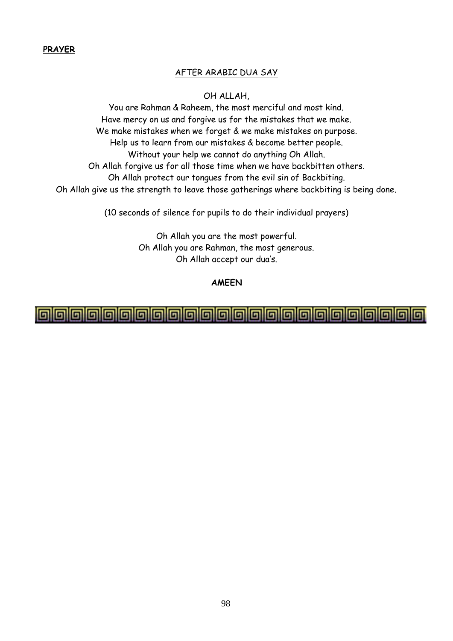#### **PRAYER**

#### AFTER ARABIC DUA SAY

#### OH ALLAH,

You are Rahman & Raheem, the most merciful and most kind. Have mercy on us and forgive us for the mistakes that we make. We make mistakes when we forget & we make mistakes on purpose. Help us to learn from our mistakes & become better people. Without your help we cannot do anything Oh Allah. Oh Allah forgive us for all those time when we have backbitten others. Oh Allah protect our tongues from the evil sin of Backbiting. Oh Allah give us the strength to leave those gatherings where backbiting is being done.

(10 seconds of silence for pupils to do their individual prayers)

Oh Allah you are the most powerful. Oh Allah you are Rahman, the most generous. Oh Allah accept our dua's.

#### **AMEEN**

N N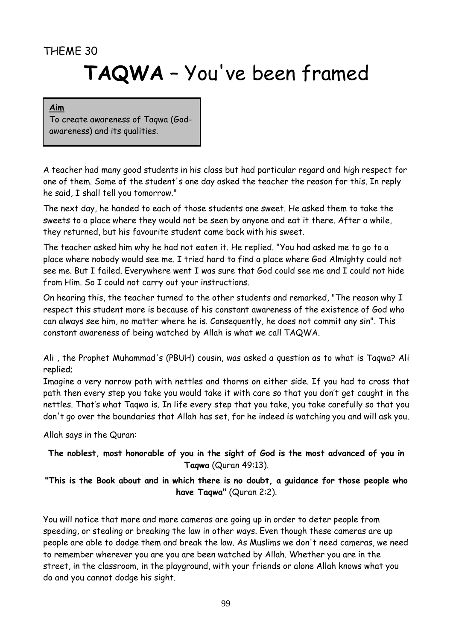### THEME 30 **TAQWA** – You've been framed

#### **Aim**

To create awareness of Taqwa (Godawareness) and its qualities.

A teacher had many good students in his class but had particular regard and high respect for one of them. Some of the student's one day asked the teacher the reason for this. In reply he said, I shall tell you tomorrow."

The next day, he handed to each of those students one sweet. He asked them to take the sweets to a place where they would not be seen by anyone and eat it there. After a while, they returned, but his favourite student came back with his sweet.

The teacher asked him why he had not eaten it. He replied. "You had asked me to go to a place where nobody would see me. I tried hard to find a place where God Almighty could not see me. But I failed. Everywhere went I was sure that God could see me and I could not hide from Him. So I could not carry out your instructions.

On hearing this, the teacher turned to the other students and remarked, "The reason why I respect this student more is because of his constant awareness of the existence of God who can always see him, no matter where he is. Consequently, he does not commit any sin". This constant awareness of being watched by Allah is what we call TAQWA.

Ali , the Prophet Muhammad's (PBUH) cousin, was asked a question as to what is Taqwa? Ali replied;

Imagine a very narrow path with nettles and thorns on either side. If you had to cross that path then every step you take you would take it with care so that you don't get caught in the nettles. That's what Taqwa is. In life every step that you take, you take carefully so that you don't go over the boundaries that Allah has set, for he indeed is watching you and will ask you.

Allah says in the Quran:

#### **The noblest, most honorable of you in the sight of God is the most advanced of you in Taqwa** (Quran 49:13).

**"This is the Book about and in which there is no doubt, a guidance for those people who have Taqwa"** (Quran 2:2).

You will notice that more and more cameras are going up in order to deter people from speeding, or stealing or breaking the law in other ways. Even though these cameras are up people are able to dodge them and break the law. As Muslims we don't need cameras, we need to remember wherever you are you are been watched by Allah. Whether you are in the street, in the classroom, in the playground, with your friends or alone Allah knows what you do and you cannot dodge his sight.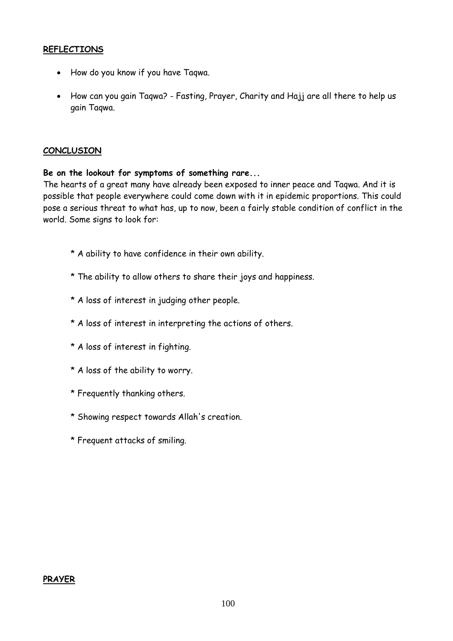#### **REFLECTIONS**

- How do you know if you have Taqwa.
- How can you gain Taqwa? Fasting, Prayer, Charity and Hajj are all there to help us gain Taqwa.

#### **CONCLUSION**

#### **Be on the lookout for symptoms of something rare...**

The hearts of a great many have already been exposed to inner peace and Taqwa. And it is possible that people everywhere could come down with it in epidemic proportions. This could pose a serious threat to what has, up to now, been a fairly stable condition of conflict in the world. Some signs to look for:

- \* A ability to have confidence in their own ability.
- \* The ability to allow others to share their joys and happiness.
- \* A loss of interest in judging other people.
- \* A loss of interest in interpreting the actions of others.
- \* A loss of interest in fighting.
- \* A loss of the ability to worry.
- \* Frequently thanking others.
- \* Showing respect towards Allah's creation.
- \* Frequent attacks of smiling.

#### **PRAYER**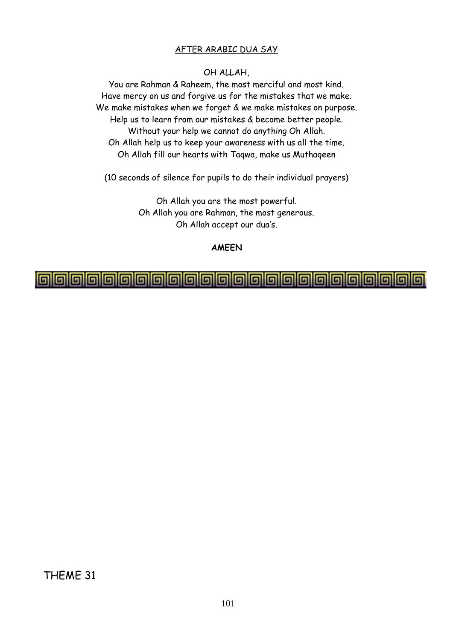#### AFTER ARABIC DUA SAY

#### OH ALLAH,

You are Rahman & Raheem, the most merciful and most kind. Have mercy on us and forgive us for the mistakes that we make. We make mistakes when we forget & we make mistakes on purpose. Help us to learn from our mistakes & become better people. Without your help we cannot do anything Oh Allah. Oh Allah help us to keep your awareness with us all the time. Oh Allah fill our hearts with Taqwa, make us Muthaqeen

(10 seconds of silence for pupils to do their individual prayers)

Oh Allah you are the most powerful. Oh Allah you are Rahman, the most generous. Oh Allah accept our dua's.

#### **AMEEN**

**ialalala**l lallallal افازافازها la.  $\overline{\mathbf{H}}$ **lallallallallallalla** m m

THEME 31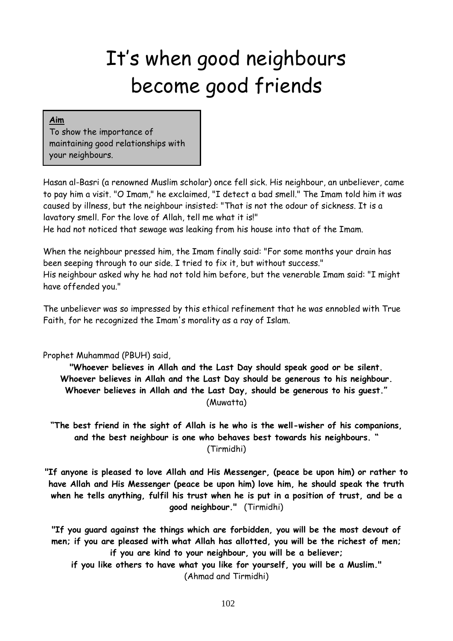# It's when good neighbours become good friends

**Aim**

To show the importance of maintaining good relationships with your neighbours.

Hasan al-Basri (a renowned Muslim scholar) once fell sick. His neighbour, an unbeliever, came to pay him a visit. "O Imam," he exclaimed, "I detect a bad smell." The Imam told him it was caused by illness, but the neighbour insisted: "That is not the odour of sickness. It is a lavatory smell. For the love of Allah, tell me what it is!"

He had not noticed that sewage was leaking from his house into that of the Imam.

When the neighbour pressed him, the Imam finally said: "For some months your drain has been seeping through to our side. I tried to fix it, but without success." His neighbour asked why he had not told him before, but the venerable Imam said: "I might have offended you."

The unbeliever was so impressed by this ethical refinement that he was ennobled with True Faith, for he recognized the Imam's morality as a ray of Islam.

Prophet Muhammad (PBUH) said,

**"Whoever believes in Allah and the Last Day should speak good or be silent. Whoever believes in Allah and the Last Day should be generous to his neighbour. Whoever believes in Allah and the Last Day, should be generous to his guest."** (Muwatta)

**"The best friend in the sight of Allah is he who is the well-wisher of his companions, and the best neighbour is one who behaves best towards his neighbours. "** (Tirmidhi)

**"If anyone is pleased to love Allah and His Messenger, (peace be upon him) or rather to have Allah and His Messenger (peace be upon him) love him, he should speak the truth when he tells anything, fulfil his trust when he is put in a position of trust, and be a good neighbour."** (Tirmidhi)

**"If you guard against the things which are forbidden, you will be the most devout of men; if you are pleased with what Allah has allotted, you will be the richest of men; if you are kind to your neighbour, you will be a believer;**

**if you like others to have what you like for yourself, you will be a Muslim."**

(Ahmad and Tirmidhi)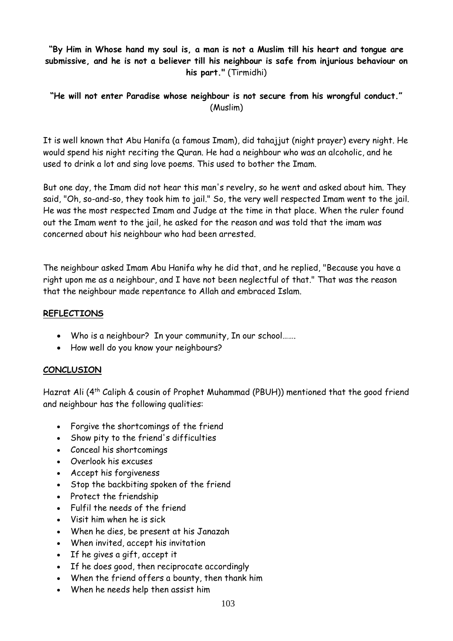**"By Him in Whose hand my soul is, a man is not a Muslim till his heart and tongue are submissive, and he is not a believer till his neighbour is safe from injurious behaviour on his part."** (Tirmidhi)

**"He will not enter Paradise whose neighbour is not secure from his wrongful conduct."** (Muslim)

It is well known that Abu Hanifa (a famous Imam), did tahajjut (night prayer) every night. He would spend his night reciting the Quran. He had a neighbour who was an alcoholic, and he used to drink a lot and sing love poems. This used to bother the Imam.

But one day, the Imam did not hear this man's revelry, so he went and asked about him. They said, "Oh, so-and-so, they took him to jail." So, the very well respected Imam went to the jail. He was the most respected Imam and Judge at the time in that place. When the ruler found out the Imam went to the jail, he asked for the reason and was told that the imam was concerned about his neighbour who had been arrested.

The neighbour asked Imam Abu Hanifa why he did that, and he replied, "Because you have a right upon me as a neighbour, and I have not been neglectful of that." That was the reason that the neighbour made repentance to Allah and embraced Islam.

#### **REFLECTIONS**

- Who is a neighbour? In your community, In our school......
- How well do you know your neighbours?

#### **CONCLUSION**

Hazrat Ali (4th Caliph & cousin of Prophet Muhammad (PBUH)) mentioned that the good friend and neighbour has the following qualities:

- Forgive the shortcomings of the friend
- Show pity to the friend's difficulties
- Conceal his shortcomings
- Overlook his excuses
- Accept his forgiveness
- Stop the backbiting spoken of the friend
- Protect the friendship
- Fulfil the needs of the friend
- Visit him when he is sick
- When he dies, be present at his Janazah
- When invited, accept his invitation
- If he gives a gift, accept it
- If he does good, then reciprocate accordingly
- When the friend offers a bounty, then thank him
- When he needs help then assist him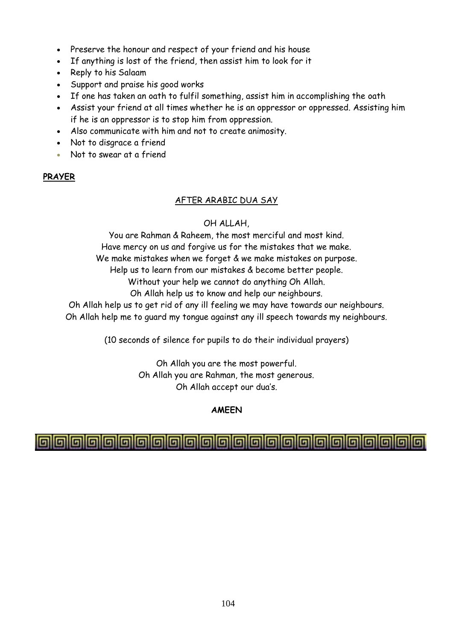- Preserve the honour and respect of your friend and his house
- If anything is lost of the friend, then assist him to look for it
- Reply to his Salaam
- Support and praise his good works
- If one has taken an oath to fulfil something, assist him in accomplishing the oath
- Assist your friend at all times whether he is an oppressor or oppressed. Assisting him if he is an oppressor is to stop him from oppression.
- Also communicate with him and not to create animosity.
- Not to disgrace a friend
- Not to swear at a friend

#### **PRAYER**

#### AFTER ARABIC DUA SAY

#### OH ALLAH,

You are Rahman & Raheem, the most merciful and most kind. Have mercy on us and forgive us for the mistakes that we make. We make mistakes when we forget & we make mistakes on purpose. Help us to learn from our mistakes & become better people. Without your help we cannot do anything Oh Allah. Oh Allah help us to know and help our neighbours. Oh Allah help us to get rid of any ill feeling we may have towards our neighbours.

Oh Allah help me to guard my tongue against any ill speech towards my neighbours.

(10 seconds of silence for pupils to do their individual prayers)

Oh Allah you are the most powerful. Oh Allah you are Rahman, the most generous. Oh Allah accept our dua's.

#### **AMEEN**

<u> | alalalalalalalalalalalalalalalalala alalala</u>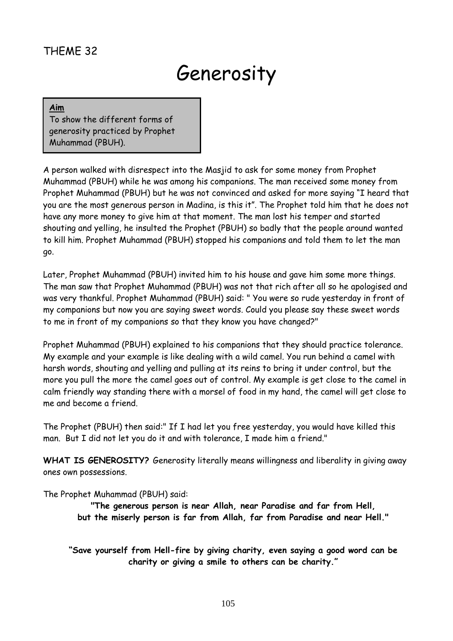### THEME 32

## Generosity

**Aim**

To show the different forms of generosity practiced by Prophet Muhammad (PBUH).

A person walked with disrespect into the Masjid to ask for some money from Prophet Muhammad (PBUH) while he was among his companions. The man received some money from Prophet Muhammad (PBUH) but he was not convinced and asked for more saying "I heard that you are the most generous person in Madina, is this it". The Prophet told him that he does not have any more money to give him at that moment. The man lost his temper and started shouting and yelling, he insulted the Prophet (PBUH) so badly that the people around wanted to kill him. Prophet Muhammad (PBUH) stopped his companions and told them to let the man go.

Later, Prophet Muhammad (PBUH) invited him to his house and gave him some more things. The man saw that Prophet Muhammad (PBUH) was not that rich after all so he apologised and was very thankful. Prophet Muhammad (PBUH) said: " You were so rude yesterday in front of my companions but now you are saying sweet words. Could you please say these sweet words to me in front of my companions so that they know you have changed?"

Prophet Muhammad (PBUH) explained to his companions that they should practice tolerance. My example and your example is like dealing with a wild camel. You run behind a camel with harsh words, shouting and yelling and pulling at its reins to bring it under control, but the more you pull the more the camel goes out of control. My example is get close to the camel in calm friendly way standing there with a morsel of food in my hand, the camel will get close to me and become a friend.

The Prophet (PBUH) then said:" If I had let you free yesterday, you would have killed this man. But I did not let you do it and with tolerance, I made him a friend."

**WHAT IS GENEROSITY?** Generosity literally means willingness and liberality in giving away ones own possessions.

The Prophet Muhammad (PBUH) said:

**"The generous person is near Allah, near Paradise and far from Hell, but the miserly person is far from Allah, far from Paradise and near Hell."**

**"Save yourself from Hell-fire by giving charity, even saying a good word can be charity or giving a smile to others can be charity."**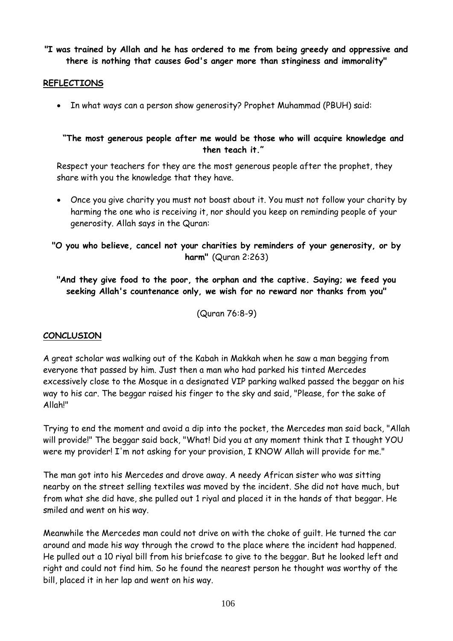#### **"I was trained by Allah and he has ordered to me from being greedy and oppressive and there is nothing that causes God's anger more than stinginess and immorality"**

#### **REFLECTIONS**

• In what ways can a person show generosity? Prophet Muhammad (PBUH) said:

#### **"The most generous people after me would be those who will acquire knowledge and then teach it."**

Respect your teachers for they are the most generous people after the prophet, they share with you the knowledge that they have.

• Once you give charity you must not boast about it. You must not follow your charity by harming the one who is receiving it, nor should you keep on reminding people of your generosity. Allah says in the Quran:

**"O you who believe, cancel not your charities by reminders of your generosity, or by harm"** (Quran 2:263)

**"And they give food to the poor, the orphan and the captive. Saying; we feed you seeking Allah's countenance only, we wish for no reward nor thanks from you"** 

(Quran 76:8-9)

#### **CONCLUSION**

A great scholar was walking out of the Kabah in Makkah when he saw a man begging from everyone that passed by him. Just then a man who had parked his tinted Mercedes excessively close to the Mosque in a designated VIP parking walked passed the beggar on his way to his car. The beggar raised his finger to the sky and said, "Please, for the sake of Allah!"

Trying to end the moment and avoid a dip into the pocket, the Mercedes man said back, "Allah will provide!" The beggar said back, "What! Did you at any moment think that I thought YOU were my provider! I'm not asking for your provision, I KNOW Allah will provide for me."

The man got into his Mercedes and drove away. A needy African sister who was sitting nearby on the street selling textiles was moved by the incident. She did not have much, but from what she did have, she pulled out 1 riyal and placed it in the hands of that beggar. He smiled and went on his way.

Meanwhile the Mercedes man could not drive on with the choke of guilt. He turned the car around and made his way through the crowd to the place where the incident had happened. He pulled out a 10 riyal bill from his briefcase to give to the beggar. But he looked left and right and could not find him. So he found the nearest person he thought was worthy of the bill, placed it in her lap and went on his way.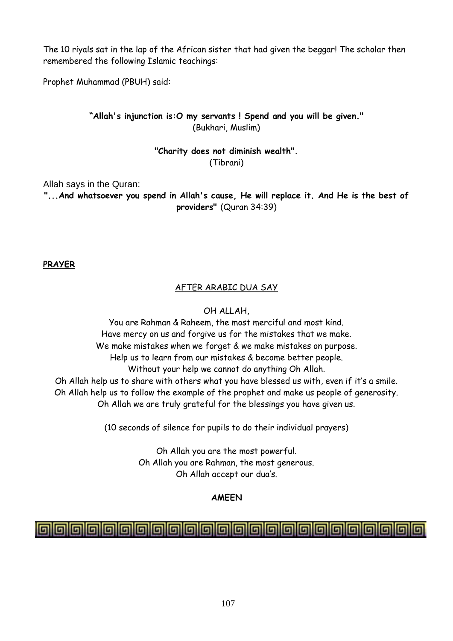The 10 riyals sat in the lap of the African sister that had given the beggar! The scholar then remembered the following Islamic teachings:

Prophet Muhammad (PBUH) said:

#### **"Allah's injunction is:O my servants ! Spend and you will be given."**  (Bukhari, Muslim)

### **"Charity does not diminish wealth".**

(Tibrani)

Allah says in the Quran:

**"...And whatsoever you spend in Allah's cause, He will replace it. And He is the best of providers"** (Quran 34:39)

**PRAYER**

#### AFTER ARABIC DUA SAY

OH ALLAH,

You are Rahman & Raheem, the most merciful and most kind. Have mercy on us and forgive us for the mistakes that we make. We make mistakes when we forget & we make mistakes on purpose. Help us to learn from our mistakes & become better people. Without your help we cannot do anything Oh Allah. Oh Allah help us to share with others what you have blessed us with, even if it's a smile. Oh Allah help us to follow the example of the prophet and make us people of generosity. Oh Allah we are truly grateful for the blessings you have given us.

(10 seconds of silence for pupils to do their individual prayers)

Oh Allah you are the most powerful. Oh Allah you are Rahman, the most generous. Oh Allah accept our dua's.

#### **AMEEN**

###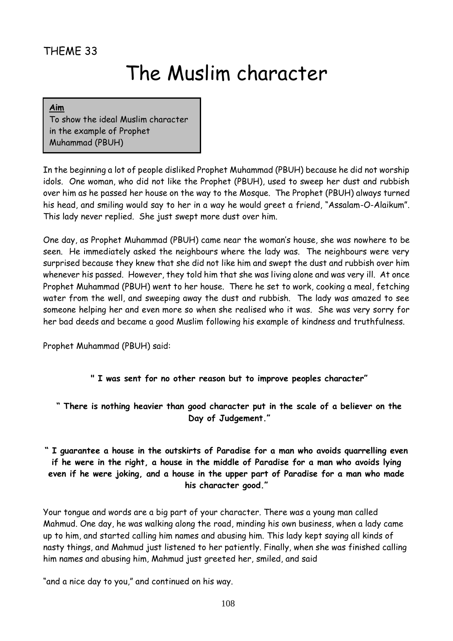### THEME 33

## The Muslim character

**Aim**

To show the ideal Muslim character in the example of Prophet Muhammad (PBUH)

In the beginning a lot of people disliked Prophet Muhammad (PBUH) because he did not worship idols. One woman, who did not like the Prophet (PBUH), used to sweep her dust and rubbish over him as he passed her house on the way to the Mosque. The Prophet (PBUH) always turned his head, and smiling would say to her in a way he would greet a friend, "Assalam-O-Alaikum". This lady never replied. She just swept more dust over him.

One day, as Prophet Muhammad (PBUH) came near the woman's house, she was nowhere to be seen. He immediately asked the neighbours where the lady was. The neighbours were very surprised because they knew that she did not like him and swept the dust and rubbish over him whenever his passed. However, they told him that she was living alone and was very ill. At once Prophet Muhammad (PBUH) went to her house. There he set to work, cooking a meal, fetching water from the well, and sweeping away the dust and rubbish. The lady was amazed to see someone helping her and even more so when she realised who it was. She was very sorry for her bad deeds and became a good Muslim following his example of kindness and truthfulness.

Prophet Muhammad (PBUH) said:

**" I was sent for no other reason but to improve peoples character"**

**" There is nothing heavier than good character put in the scale of a believer on the Day of Judgement."**

**" I guarantee a house in the outskirts of Paradise for a man who avoids quarrelling even if he were in the right, a house in the middle of Paradise for a man who avoids lying even if he were joking, and a house in the upper part of Paradise for a man who made his character good."**

Your tongue and words are a big part of your character. There was a young man called Mahmud. One day, he was walking along the road, minding his own business, when a lady came up to him, and started calling him names and abusing him. This lady kept saying all kinds of nasty things, and Mahmud just listened to her patiently. Finally, when she was finished calling him names and abusing him, Mahmud just greeted her, smiled, and said

"and a nice day to you," and continued on his way.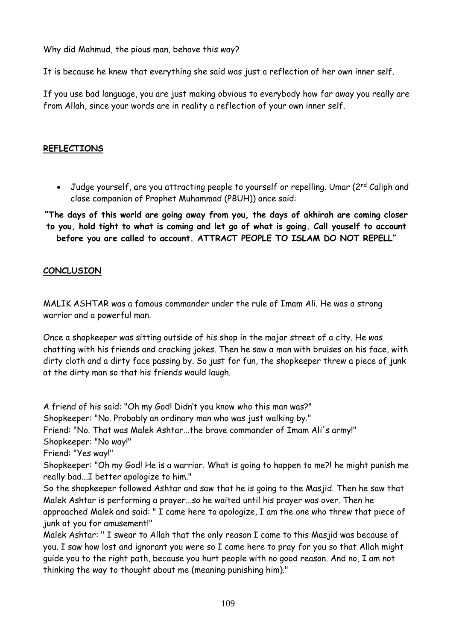Why did Mahmud, the pious man, behave this way?

It is because he knew that everything she said was just a reflection of her own inner self.

If you use bad language, you are just making obvious to everybody how far away you really are from Allah, since your words are in reality a reflection of your own inner self.

## **REFLECTIONS**

• Judge yourself, are you attracting people to yourself or repelling. Umar (2<sup>nd</sup> Caliph and close companion of Prophet Muhammad (PBUH)) once said:

**"The days of this world are going away from you, the days of akhirah are coming closer to you, hold tight to what is coming and let go of what is going. Call youself to account before you are called to account. ATTRACT PEOPLE TO ISLAM DO NOT REPELL"**

## **CONCLUSION**

MALIK ASHTAR was a famous commander under the rule of Imam Ali. He was a strong warrior and a powerful man.

Once a shopkeeper was sitting outside of his shop in the major street of a city. He was chatting with his friends and cracking jokes. Then he saw a man with bruises on his face, with dirty cloth and a dirty face passing by. So just for fun, the shopkeeper threw a piece of junk at the dirty man so that his friends would laugh.

A friend of his said: "Oh my God! Didn't you know who this man was?" Shopkeeper: "No. Probably an ordinary man who was just walking by." Friend: "No. That was Malek Ashtar...the brave commander of Imam Ali's army!" Shopkeeper: "No way!" Friend: "Yes way!" Shopkeeper: "Oh my God! He is a warrior. What is going to happen to me?! he might punish me really bad...I better apologize to him." So the shopkeeper followed Ashtar and saw that he is going to the Masjid. Then he saw that Malek Ashtar is performing a prayer...so he waited until his prayer was over. Then he approached Malek and said: " I came here to apologize, I am the one who threw that piece of junk at you for amusement!"

Malek Ashtar: " I swear to Allah that the only reason I came to this Masjid was because of you. I saw how lost and ignorant you were so I came here to pray for you so that Allah might guide you to the right path, because you hurt people with no good reason. And no, I am not thinking the way to thought about me (meaning punishing him)."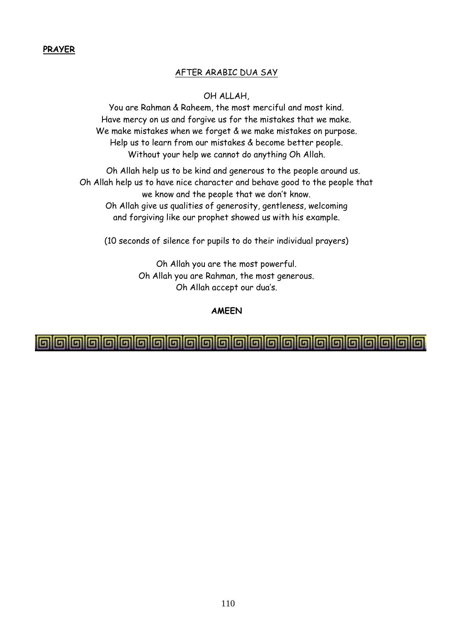## **PRAYER**

## AFTER ARABIC DUA SAY

#### OH ALLAH,

You are Rahman & Raheem, the most merciful and most kind. Have mercy on us and forgive us for the mistakes that we make. We make mistakes when we forget & we make mistakes on purpose. Help us to learn from our mistakes & become better people. Without your help we cannot do anything Oh Allah.

Oh Allah help us to be kind and generous to the people around us. Oh Allah help us to have nice character and behave good to the people that we know and the people that we don't know. Oh Allah give us qualities of generosity, gentleness, welcoming and forgiving like our prophet showed us with his example.

(10 seconds of silence for pupils to do their individual prayers)

Oh Allah you are the most powerful. Oh Allah you are Rahman, the most generous. Oh Allah accept our dua's.

#### **AMEEN**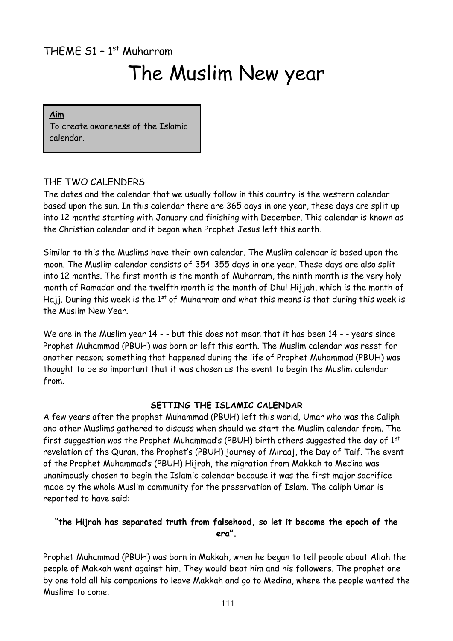## THEME  $S1 - 1<sup>st</sup>$  Muharram The Muslim New year

**Aim**

To create awareness of the Islamic calendar.

## THE TWO CALENDERS

The dates and the calendar that we usually follow in this country is the western calendar based upon the sun. In this calendar there are 365 days in one year, these days are split up into 12 months starting with January and finishing with December. This calendar is known as the Christian calendar and it began when Prophet Jesus left this earth.

Similar to this the Muslims have their own calendar. The Muslim calendar is based upon the moon. The Muslim calendar consists of 354-355 days in one year. These days are also split into 12 months. The first month is the month of Muharram, the ninth month is the very holy month of Ramadan and the twelfth month is the month of Dhul Hijjah, which is the month of Hajj. During this week is the  $1<sup>st</sup>$  of Muharram and what this means is that during this week is the Muslim New Year.

We are in the Muslim year 14 - - but this does not mean that it has been 14 - - years since Prophet Muhammad (PBUH) was born or left this earth. The Muslim calendar was reset for another reason; something that happened during the life of Prophet Muhammad (PBUH) was thought to be so important that it was chosen as the event to begin the Muslim calendar from.

## **SETTING THE ISLAMIC CALENDAR**

A few years after the prophet Muhammad (PBUH) left this world, Umar who was the Caliph and other Muslims gathered to discuss when should we start the Muslim calendar from. The first suggestion was the Prophet Muhammad's (PBUH) birth others suggested the day of 1st revelation of the Quran, the Prophet's (PBUH) journey of Miraaj, the Day of Taif. The event of the Prophet Muhammad's (PBUH) Hijrah, the migration from Makkah to Medina was unanimously chosen to begin the Islamic calendar because it was the first major sacrifice made by the whole Muslim community for the preservation of Islam. The caliph Umar is reported to have said:

## **"the Hijrah has separated truth from falsehood, so let it become the epoch of the era".**

Prophet Muhammad (PBUH) was born in Makkah, when he began to tell people about Allah the people of Makkah went against him. They would beat him and his followers. The prophet one by one told all his companions to leave Makkah and go to Medina, where the people wanted the Muslims to come.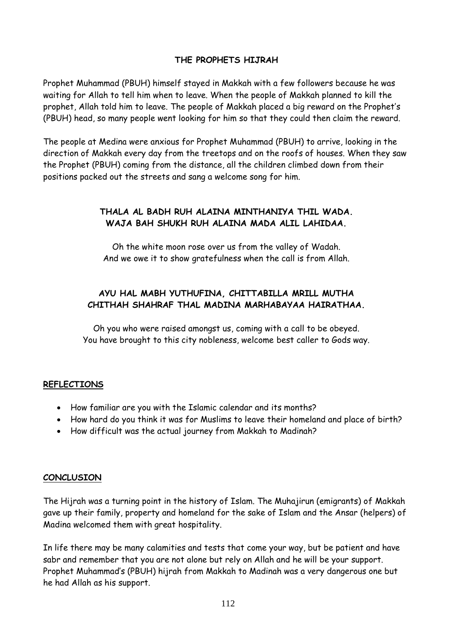## **THE PROPHETS HIJRAH**

Prophet Muhammad (PBUH) himself stayed in Makkah with a few followers because he was waiting for Allah to tell him when to leave. When the people of Makkah planned to kill the prophet, Allah told him to leave. The people of Makkah placed a big reward on the Prophet's (PBUH) head, so many people went looking for him so that they could then claim the reward.

The people at Medina were anxious for Prophet Muhammad (PBUH) to arrive, looking in the direction of Makkah every day from the treetops and on the roofs of houses. When they saw the Prophet (PBUH) coming from the distance, all the children climbed down from their positions packed out the streets and sang a welcome song for him.

## **THALA AL BADH RUH ALAINA MINTHANIYA THIL WADA. WAJA BAH SHUKH RUH ALAINA MADA ALIL LAHIDAA.**

Oh the white moon rose over us from the valley of Wadah. And we owe it to show gratefulness when the call is from Allah.

## **AYU HAL MABH YUTHUFINA, CHITTABILLA MRILL MUTHA CHITHAH SHAHRAF THAL MADINA MARHABAYAA HAIRATHAA.**

Oh you who were raised amongst us, coming with a call to be obeyed. You have brought to this city nobleness, welcome best caller to Gods way.

## **REFLECTIONS**

- How familiar are you with the Islamic calendar and its months?
- How hard do you think it was for Muslims to leave their homeland and place of birth?
- How difficult was the actual journey from Makkah to Madinah?

#### **CONCLUSION**

The Hijrah was a turning point in the history of Islam. The Muhajirun (emigrants) of Makkah gave up their family, property and homeland for the sake of Islam and the Ansar (helpers) of Madina welcomed them with great hospitality.

In life there may be many calamities and tests that come your way, but be patient and have sabr and remember that you are not alone but rely on Allah and he will be your support. Prophet Muhammad's (PBUH) hijrah from Makkah to Madinah was a very dangerous one but he had Allah as his support.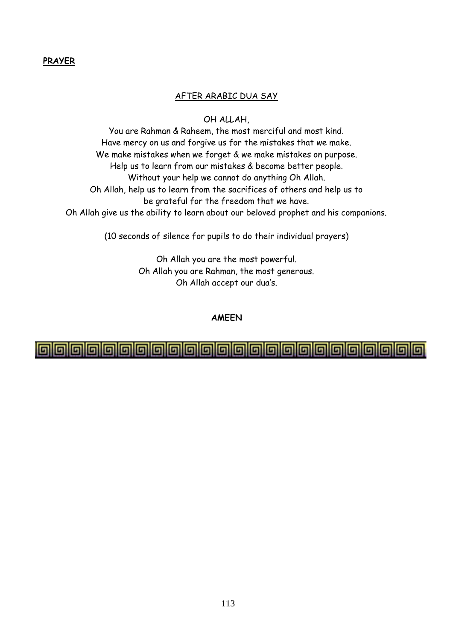#### **PRAYER**

#### AFTER ARABIC DUA SAY

OH ALLAH,

You are Rahman & Raheem, the most merciful and most kind. Have mercy on us and forgive us for the mistakes that we make. We make mistakes when we forget & we make mistakes on purpose. Help us to learn from our mistakes & become better people. Without your help we cannot do anything Oh Allah. Oh Allah, help us to learn from the sacrifices of others and help us to be grateful for the freedom that we have. Oh Allah give us the ability to learn about our beloved prophet and his companions.

(10 seconds of silence for pupils to do their individual prayers)

Oh Allah you are the most powerful. Oh Allah you are Rahman, the most generous. Oh Allah accept our dua's.

#### **AMEEN**

n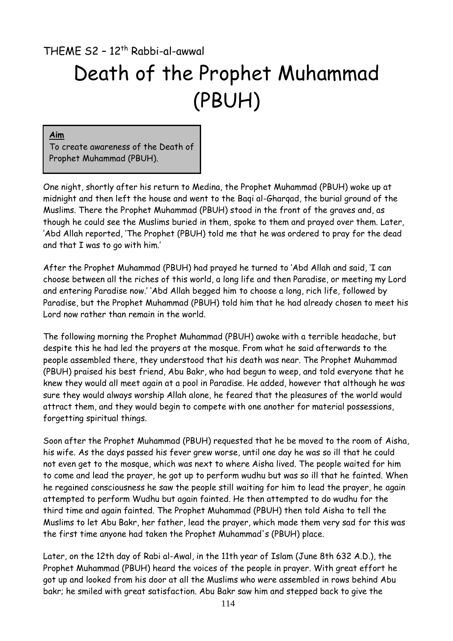# THEME  $S2 - 12$ <sup>th</sup> Rabbi-al-awwal

# Death of the Prophet Muhammad (PBUH)

## **Aim**

To create awareness of the Death of Prophet Muhammad (PBUH).

One night, shortly after his return to Medina, the Prophet Muhammad (PBUH) woke up at midnight and then left the house and went to the Baqi al-Gharqad, the burial ground of the Muslims. There the Prophet Muhammad (PBUH) stood in the front of the graves and, as though he could see the Muslims buried in them, spoke to them and prayed over them. Later, 'Abd Allah reported, 'The Prophet (PBUH) told me that he was ordered to pray for the dead and that I was to go with him.'

After the Prophet Muhammad (PBUH) had prayed he turned to 'Abd Allah and said, 'I can choose between all the riches of this world, a long life and then Paradise, or meeting my Lord and entering Paradise now.' 'Abd Allah begged him to choose a long, rich life, followed by Paradise, but the Prophet Muhammad (PBUH) told him that he had already chosen to meet his Lord now rather than remain in the world.

The following morning the Prophet Muhammad (PBUH) awoke with a terrible headache, but despite this he had led the prayers at the mosque. From what he said afterwards to the people assembled there, they understood that his death was near. The Prophet Muhammad (PBUH) praised his best friend, Abu Bakr, who had begun to weep, and told everyone that he knew they would all meet again at a pool in Paradise. He added, however that although he was sure they would always worship Allah alone, he feared that the pleasures of the world would attract them, and they would begin to compete with one another for material possessions, forgetting spiritual things.

Soon after the Prophet Muhammad (PBUH) requested that he be moved to the room of Aisha, his wife. As the days passed his fever grew worse, until one day he was so ill that he could not even get to the mosque, which was next to where Aisha lived. The people waited for him to come and lead the prayer, he got up to perform wudhu but was so ill that he fainted. When he regained consciousness he saw the people still waiting for him to lead the prayer, he again attempted to perform Wudhu but again fainted. He then attempted to do wudhu for the third time and again fainted. The Prophet Muhammad (PBUH) then told Aisha to tell the Muslims to let Abu Bakr, her father, lead the prayer, which made them very sad for this was the first time anyone had taken the Prophet Muhammad's (PBUH) place.

Later, on the 12th day of Rabi al-Awal, in the 11th year of Islam (June 8th 632 A.D.), the Prophet Muhammad (PBUH) heard the voices of the people in prayer. With great effort he got up and looked from his door at all the Muslims who were assembled in rows behind Abu bakr; he smiled with great satisfaction. Abu Bakr saw him and stepped back to give the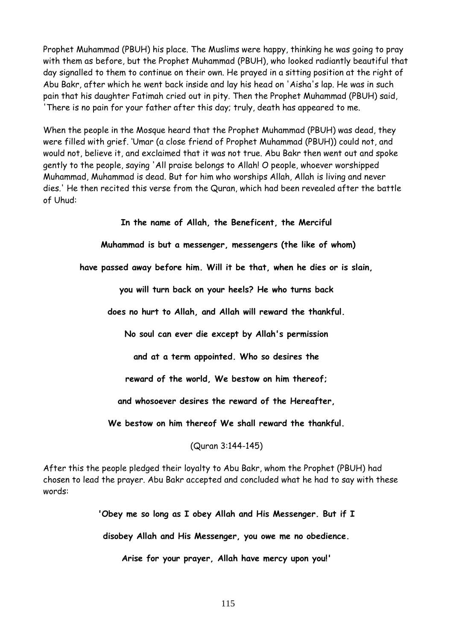Prophet Muhammad (PBUH) his place. The Muslims were happy, thinking he was going to pray with them as before, but the Prophet Muhammad (PBUH), who looked radiantly beautiful that day signalled to them to continue on their own. He prayed in a sitting position at the right of Abu Bakr, after which he went back inside and lay his head on 'Aisha's lap. He was in such pain that his daughter Fatimah cried out in pity. Then the Prophet Muhammad (PBUH) said, 'There is no pain for your father after this day; truly, death has appeared to me.

When the people in the Mosque heard that the Prophet Muhammad (PBUH) was dead, they were filled with grief. 'Umar (a close friend of Prophet Muhammad (PBUH)) could not, and would not, believe it, and exclaimed that it was not true. Abu Bakr then went out and spoke gently to the people, saying 'All praise belongs to Allah! O people, whoever worshipped Muhammad, Muhammad is dead. But for him who worships Allah, Allah is living and never dies.' He then recited this verse from the Quran, which had been revealed after the battle of Uhud:

**In the name of Allah, the Beneficent, the Merciful**

**Muhammad is but a messenger, messengers (the like of whom)**

**have passed away before him. Will it be that, when he dies or is slain,**

**you will turn back on your heels? He who turns back**

**does no hurt to Allah, and Allah will reward the thankful.**

**No soul can ever die except by Allah's permission**

**and at a term appointed. Who so desires the**

**reward of the world, We bestow on him thereof;**

**and whosoever desires the reward of the Hereafter,**

**We bestow on him thereof We shall reward the thankful.**

(Quran 3:144-145)

After this the people pledged their loyalty to Abu Bakr, whom the Prophet (PBUH) had chosen to lead the prayer. Abu Bakr accepted and concluded what he had to say with these words:

**'Obey me so long as I obey Allah and His Messenger. But if I**

**disobey Allah and His Messenger, you owe me no obedience.**

**Arise for your prayer, Allah have mercy upon you!'**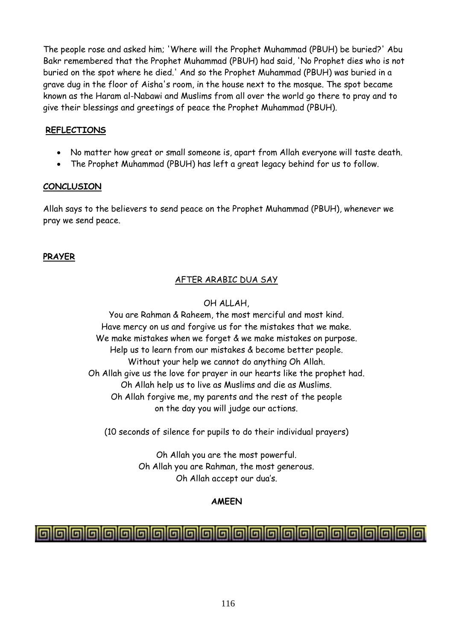The people rose and asked him; 'Where will the Prophet Muhammad (PBUH) be buried?' Abu Bakr remembered that the Prophet Muhammad (PBUH) had said, 'No Prophet dies who is not buried on the spot where he died.' And so the Prophet Muhammad (PBUH) was buried in a grave dug in the floor of Aisha's room, in the house next to the mosque. The spot became known as the Haram al-Nabawi and Muslims from all over the world go there to pray and to give their blessings and greetings of peace the Prophet Muhammad (PBUH).

## **REFLECTIONS**

- No matter how great or small someone is, apart from Allah everyone will taste death.
- The Prophet Muhammad (PBUH) has left a great legacy behind for us to follow.

## **CONCLUSION**

Allah says to the believers to send peace on the Prophet Muhammad (PBUH), whenever we pray we send peace.

## **PRAYER**

## AFTER ARABIC DUA SAY

## OH ALLAH,

You are Rahman & Raheem, the most merciful and most kind. Have mercy on us and forgive us for the mistakes that we make. We make mistakes when we forget & we make mistakes on purpose. Help us to learn from our mistakes & become better people. Without your help we cannot do anything Oh Allah. Oh Allah give us the love for prayer in our hearts like the prophet had. Oh Allah help us to live as Muslims and die as Muslims. Oh Allah forgive me, my parents and the rest of the people on the day you will judge our actions.

(10 seconds of silence for pupils to do their individual prayers)

Oh Allah you are the most powerful. Oh Allah you are Rahman, the most generous. Oh Allah accept our dua's.

## **AMEEN**

##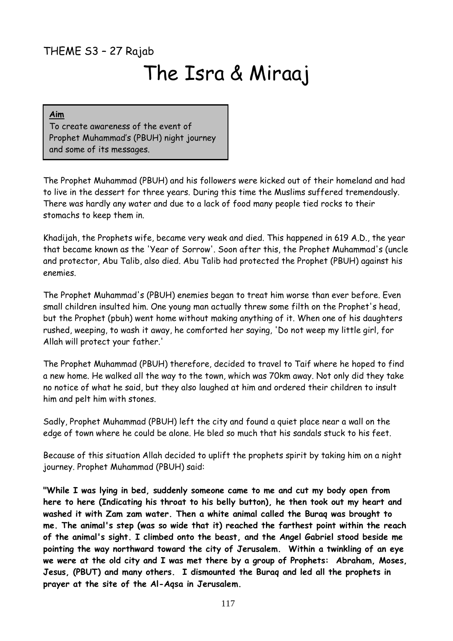## THEME S3 – 27 Rajab

# The Isra & Miraaj

#### **Aim**

To create awareness of the event of Prophet Muhammad's (PBUH) night journey and some of its messages.

The Prophet Muhammad (PBUH) and his followers were kicked out of their homeland and had to live in the dessert for three years. During this time the Muslims suffered tremendously. There was hardly any water and due to a lack of food many people tied rocks to their stomachs to keep them in.

Khadijah, the Prophets wife, became very weak and died. This happened in 619 A.D., the year that became known as the 'Year of Sorrow'. Soon after this, the Prophet Muhammad's (uncle and protector, Abu Talib, also died. Abu Talib had protected the Prophet (PBUH) against his enemies.

The Prophet Muhammad's (PBUH) enemies began to treat him worse than ever before. Even small children insulted him. One young man actually threw some filth on the Prophet's head, but the Prophet (pbuh) went home without making anything of it. When one of his daughters rushed, weeping, to wash it away, he comforted her saying, 'Do not weep my little girl, for Allah will protect your father.'

The Prophet Muhammad (PBUH) therefore, decided to travel to Taif where he hoped to find a new home. He walked all the way to the town, which was 70km away. Not only did they take no notice of what he said, but they also laughed at him and ordered their children to insult him and pelt him with stones.

Sadly, Prophet Muhammad (PBUH) left the city and found a quiet place near a wall on the edge of town where he could be alone. He bled so much that his sandals stuck to his feet.

Because of this situation Allah decided to uplift the prophets spirit by taking him on a night journey. Prophet Muhammad (PBUH) said:

**"While I was lying in bed, suddenly someone came to me and cut my body open from here to here (Indicating his throat to his belly button), he then took out my heart and washed it with Zam zam water. Then a white animal called the Buraq was brought to me. The animal's step (was so wide that it) reached the farthest point within the reach of the animal's sight. I climbed onto the beast, and the Angel Gabriel stood beside me pointing the way northward toward the city of Jerusalem. Within a twinkling of an eye we were at the old city and I was met there by a group of Prophets: Abraham, Moses, Jesus, (PBUT) and many others. I dismounted the Buraq and led all the prophets in prayer at the site of the Al-Aqsa in Jerusalem.**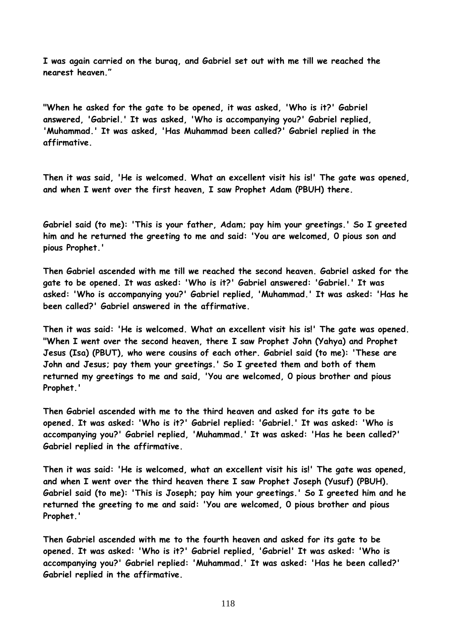**I was again carried on the buraq, and Gabriel set out with me till we reached the nearest heaven."** 

**"When he asked for the gate to be opened, it was asked, 'Who is it?' Gabriel answered, 'Gabriel.' It was asked, 'Who is accompanying you?' Gabriel replied, 'Muhammad.' It was asked, 'Has Muhammad been called?' Gabriel replied in the affirmative.** 

**Then it was said, 'He is welcomed. What an excellent visit his is!' The gate was opened, and when I went over the first heaven, I saw Prophet Adam (PBUH) there.** 

**Gabriel said (to me): 'This is your father, Adam; pay him your greetings.' So I greeted him and he returned the greeting to me and said: 'You are welcomed, 0 pious son and pious Prophet.'**

**Then Gabriel ascended with me till we reached the second heaven. Gabriel asked for the gate to be opened. It was asked: 'Who is it?' Gabriel answered: 'Gabriel.' It was asked: 'Who is accompanying you?' Gabriel replied, 'Muhammad.' It was asked: 'Has he been called?' Gabriel answered in the affirmative.** 

**Then it was said: 'He is welcomed. What an excellent visit his is!' The gate was opened. "When I went over the second heaven, there I saw Prophet John (Yahya) and Prophet Jesus (Isa) (PBUT), who were cousins of each other. Gabriel said (to me): 'These are John and Jesus; pay them your greetings.' So I greeted them and both of them returned my greetings to me and said, 'You are welcomed, 0 pious brother and pious Prophet.'** 

**Then Gabriel ascended with me to the third heaven and asked for its gate to be opened. It was asked: 'Who is it?' Gabriel replied: 'Gabriel.' It was asked: 'Who is accompanying you?' Gabriel replied, 'Muhammad.' It was asked: 'Has he been called?' Gabriel replied in the affirmative.** 

**Then it was said: 'He is welcomed, what an excellent visit his is!' The gate was opened, and when I went over the third heaven there I saw Prophet Joseph (Yusuf) (PBUH). Gabriel said (to me): 'This is Joseph; pay him your greetings.' So I greeted him and he returned the greeting to me and said: 'You are welcomed, 0 pious brother and pious Prophet.'** 

**Then Gabriel ascended with me to the fourth heaven and asked for its gate to be opened. It was asked: 'Who is it?' Gabriel replied, 'Gabriel' It was asked: 'Who is accompanying you?' Gabriel replied: 'Muhammad.' It was asked: 'Has he been called?' Gabriel replied in the affirmative.**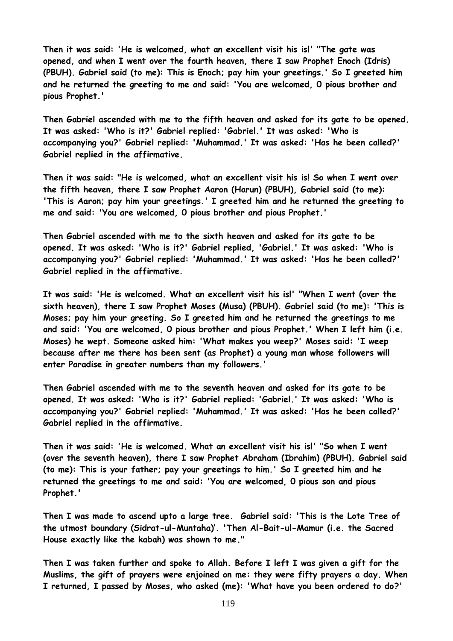**Then it was said: 'He is welcomed, what an excellent visit his is!' "The gate was opened, and when I went over the fourth heaven, there I saw Prophet Enoch (Idris) (PBUH). Gabriel said (to me): This is Enoch; pay him your greetings.' So I greeted him and he returned the greeting to me and said: 'You are welcomed, 0 pious brother and pious Prophet.'** 

**Then Gabriel ascended with me to the fifth heaven and asked for its gate to be opened. It was asked: 'Who is it?' Gabriel replied: 'Gabriel.' It was asked: 'Who is accompanying you?' Gabriel replied: 'Muhammad.' It was asked: 'Has he been called?' Gabriel replied in the affirmative.** 

**Then it was said: "He is welcomed, what an excellent visit his is! So when I went over the fifth heaven, there I saw Prophet Aaron (Harun) (PBUH), Gabriel said (to me): 'This is Aaron; pay him your greetings.' I greeted him and he returned the greeting to me and said: 'You are welcomed, 0 pious brother and pious Prophet.'**

**Then Gabriel ascended with me to the sixth heaven and asked for its gate to be opened. It was asked: 'Who is it?' Gabriel replied, 'Gabriel.' It was asked: 'Who is accompanying you?' Gabriel replied: 'Muhammad.' It was asked: 'Has he been called?' Gabriel replied in the affirmative.** 

**It was said: 'He is welcomed. What an excellent visit his is!' "When I went (over the sixth heaven), there I saw Prophet Moses (Musa) (PBUH). Gabriel said (to me): 'This is Moses; pay him your greeting. So I greeted him and he returned the greetings to me and said: 'You are welcomed, 0 pious brother and pious Prophet.' When I left him (i.e. Moses) he wept. Someone asked him: 'What makes you weep?' Moses said: 'I weep because after me there has been sent (as Prophet) a young man whose followers will enter Paradise in greater numbers than my followers.'** 

**Then Gabriel ascended with me to the seventh heaven and asked for its gate to be opened. It was asked: 'Who is it?' Gabriel replied: 'Gabriel.' It was asked: 'Who is accompanying you?' Gabriel replied: 'Muhammad.' It was asked: 'Has he been called?' Gabriel replied in the affirmative.** 

**Then it was said: 'He is welcomed. What an excellent visit his is!' "So when I went (over the seventh heaven), there I saw Prophet Abraham (Ibrahim) (PBUH). Gabriel said (to me): This is your father; pay your greetings to him.' So I greeted him and he returned the greetings to me and said: 'You are welcomed, 0 pious son and pious Prophet.'** 

**Then I was made to ascend upto a large tree. Gabriel said: 'This is the Lote Tree of the utmost boundary (Sidrat-ul-Muntaha)'. 'Then Al-Bait-ul-Mamur (i.e. the Sacred House exactly like the kabah) was shown to me."**

**Then I was taken further and spoke to Allah. Before I left I was given a gift for the Muslims, the gift of prayers were enjoined on me: they were fifty prayers a day. When I returned, I passed by Moses, who asked (me): 'What have you been ordered to do?'**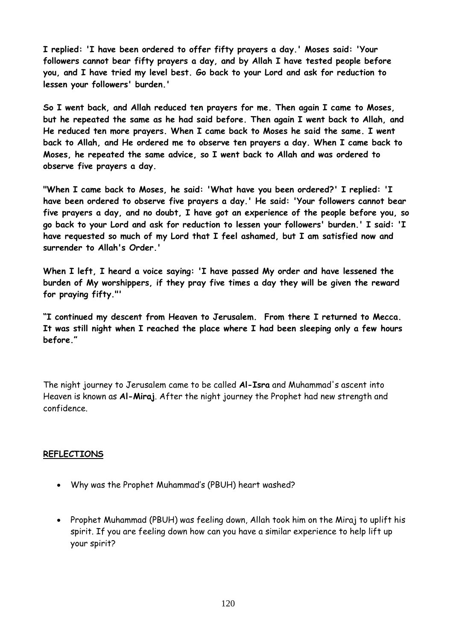**I replied: 'I have been ordered to offer fifty prayers a day.' Moses said: 'Your followers cannot bear fifty prayers a day, and by Allah I have tested people before you, and I have tried my level best. Go back to your Lord and ask for reduction to lessen your followers' burden.'** 

**So I went back, and Allah reduced ten prayers for me. Then again I came to Moses, but he repeated the same as he had said before. Then again I went back to Allah, and He reduced ten more prayers. When I came back to Moses he said the same. I went back to Allah, and He ordered me to observe ten prayers a day. When I came back to Moses, he repeated the same advice, so I went back to Allah and was ordered to observe five prayers a day.** 

**"When I came back to Moses, he said: 'What have you been ordered?' I replied: 'I have been ordered to observe five prayers a day.' He said: 'Your followers cannot bear five prayers a day, and no doubt, I have got an experience of the people before you, so go back to your Lord and ask for reduction to lessen your followers' burden.' I said: 'I have requested so much of my Lord that I feel ashamed, but I am satisfied now and surrender to Allah's Order.'** 

**When I left, I heard a voice saying: 'I have passed My order and have lessened the burden of My worshippers, if they pray five times a day they will be given the reward for praying fifty."'**

**"I continued my descent from Heaven to Jerusalem. From there I returned to Mecca. It was still night when I reached the place where I had been sleeping only a few hours before."** 

The night journey to Jerusalem came to be called **Al-Isra** and Muhammad's ascent into Heaven is known as **Al-Miraj**. After the night journey the Prophet had new strength and confidence.

## **REFLECTIONS**

- Why was the Prophet Muhammad's (PBUH) heart washed?
- Prophet Muhammad (PBUH) was feeling down, Allah took him on the Miraj to uplift his spirit. If you are feeling down how can you have a similar experience to help lift up your spirit?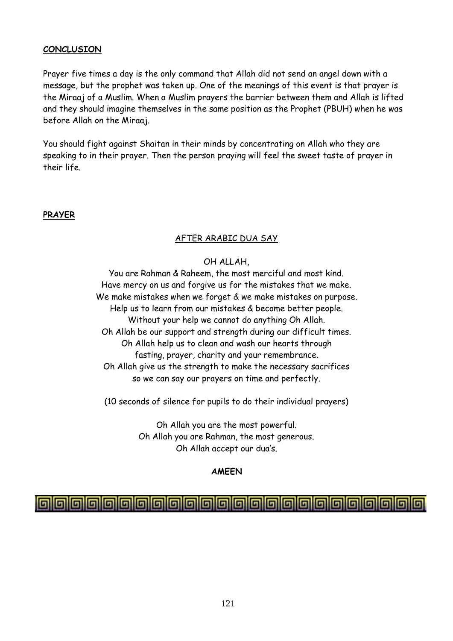## **CONCLUSION**

Prayer five times a day is the only command that Allah did not send an angel down with a message, but the prophet was taken up. One of the meanings of this event is that prayer is the Miraaj of a Muslim. When a Muslim prayers the barrier between them and Allah is lifted and they should imagine themselves in the same position as the Prophet (PBUH) when he was before Allah on the Miraaj.

You should fight against Shaitan in their minds by concentrating on Allah who they are speaking to in their prayer. Then the person praying will feel the sweet taste of prayer in their life.

## **PRAYER**

## AFTER ARABIC DUA SAY

#### OH ALLAH,

You are Rahman & Raheem, the most merciful and most kind. Have mercy on us and forgive us for the mistakes that we make. We make mistakes when we forget & we make mistakes on purpose. Help us to learn from our mistakes & become better people. Without your help we cannot do anything Oh Allah. Oh Allah be our support and strength during our difficult times. Oh Allah help us to clean and wash our hearts through fasting, prayer, charity and your remembrance. Oh Allah give us the strength to make the necessary sacrifices so we can say our prayers on time and perfectly.

(10 seconds of silence for pupils to do their individual prayers)

Oh Allah you are the most powerful. Oh Allah you are Rahman, the most generous. Oh Allah accept our dua's.

#### **AMEEN**

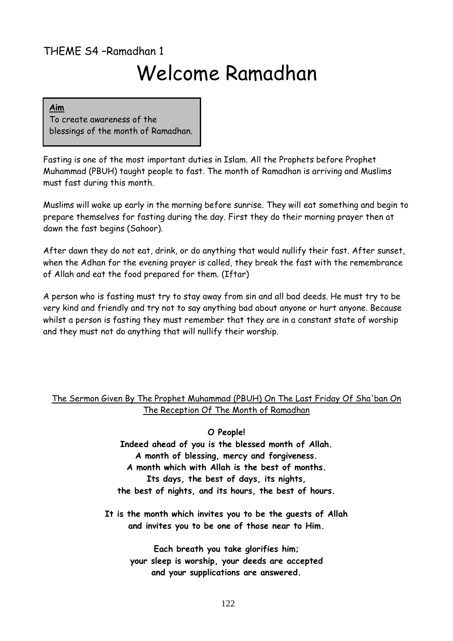## THEME S4 –Ramadhan 1 Welcome Ramadhan

**Aim**

To create awareness of the blessings of the month of Ramadhan.

Fasting is one of the most important duties in Islam. All the Prophets before Prophet Muhammad (PBUH) taught people to fast. The month of Ramadhan is arriving and Muslims must fast during this month.

Muslims will wake up early in the morning before sunrise. They will eat something and begin to prepare themselves for fasting during the day. First they do their morning prayer then at dawn the fast begins (Sahoor).

After dawn they do not eat, drink, or do anything that would nullify their fast. After sunset, when the Adhan for the evening prayer is called, they break the fast with the remembrance of Allah and eat the food prepared for them. (Iftar)

A person who is fasting must try to stay away from sin and all bad deeds. He must try to be very kind and friendly and try not to say anything bad about anyone or hurt anyone. Because whilst a person is fasting they must remember that they are in a constant state of worship and they must not do anything that will nullify their worship.

## The Sermon Given By The Prophet Muhammad (PBUH) On The Last Friday Of Sha'ban On The Reception Of The Month of Ramadhan

**O People! Indeed ahead of you is the blessed month of Allah. A month of blessing, mercy and forgiveness. A month which with Allah is the best of months. Its days, the best of days, its nights, the best of nights, and its hours, the best of hours.** 

**It is the month which invites you to be the guests of Allah and invites you to be one of those near to Him.** 

> **Each breath you take glorifies him; your sleep is worship, your deeds are accepted and your supplications are answered.**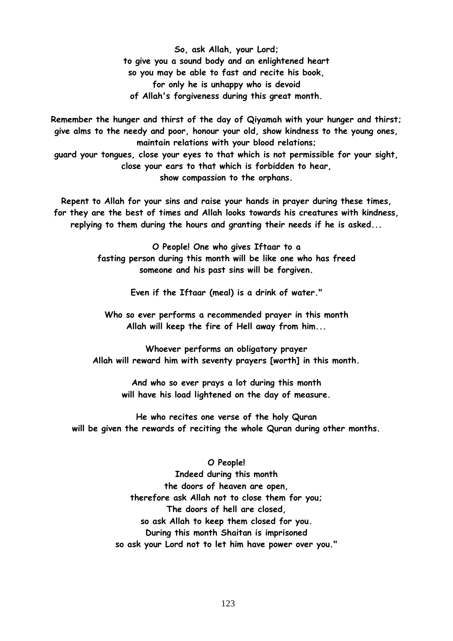**So, ask Allah, your Lord; to give you a sound body and an enlightened heart so you may be able to fast and recite his book, for only he is unhappy who is devoid of Allah's forgiveness during this great month.** 

**Remember the hunger and thirst of the day of Qiyamah with your hunger and thirst; give alms to the needy and poor, honour your old, show kindness to the young ones, maintain relations with your blood relations;** 

**guard your tongues, close your eyes to that which is not permissible for your sight, close your ears to that which is forbidden to hear, show compassion to the orphans.** 

**Repent to Allah for your sins and raise your hands in prayer during these times, for they are the best of times and Allah looks towards his creatures with kindness, replying to them during the hours and granting their needs if he is asked...**

> **O People! One who gives Iftaar to a fasting person during this month will be like one who has freed someone and his past sins will be forgiven.**

> > **Even if the Iftaar (meal) is a drink of water."**

**Who so ever performs a recommended prayer in this month Allah will keep the fire of Hell away from him...**

**Whoever performs an obligatory prayer Allah will reward him with seventy prayers [worth] in this month.**

> **And who so ever prays a lot during this month will have his load lightened on the day of measure.**

**He who recites one verse of the holy Quran will be given the rewards of reciting the whole Quran during other months.**

#### **O People!**

**Indeed during this month the doors of heaven are open, therefore ask Allah not to close them for you; The doors of hell are closed, so ask Allah to keep them closed for you. During this month Shaitan is imprisoned so ask your Lord not to let him have power over you."**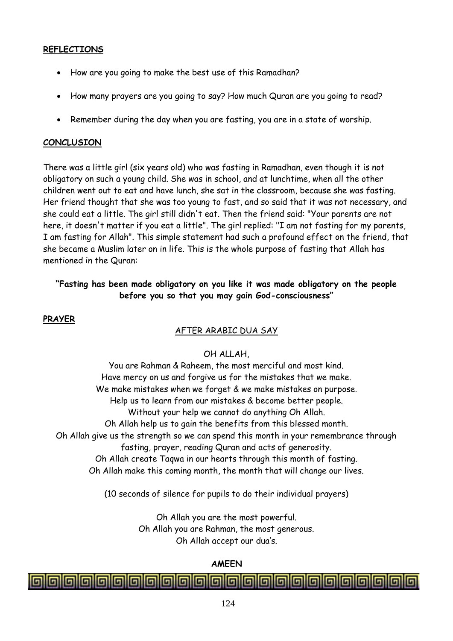## **REFLECTIONS**

- How are you going to make the best use of this Ramadhan?
- How many prayers are you going to say? How much Quran are you going to read?
- Remember during the day when you are fasting, you are in a state of worship.

## **CONCLUSION**

There was a little girl (six years old) who was fasting in Ramadhan, even though it is not obligatory on such a young child. She was in school, and at lunchtime, when all the other children went out to eat and have lunch, she sat in the classroom, because she was fasting. Her friend thought that she was too young to fast, and so said that it was not necessary, and she could eat a little. The girl still didn't eat. Then the friend said: "Your parents are not here, it doesn't matter if you eat a little". The girl replied: "I am not fasting for my parents, I am fasting for Allah". This simple statement had such a profound effect on the friend, that she became a Muslim later on in life. This is the whole purpose of fasting that Allah has mentioned in the Quran:

## **"Fasting has been made obligatory on you like it was made obligatory on the people before you so that you may gain God-consciousness"**

## **PRAYER**

## AFTER ARABIC DUA SAY

## OH ALLAH,

You are Rahman & Raheem, the most merciful and most kind. Have mercy on us and forgive us for the mistakes that we make. We make mistakes when we forget & we make mistakes on purpose. Help us to learn from our mistakes & become better people. Without your help we cannot do anything Oh Allah. Oh Allah help us to gain the benefits from this blessed month. Oh Allah give us the strength so we can spend this month in your remembrance through fasting, prayer, reading Quran and acts of generosity. Oh Allah create Taqwa in our hearts through this month of fasting. Oh Allah make this coming month, the month that will change our lives.

(10 seconds of silence for pupils to do their individual prayers)

Oh Allah you are the most powerful. Oh Allah you are Rahman, the most generous. Oh Allah accept our dua's.

## **AMEEN**

lallalla l **m** Im <u>lim</u> l al <u>lm</u> ا کا ا la la l al l Ta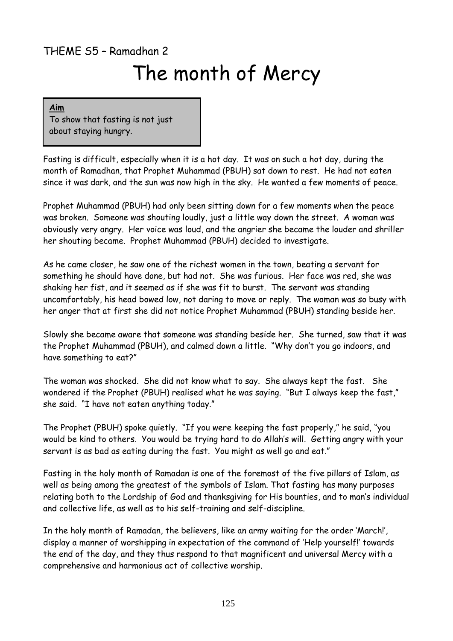## THEME S5 – Ramadhan 2 The month of Mercy

**Aim**

To show that fasting is not just about staying hungry.

Fasting is difficult, especially when it is a hot day. It was on such a hot day, during the month of Ramadhan, that Prophet Muhammad (PBUH) sat down to rest. He had not eaten since it was dark, and the sun was now high in the sky. He wanted a few moments of peace.

Prophet Muhammad (PBUH) had only been sitting down for a few moments when the peace was broken. Someone was shouting loudly, just a little way down the street. A woman was obviously very angry. Her voice was loud, and the angrier she became the louder and shriller her shouting became. Prophet Muhammad (PBUH) decided to investigate.

As he came closer, he saw one of the richest women in the town, beating a servant for something he should have done, but had not. She was furious. Her face was red, she was shaking her fist, and it seemed as if she was fit to burst. The servant was standing uncomfortably, his head bowed low, not daring to move or reply. The woman was so busy with her anger that at first she did not notice Prophet Muhammad (PBUH) standing beside her.

Slowly she became aware that someone was standing beside her. She turned, saw that it was the Prophet Muhammad (PBUH), and calmed down a little. "Why don't you go indoors, and have something to eat?"

The woman was shocked. She did not know what to say. She always kept the fast. She wondered if the Prophet (PBUH) realised what he was saying. "But I always keep the fast," she said. "I have not eaten anything today."

The Prophet (PBUH) spoke quietly. "If you were keeping the fast properly," he said, "you would be kind to others. You would be trying hard to do Allah's will. Getting angry with your servant is as bad as eating during the fast. You might as well go and eat."

Fasting in the holy month of Ramadan is one of the foremost of the five pillars of Islam, as well as being among the greatest of the symbols of Islam. That fasting has many purposes relating both to the Lordship of God and thanksgiving for His bounties, and to man's individual and collective life, as well as to his self-training and self-discipline.

In the holy month of Ramadan, the believers, like an army waiting for the order 'March!', display a manner of worshipping in expectation of the command of 'Help yourself!' towards the end of the day, and they thus respond to that magnificent and universal Mercy with a comprehensive and harmonious act of collective worship.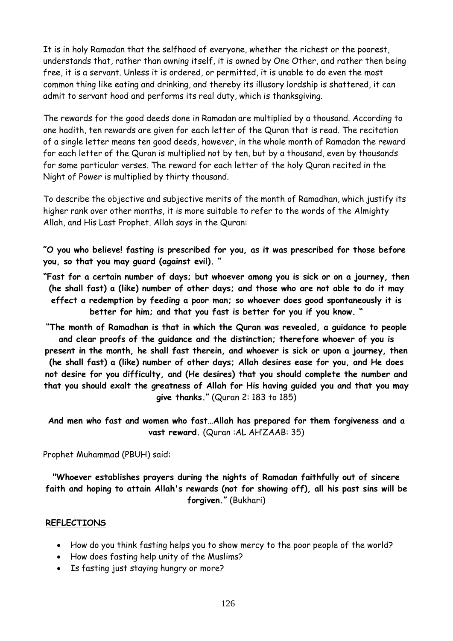It is in holy Ramadan that the selfhood of everyone, whether the richest or the poorest, understands that, rather than owning itself, it is owned by One Other, and rather then being free, it is a servant. Unless it is ordered, or permitted, it is unable to do even the most common thing like eating and drinking, and thereby its illusory lordship is shattered, it can admit to servant hood and performs its real duty, which is thanksgiving.

The rewards for the good deeds done in Ramadan are multiplied by a thousand. According to one hadith, ten rewards are given for each letter of the Quran that is read. The recitation of a single letter means ten good deeds, however, in the whole month of Ramadan the reward for each letter of the Quran is multiplied not by ten, but by a thousand, even by thousands for some particular verses. The reward for each letter of the holy Quran recited in the Night of Power is multiplied by thirty thousand.

To describe the objective and subjective merits of the month of Ramadhan, which justify its higher rank over other months, it is more suitable to refer to the words of the Almighty Allah, and His Last Prophet. Allah says in the Quran:

**"O you who believe! fasting is prescribed for you, as it was prescribed for those before you, so that you may guard (against evil). "**

**"Fast for a certain number of days; but whoever among you is sick or on a journey, then (he shall fast) a (like) number of other days; and those who are not able to do it may effect a redemption by feeding a poor man; so whoever does good spontaneously it is better for him; and that you fast is better for you if you know. "**

**"The month of Ramadhan is that in which the Quran was revealed, a guidance to people and clear proofs of the guidance and the distinction; therefore whoever of you is present in the month, he shall fast therein, and whoever is sick or upon a journey, then (he shall fast) a (like) number of other days; Allah desires ease for you, and He does not desire for you difficulty, and (He desires) that you should complete the number and that you should exalt the greatness of Allah for His having guided you and that you may give thanks."** (Quran 2: 183 to 185)

**And men who fast and women who fast…Allah has prepared for them forgiveness and a vast reward.** (Quran :AL AH'ZAAB: 35)

Prophet Muhammad (PBUH) said:

**"Whoever establishes prayers during the nights of Ramadan faithfully out of sincere faith and hoping to attain Allah's rewards (not for showing off), all his past sins will be forgiven."** (Bukhari)

## **REFLECTIONS**

- How do you think fasting helps you to show mercy to the poor people of the world?
- How does fasting help unity of the Muslims?
- Is fasting just staying hungry or more?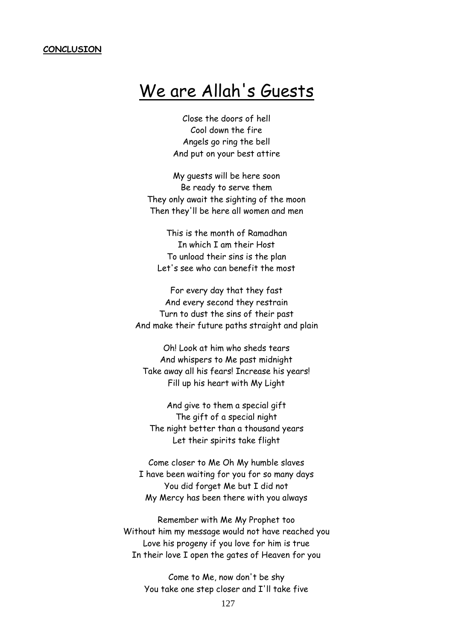#### **CONCLUSION**

## We are Allah's Guests

Close the doors of hell Cool down the fire Angels go ring the bell And put on your best attire

My guests will be here soon Be ready to serve them They only await the sighting of the moon Then they'll be here all women and men

This is the month of Ramadhan In which I am their Host To unload their sins is the plan Let's see who can benefit the most

For every day that they fast And every second they restrain Turn to dust the sins of their past And make their future paths straight and plain

Oh! Look at him who sheds tears And whispers to Me past midnight Take away all his fears! Increase his years! Fill up his heart with My Light

And give to them a special gift The gift of a special night The night better than a thousand years Let their spirits take flight

Come closer to Me Oh My humble slaves I have been waiting for you for so many days You did forget Me but I did not My Mercy has been there with you always

Remember with Me My Prophet too Without him my message would not have reached you Love his progeny if you love for him is true In their love I open the gates of Heaven for you

Come to Me, now don't be shy You take one step closer and I'll take five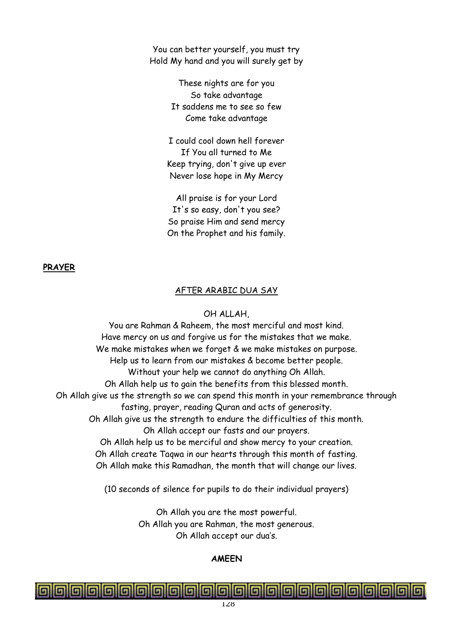You can better yourself, you must try Hold My hand and you will surely get by

> These nights are for you So take advantage It saddens me to see so few Come take advantage

I could cool down hell forever If You all turned to Me Keep trying, don't give up ever Never lose hope in My Mercy

All praise is for your Lord It's so easy, don't you see? So praise Him and send mercy On the Prophet and his family.

#### **PRAYER**

#### AFTER ARABIC DUA SAY

#### OH ALLAH,

You are Rahman & Raheem, the most merciful and most kind. Have mercy on us and forgive us for the mistakes that we make. We make mistakes when we forget & we make mistakes on purpose. Help us to learn from our mistakes & become better people. Without your help we cannot do anything Oh Allah. Oh Allah help us to gain the benefits from this blessed month. Oh Allah give us the strength so we can spend this month in your remembrance through fasting, prayer, reading Quran and acts of generosity. Oh Allah give us the strength to endure the difficulties of this month. Oh Allah accept our fasts and our prayers. Oh Allah help us to be merciful and show mercy to your creation. Oh Allah create Taqwa in our hearts through this month of fasting. Oh Allah make this Ramadhan, the month that will change our lives.

(10 seconds of silence for pupils to do their individual prayers)

Oh Allah you are the most powerful. Oh Allah you are Rahman, the most generous. Oh Allah accept our dua's.

#### **AMEEN**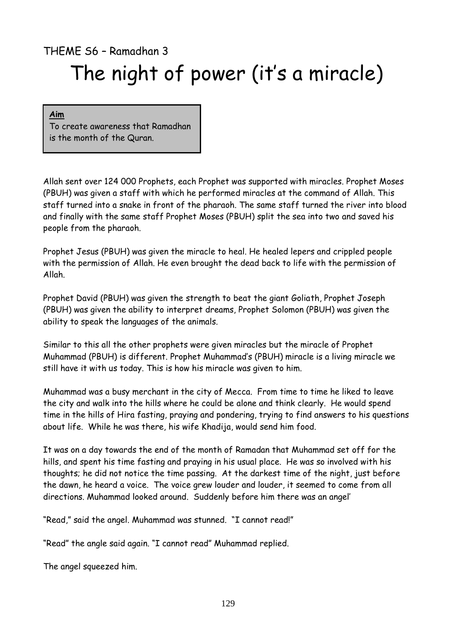## THEME S6 – Ramadhan 3 The night of power (it's a miracle)

**Aim**

To create awareness that Ramadhan is the month of the Quran.

Allah sent over 124 000 Prophets, each Prophet was supported with miracles. Prophet Moses (PBUH) was given a staff with which he performed miracles at the command of Allah. This staff turned into a snake in front of the pharaoh. The same staff turned the river into blood and finally with the same staff Prophet Moses (PBUH) split the sea into two and saved his people from the pharaoh.

Prophet Jesus (PBUH) was given the miracle to heal. He healed lepers and crippled people with the permission of Allah. He even brought the dead back to life with the permission of Allah.

Prophet David (PBUH) was given the strength to beat the giant Goliath, Prophet Joseph (PBUH) was given the ability to interpret dreams, Prophet Solomon (PBUH) was given the ability to speak the languages of the animals.

Similar to this all the other prophets were given miracles but the miracle of Prophet Muhammad (PBUH) is different. Prophet Muhammad's (PBUH) miracle is a living miracle we still have it with us today. This is how his miracle was given to him.

Muhammad was a busy merchant in the city of Mecca. From time to time he liked to leave the city and walk into the hills where he could be alone and think clearly. He would spend time in the hills of Hira fasting, praying and pondering, trying to find answers to his questions about life. While he was there, his wife Khadija, would send him food.

It was on a day towards the end of the month of Ramadan that Muhammad set off for the hills, and spent his time fasting and praying in his usual place. He was so involved with his thoughts; he did not notice the time passing. At the darkest time of the night, just before the dawn, he heard a voice. The voice grew louder and louder, it seemed to come from all directions. Muhammad looked around. Suddenly before him there was an angel'

"Read," said the angel. Muhammad was stunned. "I cannot read!"

"Read" the angle said again. "I cannot read" Muhammad replied.

The angel squeezed him.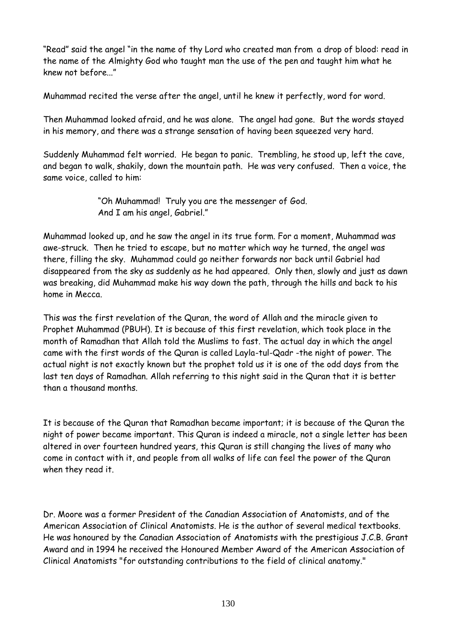"Read" said the angel "in the name of thy Lord who created man from a drop of blood: read in the name of the Almighty God who taught man the use of the pen and taught him what he knew not before."

Muhammad recited the verse after the angel, until he knew it perfectly, word for word.

Then Muhammad looked afraid, and he was alone. The angel had gone. But the words stayed in his memory, and there was a strange sensation of having been squeezed very hard.

Suddenly Muhammad felt worried. He began to panic. Trembling, he stood up, left the cave, and began to walk, shakily, down the mountain path. He was very confused. Then a voice, the same voice, called to him:

> "Oh Muhammad! Truly you are the messenger of God. And I am his angel, Gabriel."

Muhammad looked up, and he saw the angel in its true form. For a moment, Muhammad was awe-struck. Then he tried to escape, but no matter which way he turned, the angel was there, filling the sky. Muhammad could go neither forwards nor back until Gabriel had disappeared from the sky as suddenly as he had appeared. Only then, slowly and just as dawn was breaking, did Muhammad make his way down the path, through the hills and back to his home in Mecca.

This was the first revelation of the Quran, the word of Allah and the miracle given to Prophet Muhammad (PBUH). It is because of this first revelation, which took place in the month of Ramadhan that Allah told the Muslims to fast. The actual day in which the angel came with the first words of the Quran is called Layla-tul-Qadr -the night of power. The actual night is not exactly known but the prophet told us it is one of the odd days from the last ten days of Ramadhan. Allah referring to this night said in the Quran that it is better than a thousand months.

It is because of the Quran that Ramadhan became important; it is because of the Quran the night of power became important. This Quran is indeed a miracle, not a single letter has been altered in over fourteen hundred years, this Quran is still changing the lives of many who come in contact with it, and people from all walks of life can feel the power of the Quran when they read it.

Dr. Moore was a former President of the Canadian Association of Anatomists, and of the American Association of Clinical Anatomists. He is the author of several medical textbooks. He was honoured by the Canadian Association of Anatomists with the prestigious J.C.B. Grant Award and in 1994 he received the Honoured Member Award of the American Association of Clinical Anatomists "for outstanding contributions to the field of clinical anatomy."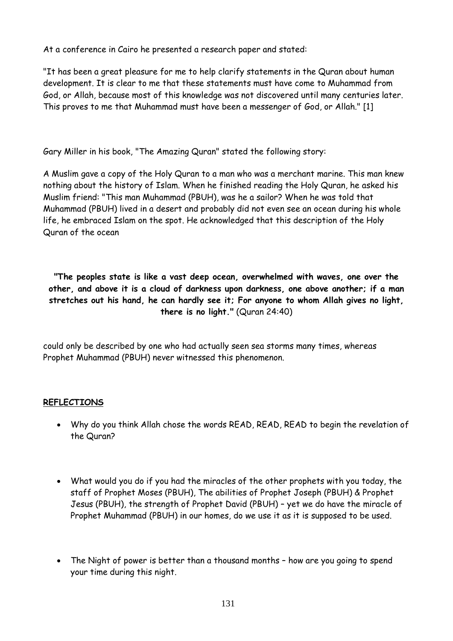At a conference in Cairo he presented a research paper and stated:

"It has been a great pleasure for me to help clarify statements in the Quran about human development. It is clear to me that these statements must have come to Muhammad from God, or Allah, because most of this knowledge was not discovered until many centuries later. This proves to me that Muhammad must have been a messenger of God, or Allah." [1]

Gary Miller in his book, "The Amazing Quran" stated the following story:

A Muslim gave a copy of the Holy Quran to a man who was a merchant marine. This man knew nothing about the history of Islam. When he finished reading the Holy Quran, he asked his Muslim friend: "This man Muhammad (PBUH), was he a sailor? When he was told that Muhammad (PBUH) lived in a desert and probably did not even see an ocean during his whole life, he embraced Islam on the spot. He acknowledged that this description of the Holy Quran of the ocean

**"The peoples state is like a vast deep ocean, overwhelmed with waves, one over the other, and above it is a cloud of darkness upon darkness, one above another; if a man stretches out his hand, he can hardly see it; For anyone to whom Allah gives no light, there is no light."** (Quran 24:40)

could only be described by one who had actually seen sea storms many times, whereas Prophet Muhammad (PBUH) never witnessed this phenomenon.

## **REFLECTIONS**

- Why do you think Allah chose the words READ, READ, READ to begin the revelation of the Quran?
- What would you do if you had the miracles of the other prophets with you today, the staff of Prophet Moses (PBUH), The abilities of Prophet Joseph (PBUH) & Prophet Jesus (PBUH), the strength of Prophet David (PBUH) – yet we do have the miracle of Prophet Muhammad (PBUH) in our homes, do we use it as it is supposed to be used.
- The Night of power is better than a thousand months how are you going to spend your time during this night.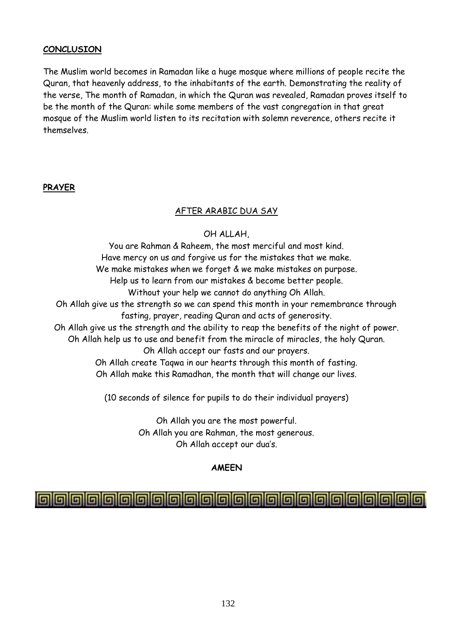## **CONCLUSION**

The Muslim world becomes in Ramadan like a huge mosque where millions of people recite the Quran, that heavenly address, to the inhabitants of the earth. Demonstrating the reality of the verse, The month of Ramadan, in which the Quran was revealed, Ramadan proves itself to be the month of the Quran: while some members of the vast congregation in that great mosque of the Muslim world listen to its recitation with solemn reverence, others recite it themselves.

## **PRAYER**

## AFTER ARABIC DUA SAY

#### OH ALLAH,

You are Rahman & Raheem, the most merciful and most kind. Have mercy on us and forgive us for the mistakes that we make. We make mistakes when we forget & we make mistakes on purpose. Help us to learn from our mistakes & become better people. Without your help we cannot do anything Oh Allah. Oh Allah give us the strength so we can spend this month in your remembrance through fasting, prayer, reading Quran and acts of generosity. Oh Allah give us the strength and the ability to reap the benefits of the night of power. Oh Allah help us to use and benefit from the miracle of miracles, the holy Quran. Oh Allah accept our fasts and our prayers. Oh Allah create Taqwa in our hearts through this month of fasting. Oh Allah make this Ramadhan, the month that will change our lives.

(10 seconds of silence for pupils to do their individual prayers)

Oh Allah you are the most powerful. Oh Allah you are Rahman, the most generous. Oh Allah accept our dua's.

## **AMEEN**

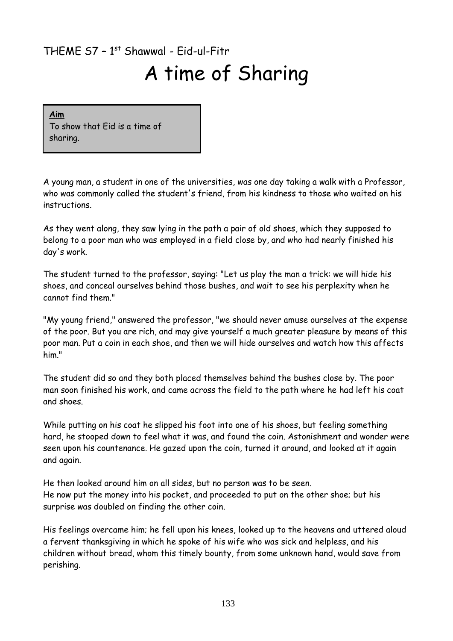## THEME S7 - 1<sup>st</sup> Shawwal - Eid-ul-Fitr A time of Sharing

**Aim**

To show that Eid is a time of sharing.

A young man, a student in one of the universities, was one day taking a walk with a Professor, who was commonly called the student's friend, from his kindness to those who waited on his instructions.

As they went along, they saw lying in the path a pair of old shoes, which they supposed to belong to a poor man who was employed in a field close by, and who had nearly finished his day's work.

The student turned to the professor, saying: "Let us play the man a trick: we will hide his shoes, and conceal ourselves behind those bushes, and wait to see his perplexity when he cannot find them."

"My young friend," answered the professor, "we should never amuse ourselves at the expense of the poor. But you are rich, and may give yourself a much greater pleasure by means of this poor man. Put a coin in each shoe, and then we will hide ourselves and watch how this affects him."

The student did so and they both placed themselves behind the bushes close by. The poor man soon finished his work, and came across the field to the path where he had left his coat and shoes.

While putting on his coat he slipped his foot into one of his shoes, but feeling something hard, he stooped down to feel what it was, and found the coin. Astonishment and wonder were seen upon his countenance. He gazed upon the coin, turned it around, and looked at it again and again.

He then looked around him on all sides, but no person was to be seen. He now put the money into his pocket, and proceeded to put on the other shoe; but his surprise was doubled on finding the other coin.

His feelings overcame him; he fell upon his knees, looked up to the heavens and uttered aloud a fervent thanksgiving in which he spoke of his wife who was sick and helpless, and his children without bread, whom this timely bounty, from some unknown hand, would save from perishing.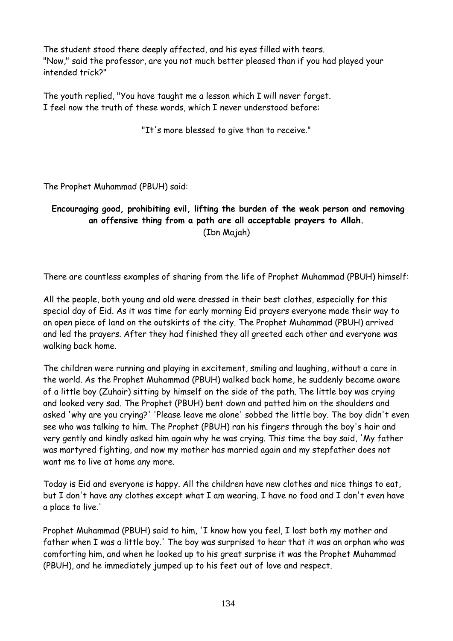The student stood there deeply affected, and his eyes filled with tears. "Now," said the professor, are you not much better pleased than if you had played your intended trick?"

The youth replied, "You have taught me a lesson which I will never forget. I feel now the truth of these words, which I never understood before:

"It's more blessed to give than to receive."

The Prophet Muhammad (PBUH) said:

**Encouraging good, prohibiting evil, lifting the burden of the weak person and removing an offensive thing from a path are all acceptable prayers to Allah.**  (Ibn Majah)

There are countless examples of sharing from the life of Prophet Muhammad (PBUH) himself:

All the people, both young and old were dressed in their best clothes, especially for this special day of Eid. As it was time for early morning Eid prayers everyone made their way to an open piece of land on the outskirts of the city. The Prophet Muhammad (PBUH) arrived and led the prayers. After they had finished they all greeted each other and everyone was walking back home.

The children were running and playing in excitement, smiling and laughing, without a care in the world. As the Prophet Muhammad (PBUH) walked back home, he suddenly became aware of a little boy (Zuhair) sitting by himself on the side of the path. The little boy was crying and looked very sad. The Prophet (PBUH) bent down and patted him on the shoulders and asked 'why are you crying?' 'Please leave me alone' sobbed the little boy. The boy didn't even see who was talking to him. The Prophet (PBUH) ran his fingers through the boy's hair and very gently and kindly asked him again why he was crying. This time the boy said, 'My father was martyred fighting, and now my mother has married again and my stepfather does not want me to live at home any more.

Today is Eid and everyone is happy. All the children have new clothes and nice things to eat, but I don't have any clothes except what I am wearing. I have no food and I don't even have a place to live.'

Prophet Muhammad (PBUH) said to him, 'I know how you feel, I lost both my mother and father when I was a little boy.' The boy was surprised to hear that it was an orphan who was comforting him, and when he looked up to his great surprise it was the Prophet Muhammad (PBUH), and he immediately jumped up to his feet out of love and respect.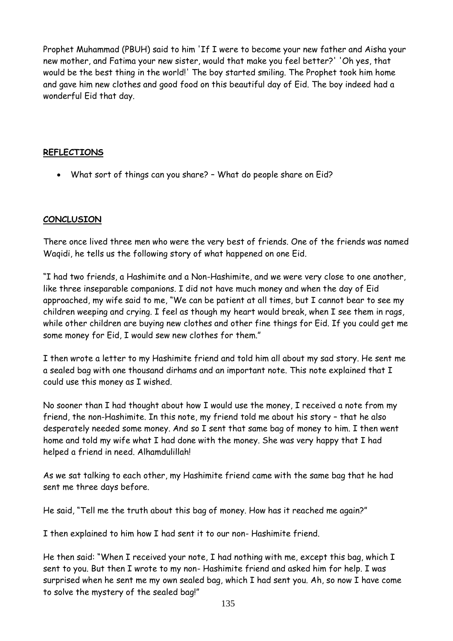Prophet Muhammad (PBUH) said to him 'If I were to become your new father and Aisha your new mother, and Fatima your new sister, would that make you feel better?' 'Oh yes, that would be the best thing in the world!' The boy started smiling. The Prophet took him home and gave him new clothes and good food on this beautiful day of Eid. The boy indeed had a wonderful Eid that day.

## **REFLECTIONS**

• What sort of things can you share? – What do people share on Eid?

## **CONCLUSION**

There once lived three men who were the very best of friends. One of the friends was named Waqidi, he tells us the following story of what happened on one Eid.

"I had two friends, a Hashimite and a Non-Hashimite, and we were very close to one another, like three inseparable companions. I did not have much money and when the day of Eid approached, my wife said to me, "We can be patient at all times, but I cannot bear to see my children weeping and crying. I feel as though my heart would break, when I see them in rags, while other children are buying new clothes and other fine things for Eid. If you could get me some money for Eid, I would sew new clothes for them."

I then wrote a letter to my Hashimite friend and told him all about my sad story. He sent me a sealed bag with one thousand dirhams and an important note. This note explained that I could use this money as I wished.

No sooner than I had thought about how I would use the money, I received a note from my friend, the non-Hashimite. In this note, my friend told me about his story – that he also desperately needed some money. And so I sent that same bag of money to him. I then went home and told my wife what I had done with the money. She was very happy that I had helped a friend in need. Alhamdulillah!

As we sat talking to each other, my Hashimite friend came with the same bag that he had sent me three days before.

He said, "Tell me the truth about this bag of money. How has it reached me again?"

I then explained to him how I had sent it to our non- Hashimite friend.

He then said: "When I received your note, I had nothing with me, except this bag, which I sent to you. But then I wrote to my non- Hashimite friend and asked him for help. I was surprised when he sent me my own sealed bag, which I had sent you. Ah, so now I have come to solve the mystery of the sealed bag!"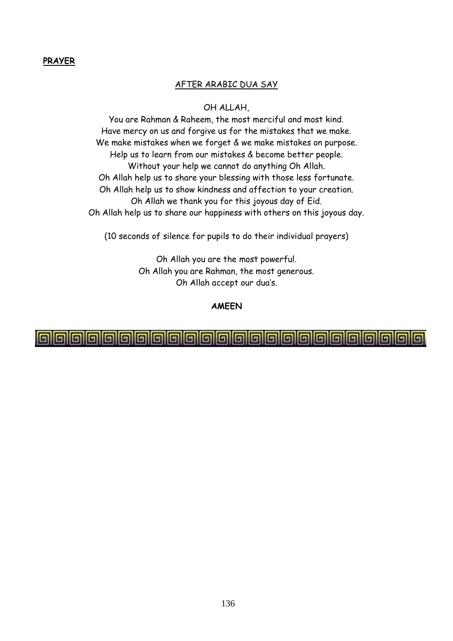#### **PRAYER**

#### AFTER ARABIC DUA SAY

#### OH ALLAH,

You are Rahman & Raheem, the most merciful and most kind. Have mercy on us and forgive us for the mistakes that we make. We make mistakes when we forget & we make mistakes on purpose. Help us to learn from our mistakes & become better people. Without your help we cannot do anything Oh Allah. Oh Allah help us to share your blessing with those less fortunate. Oh Allah help us to show kindness and affection to your creation. Oh Allah we thank you for this joyous day of Eid. Oh Allah help us to share our happiness with others on this joyous day.

(10 seconds of silence for pupils to do their individual prayers)

Oh Allah you are the most powerful. Oh Allah you are Rahman, the most generous. Oh Allah accept our dua's.

#### **AMEEN**

أفالقالقالقا la lla lla l lalla llat n lal m **Fi** m la. E lal **Tal**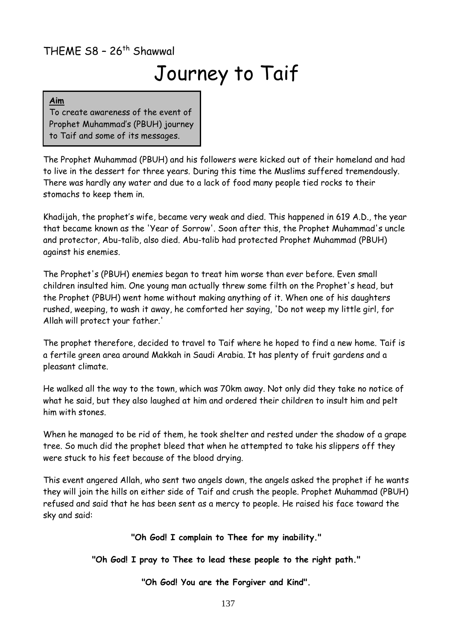## THEME  $58 - 26$ <sup>th</sup> Shawwal

# Journey to Taif

#### **Aim**

To create awareness of the event of Prophet Muhammad's (PBUH) journey to Taif and some of its messages.

The Prophet Muhammad (PBUH) and his followers were kicked out of their homeland and had to live in the dessert for three years. During this time the Muslims suffered tremendously. There was hardly any water and due to a lack of food many people tied rocks to their stomachs to keep them in.

Khadijah, the prophet's wife, became very weak and died. This happened in 619 A.D., the year that became known as the 'Year of Sorrow'. Soon after this, the Prophet Muhammad's uncle and protector, Abu-talib, also died. Abu-talib had protected Prophet Muhammad (PBUH) against his enemies.

The Prophet's (PBUH) enemies began to treat him worse than ever before. Even small children insulted him. One young man actually threw some filth on the Prophet's head, but the Prophet (PBUH) went home without making anything of it. When one of his daughters rushed, weeping, to wash it away, he comforted her saying, 'Do not weep my little girl, for Allah will protect your father.'

The prophet therefore, decided to travel to Taif where he hoped to find a new home. Taif is a fertile green area around Makkah in Saudi Arabia. It has plenty of fruit gardens and a pleasant climate.

He walked all the way to the town, which was 70km away. Not only did they take no notice of what he said, but they also laughed at him and ordered their children to insult him and pelt him with stones.

When he managed to be rid of them, he took shelter and rested under the shadow of a grape tree. So much did the prophet bleed that when he attempted to take his slippers off they were stuck to his feet because of the blood drying.

This event angered Allah, who sent two angels down, the angels asked the prophet if he wants they will join the hills on either side of Taif and crush the people. Prophet Muhammad (PBUH) refused and said that he has been sent as a mercy to people. He raised his face toward the sky and said:

**"Oh God! I complain to Thee for my inability."**

**"Oh God! I pray to Thee to lead these people to the right path."**

**"Oh God! You are the Forgiver and Kind".**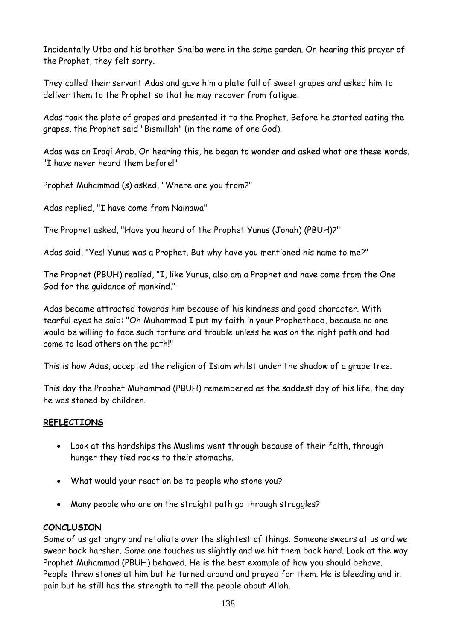Incidentally Utba and his brother Shaiba were in the same garden. On hearing this prayer of the Prophet, they felt sorry.

They called their servant Adas and gave him a plate full of sweet grapes and asked him to deliver them to the Prophet so that he may recover from fatigue.

Adas took the plate of grapes and presented it to the Prophet. Before he started eating the grapes, the Prophet said "Bismillah" (in the name of one God).

Adas was an Iraqi Arab. On hearing this, he began to wonder and asked what are these words. "I have never heard them before!"

Prophet Muhammad (s) asked, "Where are you from?"

Adas replied, "I have come from Nainawa"

The Prophet asked, "Have you heard of the Prophet Yunus (Jonah) (PBUH)?"

Adas said, "Yes! Yunus was a Prophet. But why have you mentioned his name to me?"

The Prophet (PBUH) replied, "I, like Yunus, also am a Prophet and have come from the One God for the guidance of mankind."

Adas became attracted towards him because of his kindness and good character. With tearful eyes he said: "Oh Muhammad I put my faith in your Prophethood, because no one would be willing to face such torture and trouble unless he was on the right path and had come to lead others on the path!"

This is how Adas, accepted the religion of Islam whilst under the shadow of a grape tree.

This day the Prophet Muhammad (PBUH) remembered as the saddest day of his life, the day he was stoned by children.

## **REFLECTIONS**

- Look at the hardships the Muslims went through because of their faith, through hunger they tied rocks to their stomachs.
- What would your reaction be to people who stone you?
- Many people who are on the straight path go through struggles?

## **CONCLUSION**

Some of us get angry and retaliate over the slightest of things. Someone swears at us and we swear back harsher. Some one touches us slightly and we hit them back hard. Look at the way Prophet Muhammad (PBUH) behaved. He is the best example of how you should behave. People threw stones at him but he turned around and prayed for them. He is bleeding and in pain but he still has the strength to tell the people about Allah.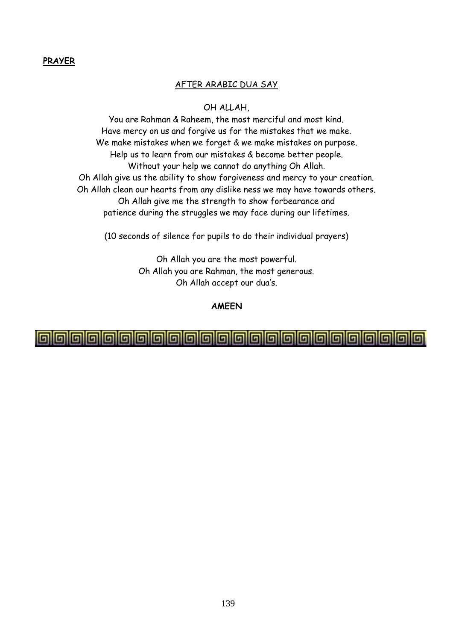#### **PRAYER**

#### AFTER ARABIC DUA SAY

#### OH ALLAH,

You are Rahman & Raheem, the most merciful and most kind. Have mercy on us and forgive us for the mistakes that we make. We make mistakes when we forget & we make mistakes on purpose. Help us to learn from our mistakes & become better people. Without your help we cannot do anything Oh Allah. Oh Allah give us the ability to show forgiveness and mercy to your creation. Oh Allah clean our hearts from any dislike ness we may have towards others. Oh Allah give me the strength to show forbearance and patience during the struggles we may face during our lifetimes.

(10 seconds of silence for pupils to do their individual prayers)

Oh Allah you are the most powerful. Oh Allah you are Rahman, the most generous. Oh Allah accept our dua's.

#### **AMEEN**

أفالقالقالقا **न ज** المازمازها lalla llat ml lal l on **Fi** m. la. **Tal**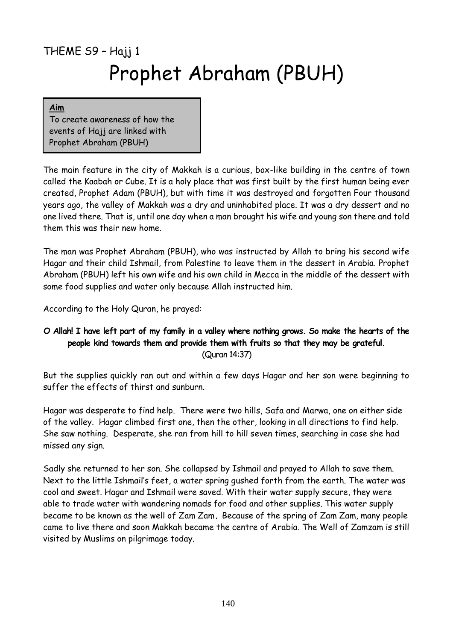## THEME S9 – Hajj 1 Prophet Abraham (PBUH)

**Aim**

To create awareness of how the events of Hajj are linked with Prophet Abraham (PBUH)

The main feature in the city of Makkah is a curious, box-like building in the centre of town called the Kaabah or Cube. It is a holy place that was first built by the first human being ever created, Prophet Adam (PBUH), but with time it was destroyed and forgotten Four thousand years ago, the valley of Makkah was a dry and uninhabited place. It was a dry dessert and no one lived there. That is, until one day when a man brought his wife and young son there and told them this was their new home.

The man was Prophet Abraham (PBUH), who was instructed by Allah to bring his second wife Hagar and their child Ishmail, from Palestine to leave them in the dessert in Arabia. Prophet Abraham (PBUH) left his own wife and his own child in Mecca in the middle of the dessert with some food supplies and water only because Allah instructed him.

According to the Holy Quran, he prayed:

## **O Allah! I have left part of my family in a valley where nothing grows. So make the hearts of the people kind towards them and provide them with fruits so that they may be grateful.** (Quran 14:37)

But the supplies quickly ran out and within a few days Hagar and her son were beginning to suffer the effects of thirst and sunburn.

Hagar was desperate to find help. There were two hills, Safa and Marwa, one on either side of the valley. Hagar climbed first one, then the other, looking in all directions to find help. She saw nothing. Desperate, she ran from hill to hill seven times, searching in case she had missed any sign.

Sadly she returned to her son. She collapsed by Ishmail and prayed to Allah to save them. Next to the little Ishmail's feet, a water spring gushed forth from the earth. The water was cool and sweet. Hagar and Ishmail were saved. With their water supply secure, they were able to trade water with wandering nomads for food and other supplies. This water supply became to be known as the well of Zam Zam**.** Because of the spring of Zam Zam, many people came to live there and soon Makkah became the centre of Arabia. The Well of Zamzam is still visited by Muslims on pilgrimage today.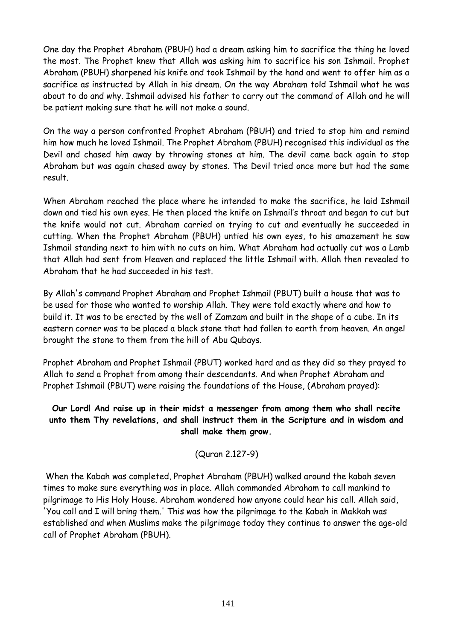One day the Prophet Abraham (PBUH) had a dream asking him to sacrifice the thing he loved the most. The Prophet knew that Allah was asking him to sacrifice his son Ishmail. Prophet Abraham (PBUH) sharpened his knife and took Ishmail by the hand and went to offer him as a sacrifice as instructed by Allah in his dream. On the way Abraham told Ishmail what he was about to do and why. Ishmail advised his father to carry out the command of Allah and he will be patient making sure that he will not make a sound.

On the way a person confronted Prophet Abraham (PBUH) and tried to stop him and remind him how much he loved Ishmail. The Prophet Abraham (PBUH) recognised this individual as the Devil and chased him away by throwing stones at him. The devil came back again to stop Abraham but was again chased away by stones. The Devil tried once more but had the same result.

When Abraham reached the place where he intended to make the sacrifice, he laid Ishmail down and tied his own eyes. He then placed the knife on Ishmail's throat and began to cut but the knife would not cut. Abraham carried on trying to cut and eventually he succeeded in cutting. When the Prophet Abraham (PBUH) untied his own eyes, to his amazement he saw Ishmail standing next to him with no cuts on him. What Abraham had actually cut was a Lamb that Allah had sent from Heaven and replaced the little Ishmail with. Allah then revealed to Abraham that he had succeeded in his test.

By Allah's command Prophet Abraham and Prophet Ishmail (PBUT) built a house that was to be used for those who wanted to worship Allah. They were told exactly where and how to build it. It was to be erected by the well of Zamzam and built in the shape of a cube. In its eastern corner was to be placed a black stone that had fallen to earth from heaven. An angel brought the stone to them from the hill of Abu Qubays.

Prophet Abraham and Prophet Ishmail (PBUT) worked hard and as they did so they prayed to Allah to send a Prophet from among their descendants. And when Prophet Abraham and Prophet Ishmail (PBUT) were raising the foundations of the House, (Abraham prayed):

## **Our Lord! And raise up in their midst a messenger from among them who shall recite unto them Thy revelations, and shall instruct them in the Scripture and in wisdom and shall make them grow.**

(Quran 2.127-9)

When the Kabah was completed, Prophet Abraham (PBUH) walked around the kabah seven times to make sure everything was in place. Allah commanded Abraham to call mankind to pilgrimage to His Holy House. Abraham wondered how anyone could hear his call. Allah said, 'You call and I will bring them.' This was how the pilgrimage to the Kabah in Makkah was established and when Muslims make the pilgrimage today they continue to answer the age-old call of Prophet Abraham (PBUH).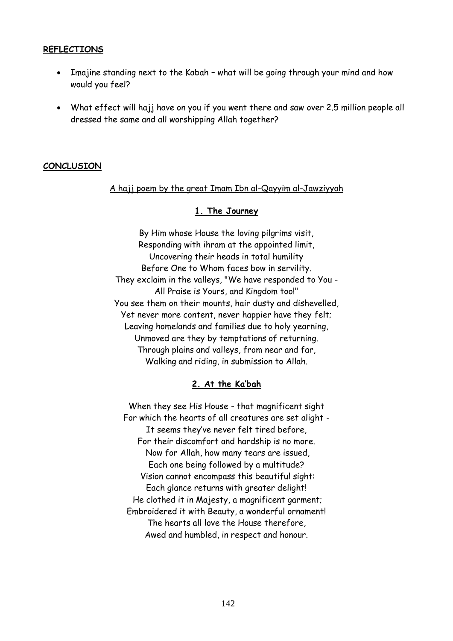#### **REFLECTIONS**

- Imajine standing next to the Kabah what will be going through your mind and how would you feel?
- What effect will hajj have on you if you went there and saw over 2.5 million people all dressed the same and all worshipping Allah together?

#### **CONCLUSION**

#### A hajj poem by the great Imam Ibn al-Qayyim al-Jawziyyah

#### **1. The Journey**

By Him whose House the loving pilgrims visit, Responding with ihram at the appointed limit, Uncovering their heads in total humility Before One to Whom faces bow in servility. They exclaim in the valleys, "We have responded to You - All Praise is Yours, and Kingdom too!" You see them on their mounts, hair dusty and dishevelled, Yet never more content, never happier have they felt; Leaving homelands and families due to holy yearning, Unmoved are they by temptations of returning. Through plains and valleys, from near and far, Walking and riding, in submission to Allah.

#### **2. At the Ka'bah**

When they see His House - that magnificent sight For which the hearts of all creatures are set alight - It seems they've never felt tired before, For their discomfort and hardship is no more. Now for Allah, how many tears are issued, Each one being followed by a multitude? Vision cannot encompass this beautiful sight: Each glance returns with greater delight! He clothed it in Majesty, a magnificent garment; Embroidered it with Beauty, a wonderful ornament! The hearts all love the House therefore, Awed and humbled, in respect and honour.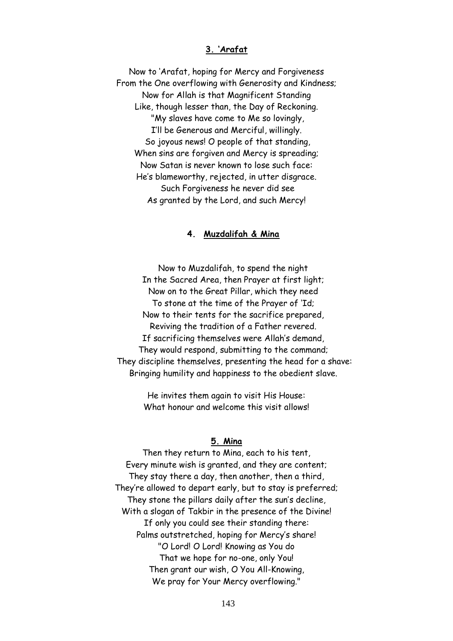#### **3. 'Arafat**

Now to 'Arafat, hoping for Mercy and Forgiveness From the One overflowing with Generosity and Kindness; Now for Allah is that Magnificent Standing Like, though lesser than, the Day of Reckoning. "My slaves have come to Me so lovingly, I'll be Generous and Merciful, willingly. So joyous news! O people of that standing, When sins are forgiven and Mercy is spreading; Now Satan is never known to lose such face: He's blameworthy, rejected, in utter disgrace. Such Forgiveness he never did see As granted by the Lord, and such Mercy!

#### **4. Muzdalifah & Mina**

Now to Muzdalifah, to spend the night In the Sacred Area, then Prayer at first light; Now on to the Great Pillar, which they need To stone at the time of the Prayer of 'Id; Now to their tents for the sacrifice prepared, Reviving the tradition of a Father revered. If sacrificing themselves were Allah's demand, They would respond, submitting to the command; They discipline themselves, presenting the head for a shave: Bringing humility and happiness to the obedient slave.

> He invites them again to visit His House: What honour and welcome this visit allows!

#### **5. Mina**

Then they return to Mina, each to his tent, Every minute wish is granted, and they are content; They stay there a day, then another, then a third, They're allowed to depart early, but to stay is preferred; They stone the pillars daily after the sun's decline, With a slogan of Takbir in the presence of the Divine! If only you could see their standing there: Palms outstretched, hoping for Mercy's share! "O Lord! O Lord! Knowing as You do That we hope for no-one, only You! Then grant our wish, O You All-Knowing, We pray for Your Mercy overflowing."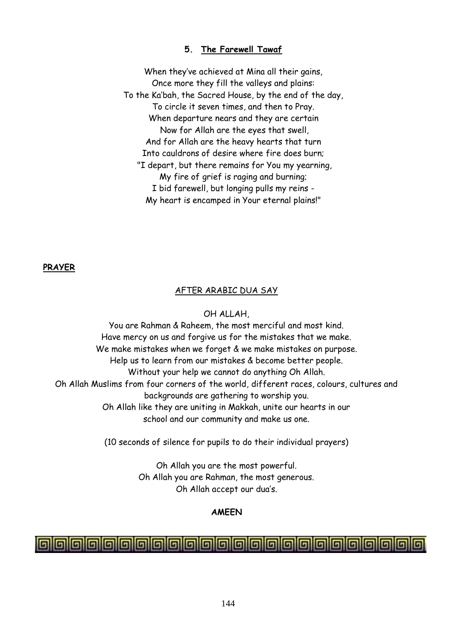## **5. The Farewell Tawaf**

When they've achieved at Mina all their gains, Once more they fill the valleys and plains: To the Ka'bah, the Sacred House, by the end of the day, To circle it seven times, and then to Pray. When departure nears and they are certain Now for Allah are the eyes that swell, And for Allah are the heavy hearts that turn Into cauldrons of desire where fire does burn; "I depart, but there remains for You my yearning, My fire of grief is raging and burning; I bid farewell, but longing pulls my reins - My heart is encamped in Your eternal plains!"

#### **PRAYER**

#### AFTER ARABIC DUA SAY

OH ALLAH,

You are Rahman & Raheem, the most merciful and most kind. Have mercy on us and forgive us for the mistakes that we make. We make mistakes when we forget & we make mistakes on purpose. Help us to learn from our mistakes & become better people. Without your help we cannot do anything Oh Allah. Oh Allah Muslims from four corners of the world, different races, colours, cultures and backgrounds are gathering to worship you. Oh Allah like they are uniting in Makkah, unite our hearts in our school and our community and make us one.

(10 seconds of silence for pupils to do their individual prayers)

Oh Allah you are the most powerful. Oh Allah you are Rahman, the most generous. Oh Allah accept our dua's.

#### **AMEEN**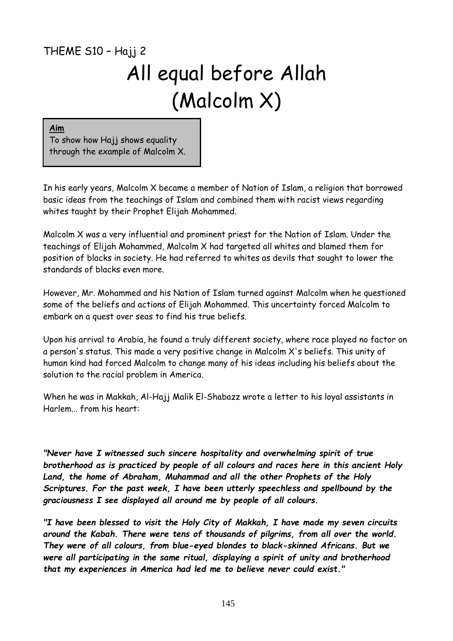# THEME S10 – Hajj 2 All equal before Allah (Malcolm X)

#### **Aim**

To show how Hajj shows equality through the example of Malcolm X.

In his early years, Malcolm X became a member of Nation of Islam, a religion that borrowed basic ideas from the teachings of Islam and combined them with racist views regarding whites taught by their Prophet Elijah Mohammed.

Malcolm X was a very influential and prominent priest for the Nation of Islam. Under the teachings of Elijah Mohammed, Malcolm X had targeted all whites and blamed them for position of blacks in society. He had referred to whites as devils that sought to lower the standards of blacks even more.

However, Mr. Mohammed and his Nation of Islam turned against Malcolm when he questioned some of the beliefs and actions of Elijah Mohammed. This uncertainty forced Malcolm to embark on a quest over seas to find his true beliefs.

Upon his arrival to Arabia, he found a truly different society, where race played no factor on a person's status. This made a very positive change in Malcolm X's beliefs. This unity of human kind had forced Malcolm to change many of his ideas including his beliefs about the solution to the racial problem in America.

When he was in Makkah, Al-Hajj Malik El-Shabazz wrote a letter to his loyal assistants in Harlem... from his heart:

*"Never have I witnessed such sincere hospitality and overwhelming spirit of true brotherhood as is practiced by people of all colours and races here in this ancient Holy Land, the home of Abraham, Muhammad and all the other Prophets of the Holy Scriptures. For the past week, I have been utterly speechless and spellbound by the graciousness I see displayed all around me by people of all colours.* 

*"I have been blessed to visit the Holy City of Makkah, I have made my seven circuits around the Kabah. There were tens of thousands of pilgrims, from all over the world. They were of all colours, from blue-eyed blondes to black-skinned Africans. But we were all participating in the same ritual, displaying a spirit of unity and brotherhood that my experiences in America had led me to believe never could exist."*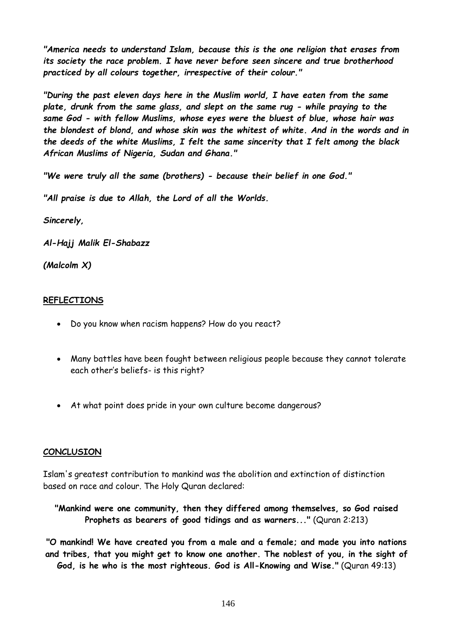*"America needs to understand Islam, because this is the one religion that erases from its society the race problem. I have never before seen sincere and true brotherhood practiced by all colours together, irrespective of their colour."* 

*"During the past eleven days here in the Muslim world, I have eaten from the same plate, drunk from the same glass, and slept on the same rug - while praying to the same God - with fellow Muslims, whose eyes were the bluest of blue, whose hair was the blondest of blond, and whose skin was the whitest of white. And in the words and in the deeds of the white Muslims, I felt the same sincerity that I felt among the black African Muslims of Nigeria, Sudan and Ghana."* 

*"We were truly all the same (brothers) - because their belief in one God."* 

*"All praise is due to Allah, the Lord of all the Worlds.* 

*Sincerely,* 

*Al-Hajj Malik El-Shabazz* 

*(Malcolm X)* 

#### **REFLECTIONS**

- Do you know when racism happens? How do you react?
- Many battles have been fought between religious people because they cannot tolerate each other's beliefs- is this right?
- At what point does pride in your own culture become dangerous?

#### **CONCLUSION**

Islam's greatest contribution to mankind was the abolition and extinction of distinction based on race and colour. The Holy Quran declared:

**"Mankind were one community, then they differed among themselves, so God raised Prophets as bearers of good tidings and as warners..."** (Quran 2:213)

**"O mankind! We have created you from a male and a female; and made you into nations and tribes, that you might get to know one another. The noblest of you, in the sight of God, is he who is the most righteous. God is All-Knowing and Wise."** (Quran 49:13)

146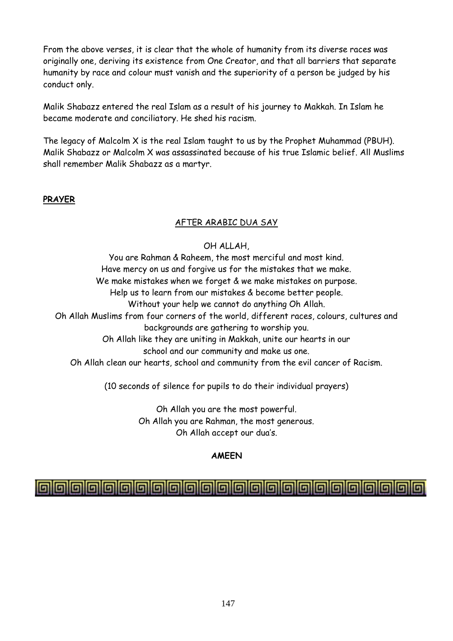From the above verses, it is clear that the whole of humanity from its diverse races was originally one, deriving its existence from One Creator, and that all barriers that separate humanity by race and colour must vanish and the superiority of a person be judged by his conduct only.

Malik Shabazz entered the real Islam as a result of his journey to Makkah. In Islam he became moderate and conciliatory. He shed his racism.

The legacy of Malcolm X is the real Islam taught to us by the Prophet Muhammad (PBUH). Malik Shabazz or Malcolm X was assassinated because of his true Islamic belief. All Muslims shall remember Malik Shabazz as a martyr.

## **PRAYER**

## AFTER ARABIC DUA SAY

## OH ALLAH,

You are Rahman & Raheem, the most merciful and most kind. Have mercy on us and forgive us for the mistakes that we make. We make mistakes when we forget & we make mistakes on purpose. Help us to learn from our mistakes & become better people. Without your help we cannot do anything Oh Allah. Oh Allah Muslims from four corners of the world, different races, colours, cultures and backgrounds are gathering to worship you. Oh Allah like they are uniting in Makkah, unite our hearts in our school and our community and make us one. Oh Allah clean our hearts, school and community from the evil cancer of Racism.

(10 seconds of silence for pupils to do their individual prayers)

Oh Allah you are the most powerful. Oh Allah you are Rahman, the most generous. Oh Allah accept our dua's.

## **AMEEN**

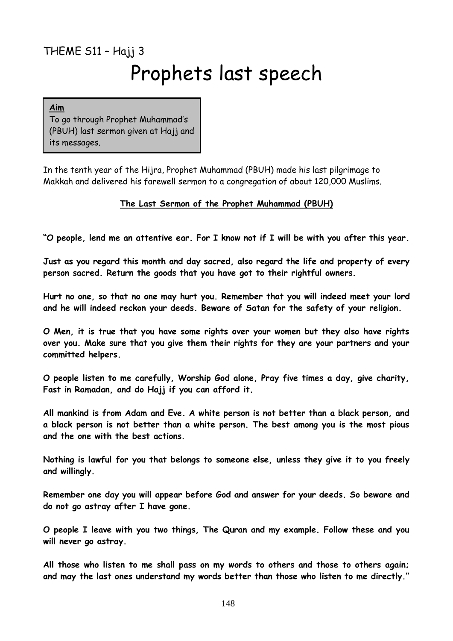## THEME S11 – Hajj 3 Prophets last speech

**Aim**

To go through Prophet Muhammad's (PBUH) last sermon given at Hajj and its messages.

In the tenth year of the Hijra, Prophet Muhammad (PBUH) made his last pilgrimage to Makkah and delivered his farewell sermon to a congregation of about 120,000 Muslims.

## **The Last Sermon of the Prophet Muhammad (PBUH)**

**"O people, lend me an attentive ear. For I know not if I will be with you after this year.**

**Just as you regard this month and day sacred, also regard the life and property of every person sacred. Return the goods that you have got to their rightful owners.**

**Hurt no one, so that no one may hurt you. Remember that you will indeed meet your lord and he will indeed reckon your deeds. Beware of Satan for the safety of your religion.** 

**O Men, it is true that you have some rights over your women but they also have rights over you. Make sure that you give them their rights for they are your partners and your committed helpers.**

**O people listen to me carefully, Worship God alone, Pray five times a day, give charity, Fast in Ramadan, and do Hajj if you can afford it.**

**All mankind is from Adam and Eve. A white person is not better than a black person, and a black person is not better than a white person. The best among you is the most pious and the one with the best actions.**

**Nothing is lawful for you that belongs to someone else, unless they give it to you freely and willingly.**

**Remember one day you will appear before God and answer for your deeds. So beware and do not go astray after I have gone.**

**O people I leave with you two things, The Quran and my example. Follow these and you will never go astray.**

**All those who listen to me shall pass on my words to others and those to others again; and may the last ones understand my words better than those who listen to me directly."**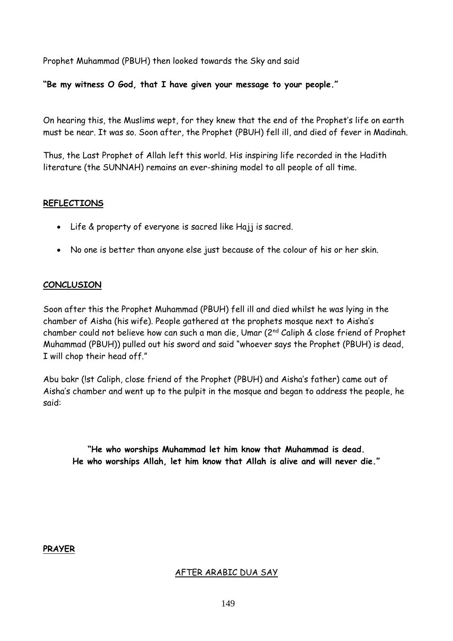Prophet Muhammad (PBUH) then looked towards the Sky and said

**"Be my witness O God, that I have given your message to your people."** 

On hearing this, the Muslims wept, for they knew that the end of the Prophet's life on earth must be near. It was so. Soon after, the Prophet (PBUH) fell ill, and died of fever in Madinah.

Thus, the Last Prophet of Allah left this world. His inspiring life recorded in the Hadith literature (the SUNNAH) remains an ever-shining model to all people of all time.

## **REFLECTIONS**

- Life & property of everyone is sacred like Hajj is sacred.
- No one is better than anyone else just because of the colour of his or her skin.

## **CONCLUSION**

Soon after this the Prophet Muhammad (PBUH) fell ill and died whilst he was lying in the chamber of Aisha (his wife). People gathered at the prophets mosque next to Aisha's chamber could not believe how can such a man die, Umar (2nd Caliph & close friend of Prophet Muhammad (PBUH)) pulled out his sword and said "whoever says the Prophet (PBUH) is dead, I will chop their head off."

Abu bakr (!st Caliph, close friend of the Prophet (PBUH) and Aisha's father) came out of Aisha's chamber and went up to the pulpit in the mosque and began to address the people, he said:

**"He who worships Muhammad let him know that Muhammad is dead. He who worships Allah, let him know that Allah is alive and will never die."**

**PRAYER**

## AFTER ARABIC DUA SAY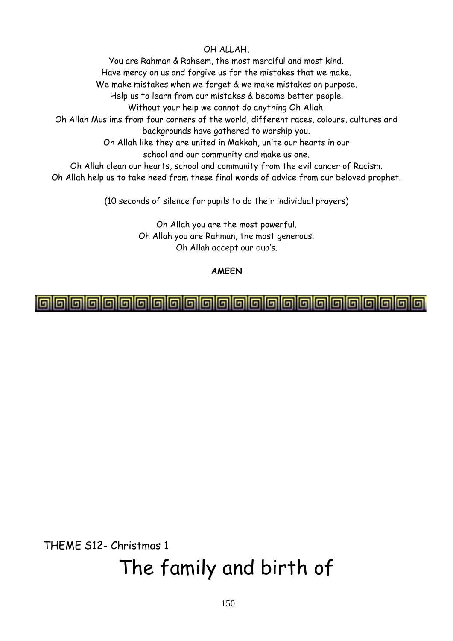## OH ALLAH,

You are Rahman & Raheem, the most merciful and most kind.

Have mercy on us and forgive us for the mistakes that we make.

We make mistakes when we forget & we make mistakes on purpose.

Help us to learn from our mistakes & become better people.

Without your help we cannot do anything Oh Allah.

Oh Allah Muslims from four corners of the world, different races, colours, cultures and

backgrounds have gathered to worship you.

Oh Allah like they are united in Makkah, unite our hearts in our

school and our community and make us one.

Oh Allah clean our hearts, school and community from the evil cancer of Racism.

Oh Allah help us to take heed from these final words of advice from our beloved prophet.

(10 seconds of silence for pupils to do their individual prayers)

Oh Allah you are the most powerful. Oh Allah you are Rahman, the most generous. Oh Allah accept our dua's.

## **AMEEN**

ligiligiligil Im lm

THEME S12- Christmas 1 The family and birth of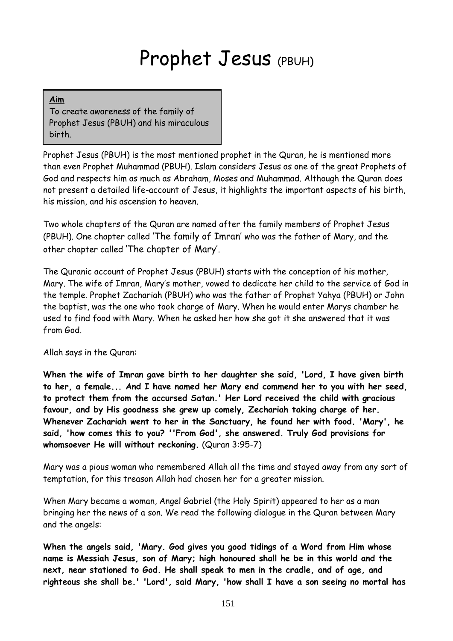# Prophet Jesus (PBUH)

**Aim**

To create awareness of the family of Prophet Jesus (PBUH) and his miraculous birth.

Prophet Jesus (PBUH) is the most mentioned prophet in the Quran, he is mentioned more than even Prophet Muhammad (PBUH). Islam considers Jesus as one of the great Prophets of God and respects him as much as Abraham, Moses and Muhammad. Although the Quran does not present a detailed life-account of Jesus, it highlights the important aspects of his birth, his mission, and his ascension to heaven.

Two whole chapters of the Quran are named after the family members of Prophet Jesus (PBUH). One chapter called 'The family of Imran' who was the father of Mary, and the other chapter called 'The chapter of Mary'.

The Quranic account of Prophet Jesus (PBUH) starts with the conception of his mother, Mary. The wife of Imran, Mary's mother, vowed to dedicate her child to the service of God in the temple. Prophet Zachariah (PBUH) who was the father of Prophet Yahya (PBUH) or John the baptist, was the one who took charge of Mary. When he would enter Marys chamber he used to find food with Mary. When he asked her how she got it she answered that it was from God.

Allah says in the Quran:

**When the wife of Imran gave birth to her daughter she said, 'Lord, I have given birth to her, a female... And I have named her Mary end commend her to you with her seed, to protect them from the accursed Satan.' Her Lord received the child with gracious favour, and by His goodness she grew up comely, Zechariah taking charge of her. Whenever Zachariah went to her in the Sanctuary, he found her with food. 'Mary', he said, 'how comes this to you? ''From God', she answered. Truly God provisions for whomsoever He will without reckoning.** (Quran 3:95-7)

Mary was a pious woman who remembered Allah all the time and stayed away from any sort of temptation, for this treason Allah had chosen her for a greater mission.

When Mary became a woman, Angel Gabriel (the Holy Spirit) appeared to her as a man bringing her the news of a son. We read the following dialogue in the Quran between Mary and the angels:

**When the angels said, 'Mary. God gives you good tidings of a Word from Him whose name is Messiah Jesus, son of Mary; high honoured shall he be in this world and the next, near stationed to God. He shall speak to men in the cradle, and of age, and righteous she shall be.' 'Lord', said Mary, 'how shall I have a son seeing no mortal has**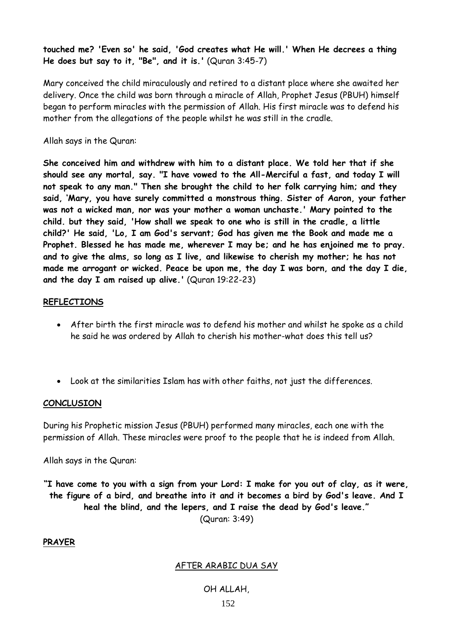**touched me? 'Even so' he said, 'God creates what He will.' When He decrees a thing He does but say to it, "Be", and it is.'** (Quran 3:45-7)

Mary conceived the child miraculously and retired to a distant place where she awaited her delivery. Once the child was born through a miracle of Allah, Prophet Jesus (PBUH) himself began to perform miracles with the permission of Allah. His first miracle was to defend his mother from the allegations of the people whilst he was still in the cradle.

Allah says in the Quran:

**She conceived him and withdrew with him to a distant place. We told her that if she should see any mortal, say. "I have vowed to the All-Merciful a fast, and today I will not speak to any man." Then she brought the child to her folk carrying him; and they said, 'Mary, you have surely committed a monstrous thing. Sister of Aaron, your father was not a wicked man, nor was your mother a woman unchaste.' Mary pointed to the child. but they said, 'How shall we speak to one who is still in the cradle, a little child?' He said, 'Lo, I am God's servant; God has given me the Book and made me a Prophet. Blessed he has made me, wherever I may be; and he has enjoined me to pray. and to give the alms, so long as I live, and likewise to cherish my mother; he has not made me arrogant or wicked. Peace be upon me, the day I was born, and the day I die, and the day I am raised up alive.'** (Quran 19:22-23)

#### **REFLECTIONS**

- After birth the first miracle was to defend his mother and whilst he spoke as a child he said he was ordered by Allah to cherish his mother-what does this tell us?
- Look at the similarities Islam has with other faiths, not just the differences.

## **CONCLUSION**

During his Prophetic mission Jesus (PBUH) performed many miracles, each one with the permission of Allah. These miracles were proof to the people that he is indeed from Allah.

Allah says in the Quran:

**"I have come to you with a sign from your Lord: I make for you out of clay, as it were, the figure of a bird, and breathe into it and it becomes a bird by God's leave. And I heal the blind, and the lepers, and I raise the dead by God's leave."**  (Quran: 3:49)

#### **PRAYER**

## AFTER ARABIC DUA SAY

OH ALLAH,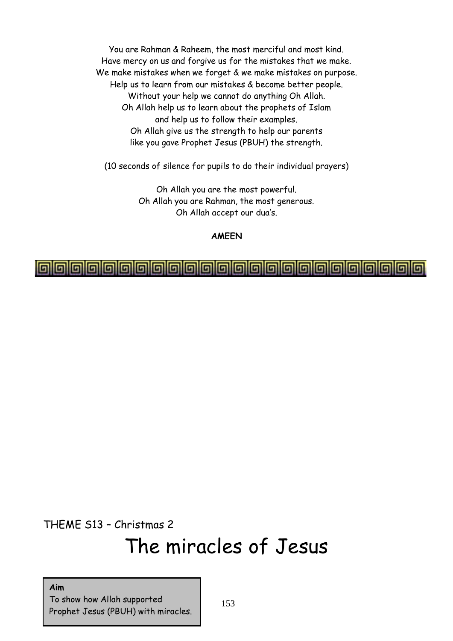You are Rahman & Raheem, the most merciful and most kind. Have mercy on us and forgive us for the mistakes that we make. We make mistakes when we forget & we make mistakes on purpose. Help us to learn from our mistakes & become better people. Without your help we cannot do anything Oh Allah. Oh Allah help us to learn about the prophets of Islam and help us to follow their examples. Oh Allah give us the strength to help our parents like you gave Prophet Jesus (PBUH) the strength.

(10 seconds of silence for pupils to do their individual prayers)

Oh Allah you are the most powerful. Oh Allah you are Rahman, the most generous. Oh Allah accept our dua's.

#### **AMEEN**

THEME S13 – Christmas 2

# The miracles of Jesus

**Aim** To show how Allah supported Prophet Jesus (PBUH) with miracles.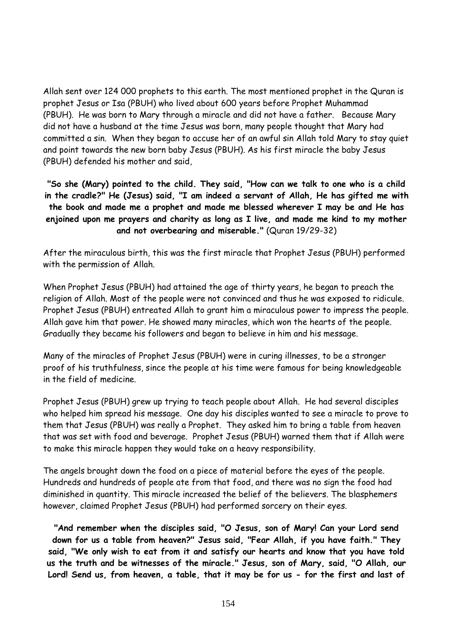Allah sent over 124 000 prophets to this earth. The most mentioned prophet in the Quran is prophet Jesus or Isa (PBUH) who lived about 600 years before Prophet Muhammad (PBUH). He was born to Mary through a miracle and did not have a father. Because Mary did not have a husband at the time Jesus was born, many people thought that Mary had committed a sin. When they began to accuse her of an awful sin Allah told Mary to stay quiet and point towards the new born baby Jesus (PBUH). As his first miracle the baby Jesus (PBUH) defended his mother and said,

**"So she (Mary) pointed to the child. They said, "How can we talk to one who is a child in the cradle?" He (Jesus) said, "I am indeed a servant of Allah, He has gifted me with the book and made me a prophet and made me blessed wherever I may be and He has enjoined upon me prayers and charity as long as I live, and made me kind to my mother and not overbearing and miserable."** (Quran 19/29-32)

After the miraculous birth, this was the first miracle that Prophet Jesus (PBUH) performed with the permission of Allah.

When Prophet Jesus (PBUH) had attained the age of thirty years, he began to preach the religion of Allah. Most of the people were not convinced and thus he was exposed to ridicule. Prophet Jesus (PBUH) entreated Allah to grant him a miraculous power to impress the people. Allah gave him that power. He showed many miracles, which won the hearts of the people. Gradually they became his followers and began to believe in him and his message.

Many of the miracles of Prophet Jesus (PBUH) were in curing illnesses, to be a stronger proof of his truthfulness, since the people at his time were famous for being knowledgeable in the field of medicine.

Prophet Jesus (PBUH) grew up trying to teach people about Allah. He had several disciples who helped him spread his message. One day his disciples wanted to see a miracle to prove to them that Jesus (PBUH) was really a Prophet. They asked him to bring a table from heaven that was set with food and beverage. Prophet Jesus (PBUH) warned them that if Allah were to make this miracle happen they would take on a heavy responsibility.

The angels brought down the food on a piece of material before the eyes of the people. Hundreds and hundreds of people ate from that food, and there was no sign the food had diminished in quantity. This miracle increased the belief of the believers. The blasphemers however, claimed Prophet Jesus (PBUH) had performed sorcery on their eyes.

**"And remember when the disciples said, "O Jesus, son of Mary! Can your Lord send down for us a table from heaven?" Jesus said, "Fear Allah, if you have faith." They said, "We only wish to eat from it and satisfy our hearts and know that you have told us the truth and be witnesses of the miracle." Jesus, son of Mary, said, "O Allah, our Lord! Send us, from heaven, a table, that it may be for us - for the first and last of**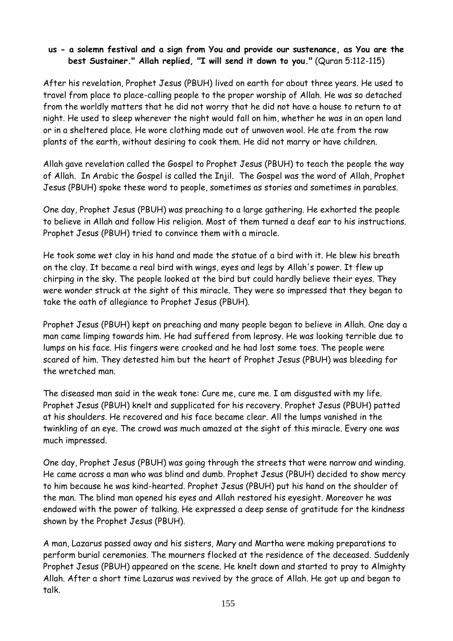## **us - a solemn festival and a sign from You and provide our sustenance, as You are the best Sustainer." Allah replied, "I will send it down to you."** (Quran 5:112-115)

After his revelation, Prophet Jesus (PBUH) lived on earth for about three years. He used to travel from place to place-calling people to the proper worship of Allah. He was so detached from the worldly matters that he did not worry that he did not have a house to return to at night. He used to sleep wherever the night would fall on him, whether he was in an open land or in a sheltered place. He wore clothing made out of unwoven wool. He ate from the raw plants of the earth, without desiring to cook them. He did not marry or have children.

Allah gave revelation called the Gospel to Prophet Jesus (PBUH) to teach the people the way of Allah. In Arabic the Gospel is called the Injil. The Gospel was the word of Allah, Prophet Jesus (PBUH) spoke these word to people, sometimes as stories and sometimes in parables.

One day, Prophet Jesus (PBUH) was preaching to a large gathering. He exhorted the people to believe in Allah and follow His religion. Most of them turned a deaf ear to his instructions. Prophet Jesus (PBUH) tried to convince them with a miracle.

He took some wet clay in his hand and made the statue of a bird with it. He blew his breath on the clay. It became a real bird with wings, eyes and legs by Allah's power. It flew up chirping in the sky. The people looked at the bird but could hardly believe their eyes. They were wonder struck at the sight of this miracle. They were so impressed that they began to take the oath of allegiance to Prophet Jesus (PBUH).

Prophet Jesus (PBUH) kept on preaching and many people began to believe in Allah. One day a man came limping towards him. He had suffered from leprosy. He was looking terrible due to lumps on his face. His fingers were crooked and he had lost some toes. The people were scared of him. They detested him but the heart of Prophet Jesus (PBUH) was bleeding for the wretched man.

The diseased man said in the weak tone: Cure me, cure me. I am disgusted with my life. Prophet Jesus (PBUH) knelt and supplicated for his recovery. Prophet Jesus (PBUH) patted at his shoulders. He recovered and his face became clear. All the lumps vanished in the twinkling of an eye. The crowd was much amazed at the sight of this miracle. Every one was much impressed.

One day, Prophet Jesus (PBUH) was going through the streets that were narrow and winding. He came across a man who was blind and dumb. Prophet Jesus (PBUH) decided to show mercy to him because he was kind-hearted. Prophet Jesus (PBUH) put his hand on the shoulder of the man. The blind man opened his eyes and Allah restored his eyesight. Moreover he was endowed with the power of talking. He expressed a deep sense of gratitude for the kindness shown by the Prophet Jesus (PBUH).

A man, Lazarus passed away and his sisters, Mary and Martha were making preparations to perform burial ceremonies. The mourners flocked at the residence of the deceased. Suddenly Prophet Jesus (PBUH) appeared on the scene. He knelt down and started to pray to Almighty Allah. After a short time Lazarus was revived by the grace of Allah. He got up and began to talk.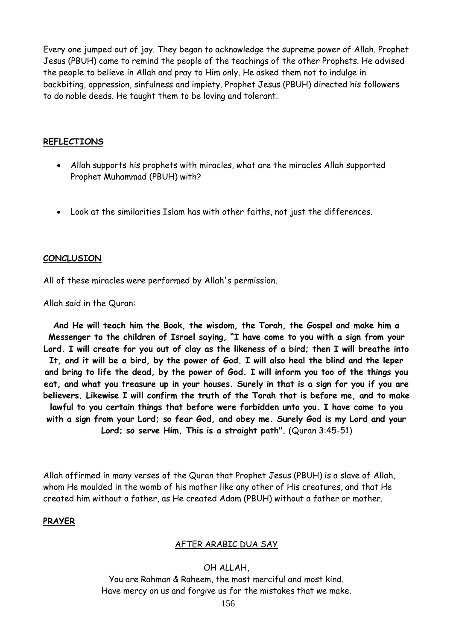Every one jumped out of joy. They began to acknowledge the supreme power of Allah. Prophet Jesus (PBUH) came to remind the people of the teachings of the other Prophets. He advised the people to believe in Allah and pray to Him only. He asked them not to indulge in backbiting, oppression, sinfulness and impiety. Prophet Jesus (PBUH) directed his followers to do noble deeds. He taught them to be loving and tolerant.

#### **REFLECTIONS**

- Allah supports his prophets with miracles, what are the miracles Allah supported Prophet Muhammad (PBUH) with?
- Look at the similarities Islam has with other faiths, not just the differences.

#### **CONCLUSION**

All of these miracles were performed by Allah's permission.

Allah said in the Quran:

**And He will teach him the Book, the wisdom, the Torah, the Gospel and make him a Messenger to the children of Israel saying, "I have come to you with a sign from your Lord. I will create for you out of clay as the likeness of a bird; then I will breathe into It, and it will be a bird, by the power of God. I will also heal the blind and the leper and bring to life the dead, by the power of God. I will inform you too of the things you eat, and what you treasure up in your houses. Surely in that is a sign for you if you are believers. Likewise I will confirm the truth of the Torah that is before me, and to make lawful to you certain things that before were forbidden unto you. I have come to you with a sign from your Lord; so fear God, and obey me. Surely God is my Lord and your Lord; so serve Him. This is a straight path".** (Quran 3:45-51)

Allah affirmed in many verses of the Quran that Prophet Jesus (PBUH) is a slave of Allah, whom He moulded in the womb of his mother like any other of His creatures, and that He created him without a father, as He created Adam (PBUH) without a father or mother.

#### **PRAYER**

## AFTER ARABIC DUA SAY

## OH ALLAH,

You are Rahman & Raheem, the most merciful and most kind. Have mercy on us and forgive us for the mistakes that we make.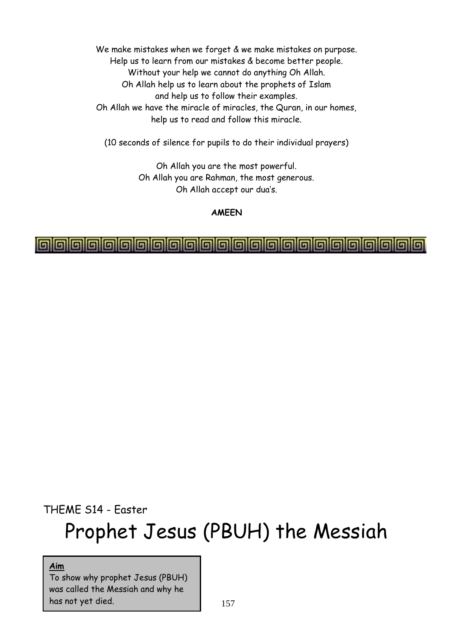We make mistakes when we forget & we make mistakes on purpose. Help us to learn from our mistakes & become better people. Without your help we cannot do anything Oh Allah. Oh Allah help us to learn about the prophets of Islam and help us to follow their examples. Oh Allah we have the miracle of miracles, the Quran, in our homes, help us to read and follow this miracle.

(10 seconds of silence for pupils to do their individual prayers)

Oh Allah you are the most powerful. Oh Allah you are Rahman, the most generous. Oh Allah accept our dua's.

**AMEEN**

ГT lo n n Ō  $\overline{\blacksquare}$ 

THEME S14 - Easter

## Prophet Jesus (PBUH) the Messiah

**Aim**

To show why prophet Jesus (PBUH) was called the Messiah and why he has not yet died.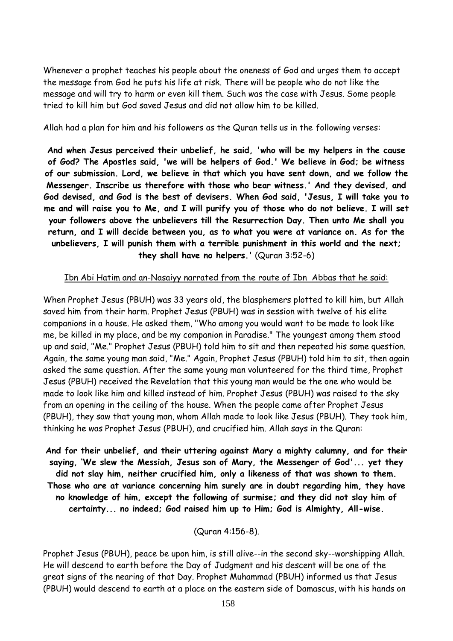Whenever a prophet teaches his people about the oneness of God and urges them to accept the message from God he puts his life at risk. There will be people who do not like the message and will try to harm or even kill them. Such was the case with Jesus. Some people tried to kill him but God saved Jesus and did not allow him to be killed.

Allah had a plan for him and his followers as the Quran tells us in the following verses:

**And when Jesus perceived their unbelief, he said, 'who will be my helpers in the cause of God? The Apostles said, 'we will be helpers of God.' We believe in God; be witness of our submission. Lord, we believe in that which you have sent down, and we follow the Messenger. Inscribe us therefore with those who bear witness.' And they devised, and God devised, and God is the best of devisers. When God said, 'Jesus, I will take you to me and will raise you to Me, and I will purify you of those who do not believe. I will set your followers above the unbelievers till the Resurrection Day. Then unto Me shall you return, and I will decide between you, as to what you were at variance on. As for the unbelievers, I will punish them with a terrible punishment in this world and the next; they shall have no helpers.'** (Quran 3:52-6)

## Ibn Abi Hatim and an-Nasaiyy narrated from the route of Ibn Abbas that he said:

When Prophet Jesus (PBUH) was 33 years old, the blasphemers plotted to kill him, but Allah saved him from their harm. Prophet Jesus (PBUH) was in session with twelve of his elite companions in a house. He asked them, "Who among you would want to be made to look like me, be killed in my place, and be my companion in Paradise." The youngest among them stood up and said, "Me." Prophet Jesus (PBUH) told him to sit and then repeated his same question. Again, the same young man said, "Me." Again, Prophet Jesus (PBUH) told him to sit, then again asked the same question. After the same young man volunteered for the third time, Prophet Jesus (PBUH) received the Revelation that this young man would be the one who would be made to look like him and killed instead of him. Prophet Jesus (PBUH) was raised to the sky from an opening in the ceiling of the house. When the people came after Prophet Jesus (PBUH), they saw that young man, whom Allah made to look like Jesus (PBUH). They took him, thinking he was Prophet Jesus (PBUH), and crucified him. Allah says in the Quran:

**And for their unbelief, and their uttering against Mary a mighty calumny, and for their saying, 'We slew the Messiah, Jesus son of Mary, the Messenger of God'... yet they did not slay him, neither crucified him, only a likeness of that was shown to them. Those who are at variance concerning him surely are in doubt regarding him, they have no knowledge of him, except the following of surmise; and they did not slay him of certainty... no indeed; God raised him up to Him; God is Almighty, All-wise.** 

(Quran 4:156-8).

Prophet Jesus (PBUH), peace be upon him, is still alive--in the second sky--worshipping Allah. He will descend to earth before the Day of Judgment and his descent will be one of the great signs of the nearing of that Day. Prophet Muhammad (PBUH) informed us that Jesus (PBUH) would descend to earth at a place on the eastern side of Damascus, with his hands on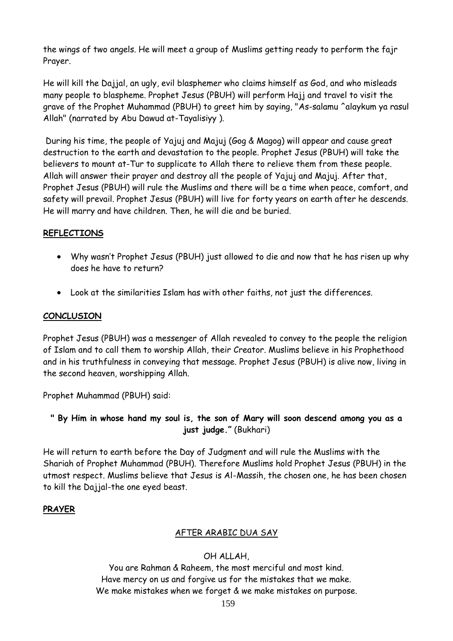the wings of two angels. He will meet a group of Muslims getting ready to perform the fajr Prayer.

He will kill the Dajjal, an ugly, evil blasphemer who claims himself as God, and who misleads many people to blaspheme. Prophet Jesus (PBUH) will perform Hajj and travel to visit the grave of the Prophet Muhammad (PBUH) to greet him by saying, "As-salamu ^alaykum ya rasul Allah" (narrated by Abu Dawud at-Tayalisiyy ).

During his time, the people of Yajuj and Majuj (Gog & Magog) will appear and cause great destruction to the earth and devastation to the people. Prophet Jesus (PBUH) will take the believers to mount at-Tur to supplicate to Allah there to relieve them from these people. Allah will answer their prayer and destroy all the people of Yajuj and Majuj. After that, Prophet Jesus (PBUH) will rule the Muslims and there will be a time when peace, comfort, and safety will prevail. Prophet Jesus (PBUH) will live for forty years on earth after he descends. He will marry and have children. Then, he will die and be buried.

## **REFLECTIONS**

- Why wasn't Prophet Jesus (PBUH) just allowed to die and now that he has risen up why does he have to return?
- Look at the similarities Islam has with other faiths, not just the differences.

## **CONCLUSION**

Prophet Jesus (PBUH) was a messenger of Allah revealed to convey to the people the religion of Islam and to call them to worship Allah, their Creator. Muslims believe in his Prophethood and in his truthfulness in conveying that message. Prophet Jesus (PBUH) is alive now, living in the second heaven, worshipping Allah.

Prophet Muhammad (PBUH) said:

## **" By Him in whose hand my soul is, the son of Mary will soon descend among you as a just judge."** (Bukhari)

He will return to earth before the Day of Judgment and will rule the Muslims with the Shariah of Prophet Muhammad (PBUH). Therefore Muslims hold Prophet Jesus (PBUH) in the utmost respect. Muslims believe that Jesus is Al-Massih, the chosen one, he has been chosen to kill the Dajjal-the one eyed beast.

## **PRAYER**

## AFTER ARABIC DUA SAY

## OH ALLAH,

You are Rahman & Raheem, the most merciful and most kind. Have mercy on us and forgive us for the mistakes that we make. We make mistakes when we forget & we make mistakes on purpose.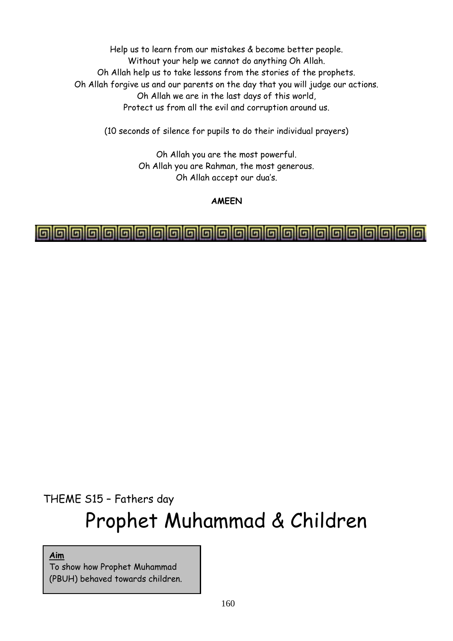Help us to learn from our mistakes & become better people. Without your help we cannot do anything Oh Allah. Oh Allah help us to take lessons from the stories of the prophets. Oh Allah forgive us and our parents on the day that you will judge our actions. Oh Allah we are in the last days of this world, Protect us from all the evil and corruption around us.

(10 seconds of silence for pupils to do their individual prayers)

Oh Allah you are the most powerful. Oh Allah you are Rahman, the most generous. Oh Allah accept our dua's.

**AMEEN**

F 回 m ū 団 団 E E m m E n 画 回 **In** m l۹ П

THEME S15 – Fathers day

# Prophet Muhammad & Children

**Aim**

To show how Prophet Muhammad (PBUH) behaved towards children.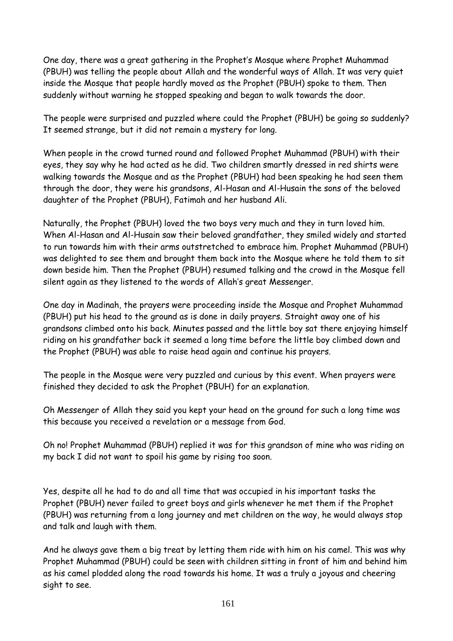One day, there was a great gathering in the Prophet's Mosque where Prophet Muhammad (PBUH) was telling the people about Allah and the wonderful ways of Allah. It was very quiet inside the Mosque that people hardly moved as the Prophet (PBUH) spoke to them. Then suddenly without warning he stopped speaking and began to walk towards the door.

The people were surprised and puzzled where could the Prophet (PBUH) be going so suddenly? It seemed strange, but it did not remain a mystery for long.

When people in the crowd turned round and followed Prophet Muhammad (PBUH) with their eyes, they say why he had acted as he did. Two children smartly dressed in red shirts were walking towards the Mosque and as the Prophet (PBUH) had been speaking he had seen them through the door, they were his grandsons, Al-Hasan and Al-Husain the sons of the beloved daughter of the Prophet (PBUH), Fatimah and her husband Ali.

Naturally, the Prophet (PBUH) loved the two boys very much and they in turn loved him. When Al-Hasan and Al-Husain saw their beloved grandfather, they smiled widely and started to run towards him with their arms outstretched to embrace him. Prophet Muhammad (PBUH) was delighted to see them and brought them back into the Mosque where he told them to sit down beside him. Then the Prophet (PBUH) resumed talking and the crowd in the Mosque fell silent again as they listened to the words of Allah's great Messenger.

One day in Madinah, the prayers were proceeding inside the Mosque and Prophet Muhammad (PBUH) put his head to the ground as is done in daily prayers. Straight away one of his grandsons climbed onto his back. Minutes passed and the little boy sat there enjoying himself riding on his grandfather back it seemed a long time before the little boy climbed down and the Prophet (PBUH) was able to raise head again and continue his prayers.

The people in the Mosque were very puzzled and curious by this event. When prayers were finished they decided to ask the Prophet (PBUH) for an explanation.

Oh Messenger of Allah they said you kept your head on the ground for such a long time was this because you received a revelation or a message from God.

Oh no! Prophet Muhammad (PBUH) replied it was for this grandson of mine who was riding on my back I did not want to spoil his game by rising too soon.

Yes, despite all he had to do and all time that was occupied in his important tasks the Prophet (PBUH) never failed to greet boys and girls whenever he met them if the Prophet (PBUH) was returning from a long journey and met children on the way, he would always stop and talk and laugh with them.

And he always gave them a big treat by letting them ride with him on his camel. This was why Prophet Muhammad (PBUH) could be seen with children sitting in front of him and behind him as his camel plodded along the road towards his home. It was a truly a joyous and cheering sight to see.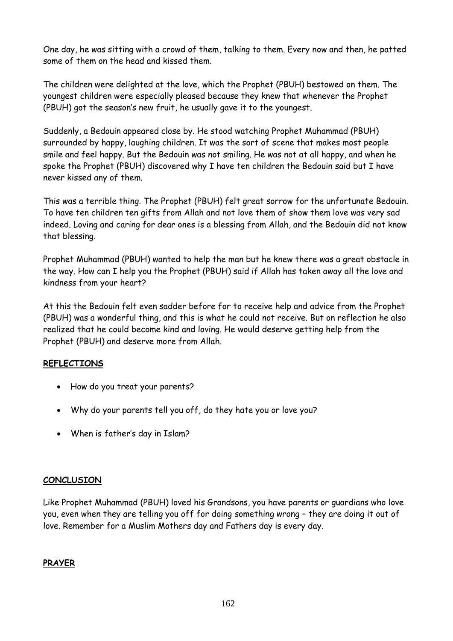One day, he was sitting with a crowd of them, talking to them. Every now and then, he patted some of them on the head and kissed them.

The children were delighted at the love, which the Prophet (PBUH) bestowed on them. The youngest children were especially pleased because they knew that whenever the Prophet (PBUH) got the season's new fruit, he usually gave it to the youngest.

Suddenly, a Bedouin appeared close by. He stood watching Prophet Muhammad (PBUH) surrounded by happy, laughing children. It was the sort of scene that makes most people smile and feel happy. But the Bedouin was not smiling. He was not at all happy, and when he spoke the Prophet (PBUH) discovered why I have ten children the Bedouin said but I have never kissed any of them.

This was a terrible thing. The Prophet (PBUH) felt great sorrow for the unfortunate Bedouin. To have ten children ten gifts from Allah and not love them of show them love was very sad indeed. Loving and caring for dear ones is a blessing from Allah, and the Bedouin did not know that blessing.

Prophet Muhammad (PBUH) wanted to help the man but he knew there was a great obstacle in the way. How can I help you the Prophet (PBUH) said if Allah has taken away all the love and kindness from your heart?

At this the Bedouin felt even sadder before for to receive help and advice from the Prophet (PBUH) was a wonderful thing, and this is what he could not receive. But on reflection he also realized that he could become kind and loving. He would deserve getting help from the Prophet (PBUH) and deserve more from Allah.

## **REFLECTIONS**

- How do you treat your parents?
- Why do your parents tell you off, do they hate you or love you?
- When is father's day in Islam?

## **CONCLUSION**

Like Prophet Muhammad (PBUH) loved his Grandsons, you have parents or guardians who love you, even when they are telling you off for doing something wrong – they are doing it out of love. Remember for a Muslim Mothers day and Fathers day is every day.

## **PRAYER**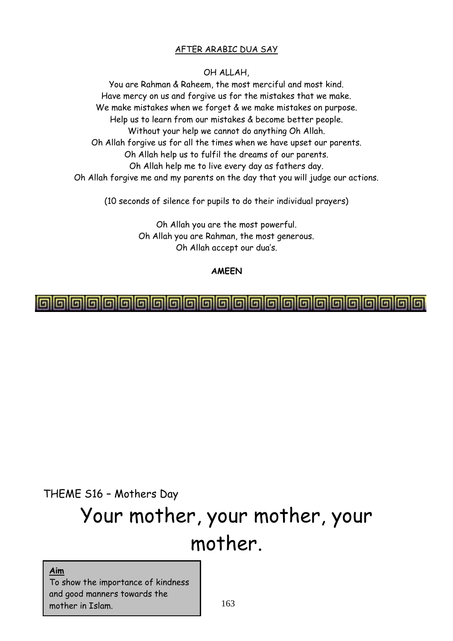## AFTER ARABIC DUA SAY

#### OH ALLAH,

You are Rahman & Raheem, the most merciful and most kind. Have mercy on us and forgive us for the mistakes that we make. We make mistakes when we forget & we make mistakes on purpose. Help us to learn from our mistakes & become better people. Without your help we cannot do anything Oh Allah. Oh Allah forgive us for all the times when we have upset our parents. Oh Allah help us to fulfil the dreams of our parents. Oh Allah help me to live every day as fathers day. Oh Allah forgive me and my parents on the day that you will judge our actions.

(10 seconds of silence for pupils to do their individual prayers)

Oh Allah you are the most powerful. Oh Allah you are Rahman, the most generous. Oh Allah accept our dua's.

#### **AMEEN**

THEME S16 – Mothers Day

# Your mother, your mother, your mother.

**Aim**

To show the importance of kindness and good manners towards the mother in Islam.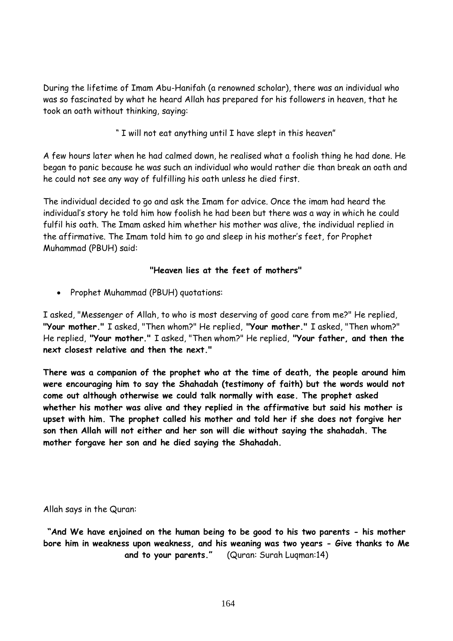During the lifetime of Imam Abu-Hanifah (a renowned scholar), there was an individual who was so fascinated by what he heard Allah has prepared for his followers in heaven, that he took an oath without thinking, saying:

" I will not eat anything until I have slept in this heaven"

A few hours later when he had calmed down, he realised what a foolish thing he had done. He began to panic because he was such an individual who would rather die than break an oath and he could not see any way of fulfilling his oath unless he died first.

The individual decided to go and ask the Imam for advice. Once the imam had heard the individual's story he told him how foolish he had been but there was a way in which he could fulfil his oath. The Imam asked him whether his mother was alive, the individual replied in the affirmative. The Imam told him to go and sleep in his mother's feet, for Prophet Muhammad (PBUH) said:

## **"Heaven lies at the feet of mothers"**

• Prophet Muhammad (PBUH) quotations:

I asked, "Messenger of Allah, to who is most deserving of good care from me?" He replied, **"Your mother."** I asked, "Then whom?" He replied, **"Your mother."** I asked, "Then whom?" He replied, **"Your mother."** I asked, "Then whom?" He replied, **"Your father, and then the next closest relative and then the next."**

**There was a companion of the prophet who at the time of death, the people around him were encouraging him to say the Shahadah (testimony of faith) but the words would not come out although otherwise we could talk normally with ease. The prophet asked whether his mother was alive and they replied in the affirmative but said his mother is upset with him. The prophet called his mother and told her if she does not forgive her son then Allah will not either and her son will die without saying the shahadah. The mother forgave her son and he died saying the Shahadah.**

Allah says in the Quran:

**"And We have enjoined on the human being to be good to his two parents - his mother bore him in weakness upon weakness, and his weaning was two years - Give thanks to Me and to your parents."** (Quran: Surah Luqman:14)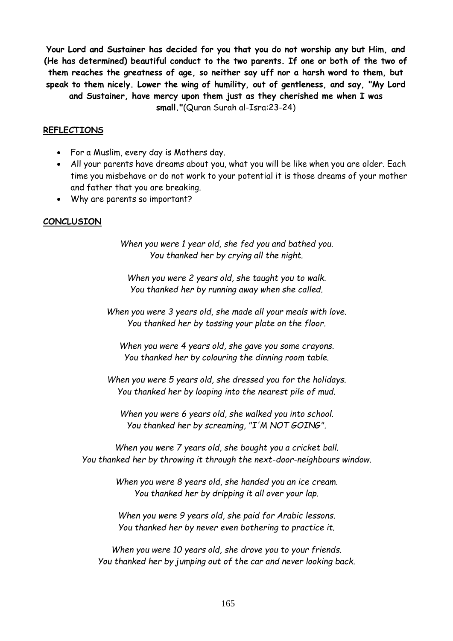**Your Lord and Sustainer has decided for you that you do not worship any but Him, and (He has determined) beautiful conduct to the two parents. If one or both of the two of them reaches the greatness of age, so neither say uff nor a harsh word to them, but speak to them nicely. Lower the wing of humility, out of gentleness, and say, "My Lord and Sustainer, have mercy upon them just as they cherished me when I was small."**(Quran Surah al-Isra:23-24)

#### **REFLECTIONS**

- For a Muslim, every day is Mothers day.
- All your parents have dreams about you, what you will be like when you are older. Each time you misbehave or do not work to your potential it is those dreams of your mother and father that you are breaking.
- Why are parents so important?

#### **CONCLUSION**

*When you were 1 year old, she fed you and bathed you. You thanked her by crying all the night.*

*When you were 2 years old, she taught you to walk. You thanked her by running away when she called.*

*When you were 3 years old, she made all your meals with love. You thanked her by tossing your plate on the floor.*

*When you were 4 years old, she gave you some crayons. You thanked her by colouring the dinning room table.*

*When you were 5 years old, she dressed you for the holidays. You thanked her by looping into the nearest pile of mud.*

*When you were 6 years old, she walked you into school. You thanked her by screaming, "I'M NOT GOING".*

*When you were 7 years old, she bought you a cricket ball. You thanked her by throwing it through the next-door-neighbours window.*

> *When you were 8 years old, she handed you an ice cream. You thanked her by dripping it all over your lap.*

*When you were 9 years old, she paid for Arabic lessons. You thanked her by never even bothering to practice it.*

*When you were 10 years old, she drove you to your friends. You thanked her by jumping out of the car and never looking back.*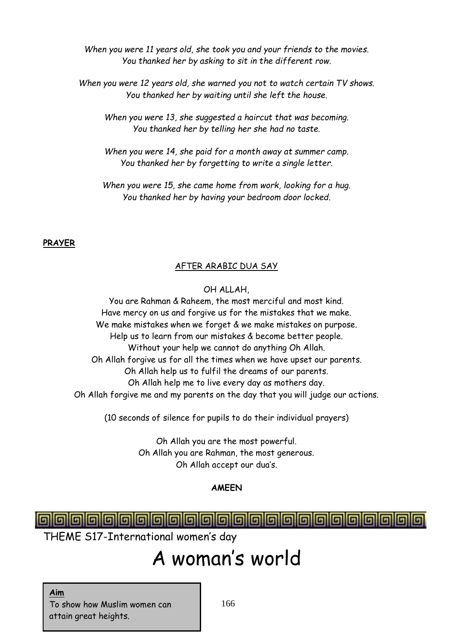*When you were 11 years old, she took you and your friends to the movies. You thanked her by asking to sit in the different row.*

*When you were 12 years old, she warned you not to watch certain TV shows. You thanked her by waiting until she left the house.*

*When you were 13, she suggested a haircut that was becoming. You thanked her by telling her she had no taste.*

*When you were 14, she paid for a month away at summer camp. You thanked her by forgetting to write a single letter.*

*When you were 15, she came home from work, looking for a hug. You thanked her by having your bedroom door locked.*

## **PRAYER**

## AFTER ARABIC DUA SAY

#### OH ALLAH,

You are Rahman & Raheem, the most merciful and most kind. Have mercy on us and forgive us for the mistakes that we make. We make mistakes when we forget & we make mistakes on purpose. Help us to learn from our mistakes & become better people. Without your help we cannot do anything Oh Allah. Oh Allah forgive us for all the times when we have upset our parents. Oh Allah help us to fulfil the dreams of our parents. Oh Allah help me to live every day as mothers day. Oh Allah forgive me and my parents on the day that you will judge our actions.

(10 seconds of silence for pupils to do their individual prayers)

Oh Allah you are the most powerful. Oh Allah you are Rahman, the most generous. Oh Allah accept our dua's.

## **AMEEN**

ilalialialia فاللقالات IП

THEME S17-International women's day

## A woman's world

**Aim** To show how Muslim women can attain great heights.

166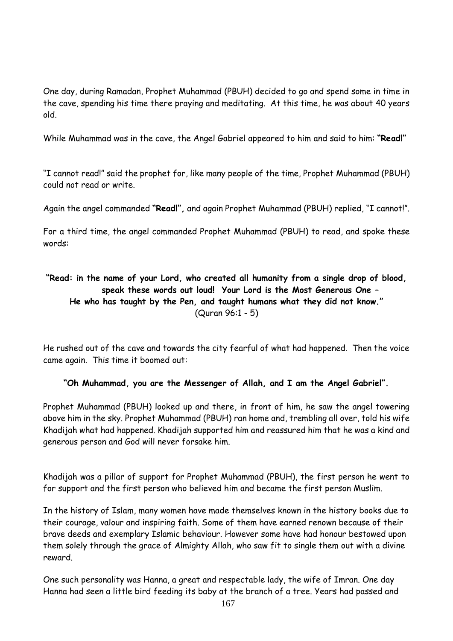One day, during Ramadan, Prophet Muhammad (PBUH) decided to go and spend some in time in the cave, spending his time there praying and meditating. At this time, he was about 40 years old.

While Muhammad was in the cave, the Angel Gabriel appeared to him and said to him: **"Read!"**

"I cannot read!" said the prophet for, like many people of the time, Prophet Muhammad (PBUH) could not read or write.

Again the angel commanded **"Read!",** and again Prophet Muhammad (PBUH) replied, "I cannot!".

For a third time, the angel commanded Prophet Muhammad (PBUH) to read, and spoke these words:

## **"Read: in the name of your Lord, who created all humanity from a single drop of blood, speak these words out loud! Your Lord is the Most Generous One – He who has taught by the Pen, and taught humans what they did not know."** (Quran 96:1 - 5)

He rushed out of the cave and towards the city fearful of what had happened. Then the voice came again. This time it boomed out:

**"Oh Muhammad, you are the Messenger of Allah, and I am the Angel Gabriel".**

Prophet Muhammad (PBUH) looked up and there, in front of him, he saw the angel towering above him in the sky. Prophet Muhammad (PBUH) ran home and, trembling all over, told his wife Khadijah what had happened. Khadijah supported him and reassured him that he was a kind and generous person and God will never forsake him.

Khadijah was a pillar of support for Prophet Muhammad (PBUH), the first person he went to for support and the first person who believed him and became the first person Muslim.

In the history of Islam, many women have made themselves known in the history books due to their courage, valour and inspiring faith. Some of them have earned renown because of their brave deeds and exemplary Islamic behaviour. However some have had honour bestowed upon them solely through the grace of Almighty Allah, who saw fit to single them out with a divine reward.

One such personality was Hanna, a great and respectable lady, the wife of Imran. One day Hanna had seen a little bird feeding its baby at the branch of a tree. Years had passed and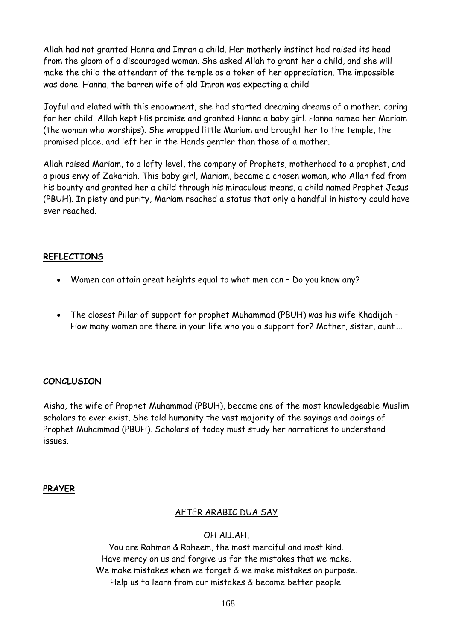Allah had not granted Hanna and Imran a child. Her motherly instinct had raised its head from the gloom of a discouraged woman. She asked Allah to grant her a child, and she will make the child the attendant of the temple as a token of her appreciation. The impossible was done. Hanna, the barren wife of old Imran was expecting a child!

Joyful and elated with this endowment, she had started dreaming dreams of a mother; caring for her child. Allah kept His promise and granted Hanna a baby girl. Hanna named her Mariam (the woman who worships). She wrapped little Mariam and brought her to the temple, the promised place, and left her in the Hands gentler than those of a mother.

Allah raised Mariam, to a lofty level, the company of Prophets, motherhood to a prophet, and a pious envy of Zakariah. This baby girl, Mariam, became a chosen woman, who Allah fed from his bounty and granted her a child through his miraculous means, a child named Prophet Jesus (PBUH). In piety and purity, Mariam reached a status that only a handful in history could have ever reached.

## **REFLECTIONS**

- Women can attain great heights equal to what men can Do you know any?
- The closest Pillar of support for prophet Muhammad (PBUH) was his wife Khadijah How many women are there in your life who you o support for? Mother, sister, aunt….

## **CONCLUSION**

Aisha, the wife of Prophet Muhammad (PBUH), became one of the most knowledgeable Muslim scholars to ever exist. She told humanity the vast majority of the sayings and doings of Prophet Muhammad (PBUH). Scholars of today must study her narrations to understand issues.

#### **PRAYER**

## AFTER ARABIC DUA SAY

## OH ALLAH,

You are Rahman & Raheem, the most merciful and most kind. Have mercy on us and forgive us for the mistakes that we make. We make mistakes when we forget & we make mistakes on purpose. Help us to learn from our mistakes & become better people.